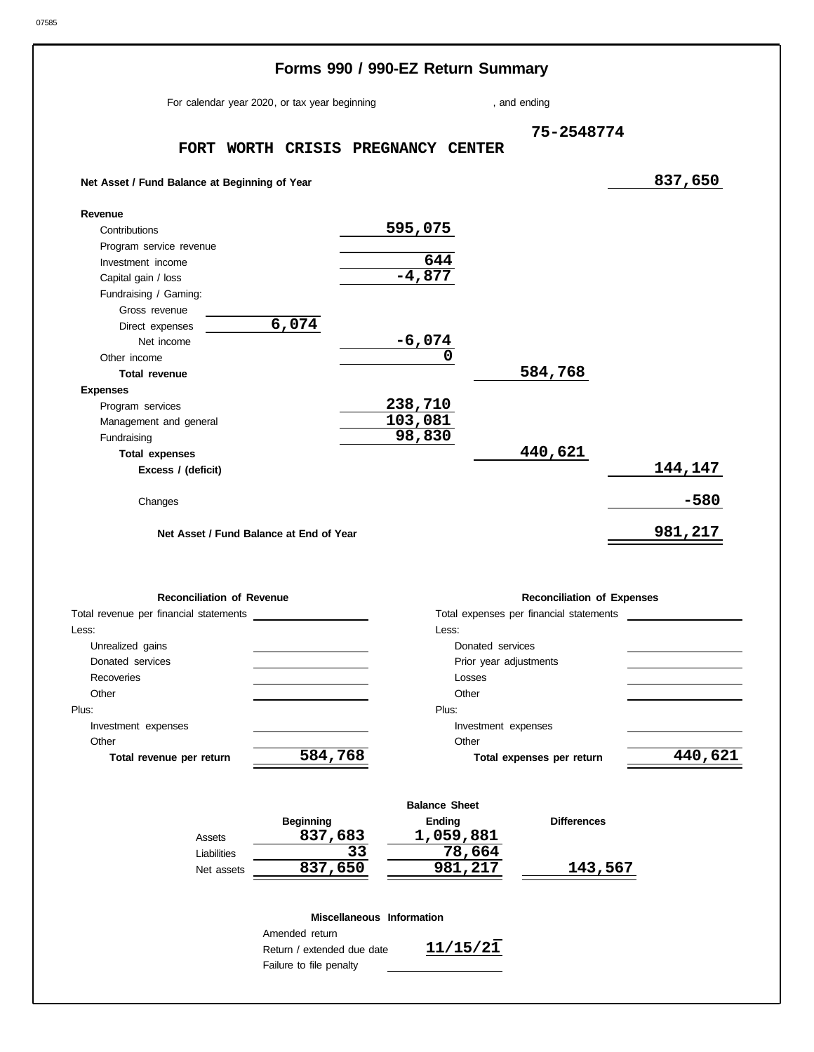#### Changes **Net Asset / Fund Balance at Beginning of Year** Other income Capital gain / loss Fundraising / Gaming: **Contributions Total expenses Revenue** Program service revenue Investment income Gross revenue Net income Direct expenses **Net Asset / Fund Balance at End of Year Excess / (deficit)** , and ending **Forms 990 / 990-EZ Return Summary Total revenue Expenses** Program services Management and general Fundraising For calendar year 2020, or tax year beginning **FORT WORTH CRISIS PREGNANCY CENTER 75-2548774 837,650 595,075 644 -4,877 6,074 -6,074 0 584,768 238,710 103,081 98,830 440,621 144,147 -580 981,217**

| <b>Reconciliation of Revenue</b>       | <b>Reconciliation of Expenses</b>       |  |  |  |  |  |
|----------------------------------------|-----------------------------------------|--|--|--|--|--|
| Total revenue per financial statements | Total expenses per financial statements |  |  |  |  |  |
| Less:                                  | Less:                                   |  |  |  |  |  |
| Unrealized gains                       | Donated services                        |  |  |  |  |  |
| Donated services                       | Prior year adjustments                  |  |  |  |  |  |
| Recoveries                             | Losses                                  |  |  |  |  |  |
| Other                                  | Other                                   |  |  |  |  |  |
| Plus:                                  | Plus:                                   |  |  |  |  |  |
| Investment expenses                    | Investment expenses                     |  |  |  |  |  |
| Other                                  | Other                                   |  |  |  |  |  |
| 584,768<br>Total revenue per return    | 440,621<br>Total expenses per return    |  |  |  |  |  |
|                                        |                                         |  |  |  |  |  |

|             |                  | <b>Balance Sheet</b> |                    |  |  |  |  |  |
|-------------|------------------|----------------------|--------------------|--|--|--|--|--|
|             | <b>Beginning</b> | Ending               | <b>Differences</b> |  |  |  |  |  |
| Assets      | 837,683          | 1,059,881            |                    |  |  |  |  |  |
| Liabilities | 33               | 78,664               |                    |  |  |  |  |  |
| Net assets  | 837,650          | 981,217              | 143,567            |  |  |  |  |  |
|             |                  |                      |                    |  |  |  |  |  |

#### **Miscellaneous Information**

Return / extended due date Failure to file penalty Amended return

**11/15/21**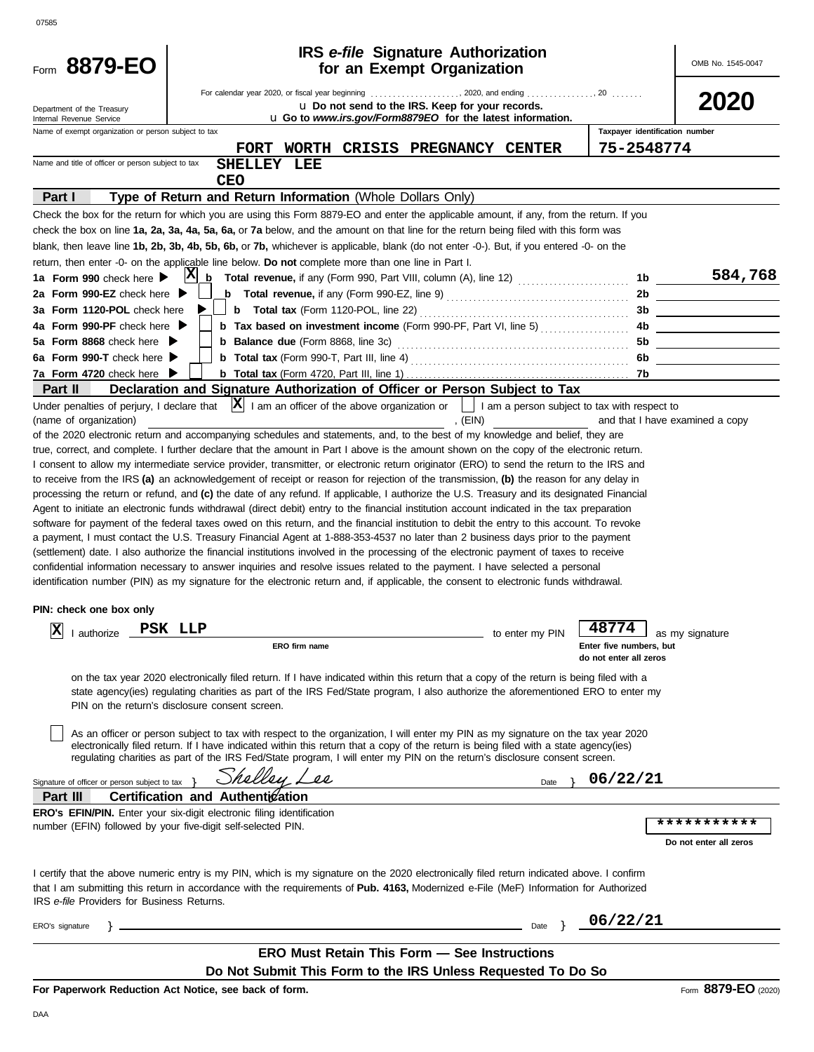| ×<br>I<br>×<br>۰.<br>I<br>I |  |
|-----------------------------|--|

| 2020<br>u Do not send to the IRS. Keep for your records.<br>Department of the Treasury<br>u Go to www.irs.gov/Form8879EO for the latest information.<br>Internal Revenue Service<br>Taxpayer identification number<br>Name of exempt organization or person subject to tax<br>75-2548774<br>FORT WORTH CRISIS PREGNANCY CENTER<br>Name and title of officer or person subject to tax<br>SHELLEY LEE<br><b>CEO</b><br>Type of Return and Return Information (Whole Dollars Only)<br>Part I<br>Check the box for the return for which you are using this Form 8879-EO and enter the applicable amount, if any, from the return. If you<br>check the box on line 1a, 2a, 3a, 4a, 5a, 6a, or 7a below, and the amount on that line for the return being filed with this form was<br>blank, then leave line 1b, 2b, 3b, 4b, 5b, 6b, or 7b, whichever is applicable, blank (do not enter -0-). But, if you entered -0- on the<br>return, then enter -0- on the applicable line below. Do not complete more than one line in Part I.<br>584,768<br> X <br>1a Form 990 check here<br>b<br>1b<br>2a Form 990-EZ check here<br><b>b</b> Total revenue, if any (Form 990-EZ, line 9) $\ldots$ $\ldots$ $\ldots$ $\ldots$ $\ldots$ $\ldots$<br>3a Form 1120-POL check here<br>3b<br>4a Form 990-PF check here $\blacktriangleright$<br><b>b</b> Tax based on investment income (Form 990-PF, Part VI, line 5)<br>4b.<br>5a Form 8868 check here ▶<br><b>b</b> Balance due (Form 8868, line 3c)<br>5b<br>6a Form 990-T check here $\blacktriangleright$<br>6b.<br>7a Form 4720 check here<br>7b.<br>Declaration and Signature Authorization of Officer or Person Subject to Tax<br>Part II<br> X <br>I am an officer of the above organization or     I am a person subject to tax with respect to<br>Under penalties of perjury, I declare that<br>, $(EIN)$<br>(name of organization)<br>and that I have examined a copy<br>of the 2020 electronic return and accompanying schedules and statements, and, to the best of my knowledge and belief, they are<br>true, correct, and complete. I further declare that the amount in Part I above is the amount shown on the copy of the electronic return.<br>I consent to allow my intermediate service provider, transmitter, or electronic return originator (ERO) to send the return to the IRS and<br>to receive from the IRS (a) an acknowledgement of receipt or reason for rejection of the transmission, (b) the reason for any delay in<br>processing the return or refund, and (c) the date of any refund. If applicable, I authorize the U.S. Treasury and its designated Financial<br>Agent to initiate an electronic funds withdrawal (direct debit) entry to the financial institution account indicated in the tax preparation<br>software for payment of the federal taxes owed on this return, and the financial institution to debit the entry to this account. To revoke<br>a payment, I must contact the U.S. Treasury Financial Agent at 1-888-353-4537 no later than 2 business days prior to the payment<br>(settlement) date. I also authorize the financial institutions involved in the processing of the electronic payment of taxes to receive<br>confidential information necessary to answer inquiries and resolve issues related to the payment. I have selected a personal<br>identification number (PIN) as my signature for the electronic return and, if applicable, the consent to electronic funds withdrawal.<br>PIN: check one box only<br>48774<br>$ \mathbf{X} $ I authorize $\Box$<br>PSK LLP<br>to enter my PIN<br>$\Box$ as my signature<br>ERO firm name<br>Enter five numbers, but<br>do not enter all zeros<br>on the tax year 2020 electronically filed return. If I have indicated within this return that a copy of the return is being filed with a<br>state agency(ies) regulating charities as part of the IRS Fed/State program, I also authorize the aforementioned ERO to enter my<br>PIN on the return's disclosure consent screen.<br>As an officer or person subject to tax with respect to the organization, I will enter my PIN as my signature on the tax year 2020<br>electronically filed return. If I have indicated within this return that a copy of the return is being filed with a state agency(ies)<br>regulating charities as part of the IRS Fed/State program, I will enter my PIN on the return's disclosure consent screen.<br>Shalley L<br>$\overline{\mathcal{L}}$<br>06/22/21<br>Signature of officer or person subject to tax<br>Date<br>Part III<br>Certification and Authentication<br><b>ERO's EFIN/PIN.</b> Enter your six-digit electronic filing identification<br>***********<br>number (EFIN) followed by your five-digit self-selected PIN.<br>Do not enter all zeros<br>I certify that the above numeric entry is my PIN, which is my signature on the 2020 electronically filed return indicated above. I confirm<br>that I am submitting this return in accordance with the requirements of Pub. 4163, Modernized e-File (MeF) Information for Authorized<br>IRS e-file Providers for Business Returns.<br>06/22/21<br>ERO's signature<br>Date<br><b>ERO Must Retain This Form - See Instructions</b><br>Do Not Submit This Form to the IRS Unless Requested To Do So<br>Form 8879-EO (2020)<br>For Paperwork Reduction Act Notice, see back of form. | 8879-EO<br>Form | <b>IRS</b> e-file Signature Authorization<br>for an Exempt Organization | OMB No. 1545-0047 |
|-------------------------------------------------------------------------------------------------------------------------------------------------------------------------------------------------------------------------------------------------------------------------------------------------------------------------------------------------------------------------------------------------------------------------------------------------------------------------------------------------------------------------------------------------------------------------------------------------------------------------------------------------------------------------------------------------------------------------------------------------------------------------------------------------------------------------------------------------------------------------------------------------------------------------------------------------------------------------------------------------------------------------------------------------------------------------------------------------------------------------------------------------------------------------------------------------------------------------------------------------------------------------------------------------------------------------------------------------------------------------------------------------------------------------------------------------------------------------------------------------------------------------------------------------------------------------------------------------------------------------------------------------------------------------------------------------------------------------------------------------------------------------------------------------------------------------------------------------------------------------------------------------------------------------------------------------------------------------------------------------------------------------------------------------------------------------------------------------------------------------------------------------------------------------------------------------------------------------------------------------------------------------------------------------------------------------------------------------------------------------------------------------------------------------------------------------------------------------------------------------------------------------------------------------------------------------------------------------------------------------------------------------------------------------------------------------------------------------------------------------------------------------------------------------------------------------------------------------------------------------------------------------------------------------------------------------------------------------------------------------------------------------------------------------------------------------------------------------------------------------------------------------------------------------------------------------------------------------------------------------------------------------------------------------------------------------------------------------------------------------------------------------------------------------------------------------------------------------------------------------------------------------------------------------------------------------------------------------------------------------------------------------------------------------------------------------------------------------------------------------------------------------------------------------------------------------------------------------------------------------------------------------------------------------------------------------------------------------------------------------------------------------------------------------------------------------------------------------------------------------------------------------------------------------------------------------------------------------------------------------------------------------------------------------------------------------------------------------------------------------------------------------------------------------------------------------------------------------------------------------------------------------------------------------------------------------------------------------------------------------------------------------------------------------------------------------------------------------------------------------------------------------------------------------------------------------------------------------------------------------------------------------------------------------------------------------------------------------------------------------------------------------------------------------------------------------------------------------------------------------------------------------------------------------------------------------------------------------------------------------------------------------------------------------------------------------------------------------------------------------------------|-----------------|-------------------------------------------------------------------------|-------------------|
|                                                                                                                                                                                                                                                                                                                                                                                                                                                                                                                                                                                                                                                                                                                                                                                                                                                                                                                                                                                                                                                                                                                                                                                                                                                                                                                                                                                                                                                                                                                                                                                                                                                                                                                                                                                                                                                                                                                                                                                                                                                                                                                                                                                                                                                                                                                                                                                                                                                                                                                                                                                                                                                                                                                                                                                                                                                                                                                                                                                                                                                                                                                                                                                                                                                                                                                                                                                                                                                                                                                                                                                                                                                                                                                                                                                                                                                                                                                                                                                                                                                                                                                                                                                                                                                                                                                                                                                                                                                                                                                                                                                                                                                                                                                                                                                                                                                                                                                                                                                                                                                                                                                                                                                                                                                                                                                                                                                     |                 |                                                                         |                   |
|                                                                                                                                                                                                                                                                                                                                                                                                                                                                                                                                                                                                                                                                                                                                                                                                                                                                                                                                                                                                                                                                                                                                                                                                                                                                                                                                                                                                                                                                                                                                                                                                                                                                                                                                                                                                                                                                                                                                                                                                                                                                                                                                                                                                                                                                                                                                                                                                                                                                                                                                                                                                                                                                                                                                                                                                                                                                                                                                                                                                                                                                                                                                                                                                                                                                                                                                                                                                                                                                                                                                                                                                                                                                                                                                                                                                                                                                                                                                                                                                                                                                                                                                                                                                                                                                                                                                                                                                                                                                                                                                                                                                                                                                                                                                                                                                                                                                                                                                                                                                                                                                                                                                                                                                                                                                                                                                                                                     |                 |                                                                         |                   |
|                                                                                                                                                                                                                                                                                                                                                                                                                                                                                                                                                                                                                                                                                                                                                                                                                                                                                                                                                                                                                                                                                                                                                                                                                                                                                                                                                                                                                                                                                                                                                                                                                                                                                                                                                                                                                                                                                                                                                                                                                                                                                                                                                                                                                                                                                                                                                                                                                                                                                                                                                                                                                                                                                                                                                                                                                                                                                                                                                                                                                                                                                                                                                                                                                                                                                                                                                                                                                                                                                                                                                                                                                                                                                                                                                                                                                                                                                                                                                                                                                                                                                                                                                                                                                                                                                                                                                                                                                                                                                                                                                                                                                                                                                                                                                                                                                                                                                                                                                                                                                                                                                                                                                                                                                                                                                                                                                                                     |                 |                                                                         |                   |
|                                                                                                                                                                                                                                                                                                                                                                                                                                                                                                                                                                                                                                                                                                                                                                                                                                                                                                                                                                                                                                                                                                                                                                                                                                                                                                                                                                                                                                                                                                                                                                                                                                                                                                                                                                                                                                                                                                                                                                                                                                                                                                                                                                                                                                                                                                                                                                                                                                                                                                                                                                                                                                                                                                                                                                                                                                                                                                                                                                                                                                                                                                                                                                                                                                                                                                                                                                                                                                                                                                                                                                                                                                                                                                                                                                                                                                                                                                                                                                                                                                                                                                                                                                                                                                                                                                                                                                                                                                                                                                                                                                                                                                                                                                                                                                                                                                                                                                                                                                                                                                                                                                                                                                                                                                                                                                                                                                                     |                 |                                                                         |                   |
|                                                                                                                                                                                                                                                                                                                                                                                                                                                                                                                                                                                                                                                                                                                                                                                                                                                                                                                                                                                                                                                                                                                                                                                                                                                                                                                                                                                                                                                                                                                                                                                                                                                                                                                                                                                                                                                                                                                                                                                                                                                                                                                                                                                                                                                                                                                                                                                                                                                                                                                                                                                                                                                                                                                                                                                                                                                                                                                                                                                                                                                                                                                                                                                                                                                                                                                                                                                                                                                                                                                                                                                                                                                                                                                                                                                                                                                                                                                                                                                                                                                                                                                                                                                                                                                                                                                                                                                                                                                                                                                                                                                                                                                                                                                                                                                                                                                                                                                                                                                                                                                                                                                                                                                                                                                                                                                                                                                     |                 |                                                                         |                   |
|                                                                                                                                                                                                                                                                                                                                                                                                                                                                                                                                                                                                                                                                                                                                                                                                                                                                                                                                                                                                                                                                                                                                                                                                                                                                                                                                                                                                                                                                                                                                                                                                                                                                                                                                                                                                                                                                                                                                                                                                                                                                                                                                                                                                                                                                                                                                                                                                                                                                                                                                                                                                                                                                                                                                                                                                                                                                                                                                                                                                                                                                                                                                                                                                                                                                                                                                                                                                                                                                                                                                                                                                                                                                                                                                                                                                                                                                                                                                                                                                                                                                                                                                                                                                                                                                                                                                                                                                                                                                                                                                                                                                                                                                                                                                                                                                                                                                                                                                                                                                                                                                                                                                                                                                                                                                                                                                                                                     |                 |                                                                         |                   |
|                                                                                                                                                                                                                                                                                                                                                                                                                                                                                                                                                                                                                                                                                                                                                                                                                                                                                                                                                                                                                                                                                                                                                                                                                                                                                                                                                                                                                                                                                                                                                                                                                                                                                                                                                                                                                                                                                                                                                                                                                                                                                                                                                                                                                                                                                                                                                                                                                                                                                                                                                                                                                                                                                                                                                                                                                                                                                                                                                                                                                                                                                                                                                                                                                                                                                                                                                                                                                                                                                                                                                                                                                                                                                                                                                                                                                                                                                                                                                                                                                                                                                                                                                                                                                                                                                                                                                                                                                                                                                                                                                                                                                                                                                                                                                                                                                                                                                                                                                                                                                                                                                                                                                                                                                                                                                                                                                                                     |                 |                                                                         |                   |
|                                                                                                                                                                                                                                                                                                                                                                                                                                                                                                                                                                                                                                                                                                                                                                                                                                                                                                                                                                                                                                                                                                                                                                                                                                                                                                                                                                                                                                                                                                                                                                                                                                                                                                                                                                                                                                                                                                                                                                                                                                                                                                                                                                                                                                                                                                                                                                                                                                                                                                                                                                                                                                                                                                                                                                                                                                                                                                                                                                                                                                                                                                                                                                                                                                                                                                                                                                                                                                                                                                                                                                                                                                                                                                                                                                                                                                                                                                                                                                                                                                                                                                                                                                                                                                                                                                                                                                                                                                                                                                                                                                                                                                                                                                                                                                                                                                                                                                                                                                                                                                                                                                                                                                                                                                                                                                                                                                                     |                 |                                                                         |                   |
|                                                                                                                                                                                                                                                                                                                                                                                                                                                                                                                                                                                                                                                                                                                                                                                                                                                                                                                                                                                                                                                                                                                                                                                                                                                                                                                                                                                                                                                                                                                                                                                                                                                                                                                                                                                                                                                                                                                                                                                                                                                                                                                                                                                                                                                                                                                                                                                                                                                                                                                                                                                                                                                                                                                                                                                                                                                                                                                                                                                                                                                                                                                                                                                                                                                                                                                                                                                                                                                                                                                                                                                                                                                                                                                                                                                                                                                                                                                                                                                                                                                                                                                                                                                                                                                                                                                                                                                                                                                                                                                                                                                                                                                                                                                                                                                                                                                                                                                                                                                                                                                                                                                                                                                                                                                                                                                                                                                     |                 |                                                                         |                   |
|                                                                                                                                                                                                                                                                                                                                                                                                                                                                                                                                                                                                                                                                                                                                                                                                                                                                                                                                                                                                                                                                                                                                                                                                                                                                                                                                                                                                                                                                                                                                                                                                                                                                                                                                                                                                                                                                                                                                                                                                                                                                                                                                                                                                                                                                                                                                                                                                                                                                                                                                                                                                                                                                                                                                                                                                                                                                                                                                                                                                                                                                                                                                                                                                                                                                                                                                                                                                                                                                                                                                                                                                                                                                                                                                                                                                                                                                                                                                                                                                                                                                                                                                                                                                                                                                                                                                                                                                                                                                                                                                                                                                                                                                                                                                                                                                                                                                                                                                                                                                                                                                                                                                                                                                                                                                                                                                                                                     |                 |                                                                         |                   |
|                                                                                                                                                                                                                                                                                                                                                                                                                                                                                                                                                                                                                                                                                                                                                                                                                                                                                                                                                                                                                                                                                                                                                                                                                                                                                                                                                                                                                                                                                                                                                                                                                                                                                                                                                                                                                                                                                                                                                                                                                                                                                                                                                                                                                                                                                                                                                                                                                                                                                                                                                                                                                                                                                                                                                                                                                                                                                                                                                                                                                                                                                                                                                                                                                                                                                                                                                                                                                                                                                                                                                                                                                                                                                                                                                                                                                                                                                                                                                                                                                                                                                                                                                                                                                                                                                                                                                                                                                                                                                                                                                                                                                                                                                                                                                                                                                                                                                                                                                                                                                                                                                                                                                                                                                                                                                                                                                                                     |                 |                                                                         |                   |
|                                                                                                                                                                                                                                                                                                                                                                                                                                                                                                                                                                                                                                                                                                                                                                                                                                                                                                                                                                                                                                                                                                                                                                                                                                                                                                                                                                                                                                                                                                                                                                                                                                                                                                                                                                                                                                                                                                                                                                                                                                                                                                                                                                                                                                                                                                                                                                                                                                                                                                                                                                                                                                                                                                                                                                                                                                                                                                                                                                                                                                                                                                                                                                                                                                                                                                                                                                                                                                                                                                                                                                                                                                                                                                                                                                                                                                                                                                                                                                                                                                                                                                                                                                                                                                                                                                                                                                                                                                                                                                                                                                                                                                                                                                                                                                                                                                                                                                                                                                                                                                                                                                                                                                                                                                                                                                                                                                                     |                 |                                                                         |                   |
|                                                                                                                                                                                                                                                                                                                                                                                                                                                                                                                                                                                                                                                                                                                                                                                                                                                                                                                                                                                                                                                                                                                                                                                                                                                                                                                                                                                                                                                                                                                                                                                                                                                                                                                                                                                                                                                                                                                                                                                                                                                                                                                                                                                                                                                                                                                                                                                                                                                                                                                                                                                                                                                                                                                                                                                                                                                                                                                                                                                                                                                                                                                                                                                                                                                                                                                                                                                                                                                                                                                                                                                                                                                                                                                                                                                                                                                                                                                                                                                                                                                                                                                                                                                                                                                                                                                                                                                                                                                                                                                                                                                                                                                                                                                                                                                                                                                                                                                                                                                                                                                                                                                                                                                                                                                                                                                                                                                     |                 |                                                                         |                   |
|                                                                                                                                                                                                                                                                                                                                                                                                                                                                                                                                                                                                                                                                                                                                                                                                                                                                                                                                                                                                                                                                                                                                                                                                                                                                                                                                                                                                                                                                                                                                                                                                                                                                                                                                                                                                                                                                                                                                                                                                                                                                                                                                                                                                                                                                                                                                                                                                                                                                                                                                                                                                                                                                                                                                                                                                                                                                                                                                                                                                                                                                                                                                                                                                                                                                                                                                                                                                                                                                                                                                                                                                                                                                                                                                                                                                                                                                                                                                                                                                                                                                                                                                                                                                                                                                                                                                                                                                                                                                                                                                                                                                                                                                                                                                                                                                                                                                                                                                                                                                                                                                                                                                                                                                                                                                                                                                                                                     |                 |                                                                         |                   |
|                                                                                                                                                                                                                                                                                                                                                                                                                                                                                                                                                                                                                                                                                                                                                                                                                                                                                                                                                                                                                                                                                                                                                                                                                                                                                                                                                                                                                                                                                                                                                                                                                                                                                                                                                                                                                                                                                                                                                                                                                                                                                                                                                                                                                                                                                                                                                                                                                                                                                                                                                                                                                                                                                                                                                                                                                                                                                                                                                                                                                                                                                                                                                                                                                                                                                                                                                                                                                                                                                                                                                                                                                                                                                                                                                                                                                                                                                                                                                                                                                                                                                                                                                                                                                                                                                                                                                                                                                                                                                                                                                                                                                                                                                                                                                                                                                                                                                                                                                                                                                                                                                                                                                                                                                                                                                                                                                                                     |                 |                                                                         |                   |
|                                                                                                                                                                                                                                                                                                                                                                                                                                                                                                                                                                                                                                                                                                                                                                                                                                                                                                                                                                                                                                                                                                                                                                                                                                                                                                                                                                                                                                                                                                                                                                                                                                                                                                                                                                                                                                                                                                                                                                                                                                                                                                                                                                                                                                                                                                                                                                                                                                                                                                                                                                                                                                                                                                                                                                                                                                                                                                                                                                                                                                                                                                                                                                                                                                                                                                                                                                                                                                                                                                                                                                                                                                                                                                                                                                                                                                                                                                                                                                                                                                                                                                                                                                                                                                                                                                                                                                                                                                                                                                                                                                                                                                                                                                                                                                                                                                                                                                                                                                                                                                                                                                                                                                                                                                                                                                                                                                                     |                 |                                                                         |                   |
|                                                                                                                                                                                                                                                                                                                                                                                                                                                                                                                                                                                                                                                                                                                                                                                                                                                                                                                                                                                                                                                                                                                                                                                                                                                                                                                                                                                                                                                                                                                                                                                                                                                                                                                                                                                                                                                                                                                                                                                                                                                                                                                                                                                                                                                                                                                                                                                                                                                                                                                                                                                                                                                                                                                                                                                                                                                                                                                                                                                                                                                                                                                                                                                                                                                                                                                                                                                                                                                                                                                                                                                                                                                                                                                                                                                                                                                                                                                                                                                                                                                                                                                                                                                                                                                                                                                                                                                                                                                                                                                                                                                                                                                                                                                                                                                                                                                                                                                                                                                                                                                                                                                                                                                                                                                                                                                                                                                     |                 |                                                                         |                   |
|                                                                                                                                                                                                                                                                                                                                                                                                                                                                                                                                                                                                                                                                                                                                                                                                                                                                                                                                                                                                                                                                                                                                                                                                                                                                                                                                                                                                                                                                                                                                                                                                                                                                                                                                                                                                                                                                                                                                                                                                                                                                                                                                                                                                                                                                                                                                                                                                                                                                                                                                                                                                                                                                                                                                                                                                                                                                                                                                                                                                                                                                                                                                                                                                                                                                                                                                                                                                                                                                                                                                                                                                                                                                                                                                                                                                                                                                                                                                                                                                                                                                                                                                                                                                                                                                                                                                                                                                                                                                                                                                                                                                                                                                                                                                                                                                                                                                                                                                                                                                                                                                                                                                                                                                                                                                                                                                                                                     |                 |                                                                         |                   |
|                                                                                                                                                                                                                                                                                                                                                                                                                                                                                                                                                                                                                                                                                                                                                                                                                                                                                                                                                                                                                                                                                                                                                                                                                                                                                                                                                                                                                                                                                                                                                                                                                                                                                                                                                                                                                                                                                                                                                                                                                                                                                                                                                                                                                                                                                                                                                                                                                                                                                                                                                                                                                                                                                                                                                                                                                                                                                                                                                                                                                                                                                                                                                                                                                                                                                                                                                                                                                                                                                                                                                                                                                                                                                                                                                                                                                                                                                                                                                                                                                                                                                                                                                                                                                                                                                                                                                                                                                                                                                                                                                                                                                                                                                                                                                                                                                                                                                                                                                                                                                                                                                                                                                                                                                                                                                                                                                                                     |                 |                                                                         |                   |
|                                                                                                                                                                                                                                                                                                                                                                                                                                                                                                                                                                                                                                                                                                                                                                                                                                                                                                                                                                                                                                                                                                                                                                                                                                                                                                                                                                                                                                                                                                                                                                                                                                                                                                                                                                                                                                                                                                                                                                                                                                                                                                                                                                                                                                                                                                                                                                                                                                                                                                                                                                                                                                                                                                                                                                                                                                                                                                                                                                                                                                                                                                                                                                                                                                                                                                                                                                                                                                                                                                                                                                                                                                                                                                                                                                                                                                                                                                                                                                                                                                                                                                                                                                                                                                                                                                                                                                                                                                                                                                                                                                                                                                                                                                                                                                                                                                                                                                                                                                                                                                                                                                                                                                                                                                                                                                                                                                                     |                 |                                                                         |                   |
|                                                                                                                                                                                                                                                                                                                                                                                                                                                                                                                                                                                                                                                                                                                                                                                                                                                                                                                                                                                                                                                                                                                                                                                                                                                                                                                                                                                                                                                                                                                                                                                                                                                                                                                                                                                                                                                                                                                                                                                                                                                                                                                                                                                                                                                                                                                                                                                                                                                                                                                                                                                                                                                                                                                                                                                                                                                                                                                                                                                                                                                                                                                                                                                                                                                                                                                                                                                                                                                                                                                                                                                                                                                                                                                                                                                                                                                                                                                                                                                                                                                                                                                                                                                                                                                                                                                                                                                                                                                                                                                                                                                                                                                                                                                                                                                                                                                                                                                                                                                                                                                                                                                                                                                                                                                                                                                                                                                     |                 |                                                                         |                   |
|                                                                                                                                                                                                                                                                                                                                                                                                                                                                                                                                                                                                                                                                                                                                                                                                                                                                                                                                                                                                                                                                                                                                                                                                                                                                                                                                                                                                                                                                                                                                                                                                                                                                                                                                                                                                                                                                                                                                                                                                                                                                                                                                                                                                                                                                                                                                                                                                                                                                                                                                                                                                                                                                                                                                                                                                                                                                                                                                                                                                                                                                                                                                                                                                                                                                                                                                                                                                                                                                                                                                                                                                                                                                                                                                                                                                                                                                                                                                                                                                                                                                                                                                                                                                                                                                                                                                                                                                                                                                                                                                                                                                                                                                                                                                                                                                                                                                                                                                                                                                                                                                                                                                                                                                                                                                                                                                                                                     |                 |                                                                         |                   |
|                                                                                                                                                                                                                                                                                                                                                                                                                                                                                                                                                                                                                                                                                                                                                                                                                                                                                                                                                                                                                                                                                                                                                                                                                                                                                                                                                                                                                                                                                                                                                                                                                                                                                                                                                                                                                                                                                                                                                                                                                                                                                                                                                                                                                                                                                                                                                                                                                                                                                                                                                                                                                                                                                                                                                                                                                                                                                                                                                                                                                                                                                                                                                                                                                                                                                                                                                                                                                                                                                                                                                                                                                                                                                                                                                                                                                                                                                                                                                                                                                                                                                                                                                                                                                                                                                                                                                                                                                                                                                                                                                                                                                                                                                                                                                                                                                                                                                                                                                                                                                                                                                                                                                                                                                                                                                                                                                                                     |                 |                                                                         |                   |
|                                                                                                                                                                                                                                                                                                                                                                                                                                                                                                                                                                                                                                                                                                                                                                                                                                                                                                                                                                                                                                                                                                                                                                                                                                                                                                                                                                                                                                                                                                                                                                                                                                                                                                                                                                                                                                                                                                                                                                                                                                                                                                                                                                                                                                                                                                                                                                                                                                                                                                                                                                                                                                                                                                                                                                                                                                                                                                                                                                                                                                                                                                                                                                                                                                                                                                                                                                                                                                                                                                                                                                                                                                                                                                                                                                                                                                                                                                                                                                                                                                                                                                                                                                                                                                                                                                                                                                                                                                                                                                                                                                                                                                                                                                                                                                                                                                                                                                                                                                                                                                                                                                                                                                                                                                                                                                                                                                                     |                 |                                                                         |                   |
|                                                                                                                                                                                                                                                                                                                                                                                                                                                                                                                                                                                                                                                                                                                                                                                                                                                                                                                                                                                                                                                                                                                                                                                                                                                                                                                                                                                                                                                                                                                                                                                                                                                                                                                                                                                                                                                                                                                                                                                                                                                                                                                                                                                                                                                                                                                                                                                                                                                                                                                                                                                                                                                                                                                                                                                                                                                                                                                                                                                                                                                                                                                                                                                                                                                                                                                                                                                                                                                                                                                                                                                                                                                                                                                                                                                                                                                                                                                                                                                                                                                                                                                                                                                                                                                                                                                                                                                                                                                                                                                                                                                                                                                                                                                                                                                                                                                                                                                                                                                                                                                                                                                                                                                                                                                                                                                                                                                     |                 |                                                                         |                   |
|                                                                                                                                                                                                                                                                                                                                                                                                                                                                                                                                                                                                                                                                                                                                                                                                                                                                                                                                                                                                                                                                                                                                                                                                                                                                                                                                                                                                                                                                                                                                                                                                                                                                                                                                                                                                                                                                                                                                                                                                                                                                                                                                                                                                                                                                                                                                                                                                                                                                                                                                                                                                                                                                                                                                                                                                                                                                                                                                                                                                                                                                                                                                                                                                                                                                                                                                                                                                                                                                                                                                                                                                                                                                                                                                                                                                                                                                                                                                                                                                                                                                                                                                                                                                                                                                                                                                                                                                                                                                                                                                                                                                                                                                                                                                                                                                                                                                                                                                                                                                                                                                                                                                                                                                                                                                                                                                                                                     |                 |                                                                         |                   |
|                                                                                                                                                                                                                                                                                                                                                                                                                                                                                                                                                                                                                                                                                                                                                                                                                                                                                                                                                                                                                                                                                                                                                                                                                                                                                                                                                                                                                                                                                                                                                                                                                                                                                                                                                                                                                                                                                                                                                                                                                                                                                                                                                                                                                                                                                                                                                                                                                                                                                                                                                                                                                                                                                                                                                                                                                                                                                                                                                                                                                                                                                                                                                                                                                                                                                                                                                                                                                                                                                                                                                                                                                                                                                                                                                                                                                                                                                                                                                                                                                                                                                                                                                                                                                                                                                                                                                                                                                                                                                                                                                                                                                                                                                                                                                                                                                                                                                                                                                                                                                                                                                                                                                                                                                                                                                                                                                                                     |                 |                                                                         |                   |
|                                                                                                                                                                                                                                                                                                                                                                                                                                                                                                                                                                                                                                                                                                                                                                                                                                                                                                                                                                                                                                                                                                                                                                                                                                                                                                                                                                                                                                                                                                                                                                                                                                                                                                                                                                                                                                                                                                                                                                                                                                                                                                                                                                                                                                                                                                                                                                                                                                                                                                                                                                                                                                                                                                                                                                                                                                                                                                                                                                                                                                                                                                                                                                                                                                                                                                                                                                                                                                                                                                                                                                                                                                                                                                                                                                                                                                                                                                                                                                                                                                                                                                                                                                                                                                                                                                                                                                                                                                                                                                                                                                                                                                                                                                                                                                                                                                                                                                                                                                                                                                                                                                                                                                                                                                                                                                                                                                                     |                 |                                                                         |                   |
|                                                                                                                                                                                                                                                                                                                                                                                                                                                                                                                                                                                                                                                                                                                                                                                                                                                                                                                                                                                                                                                                                                                                                                                                                                                                                                                                                                                                                                                                                                                                                                                                                                                                                                                                                                                                                                                                                                                                                                                                                                                                                                                                                                                                                                                                                                                                                                                                                                                                                                                                                                                                                                                                                                                                                                                                                                                                                                                                                                                                                                                                                                                                                                                                                                                                                                                                                                                                                                                                                                                                                                                                                                                                                                                                                                                                                                                                                                                                                                                                                                                                                                                                                                                                                                                                                                                                                                                                                                                                                                                                                                                                                                                                                                                                                                                                                                                                                                                                                                                                                                                                                                                                                                                                                                                                                                                                                                                     |                 |                                                                         |                   |
|                                                                                                                                                                                                                                                                                                                                                                                                                                                                                                                                                                                                                                                                                                                                                                                                                                                                                                                                                                                                                                                                                                                                                                                                                                                                                                                                                                                                                                                                                                                                                                                                                                                                                                                                                                                                                                                                                                                                                                                                                                                                                                                                                                                                                                                                                                                                                                                                                                                                                                                                                                                                                                                                                                                                                                                                                                                                                                                                                                                                                                                                                                                                                                                                                                                                                                                                                                                                                                                                                                                                                                                                                                                                                                                                                                                                                                                                                                                                                                                                                                                                                                                                                                                                                                                                                                                                                                                                                                                                                                                                                                                                                                                                                                                                                                                                                                                                                                                                                                                                                                                                                                                                                                                                                                                                                                                                                                                     |                 |                                                                         |                   |
|                                                                                                                                                                                                                                                                                                                                                                                                                                                                                                                                                                                                                                                                                                                                                                                                                                                                                                                                                                                                                                                                                                                                                                                                                                                                                                                                                                                                                                                                                                                                                                                                                                                                                                                                                                                                                                                                                                                                                                                                                                                                                                                                                                                                                                                                                                                                                                                                                                                                                                                                                                                                                                                                                                                                                                                                                                                                                                                                                                                                                                                                                                                                                                                                                                                                                                                                                                                                                                                                                                                                                                                                                                                                                                                                                                                                                                                                                                                                                                                                                                                                                                                                                                                                                                                                                                                                                                                                                                                                                                                                                                                                                                                                                                                                                                                                                                                                                                                                                                                                                                                                                                                                                                                                                                                                                                                                                                                     |                 |                                                                         |                   |
|                                                                                                                                                                                                                                                                                                                                                                                                                                                                                                                                                                                                                                                                                                                                                                                                                                                                                                                                                                                                                                                                                                                                                                                                                                                                                                                                                                                                                                                                                                                                                                                                                                                                                                                                                                                                                                                                                                                                                                                                                                                                                                                                                                                                                                                                                                                                                                                                                                                                                                                                                                                                                                                                                                                                                                                                                                                                                                                                                                                                                                                                                                                                                                                                                                                                                                                                                                                                                                                                                                                                                                                                                                                                                                                                                                                                                                                                                                                                                                                                                                                                                                                                                                                                                                                                                                                                                                                                                                                                                                                                                                                                                                                                                                                                                                                                                                                                                                                                                                                                                                                                                                                                                                                                                                                                                                                                                                                     |                 |                                                                         |                   |
|                                                                                                                                                                                                                                                                                                                                                                                                                                                                                                                                                                                                                                                                                                                                                                                                                                                                                                                                                                                                                                                                                                                                                                                                                                                                                                                                                                                                                                                                                                                                                                                                                                                                                                                                                                                                                                                                                                                                                                                                                                                                                                                                                                                                                                                                                                                                                                                                                                                                                                                                                                                                                                                                                                                                                                                                                                                                                                                                                                                                                                                                                                                                                                                                                                                                                                                                                                                                                                                                                                                                                                                                                                                                                                                                                                                                                                                                                                                                                                                                                                                                                                                                                                                                                                                                                                                                                                                                                                                                                                                                                                                                                                                                                                                                                                                                                                                                                                                                                                                                                                                                                                                                                                                                                                                                                                                                                                                     |                 |                                                                         |                   |
|                                                                                                                                                                                                                                                                                                                                                                                                                                                                                                                                                                                                                                                                                                                                                                                                                                                                                                                                                                                                                                                                                                                                                                                                                                                                                                                                                                                                                                                                                                                                                                                                                                                                                                                                                                                                                                                                                                                                                                                                                                                                                                                                                                                                                                                                                                                                                                                                                                                                                                                                                                                                                                                                                                                                                                                                                                                                                                                                                                                                                                                                                                                                                                                                                                                                                                                                                                                                                                                                                                                                                                                                                                                                                                                                                                                                                                                                                                                                                                                                                                                                                                                                                                                                                                                                                                                                                                                                                                                                                                                                                                                                                                                                                                                                                                                                                                                                                                                                                                                                                                                                                                                                                                                                                                                                                                                                                                                     |                 |                                                                         |                   |
|                                                                                                                                                                                                                                                                                                                                                                                                                                                                                                                                                                                                                                                                                                                                                                                                                                                                                                                                                                                                                                                                                                                                                                                                                                                                                                                                                                                                                                                                                                                                                                                                                                                                                                                                                                                                                                                                                                                                                                                                                                                                                                                                                                                                                                                                                                                                                                                                                                                                                                                                                                                                                                                                                                                                                                                                                                                                                                                                                                                                                                                                                                                                                                                                                                                                                                                                                                                                                                                                                                                                                                                                                                                                                                                                                                                                                                                                                                                                                                                                                                                                                                                                                                                                                                                                                                                                                                                                                                                                                                                                                                                                                                                                                                                                                                                                                                                                                                                                                                                                                                                                                                                                                                                                                                                                                                                                                                                     |                 |                                                                         |                   |
|                                                                                                                                                                                                                                                                                                                                                                                                                                                                                                                                                                                                                                                                                                                                                                                                                                                                                                                                                                                                                                                                                                                                                                                                                                                                                                                                                                                                                                                                                                                                                                                                                                                                                                                                                                                                                                                                                                                                                                                                                                                                                                                                                                                                                                                                                                                                                                                                                                                                                                                                                                                                                                                                                                                                                                                                                                                                                                                                                                                                                                                                                                                                                                                                                                                                                                                                                                                                                                                                                                                                                                                                                                                                                                                                                                                                                                                                                                                                                                                                                                                                                                                                                                                                                                                                                                                                                                                                                                                                                                                                                                                                                                                                                                                                                                                                                                                                                                                                                                                                                                                                                                                                                                                                                                                                                                                                                                                     |                 |                                                                         |                   |
|                                                                                                                                                                                                                                                                                                                                                                                                                                                                                                                                                                                                                                                                                                                                                                                                                                                                                                                                                                                                                                                                                                                                                                                                                                                                                                                                                                                                                                                                                                                                                                                                                                                                                                                                                                                                                                                                                                                                                                                                                                                                                                                                                                                                                                                                                                                                                                                                                                                                                                                                                                                                                                                                                                                                                                                                                                                                                                                                                                                                                                                                                                                                                                                                                                                                                                                                                                                                                                                                                                                                                                                                                                                                                                                                                                                                                                                                                                                                                                                                                                                                                                                                                                                                                                                                                                                                                                                                                                                                                                                                                                                                                                                                                                                                                                                                                                                                                                                                                                                                                                                                                                                                                                                                                                                                                                                                                                                     |                 |                                                                         |                   |
|                                                                                                                                                                                                                                                                                                                                                                                                                                                                                                                                                                                                                                                                                                                                                                                                                                                                                                                                                                                                                                                                                                                                                                                                                                                                                                                                                                                                                                                                                                                                                                                                                                                                                                                                                                                                                                                                                                                                                                                                                                                                                                                                                                                                                                                                                                                                                                                                                                                                                                                                                                                                                                                                                                                                                                                                                                                                                                                                                                                                                                                                                                                                                                                                                                                                                                                                                                                                                                                                                                                                                                                                                                                                                                                                                                                                                                                                                                                                                                                                                                                                                                                                                                                                                                                                                                                                                                                                                                                                                                                                                                                                                                                                                                                                                                                                                                                                                                                                                                                                                                                                                                                                                                                                                                                                                                                                                                                     |                 |                                                                         |                   |
|                                                                                                                                                                                                                                                                                                                                                                                                                                                                                                                                                                                                                                                                                                                                                                                                                                                                                                                                                                                                                                                                                                                                                                                                                                                                                                                                                                                                                                                                                                                                                                                                                                                                                                                                                                                                                                                                                                                                                                                                                                                                                                                                                                                                                                                                                                                                                                                                                                                                                                                                                                                                                                                                                                                                                                                                                                                                                                                                                                                                                                                                                                                                                                                                                                                                                                                                                                                                                                                                                                                                                                                                                                                                                                                                                                                                                                                                                                                                                                                                                                                                                                                                                                                                                                                                                                                                                                                                                                                                                                                                                                                                                                                                                                                                                                                                                                                                                                                                                                                                                                                                                                                                                                                                                                                                                                                                                                                     |                 |                                                                         |                   |
|                                                                                                                                                                                                                                                                                                                                                                                                                                                                                                                                                                                                                                                                                                                                                                                                                                                                                                                                                                                                                                                                                                                                                                                                                                                                                                                                                                                                                                                                                                                                                                                                                                                                                                                                                                                                                                                                                                                                                                                                                                                                                                                                                                                                                                                                                                                                                                                                                                                                                                                                                                                                                                                                                                                                                                                                                                                                                                                                                                                                                                                                                                                                                                                                                                                                                                                                                                                                                                                                                                                                                                                                                                                                                                                                                                                                                                                                                                                                                                                                                                                                                                                                                                                                                                                                                                                                                                                                                                                                                                                                                                                                                                                                                                                                                                                                                                                                                                                                                                                                                                                                                                                                                                                                                                                                                                                                                                                     |                 |                                                                         |                   |
|                                                                                                                                                                                                                                                                                                                                                                                                                                                                                                                                                                                                                                                                                                                                                                                                                                                                                                                                                                                                                                                                                                                                                                                                                                                                                                                                                                                                                                                                                                                                                                                                                                                                                                                                                                                                                                                                                                                                                                                                                                                                                                                                                                                                                                                                                                                                                                                                                                                                                                                                                                                                                                                                                                                                                                                                                                                                                                                                                                                                                                                                                                                                                                                                                                                                                                                                                                                                                                                                                                                                                                                                                                                                                                                                                                                                                                                                                                                                                                                                                                                                                                                                                                                                                                                                                                                                                                                                                                                                                                                                                                                                                                                                                                                                                                                                                                                                                                                                                                                                                                                                                                                                                                                                                                                                                                                                                                                     |                 |                                                                         |                   |
|                                                                                                                                                                                                                                                                                                                                                                                                                                                                                                                                                                                                                                                                                                                                                                                                                                                                                                                                                                                                                                                                                                                                                                                                                                                                                                                                                                                                                                                                                                                                                                                                                                                                                                                                                                                                                                                                                                                                                                                                                                                                                                                                                                                                                                                                                                                                                                                                                                                                                                                                                                                                                                                                                                                                                                                                                                                                                                                                                                                                                                                                                                                                                                                                                                                                                                                                                                                                                                                                                                                                                                                                                                                                                                                                                                                                                                                                                                                                                                                                                                                                                                                                                                                                                                                                                                                                                                                                                                                                                                                                                                                                                                                                                                                                                                                                                                                                                                                                                                                                                                                                                                                                                                                                                                                                                                                                                                                     |                 |                                                                         |                   |
|                                                                                                                                                                                                                                                                                                                                                                                                                                                                                                                                                                                                                                                                                                                                                                                                                                                                                                                                                                                                                                                                                                                                                                                                                                                                                                                                                                                                                                                                                                                                                                                                                                                                                                                                                                                                                                                                                                                                                                                                                                                                                                                                                                                                                                                                                                                                                                                                                                                                                                                                                                                                                                                                                                                                                                                                                                                                                                                                                                                                                                                                                                                                                                                                                                                                                                                                                                                                                                                                                                                                                                                                                                                                                                                                                                                                                                                                                                                                                                                                                                                                                                                                                                                                                                                                                                                                                                                                                                                                                                                                                                                                                                                                                                                                                                                                                                                                                                                                                                                                                                                                                                                                                                                                                                                                                                                                                                                     |                 |                                                                         |                   |
|                                                                                                                                                                                                                                                                                                                                                                                                                                                                                                                                                                                                                                                                                                                                                                                                                                                                                                                                                                                                                                                                                                                                                                                                                                                                                                                                                                                                                                                                                                                                                                                                                                                                                                                                                                                                                                                                                                                                                                                                                                                                                                                                                                                                                                                                                                                                                                                                                                                                                                                                                                                                                                                                                                                                                                                                                                                                                                                                                                                                                                                                                                                                                                                                                                                                                                                                                                                                                                                                                                                                                                                                                                                                                                                                                                                                                                                                                                                                                                                                                                                                                                                                                                                                                                                                                                                                                                                                                                                                                                                                                                                                                                                                                                                                                                                                                                                                                                                                                                                                                                                                                                                                                                                                                                                                                                                                                                                     |                 |                                                                         |                   |
|                                                                                                                                                                                                                                                                                                                                                                                                                                                                                                                                                                                                                                                                                                                                                                                                                                                                                                                                                                                                                                                                                                                                                                                                                                                                                                                                                                                                                                                                                                                                                                                                                                                                                                                                                                                                                                                                                                                                                                                                                                                                                                                                                                                                                                                                                                                                                                                                                                                                                                                                                                                                                                                                                                                                                                                                                                                                                                                                                                                                                                                                                                                                                                                                                                                                                                                                                                                                                                                                                                                                                                                                                                                                                                                                                                                                                                                                                                                                                                                                                                                                                                                                                                                                                                                                                                                                                                                                                                                                                                                                                                                                                                                                                                                                                                                                                                                                                                                                                                                                                                                                                                                                                                                                                                                                                                                                                                                     |                 |                                                                         |                   |
|                                                                                                                                                                                                                                                                                                                                                                                                                                                                                                                                                                                                                                                                                                                                                                                                                                                                                                                                                                                                                                                                                                                                                                                                                                                                                                                                                                                                                                                                                                                                                                                                                                                                                                                                                                                                                                                                                                                                                                                                                                                                                                                                                                                                                                                                                                                                                                                                                                                                                                                                                                                                                                                                                                                                                                                                                                                                                                                                                                                                                                                                                                                                                                                                                                                                                                                                                                                                                                                                                                                                                                                                                                                                                                                                                                                                                                                                                                                                                                                                                                                                                                                                                                                                                                                                                                                                                                                                                                                                                                                                                                                                                                                                                                                                                                                                                                                                                                                                                                                                                                                                                                                                                                                                                                                                                                                                                                                     |                 |                                                                         |                   |
|                                                                                                                                                                                                                                                                                                                                                                                                                                                                                                                                                                                                                                                                                                                                                                                                                                                                                                                                                                                                                                                                                                                                                                                                                                                                                                                                                                                                                                                                                                                                                                                                                                                                                                                                                                                                                                                                                                                                                                                                                                                                                                                                                                                                                                                                                                                                                                                                                                                                                                                                                                                                                                                                                                                                                                                                                                                                                                                                                                                                                                                                                                                                                                                                                                                                                                                                                                                                                                                                                                                                                                                                                                                                                                                                                                                                                                                                                                                                                                                                                                                                                                                                                                                                                                                                                                                                                                                                                                                                                                                                                                                                                                                                                                                                                                                                                                                                                                                                                                                                                                                                                                                                                                                                                                                                                                                                                                                     |                 |                                                                         |                   |
|                                                                                                                                                                                                                                                                                                                                                                                                                                                                                                                                                                                                                                                                                                                                                                                                                                                                                                                                                                                                                                                                                                                                                                                                                                                                                                                                                                                                                                                                                                                                                                                                                                                                                                                                                                                                                                                                                                                                                                                                                                                                                                                                                                                                                                                                                                                                                                                                                                                                                                                                                                                                                                                                                                                                                                                                                                                                                                                                                                                                                                                                                                                                                                                                                                                                                                                                                                                                                                                                                                                                                                                                                                                                                                                                                                                                                                                                                                                                                                                                                                                                                                                                                                                                                                                                                                                                                                                                                                                                                                                                                                                                                                                                                                                                                                                                                                                                                                                                                                                                                                                                                                                                                                                                                                                                                                                                                                                     |                 |                                                                         |                   |
|                                                                                                                                                                                                                                                                                                                                                                                                                                                                                                                                                                                                                                                                                                                                                                                                                                                                                                                                                                                                                                                                                                                                                                                                                                                                                                                                                                                                                                                                                                                                                                                                                                                                                                                                                                                                                                                                                                                                                                                                                                                                                                                                                                                                                                                                                                                                                                                                                                                                                                                                                                                                                                                                                                                                                                                                                                                                                                                                                                                                                                                                                                                                                                                                                                                                                                                                                                                                                                                                                                                                                                                                                                                                                                                                                                                                                                                                                                                                                                                                                                                                                                                                                                                                                                                                                                                                                                                                                                                                                                                                                                                                                                                                                                                                                                                                                                                                                                                                                                                                                                                                                                                                                                                                                                                                                                                                                                                     |                 |                                                                         |                   |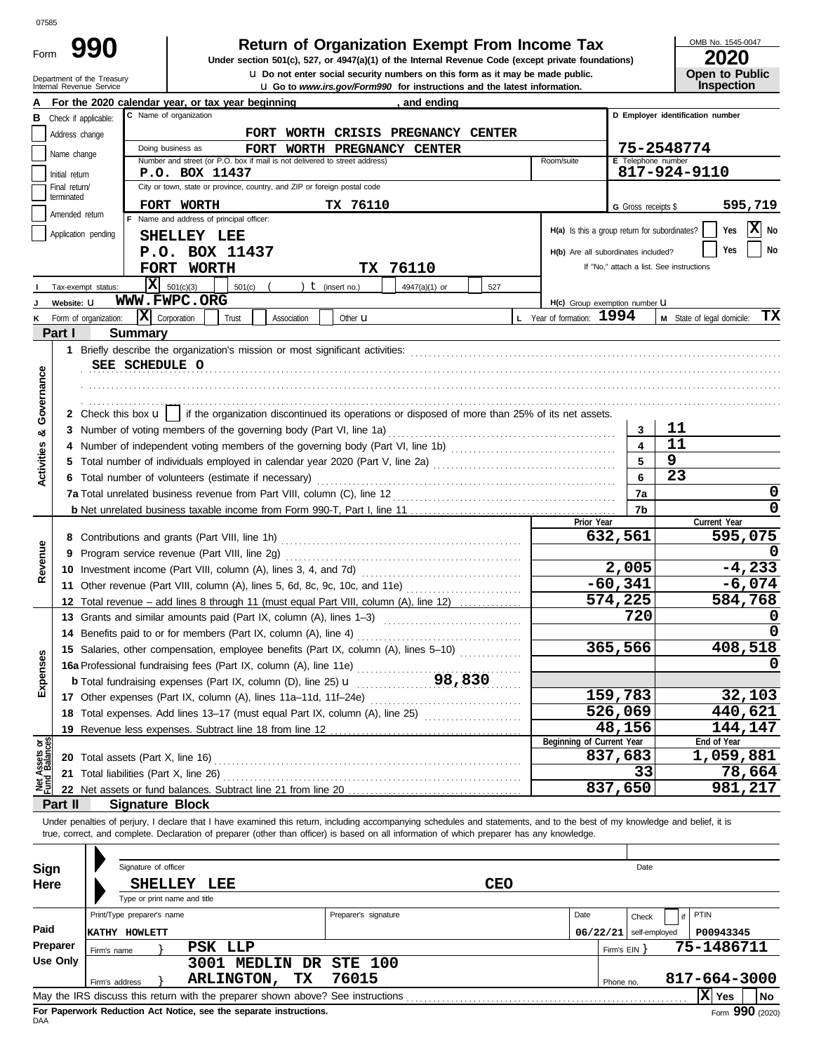Form

Department of the Treasury<br>Internal Revenue Senrice

# **990 1 2020 2010 2020 2020 Dependent Organization Exempt From Income Tax 2020 2020**

Internal Revenue Service u **Go to** *www.irs.gov/Form990* **for instructions and the latest information. u** Do not enter social security numbers on this form as it may be made public. OMB No. 1545-0047

|                       | ZUZU |  |
|-----------------------|------|--|
| <b>Open to Public</b> |      |  |
| <b>Inspection</b>     |      |  |

|                                |                             | and to the monthly of the monderations and the latest information.<br>For the 2020 calendar year, or tax year beginning<br><u>, and ending</u>                             |                                               |                     | ,,,,,,,,                                 |
|--------------------------------|-----------------------------|----------------------------------------------------------------------------------------------------------------------------------------------------------------------------|-----------------------------------------------|---------------------|------------------------------------------|
|                                | Check if applicable:        | C Name of organization                                                                                                                                                     |                                               |                     | D Employer identification number         |
|                                | Address change              | FORT WORTH CRISIS PREGNANCY CENTER                                                                                                                                         |                                               |                     |                                          |
|                                |                             | Doing business as<br>FORT WORTH PREGNANCY CENTER                                                                                                                           |                                               |                     | 75-2548774                               |
|                                | Name change                 | Number and street (or P.O. box if mail is not delivered to street address)                                                                                                 | Room/suite                                    | E Telephone number  |                                          |
|                                | Initial return              | P.O. BOX 11437                                                                                                                                                             |                                               |                     | 817-924-9110                             |
|                                | Final return/<br>terminated | City or town, state or province, country, and ZIP or foreign postal code                                                                                                   |                                               |                     |                                          |
|                                | Amended return              | FORT WORTH<br>TX 76110                                                                                                                                                     |                                               | G Gross receipts \$ | 595,719                                  |
|                                |                             | F Name and address of principal officer:                                                                                                                                   | H(a) Is this a group return for subordinates? |                     | $ \mathbf{X} $ No<br>Yes                 |
|                                | Application pending         | SHELLEY LEE                                                                                                                                                                |                                               |                     |                                          |
|                                |                             | P.O. BOX 11437                                                                                                                                                             | H(b) Are all subordinates included?           |                     | No<br>Yes                                |
|                                |                             | TX 76110<br><b>FORT WORTH</b>                                                                                                                                              |                                               |                     | If "No," attach a list. See instructions |
|                                | Tax-exempt status:          | $ \mathbf{X} $ 501(c)(3)<br>$t$ (insert no.)<br>4947(a)(1) or<br>527<br>501(c)                                                                                             |                                               |                     |                                          |
|                                | Website: U                  | WWW.FWPC.ORG                                                                                                                                                               | H(c) Group exemption number LI                |                     |                                          |
|                                | Form of organization:       | $\mathbf{X}$ Corporation<br>Trust<br>Association<br>Other <b>u</b>                                                                                                         | L Year of formation: 1994                     |                     | ТX<br>M State of legal domicile:         |
|                                | Part I                      | <b>Summary</b>                                                                                                                                                             |                                               |                     |                                          |
|                                |                             |                                                                                                                                                                            |                                               |                     |                                          |
|                                |                             | SEE SCHEDULE O                                                                                                                                                             |                                               |                     |                                          |
|                                |                             |                                                                                                                                                                            |                                               |                     |                                          |
| Governance                     |                             |                                                                                                                                                                            |                                               |                     |                                          |
|                                |                             | 2 Check this box $\mathbf{u}$   if the organization discontinued its operations or disposed of more than 25% of its net assets.                                            |                                               |                     |                                          |
| න්                             |                             | 3 Number of voting members of the governing body (Part VI, line 1a) [1] [2] Number of voting members of the governing body (Part VI, line 1a) [1] [2] $\sim$               |                                               | 3                   | 11                                       |
|                                |                             | 4 Number of independent voting members of the governing body (Part VI, line 1b) [1] [1] [1] [1] [1] [1] [1] [1                                                             |                                               | 4                   | 11                                       |
| Activities                     |                             |                                                                                                                                                                            |                                               | 5                   | 9                                        |
|                                |                             | 6 Total number of volunteers (estimate if necessary)                                                                                                                       |                                               | 6                   | 23                                       |
|                                |                             |                                                                                                                                                                            |                                               | 7a                  | 0                                        |
|                                |                             |                                                                                                                                                                            |                                               | 7b                  | 0                                        |
|                                |                             |                                                                                                                                                                            | Prior Year                                    |                     | Current Year                             |
|                                |                             |                                                                                                                                                                            |                                               | 632,561             | 595,075                                  |
|                                |                             |                                                                                                                                                                            |                                               |                     |                                          |
| Revenue                        |                             |                                                                                                                                                                            |                                               | 2,005               | $-4,233$                                 |
|                                |                             |                                                                                                                                                                            |                                               | $-60,341$           | $-6,074$                                 |
|                                |                             | 12 Total revenue - add lines 8 through 11 (must equal Part VIII, column (A), line 12)                                                                                      |                                               | 574,225             | 584,768                                  |
|                                |                             | 13 Grants and similar amounts paid (Part IX, column (A), lines 1-3)                                                                                                        |                                               | 720                 | 0                                        |
|                                |                             |                                                                                                                                                                            |                                               |                     |                                          |
|                                |                             | 15 Salaries, other compensation, employee benefits (Part IX, column (A), lines 5-10)                                                                                       |                                               | 365,566             | 408,518                                  |
| penses                         |                             | 16a Professional fundraising fees (Part IX, column (A), line 11e)                                                                                                          |                                               |                     | 0                                        |
|                                |                             | 98,830<br><b>b</b> Total fundraising expenses (Part IX, column (D), line 25) $\mathbf{u}$                                                                                  |                                               |                     |                                          |
| ŭ                              |                             |                                                                                                                                                                            |                                               | 159,783             | 32,103                                   |
|                                |                             | 18 Total expenses. Add lines 13-17 (must equal Part IX, column (A), line 25) [                                                                                             |                                               | 526,069             | 440,621                                  |
|                                |                             | 19 Revenue less expenses. Subtract line 18 from line 12                                                                                                                    |                                               | 48,156              | 144,147                                  |
|                                |                             |                                                                                                                                                                            | Beginning of Current Year                     |                     | End of Year                              |
| Net Assets or<br>Fund Balances |                             |                                                                                                                                                                            |                                               | 837,683             | 1,059,881                                |
|                                |                             |                                                                                                                                                                            |                                               | 33                  | 78,664                                   |
|                                |                             |                                                                                                                                                                            |                                               | 837,650             | 981,217                                  |
|                                | Part II                     | <b>Signature Block</b>                                                                                                                                                     |                                               |                     |                                          |
|                                |                             | Under penalties of perjury, I declare that I have examined this return, including accompanying schedules and statements, and to the best of my knowledge and belief, it is |                                               |                     |                                          |
|                                |                             | true, correct, and complete. Declaration of preparer (other than officer) is based on all information of which preparer has any knowledge.                                 |                                               |                     |                                          |
|                                |                             |                                                                                                                                                                            |                                               |                     |                                          |
| Sign                           |                             | Signature of officer                                                                                                                                                       |                                               | Date                |                                          |
| Here                           |                             | <b>CEO</b><br>SHELLEY LEE                                                                                                                                                  |                                               |                     |                                          |
|                                |                             | Type or print name and title                                                                                                                                               |                                               |                     |                                          |
|                                |                             | Print/Type preparer's name<br>Preparer's signature                                                                                                                         | Date                                          | Check               | PTIN                                     |
| Paid                           |                             | <b>KATHY HOWLETT</b>                                                                                                                                                       | $06/22/21$ self-employed                      |                     | P00943345                                |
|                                | Preparer<br>Firm's name     | PSK LLP                                                                                                                                                                    |                                               | Firm's $EIN$ }      | 75-1486711                               |
|                                | <b>Use Only</b>             | 3001 MEDLIN DR<br><b>STE 100</b>                                                                                                                                           |                                               |                     |                                          |
|                                | Firm's address              | 76015<br>ARLINGTON,<br>TX                                                                                                                                                  |                                               | Phone no.           | 817-664-3000                             |
|                                |                             | May the IRS discuss this return with the preparer shown above? See instructions                                                                                            |                                               |                     | X Yes<br>  No                            |

| Sign     |                            | Signature of officer |                                                                                 |                      |            |          |              | Date          |                   |              |    |
|----------|----------------------------|----------------------|---------------------------------------------------------------------------------|----------------------|------------|----------|--------------|---------------|-------------------|--------------|----|
| Here     |                            | <b>SHELLEY</b>       | LEE<br>Type or print name and title                                             |                      | <b>CEO</b> |          |              |               |                   |              |    |
|          | Print/Type preparer's name |                      |                                                                                 | Preparer's signature |            | Date     |              | Check         | $\mathsf{H}$ PTIN |              |    |
| Paid     | HOWLETT<br><b>KATHY</b>    |                      |                                                                                 |                      |            | 06/22/21 |              | self-employed |                   | P00943345    |    |
| Preparer | Firm's name                |                      | PSK LLP                                                                         |                      |            |          | Firm's $EIN$ |               |                   | 75-1486711   |    |
| Use Only |                            |                      | MEDLIN DR STE 100<br>3001                                                       |                      |            |          |              |               |                   |              |    |
|          | Firm's address             |                      | ТX.<br><b>ARLINGTON,</b>                                                        | 76015                |            |          | Phone no.    |               |                   | 817-664-3000 |    |
|          |                            |                      | May the IRS discuss this return with the preparer shown above? See instructions |                      |            |          |              |               | x                 | Yes          | No |
|          |                            |                      |                                                                                 |                      |            |          |              |               |                   | $\cdots$     |    |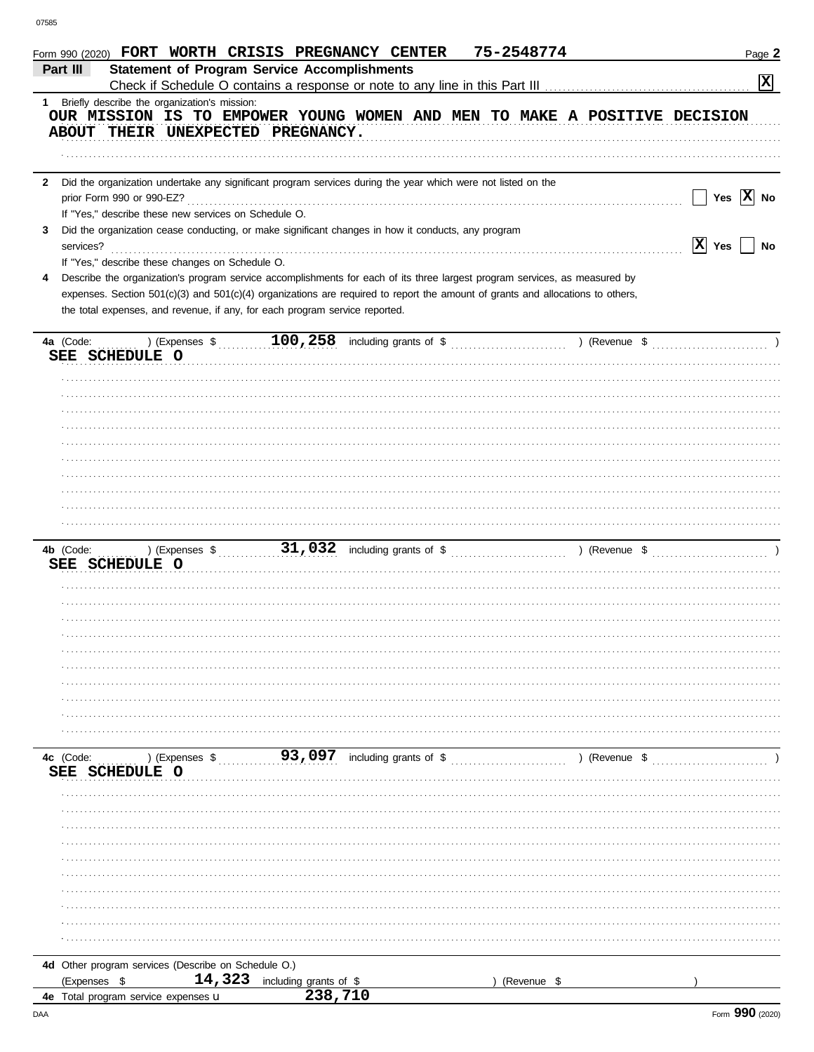|                             | Form 990 (2020) FORT WORTH CRISIS PREGNANCY CENTER                                                                             |                        | 75-2548774  |                                                                           | Page 2               |
|-----------------------------|--------------------------------------------------------------------------------------------------------------------------------|------------------------|-------------|---------------------------------------------------------------------------|----------------------|
| Part III                    | <b>Statement of Program Service Accomplishments</b>                                                                            |                        |             |                                                                           |                      |
|                             |                                                                                                                                |                        |             |                                                                           | $\boxed{\mathbf{X}}$ |
|                             | 1 Briefly describe the organization's mission:                                                                                 |                        |             | OUR MISSION IS TO EMPOWER YOUNG WOMEN AND MEN TO MAKE A POSITIVE DECISION |                      |
|                             | ABOUT THEIR UNEXPECTED PREGNANCY.                                                                                              |                        |             |                                                                           |                      |
|                             |                                                                                                                                |                        |             |                                                                           |                      |
|                             |                                                                                                                                |                        |             |                                                                           |                      |
| 2                           | Did the organization undertake any significant program services during the year which were not listed on the                   |                        |             |                                                                           |                      |
|                             |                                                                                                                                |                        |             | $\sqrt{\phantom{a}}$ Yes $\sqrt{\phantom{a}}$ X No                        |                      |
|                             | If "Yes," describe these new services on Schedule O.                                                                           |                        |             |                                                                           |                      |
| 3                           | Did the organization cease conducting, or make significant changes in how it conducts, any program                             |                        |             | $ X $ Yes $ $ No                                                          |                      |
|                             | If "Yes," describe these changes on Schedule O.                                                                                |                        |             |                                                                           |                      |
| 4                           | Describe the organization's program service accomplishments for each of its three largest program services, as measured by     |                        |             |                                                                           |                      |
|                             | expenses. Section 501(c)(3) and 501(c)(4) organizations are required to report the amount of grants and allocations to others, |                        |             |                                                                           |                      |
|                             | the total expenses, and revenue, if any, for each program service reported.                                                    |                        |             |                                                                           |                      |
|                             |                                                                                                                                |                        |             |                                                                           |                      |
|                             |                                                                                                                                |                        |             |                                                                           |                      |
|                             | SEE SCHEDULE O                                                                                                                 |                        |             |                                                                           |                      |
|                             |                                                                                                                                |                        |             |                                                                           |                      |
|                             |                                                                                                                                |                        |             |                                                                           |                      |
|                             |                                                                                                                                |                        |             |                                                                           |                      |
|                             |                                                                                                                                |                        |             |                                                                           |                      |
|                             |                                                                                                                                |                        |             |                                                                           |                      |
|                             |                                                                                                                                |                        |             |                                                                           |                      |
|                             |                                                                                                                                |                        |             |                                                                           |                      |
|                             |                                                                                                                                |                        |             |                                                                           |                      |
|                             |                                                                                                                                |                        |             |                                                                           |                      |
|                             |                                                                                                                                |                        |             |                                                                           |                      |
|                             | SEE SCHEDULE O                                                                                                                 |                        |             |                                                                           |                      |
|                             |                                                                                                                                |                        |             |                                                                           |                      |
|                             |                                                                                                                                |                        |             |                                                                           |                      |
|                             |                                                                                                                                |                        |             |                                                                           |                      |
|                             |                                                                                                                                |                        |             |                                                                           |                      |
|                             |                                                                                                                                |                        |             |                                                                           |                      |
|                             |                                                                                                                                |                        |             |                                                                           |                      |
|                             |                                                                                                                                |                        |             |                                                                           |                      |
|                             |                                                                                                                                |                        |             |                                                                           |                      |
|                             |                                                                                                                                |                        |             |                                                                           |                      |
|                             |                                                                                                                                |                        |             |                                                                           |                      |
| 4c (Code:<br>SEE SCHEDULE O |                                                                                                                                |                        |             |                                                                           |                      |
|                             |                                                                                                                                |                        |             |                                                                           |                      |
|                             |                                                                                                                                |                        |             |                                                                           |                      |
|                             |                                                                                                                                |                        |             |                                                                           |                      |
|                             |                                                                                                                                |                        |             |                                                                           |                      |
|                             |                                                                                                                                |                        |             |                                                                           |                      |
|                             |                                                                                                                                |                        |             |                                                                           |                      |
|                             |                                                                                                                                |                        |             |                                                                           |                      |
|                             |                                                                                                                                |                        |             |                                                                           |                      |
|                             |                                                                                                                                |                        |             |                                                                           |                      |
|                             |                                                                                                                                |                        |             |                                                                           |                      |
|                             | 4d Other program services (Describe on Schedule O.)                                                                            |                        |             |                                                                           |                      |
| (Expenses \$                | 14,323                                                                                                                         | including grants of \$ | (Revenue \$ |                                                                           |                      |
|                             | 4e Total program service expenses u                                                                                            | 238,710                |             |                                                                           |                      |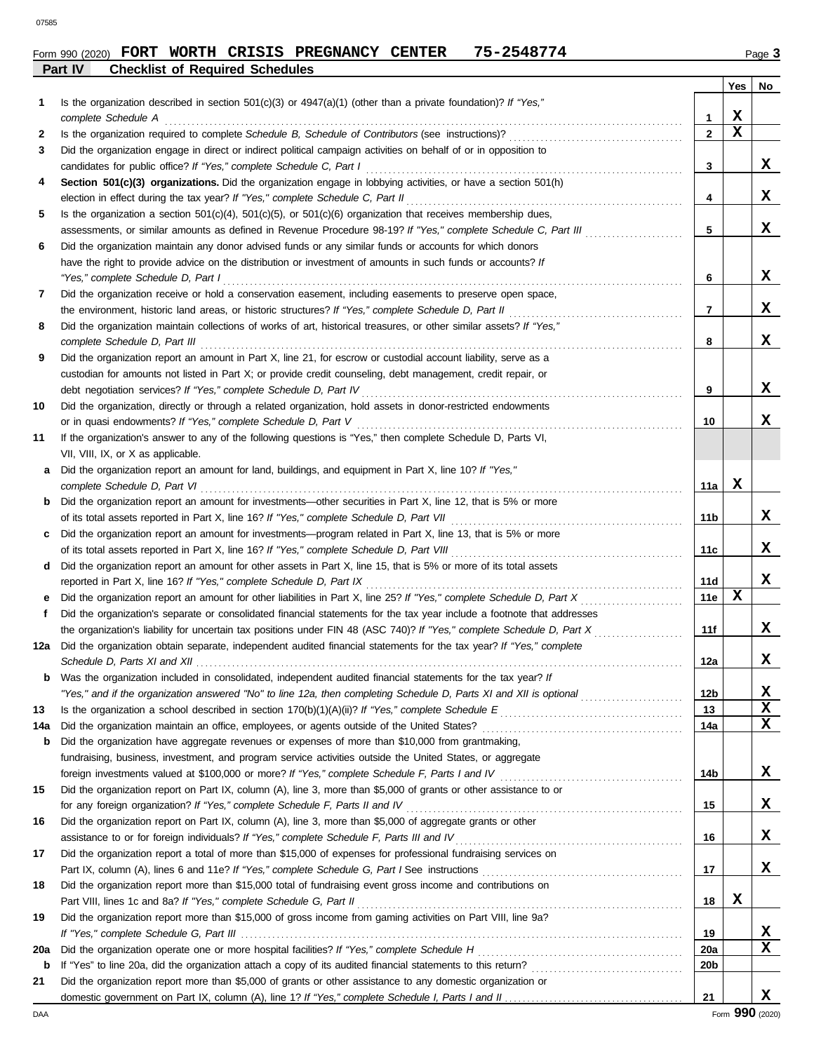#### **Part IV Checklist of Required Schedules** Form 990 (2020) FORT WORTH CRISIS PREGNANCY CENTER 75-2548774 Page 3

| Is the organization described in section $501(c)(3)$ or $4947(a)(1)$ (other than a private foundation)? If "Yes,"<br>Ί.<br>Х<br>complete Schedule A<br>1<br>X<br>$\mathbf{2}$<br>2<br>Did the organization engage in direct or indirect political campaign activities on behalf of or in opposition to<br>3<br>x<br>3<br>candidates for public office? If "Yes," complete Schedule C, Part I<br>Section 501(c)(3) organizations. Did the organization engage in lobbying activities, or have a section 501(h)<br>4<br>x<br>4<br>Is the organization a section $501(c)(4)$ , $501(c)(5)$ , or $501(c)(6)$ organization that receives membership dues,<br>5<br>x<br>5<br>assessments, or similar amounts as defined in Revenue Procedure 98-19? If "Yes," complete Schedule C, Part III<br>Did the organization maintain any donor advised funds or any similar funds or accounts for which donors<br>6<br>have the right to provide advice on the distribution or investment of amounts in such funds or accounts? If<br>x<br>"Yes," complete Schedule D, Part I<br>6<br>Did the organization receive or hold a conservation easement, including easements to preserve open space,<br>7<br>X.<br>$\overline{7}$<br>the environment, historic land areas, or historic structures? If "Yes," complete Schedule D, Part II<br>Did the organization maintain collections of works of art, historical treasures, or other similar assets? If "Yes,"<br>8<br>X<br>8<br>Did the organization report an amount in Part X, line 21, for escrow or custodial account liability, serve as a<br>9<br>custodian for amounts not listed in Part X; or provide credit counseling, debt management, credit repair, or<br>X.<br>9<br>Did the organization, directly or through a related organization, hold assets in donor-restricted endowments<br>10<br>X.<br>10<br>If the organization's answer to any of the following questions is "Yes," then complete Schedule D, Parts VI,<br>11<br>VII, VIII, IX, or X as applicable.<br>Did the organization report an amount for land, buildings, and equipment in Part X, line 10? If "Yes,"<br>a<br>x<br>11a<br>complete Schedule D, Part VI<br>Did the organization report an amount for investments—other securities in Part X, line 12, that is 5% or more<br>b<br>X.<br>11 <sub>b</sub><br>of its total assets reported in Part X, line 16? If "Yes," complete Schedule D, Part VII [[[[[[[[[[[[[[[[[[[[[<br>Did the organization report an amount for investments—program related in Part X, line 13, that is 5% or more<br>c<br>X.<br>11c<br>Did the organization report an amount for other assets in Part X, line 15, that is 5% or more of its total assets<br>d<br>X.<br>reported in Part X, line 16? If "Yes," complete Schedule D, Part IX<br>11d<br>X<br>11e<br>е<br>Did the organization's separate or consolidated financial statements for the tax year include a footnote that addresses<br>f<br>X.<br>the organization's liability for uncertain tax positions under FIN 48 (ASC 740)? If "Yes," complete Schedule D, Part X<br>11f<br>Did the organization obtain separate, independent audited financial statements for the tax year? If "Yes," complete<br>12a<br>X.<br>12a<br>Was the organization included in consolidated, independent audited financial statements for the tax year? If<br>b<br>12 <sub>b</sub><br>X<br>"Yes," and if the organization answered "No" to line 12a, then completing Schedule D, Parts XI and XII is optional<br>$\mathbf x$<br>13<br>13<br>$\mathbf x$<br>14a<br>Did the organization maintain an office, employees, or agents outside of the United States?<br>14a<br>Did the organization have aggregate revenues or expenses of more than \$10,000 from grantmaking,<br>b<br>fundraising, business, investment, and program service activities outside the United States, or aggregate<br>X.<br>14 <sub>b</sub><br>foreign investments valued at \$100,000 or more? If "Yes," complete Schedule F, Parts I and IV [[[[[[[[[[[[[[[<br>Did the organization report on Part IX, column (A), line 3, more than \$5,000 of grants or other assistance to or<br>15<br>X<br>for any foreign organization? If "Yes," complete Schedule F, Parts II and IV<br>15<br>Did the organization report on Part IX, column (A), line 3, more than \$5,000 of aggregate grants or other<br>16<br>x<br>assistance to or for foreign individuals? If "Yes," complete Schedule F, Parts III and IV<br>16<br>Did the organization report a total of more than \$15,000 of expenses for professional fundraising services on<br>17<br>X<br>17<br>Did the organization report more than \$15,000 total of fundraising event gross income and contributions on<br>18<br>x<br>Part VIII, lines 1c and 8a? If "Yes," complete Schedule G, Part II<br>18<br>Did the organization report more than \$15,000 of gross income from gaming activities on Part VIII, line 9a?<br>19<br>X.<br>19<br>X<br>20a<br>20a<br>20 <sub>b</sub><br>b<br>Did the organization report more than \$5,000 of grants or other assistance to any domestic organization or<br>21 |  |    | Yes | No |
|----------------------------------------------------------------------------------------------------------------------------------------------------------------------------------------------------------------------------------------------------------------------------------------------------------------------------------------------------------------------------------------------------------------------------------------------------------------------------------------------------------------------------------------------------------------------------------------------------------------------------------------------------------------------------------------------------------------------------------------------------------------------------------------------------------------------------------------------------------------------------------------------------------------------------------------------------------------------------------------------------------------------------------------------------------------------------------------------------------------------------------------------------------------------------------------------------------------------------------------------------------------------------------------------------------------------------------------------------------------------------------------------------------------------------------------------------------------------------------------------------------------------------------------------------------------------------------------------------------------------------------------------------------------------------------------------------------------------------------------------------------------------------------------------------------------------------------------------------------------------------------------------------------------------------------------------------------------------------------------------------------------------------------------------------------------------------------------------------------------------------------------------------------------------------------------------------------------------------------------------------------------------------------------------------------------------------------------------------------------------------------------------------------------------------------------------------------------------------------------------------------------------------------------------------------------------------------------------------------------------------------------------------------------------------------------------------------------------------------------------------------------------------------------------------------------------------------------------------------------------------------------------------------------------------------------------------------------------------------------------------------------------------------------------------------------------------------------------------------------------------------------------------------------------------------------------------------------------------------------------------------------------------------------------------------------------------------------------------------------------------------------------------------------------------------------------------------------------------------------------------------------------------------------------------------------------------------------------------------------------------------------------------------------------------------------------------------------------------------------------------------------------------------------------------------------------------------------------------------------------------------------------------------------------------------------------------------------------------------------------------------------------------------------------------------------------------------------------------------------------------------------------------------------------------------------------------------------------------------------------------------------------------------------------------------------------------------------------------------------------------------------------------------------------------------------------------------------------------------------------------------------------------------------------------------------------------------------------------------------------------------------------------------------------------------------------------------------------------------------------------------------------------------------------------------------------------------------------------------------------------------------------------------------------------------------------------------------------------------------------------------------------------------------------------------------------------------------------------------------------|--|----|-----|----|
|                                                                                                                                                                                                                                                                                                                                                                                                                                                                                                                                                                                                                                                                                                                                                                                                                                                                                                                                                                                                                                                                                                                                                                                                                                                                                                                                                                                                                                                                                                                                                                                                                                                                                                                                                                                                                                                                                                                                                                                                                                                                                                                                                                                                                                                                                                                                                                                                                                                                                                                                                                                                                                                                                                                                                                                                                                                                                                                                                                                                                                                                                                                                                                                                                                                                                                                                                                                                                                                                                                                                                                                                                                                                                                                                                                                                                                                                                                                                                                                                                                                                                                                                                                                                                                                                                                                                                                                                                                                                                                                                                                                                                                                                                                                                                                                                                                                                                                                                                                                                                                                                                                                      |  |    |     |    |
|                                                                                                                                                                                                                                                                                                                                                                                                                                                                                                                                                                                                                                                                                                                                                                                                                                                                                                                                                                                                                                                                                                                                                                                                                                                                                                                                                                                                                                                                                                                                                                                                                                                                                                                                                                                                                                                                                                                                                                                                                                                                                                                                                                                                                                                                                                                                                                                                                                                                                                                                                                                                                                                                                                                                                                                                                                                                                                                                                                                                                                                                                                                                                                                                                                                                                                                                                                                                                                                                                                                                                                                                                                                                                                                                                                                                                                                                                                                                                                                                                                                                                                                                                                                                                                                                                                                                                                                                                                                                                                                                                                                                                                                                                                                                                                                                                                                                                                                                                                                                                                                                                                                      |  |    |     |    |
|                                                                                                                                                                                                                                                                                                                                                                                                                                                                                                                                                                                                                                                                                                                                                                                                                                                                                                                                                                                                                                                                                                                                                                                                                                                                                                                                                                                                                                                                                                                                                                                                                                                                                                                                                                                                                                                                                                                                                                                                                                                                                                                                                                                                                                                                                                                                                                                                                                                                                                                                                                                                                                                                                                                                                                                                                                                                                                                                                                                                                                                                                                                                                                                                                                                                                                                                                                                                                                                                                                                                                                                                                                                                                                                                                                                                                                                                                                                                                                                                                                                                                                                                                                                                                                                                                                                                                                                                                                                                                                                                                                                                                                                                                                                                                                                                                                                                                                                                                                                                                                                                                                                      |  |    |     |    |
|                                                                                                                                                                                                                                                                                                                                                                                                                                                                                                                                                                                                                                                                                                                                                                                                                                                                                                                                                                                                                                                                                                                                                                                                                                                                                                                                                                                                                                                                                                                                                                                                                                                                                                                                                                                                                                                                                                                                                                                                                                                                                                                                                                                                                                                                                                                                                                                                                                                                                                                                                                                                                                                                                                                                                                                                                                                                                                                                                                                                                                                                                                                                                                                                                                                                                                                                                                                                                                                                                                                                                                                                                                                                                                                                                                                                                                                                                                                                                                                                                                                                                                                                                                                                                                                                                                                                                                                                                                                                                                                                                                                                                                                                                                                                                                                                                                                                                                                                                                                                                                                                                                                      |  |    |     |    |
|                                                                                                                                                                                                                                                                                                                                                                                                                                                                                                                                                                                                                                                                                                                                                                                                                                                                                                                                                                                                                                                                                                                                                                                                                                                                                                                                                                                                                                                                                                                                                                                                                                                                                                                                                                                                                                                                                                                                                                                                                                                                                                                                                                                                                                                                                                                                                                                                                                                                                                                                                                                                                                                                                                                                                                                                                                                                                                                                                                                                                                                                                                                                                                                                                                                                                                                                                                                                                                                                                                                                                                                                                                                                                                                                                                                                                                                                                                                                                                                                                                                                                                                                                                                                                                                                                                                                                                                                                                                                                                                                                                                                                                                                                                                                                                                                                                                                                                                                                                                                                                                                                                                      |  |    |     |    |
|                                                                                                                                                                                                                                                                                                                                                                                                                                                                                                                                                                                                                                                                                                                                                                                                                                                                                                                                                                                                                                                                                                                                                                                                                                                                                                                                                                                                                                                                                                                                                                                                                                                                                                                                                                                                                                                                                                                                                                                                                                                                                                                                                                                                                                                                                                                                                                                                                                                                                                                                                                                                                                                                                                                                                                                                                                                                                                                                                                                                                                                                                                                                                                                                                                                                                                                                                                                                                                                                                                                                                                                                                                                                                                                                                                                                                                                                                                                                                                                                                                                                                                                                                                                                                                                                                                                                                                                                                                                                                                                                                                                                                                                                                                                                                                                                                                                                                                                                                                                                                                                                                                                      |  |    |     |    |
|                                                                                                                                                                                                                                                                                                                                                                                                                                                                                                                                                                                                                                                                                                                                                                                                                                                                                                                                                                                                                                                                                                                                                                                                                                                                                                                                                                                                                                                                                                                                                                                                                                                                                                                                                                                                                                                                                                                                                                                                                                                                                                                                                                                                                                                                                                                                                                                                                                                                                                                                                                                                                                                                                                                                                                                                                                                                                                                                                                                                                                                                                                                                                                                                                                                                                                                                                                                                                                                                                                                                                                                                                                                                                                                                                                                                                                                                                                                                                                                                                                                                                                                                                                                                                                                                                                                                                                                                                                                                                                                                                                                                                                                                                                                                                                                                                                                                                                                                                                                                                                                                                                                      |  |    |     |    |
|                                                                                                                                                                                                                                                                                                                                                                                                                                                                                                                                                                                                                                                                                                                                                                                                                                                                                                                                                                                                                                                                                                                                                                                                                                                                                                                                                                                                                                                                                                                                                                                                                                                                                                                                                                                                                                                                                                                                                                                                                                                                                                                                                                                                                                                                                                                                                                                                                                                                                                                                                                                                                                                                                                                                                                                                                                                                                                                                                                                                                                                                                                                                                                                                                                                                                                                                                                                                                                                                                                                                                                                                                                                                                                                                                                                                                                                                                                                                                                                                                                                                                                                                                                                                                                                                                                                                                                                                                                                                                                                                                                                                                                                                                                                                                                                                                                                                                                                                                                                                                                                                                                                      |  |    |     |    |
|                                                                                                                                                                                                                                                                                                                                                                                                                                                                                                                                                                                                                                                                                                                                                                                                                                                                                                                                                                                                                                                                                                                                                                                                                                                                                                                                                                                                                                                                                                                                                                                                                                                                                                                                                                                                                                                                                                                                                                                                                                                                                                                                                                                                                                                                                                                                                                                                                                                                                                                                                                                                                                                                                                                                                                                                                                                                                                                                                                                                                                                                                                                                                                                                                                                                                                                                                                                                                                                                                                                                                                                                                                                                                                                                                                                                                                                                                                                                                                                                                                                                                                                                                                                                                                                                                                                                                                                                                                                                                                                                                                                                                                                                                                                                                                                                                                                                                                                                                                                                                                                                                                                      |  |    |     |    |
|                                                                                                                                                                                                                                                                                                                                                                                                                                                                                                                                                                                                                                                                                                                                                                                                                                                                                                                                                                                                                                                                                                                                                                                                                                                                                                                                                                                                                                                                                                                                                                                                                                                                                                                                                                                                                                                                                                                                                                                                                                                                                                                                                                                                                                                                                                                                                                                                                                                                                                                                                                                                                                                                                                                                                                                                                                                                                                                                                                                                                                                                                                                                                                                                                                                                                                                                                                                                                                                                                                                                                                                                                                                                                                                                                                                                                                                                                                                                                                                                                                                                                                                                                                                                                                                                                                                                                                                                                                                                                                                                                                                                                                                                                                                                                                                                                                                                                                                                                                                                                                                                                                                      |  |    |     |    |
|                                                                                                                                                                                                                                                                                                                                                                                                                                                                                                                                                                                                                                                                                                                                                                                                                                                                                                                                                                                                                                                                                                                                                                                                                                                                                                                                                                                                                                                                                                                                                                                                                                                                                                                                                                                                                                                                                                                                                                                                                                                                                                                                                                                                                                                                                                                                                                                                                                                                                                                                                                                                                                                                                                                                                                                                                                                                                                                                                                                                                                                                                                                                                                                                                                                                                                                                                                                                                                                                                                                                                                                                                                                                                                                                                                                                                                                                                                                                                                                                                                                                                                                                                                                                                                                                                                                                                                                                                                                                                                                                                                                                                                                                                                                                                                                                                                                                                                                                                                                                                                                                                                                      |  |    |     |    |
|                                                                                                                                                                                                                                                                                                                                                                                                                                                                                                                                                                                                                                                                                                                                                                                                                                                                                                                                                                                                                                                                                                                                                                                                                                                                                                                                                                                                                                                                                                                                                                                                                                                                                                                                                                                                                                                                                                                                                                                                                                                                                                                                                                                                                                                                                                                                                                                                                                                                                                                                                                                                                                                                                                                                                                                                                                                                                                                                                                                                                                                                                                                                                                                                                                                                                                                                                                                                                                                                                                                                                                                                                                                                                                                                                                                                                                                                                                                                                                                                                                                                                                                                                                                                                                                                                                                                                                                                                                                                                                                                                                                                                                                                                                                                                                                                                                                                                                                                                                                                                                                                                                                      |  |    |     |    |
|                                                                                                                                                                                                                                                                                                                                                                                                                                                                                                                                                                                                                                                                                                                                                                                                                                                                                                                                                                                                                                                                                                                                                                                                                                                                                                                                                                                                                                                                                                                                                                                                                                                                                                                                                                                                                                                                                                                                                                                                                                                                                                                                                                                                                                                                                                                                                                                                                                                                                                                                                                                                                                                                                                                                                                                                                                                                                                                                                                                                                                                                                                                                                                                                                                                                                                                                                                                                                                                                                                                                                                                                                                                                                                                                                                                                                                                                                                                                                                                                                                                                                                                                                                                                                                                                                                                                                                                                                                                                                                                                                                                                                                                                                                                                                                                                                                                                                                                                                                                                                                                                                                                      |  |    |     |    |
|                                                                                                                                                                                                                                                                                                                                                                                                                                                                                                                                                                                                                                                                                                                                                                                                                                                                                                                                                                                                                                                                                                                                                                                                                                                                                                                                                                                                                                                                                                                                                                                                                                                                                                                                                                                                                                                                                                                                                                                                                                                                                                                                                                                                                                                                                                                                                                                                                                                                                                                                                                                                                                                                                                                                                                                                                                                                                                                                                                                                                                                                                                                                                                                                                                                                                                                                                                                                                                                                                                                                                                                                                                                                                                                                                                                                                                                                                                                                                                                                                                                                                                                                                                                                                                                                                                                                                                                                                                                                                                                                                                                                                                                                                                                                                                                                                                                                                                                                                                                                                                                                                                                      |  |    |     |    |
|                                                                                                                                                                                                                                                                                                                                                                                                                                                                                                                                                                                                                                                                                                                                                                                                                                                                                                                                                                                                                                                                                                                                                                                                                                                                                                                                                                                                                                                                                                                                                                                                                                                                                                                                                                                                                                                                                                                                                                                                                                                                                                                                                                                                                                                                                                                                                                                                                                                                                                                                                                                                                                                                                                                                                                                                                                                                                                                                                                                                                                                                                                                                                                                                                                                                                                                                                                                                                                                                                                                                                                                                                                                                                                                                                                                                                                                                                                                                                                                                                                                                                                                                                                                                                                                                                                                                                                                                                                                                                                                                                                                                                                                                                                                                                                                                                                                                                                                                                                                                                                                                                                                      |  |    |     |    |
|                                                                                                                                                                                                                                                                                                                                                                                                                                                                                                                                                                                                                                                                                                                                                                                                                                                                                                                                                                                                                                                                                                                                                                                                                                                                                                                                                                                                                                                                                                                                                                                                                                                                                                                                                                                                                                                                                                                                                                                                                                                                                                                                                                                                                                                                                                                                                                                                                                                                                                                                                                                                                                                                                                                                                                                                                                                                                                                                                                                                                                                                                                                                                                                                                                                                                                                                                                                                                                                                                                                                                                                                                                                                                                                                                                                                                                                                                                                                                                                                                                                                                                                                                                                                                                                                                                                                                                                                                                                                                                                                                                                                                                                                                                                                                                                                                                                                                                                                                                                                                                                                                                                      |  |    |     |    |
|                                                                                                                                                                                                                                                                                                                                                                                                                                                                                                                                                                                                                                                                                                                                                                                                                                                                                                                                                                                                                                                                                                                                                                                                                                                                                                                                                                                                                                                                                                                                                                                                                                                                                                                                                                                                                                                                                                                                                                                                                                                                                                                                                                                                                                                                                                                                                                                                                                                                                                                                                                                                                                                                                                                                                                                                                                                                                                                                                                                                                                                                                                                                                                                                                                                                                                                                                                                                                                                                                                                                                                                                                                                                                                                                                                                                                                                                                                                                                                                                                                                                                                                                                                                                                                                                                                                                                                                                                                                                                                                                                                                                                                                                                                                                                                                                                                                                                                                                                                                                                                                                                                                      |  |    |     |    |
|                                                                                                                                                                                                                                                                                                                                                                                                                                                                                                                                                                                                                                                                                                                                                                                                                                                                                                                                                                                                                                                                                                                                                                                                                                                                                                                                                                                                                                                                                                                                                                                                                                                                                                                                                                                                                                                                                                                                                                                                                                                                                                                                                                                                                                                                                                                                                                                                                                                                                                                                                                                                                                                                                                                                                                                                                                                                                                                                                                                                                                                                                                                                                                                                                                                                                                                                                                                                                                                                                                                                                                                                                                                                                                                                                                                                                                                                                                                                                                                                                                                                                                                                                                                                                                                                                                                                                                                                                                                                                                                                                                                                                                                                                                                                                                                                                                                                                                                                                                                                                                                                                                                      |  |    |     |    |
|                                                                                                                                                                                                                                                                                                                                                                                                                                                                                                                                                                                                                                                                                                                                                                                                                                                                                                                                                                                                                                                                                                                                                                                                                                                                                                                                                                                                                                                                                                                                                                                                                                                                                                                                                                                                                                                                                                                                                                                                                                                                                                                                                                                                                                                                                                                                                                                                                                                                                                                                                                                                                                                                                                                                                                                                                                                                                                                                                                                                                                                                                                                                                                                                                                                                                                                                                                                                                                                                                                                                                                                                                                                                                                                                                                                                                                                                                                                                                                                                                                                                                                                                                                                                                                                                                                                                                                                                                                                                                                                                                                                                                                                                                                                                                                                                                                                                                                                                                                                                                                                                                                                      |  |    |     |    |
|                                                                                                                                                                                                                                                                                                                                                                                                                                                                                                                                                                                                                                                                                                                                                                                                                                                                                                                                                                                                                                                                                                                                                                                                                                                                                                                                                                                                                                                                                                                                                                                                                                                                                                                                                                                                                                                                                                                                                                                                                                                                                                                                                                                                                                                                                                                                                                                                                                                                                                                                                                                                                                                                                                                                                                                                                                                                                                                                                                                                                                                                                                                                                                                                                                                                                                                                                                                                                                                                                                                                                                                                                                                                                                                                                                                                                                                                                                                                                                                                                                                                                                                                                                                                                                                                                                                                                                                                                                                                                                                                                                                                                                                                                                                                                                                                                                                                                                                                                                                                                                                                                                                      |  |    |     |    |
|                                                                                                                                                                                                                                                                                                                                                                                                                                                                                                                                                                                                                                                                                                                                                                                                                                                                                                                                                                                                                                                                                                                                                                                                                                                                                                                                                                                                                                                                                                                                                                                                                                                                                                                                                                                                                                                                                                                                                                                                                                                                                                                                                                                                                                                                                                                                                                                                                                                                                                                                                                                                                                                                                                                                                                                                                                                                                                                                                                                                                                                                                                                                                                                                                                                                                                                                                                                                                                                                                                                                                                                                                                                                                                                                                                                                                                                                                                                                                                                                                                                                                                                                                                                                                                                                                                                                                                                                                                                                                                                                                                                                                                                                                                                                                                                                                                                                                                                                                                                                                                                                                                                      |  |    |     |    |
|                                                                                                                                                                                                                                                                                                                                                                                                                                                                                                                                                                                                                                                                                                                                                                                                                                                                                                                                                                                                                                                                                                                                                                                                                                                                                                                                                                                                                                                                                                                                                                                                                                                                                                                                                                                                                                                                                                                                                                                                                                                                                                                                                                                                                                                                                                                                                                                                                                                                                                                                                                                                                                                                                                                                                                                                                                                                                                                                                                                                                                                                                                                                                                                                                                                                                                                                                                                                                                                                                                                                                                                                                                                                                                                                                                                                                                                                                                                                                                                                                                                                                                                                                                                                                                                                                                                                                                                                                                                                                                                                                                                                                                                                                                                                                                                                                                                                                                                                                                                                                                                                                                                      |  |    |     |    |
|                                                                                                                                                                                                                                                                                                                                                                                                                                                                                                                                                                                                                                                                                                                                                                                                                                                                                                                                                                                                                                                                                                                                                                                                                                                                                                                                                                                                                                                                                                                                                                                                                                                                                                                                                                                                                                                                                                                                                                                                                                                                                                                                                                                                                                                                                                                                                                                                                                                                                                                                                                                                                                                                                                                                                                                                                                                                                                                                                                                                                                                                                                                                                                                                                                                                                                                                                                                                                                                                                                                                                                                                                                                                                                                                                                                                                                                                                                                                                                                                                                                                                                                                                                                                                                                                                                                                                                                                                                                                                                                                                                                                                                                                                                                                                                                                                                                                                                                                                                                                                                                                                                                      |  |    |     |    |
|                                                                                                                                                                                                                                                                                                                                                                                                                                                                                                                                                                                                                                                                                                                                                                                                                                                                                                                                                                                                                                                                                                                                                                                                                                                                                                                                                                                                                                                                                                                                                                                                                                                                                                                                                                                                                                                                                                                                                                                                                                                                                                                                                                                                                                                                                                                                                                                                                                                                                                                                                                                                                                                                                                                                                                                                                                                                                                                                                                                                                                                                                                                                                                                                                                                                                                                                                                                                                                                                                                                                                                                                                                                                                                                                                                                                                                                                                                                                                                                                                                                                                                                                                                                                                                                                                                                                                                                                                                                                                                                                                                                                                                                                                                                                                                                                                                                                                                                                                                                                                                                                                                                      |  |    |     |    |
|                                                                                                                                                                                                                                                                                                                                                                                                                                                                                                                                                                                                                                                                                                                                                                                                                                                                                                                                                                                                                                                                                                                                                                                                                                                                                                                                                                                                                                                                                                                                                                                                                                                                                                                                                                                                                                                                                                                                                                                                                                                                                                                                                                                                                                                                                                                                                                                                                                                                                                                                                                                                                                                                                                                                                                                                                                                                                                                                                                                                                                                                                                                                                                                                                                                                                                                                                                                                                                                                                                                                                                                                                                                                                                                                                                                                                                                                                                                                                                                                                                                                                                                                                                                                                                                                                                                                                                                                                                                                                                                                                                                                                                                                                                                                                                                                                                                                                                                                                                                                                                                                                                                      |  |    |     |    |
|                                                                                                                                                                                                                                                                                                                                                                                                                                                                                                                                                                                                                                                                                                                                                                                                                                                                                                                                                                                                                                                                                                                                                                                                                                                                                                                                                                                                                                                                                                                                                                                                                                                                                                                                                                                                                                                                                                                                                                                                                                                                                                                                                                                                                                                                                                                                                                                                                                                                                                                                                                                                                                                                                                                                                                                                                                                                                                                                                                                                                                                                                                                                                                                                                                                                                                                                                                                                                                                                                                                                                                                                                                                                                                                                                                                                                                                                                                                                                                                                                                                                                                                                                                                                                                                                                                                                                                                                                                                                                                                                                                                                                                                                                                                                                                                                                                                                                                                                                                                                                                                                                                                      |  |    |     |    |
|                                                                                                                                                                                                                                                                                                                                                                                                                                                                                                                                                                                                                                                                                                                                                                                                                                                                                                                                                                                                                                                                                                                                                                                                                                                                                                                                                                                                                                                                                                                                                                                                                                                                                                                                                                                                                                                                                                                                                                                                                                                                                                                                                                                                                                                                                                                                                                                                                                                                                                                                                                                                                                                                                                                                                                                                                                                                                                                                                                                                                                                                                                                                                                                                                                                                                                                                                                                                                                                                                                                                                                                                                                                                                                                                                                                                                                                                                                                                                                                                                                                                                                                                                                                                                                                                                                                                                                                                                                                                                                                                                                                                                                                                                                                                                                                                                                                                                                                                                                                                                                                                                                                      |  |    |     |    |
|                                                                                                                                                                                                                                                                                                                                                                                                                                                                                                                                                                                                                                                                                                                                                                                                                                                                                                                                                                                                                                                                                                                                                                                                                                                                                                                                                                                                                                                                                                                                                                                                                                                                                                                                                                                                                                                                                                                                                                                                                                                                                                                                                                                                                                                                                                                                                                                                                                                                                                                                                                                                                                                                                                                                                                                                                                                                                                                                                                                                                                                                                                                                                                                                                                                                                                                                                                                                                                                                                                                                                                                                                                                                                                                                                                                                                                                                                                                                                                                                                                                                                                                                                                                                                                                                                                                                                                                                                                                                                                                                                                                                                                                                                                                                                                                                                                                                                                                                                                                                                                                                                                                      |  |    |     |    |
|                                                                                                                                                                                                                                                                                                                                                                                                                                                                                                                                                                                                                                                                                                                                                                                                                                                                                                                                                                                                                                                                                                                                                                                                                                                                                                                                                                                                                                                                                                                                                                                                                                                                                                                                                                                                                                                                                                                                                                                                                                                                                                                                                                                                                                                                                                                                                                                                                                                                                                                                                                                                                                                                                                                                                                                                                                                                                                                                                                                                                                                                                                                                                                                                                                                                                                                                                                                                                                                                                                                                                                                                                                                                                                                                                                                                                                                                                                                                                                                                                                                                                                                                                                                                                                                                                                                                                                                                                                                                                                                                                                                                                                                                                                                                                                                                                                                                                                                                                                                                                                                                                                                      |  |    |     |    |
|                                                                                                                                                                                                                                                                                                                                                                                                                                                                                                                                                                                                                                                                                                                                                                                                                                                                                                                                                                                                                                                                                                                                                                                                                                                                                                                                                                                                                                                                                                                                                                                                                                                                                                                                                                                                                                                                                                                                                                                                                                                                                                                                                                                                                                                                                                                                                                                                                                                                                                                                                                                                                                                                                                                                                                                                                                                                                                                                                                                                                                                                                                                                                                                                                                                                                                                                                                                                                                                                                                                                                                                                                                                                                                                                                                                                                                                                                                                                                                                                                                                                                                                                                                                                                                                                                                                                                                                                                                                                                                                                                                                                                                                                                                                                                                                                                                                                                                                                                                                                                                                                                                                      |  |    |     |    |
|                                                                                                                                                                                                                                                                                                                                                                                                                                                                                                                                                                                                                                                                                                                                                                                                                                                                                                                                                                                                                                                                                                                                                                                                                                                                                                                                                                                                                                                                                                                                                                                                                                                                                                                                                                                                                                                                                                                                                                                                                                                                                                                                                                                                                                                                                                                                                                                                                                                                                                                                                                                                                                                                                                                                                                                                                                                                                                                                                                                                                                                                                                                                                                                                                                                                                                                                                                                                                                                                                                                                                                                                                                                                                                                                                                                                                                                                                                                                                                                                                                                                                                                                                                                                                                                                                                                                                                                                                                                                                                                                                                                                                                                                                                                                                                                                                                                                                                                                                                                                                                                                                                                      |  |    |     |    |
|                                                                                                                                                                                                                                                                                                                                                                                                                                                                                                                                                                                                                                                                                                                                                                                                                                                                                                                                                                                                                                                                                                                                                                                                                                                                                                                                                                                                                                                                                                                                                                                                                                                                                                                                                                                                                                                                                                                                                                                                                                                                                                                                                                                                                                                                                                                                                                                                                                                                                                                                                                                                                                                                                                                                                                                                                                                                                                                                                                                                                                                                                                                                                                                                                                                                                                                                                                                                                                                                                                                                                                                                                                                                                                                                                                                                                                                                                                                                                                                                                                                                                                                                                                                                                                                                                                                                                                                                                                                                                                                                                                                                                                                                                                                                                                                                                                                                                                                                                                                                                                                                                                                      |  |    |     |    |
|                                                                                                                                                                                                                                                                                                                                                                                                                                                                                                                                                                                                                                                                                                                                                                                                                                                                                                                                                                                                                                                                                                                                                                                                                                                                                                                                                                                                                                                                                                                                                                                                                                                                                                                                                                                                                                                                                                                                                                                                                                                                                                                                                                                                                                                                                                                                                                                                                                                                                                                                                                                                                                                                                                                                                                                                                                                                                                                                                                                                                                                                                                                                                                                                                                                                                                                                                                                                                                                                                                                                                                                                                                                                                                                                                                                                                                                                                                                                                                                                                                                                                                                                                                                                                                                                                                                                                                                                                                                                                                                                                                                                                                                                                                                                                                                                                                                                                                                                                                                                                                                                                                                      |  |    |     |    |
|                                                                                                                                                                                                                                                                                                                                                                                                                                                                                                                                                                                                                                                                                                                                                                                                                                                                                                                                                                                                                                                                                                                                                                                                                                                                                                                                                                                                                                                                                                                                                                                                                                                                                                                                                                                                                                                                                                                                                                                                                                                                                                                                                                                                                                                                                                                                                                                                                                                                                                                                                                                                                                                                                                                                                                                                                                                                                                                                                                                                                                                                                                                                                                                                                                                                                                                                                                                                                                                                                                                                                                                                                                                                                                                                                                                                                                                                                                                                                                                                                                                                                                                                                                                                                                                                                                                                                                                                                                                                                                                                                                                                                                                                                                                                                                                                                                                                                                                                                                                                                                                                                                                      |  |    |     |    |
|                                                                                                                                                                                                                                                                                                                                                                                                                                                                                                                                                                                                                                                                                                                                                                                                                                                                                                                                                                                                                                                                                                                                                                                                                                                                                                                                                                                                                                                                                                                                                                                                                                                                                                                                                                                                                                                                                                                                                                                                                                                                                                                                                                                                                                                                                                                                                                                                                                                                                                                                                                                                                                                                                                                                                                                                                                                                                                                                                                                                                                                                                                                                                                                                                                                                                                                                                                                                                                                                                                                                                                                                                                                                                                                                                                                                                                                                                                                                                                                                                                                                                                                                                                                                                                                                                                                                                                                                                                                                                                                                                                                                                                                                                                                                                                                                                                                                                                                                                                                                                                                                                                                      |  |    |     |    |
|                                                                                                                                                                                                                                                                                                                                                                                                                                                                                                                                                                                                                                                                                                                                                                                                                                                                                                                                                                                                                                                                                                                                                                                                                                                                                                                                                                                                                                                                                                                                                                                                                                                                                                                                                                                                                                                                                                                                                                                                                                                                                                                                                                                                                                                                                                                                                                                                                                                                                                                                                                                                                                                                                                                                                                                                                                                                                                                                                                                                                                                                                                                                                                                                                                                                                                                                                                                                                                                                                                                                                                                                                                                                                                                                                                                                                                                                                                                                                                                                                                                                                                                                                                                                                                                                                                                                                                                                                                                                                                                                                                                                                                                                                                                                                                                                                                                                                                                                                                                                                                                                                                                      |  |    |     |    |
|                                                                                                                                                                                                                                                                                                                                                                                                                                                                                                                                                                                                                                                                                                                                                                                                                                                                                                                                                                                                                                                                                                                                                                                                                                                                                                                                                                                                                                                                                                                                                                                                                                                                                                                                                                                                                                                                                                                                                                                                                                                                                                                                                                                                                                                                                                                                                                                                                                                                                                                                                                                                                                                                                                                                                                                                                                                                                                                                                                                                                                                                                                                                                                                                                                                                                                                                                                                                                                                                                                                                                                                                                                                                                                                                                                                                                                                                                                                                                                                                                                                                                                                                                                                                                                                                                                                                                                                                                                                                                                                                                                                                                                                                                                                                                                                                                                                                                                                                                                                                                                                                                                                      |  |    |     |    |
|                                                                                                                                                                                                                                                                                                                                                                                                                                                                                                                                                                                                                                                                                                                                                                                                                                                                                                                                                                                                                                                                                                                                                                                                                                                                                                                                                                                                                                                                                                                                                                                                                                                                                                                                                                                                                                                                                                                                                                                                                                                                                                                                                                                                                                                                                                                                                                                                                                                                                                                                                                                                                                                                                                                                                                                                                                                                                                                                                                                                                                                                                                                                                                                                                                                                                                                                                                                                                                                                                                                                                                                                                                                                                                                                                                                                                                                                                                                                                                                                                                                                                                                                                                                                                                                                                                                                                                                                                                                                                                                                                                                                                                                                                                                                                                                                                                                                                                                                                                                                                                                                                                                      |  |    |     |    |
|                                                                                                                                                                                                                                                                                                                                                                                                                                                                                                                                                                                                                                                                                                                                                                                                                                                                                                                                                                                                                                                                                                                                                                                                                                                                                                                                                                                                                                                                                                                                                                                                                                                                                                                                                                                                                                                                                                                                                                                                                                                                                                                                                                                                                                                                                                                                                                                                                                                                                                                                                                                                                                                                                                                                                                                                                                                                                                                                                                                                                                                                                                                                                                                                                                                                                                                                                                                                                                                                                                                                                                                                                                                                                                                                                                                                                                                                                                                                                                                                                                                                                                                                                                                                                                                                                                                                                                                                                                                                                                                                                                                                                                                                                                                                                                                                                                                                                                                                                                                                                                                                                                                      |  |    |     |    |
|                                                                                                                                                                                                                                                                                                                                                                                                                                                                                                                                                                                                                                                                                                                                                                                                                                                                                                                                                                                                                                                                                                                                                                                                                                                                                                                                                                                                                                                                                                                                                                                                                                                                                                                                                                                                                                                                                                                                                                                                                                                                                                                                                                                                                                                                                                                                                                                                                                                                                                                                                                                                                                                                                                                                                                                                                                                                                                                                                                                                                                                                                                                                                                                                                                                                                                                                                                                                                                                                                                                                                                                                                                                                                                                                                                                                                                                                                                                                                                                                                                                                                                                                                                                                                                                                                                                                                                                                                                                                                                                                                                                                                                                                                                                                                                                                                                                                                                                                                                                                                                                                                                                      |  |    |     |    |
|                                                                                                                                                                                                                                                                                                                                                                                                                                                                                                                                                                                                                                                                                                                                                                                                                                                                                                                                                                                                                                                                                                                                                                                                                                                                                                                                                                                                                                                                                                                                                                                                                                                                                                                                                                                                                                                                                                                                                                                                                                                                                                                                                                                                                                                                                                                                                                                                                                                                                                                                                                                                                                                                                                                                                                                                                                                                                                                                                                                                                                                                                                                                                                                                                                                                                                                                                                                                                                                                                                                                                                                                                                                                                                                                                                                                                                                                                                                                                                                                                                                                                                                                                                                                                                                                                                                                                                                                                                                                                                                                                                                                                                                                                                                                                                                                                                                                                                                                                                                                                                                                                                                      |  |    |     |    |
|                                                                                                                                                                                                                                                                                                                                                                                                                                                                                                                                                                                                                                                                                                                                                                                                                                                                                                                                                                                                                                                                                                                                                                                                                                                                                                                                                                                                                                                                                                                                                                                                                                                                                                                                                                                                                                                                                                                                                                                                                                                                                                                                                                                                                                                                                                                                                                                                                                                                                                                                                                                                                                                                                                                                                                                                                                                                                                                                                                                                                                                                                                                                                                                                                                                                                                                                                                                                                                                                                                                                                                                                                                                                                                                                                                                                                                                                                                                                                                                                                                                                                                                                                                                                                                                                                                                                                                                                                                                                                                                                                                                                                                                                                                                                                                                                                                                                                                                                                                                                                                                                                                                      |  |    |     |    |
|                                                                                                                                                                                                                                                                                                                                                                                                                                                                                                                                                                                                                                                                                                                                                                                                                                                                                                                                                                                                                                                                                                                                                                                                                                                                                                                                                                                                                                                                                                                                                                                                                                                                                                                                                                                                                                                                                                                                                                                                                                                                                                                                                                                                                                                                                                                                                                                                                                                                                                                                                                                                                                                                                                                                                                                                                                                                                                                                                                                                                                                                                                                                                                                                                                                                                                                                                                                                                                                                                                                                                                                                                                                                                                                                                                                                                                                                                                                                                                                                                                                                                                                                                                                                                                                                                                                                                                                                                                                                                                                                                                                                                                                                                                                                                                                                                                                                                                                                                                                                                                                                                                                      |  |    |     |    |
|                                                                                                                                                                                                                                                                                                                                                                                                                                                                                                                                                                                                                                                                                                                                                                                                                                                                                                                                                                                                                                                                                                                                                                                                                                                                                                                                                                                                                                                                                                                                                                                                                                                                                                                                                                                                                                                                                                                                                                                                                                                                                                                                                                                                                                                                                                                                                                                                                                                                                                                                                                                                                                                                                                                                                                                                                                                                                                                                                                                                                                                                                                                                                                                                                                                                                                                                                                                                                                                                                                                                                                                                                                                                                                                                                                                                                                                                                                                                                                                                                                                                                                                                                                                                                                                                                                                                                                                                                                                                                                                                                                                                                                                                                                                                                                                                                                                                                                                                                                                                                                                                                                                      |  |    |     |    |
|                                                                                                                                                                                                                                                                                                                                                                                                                                                                                                                                                                                                                                                                                                                                                                                                                                                                                                                                                                                                                                                                                                                                                                                                                                                                                                                                                                                                                                                                                                                                                                                                                                                                                                                                                                                                                                                                                                                                                                                                                                                                                                                                                                                                                                                                                                                                                                                                                                                                                                                                                                                                                                                                                                                                                                                                                                                                                                                                                                                                                                                                                                                                                                                                                                                                                                                                                                                                                                                                                                                                                                                                                                                                                                                                                                                                                                                                                                                                                                                                                                                                                                                                                                                                                                                                                                                                                                                                                                                                                                                                                                                                                                                                                                                                                                                                                                                                                                                                                                                                                                                                                                                      |  |    |     |    |
|                                                                                                                                                                                                                                                                                                                                                                                                                                                                                                                                                                                                                                                                                                                                                                                                                                                                                                                                                                                                                                                                                                                                                                                                                                                                                                                                                                                                                                                                                                                                                                                                                                                                                                                                                                                                                                                                                                                                                                                                                                                                                                                                                                                                                                                                                                                                                                                                                                                                                                                                                                                                                                                                                                                                                                                                                                                                                                                                                                                                                                                                                                                                                                                                                                                                                                                                                                                                                                                                                                                                                                                                                                                                                                                                                                                                                                                                                                                                                                                                                                                                                                                                                                                                                                                                                                                                                                                                                                                                                                                                                                                                                                                                                                                                                                                                                                                                                                                                                                                                                                                                                                                      |  |    |     |    |
|                                                                                                                                                                                                                                                                                                                                                                                                                                                                                                                                                                                                                                                                                                                                                                                                                                                                                                                                                                                                                                                                                                                                                                                                                                                                                                                                                                                                                                                                                                                                                                                                                                                                                                                                                                                                                                                                                                                                                                                                                                                                                                                                                                                                                                                                                                                                                                                                                                                                                                                                                                                                                                                                                                                                                                                                                                                                                                                                                                                                                                                                                                                                                                                                                                                                                                                                                                                                                                                                                                                                                                                                                                                                                                                                                                                                                                                                                                                                                                                                                                                                                                                                                                                                                                                                                                                                                                                                                                                                                                                                                                                                                                                                                                                                                                                                                                                                                                                                                                                                                                                                                                                      |  |    |     |    |
|                                                                                                                                                                                                                                                                                                                                                                                                                                                                                                                                                                                                                                                                                                                                                                                                                                                                                                                                                                                                                                                                                                                                                                                                                                                                                                                                                                                                                                                                                                                                                                                                                                                                                                                                                                                                                                                                                                                                                                                                                                                                                                                                                                                                                                                                                                                                                                                                                                                                                                                                                                                                                                                                                                                                                                                                                                                                                                                                                                                                                                                                                                                                                                                                                                                                                                                                                                                                                                                                                                                                                                                                                                                                                                                                                                                                                                                                                                                                                                                                                                                                                                                                                                                                                                                                                                                                                                                                                                                                                                                                                                                                                                                                                                                                                                                                                                                                                                                                                                                                                                                                                                                      |  |    |     |    |
|                                                                                                                                                                                                                                                                                                                                                                                                                                                                                                                                                                                                                                                                                                                                                                                                                                                                                                                                                                                                                                                                                                                                                                                                                                                                                                                                                                                                                                                                                                                                                                                                                                                                                                                                                                                                                                                                                                                                                                                                                                                                                                                                                                                                                                                                                                                                                                                                                                                                                                                                                                                                                                                                                                                                                                                                                                                                                                                                                                                                                                                                                                                                                                                                                                                                                                                                                                                                                                                                                                                                                                                                                                                                                                                                                                                                                                                                                                                                                                                                                                                                                                                                                                                                                                                                                                                                                                                                                                                                                                                                                                                                                                                                                                                                                                                                                                                                                                                                                                                                                                                                                                                      |  |    |     |    |
|                                                                                                                                                                                                                                                                                                                                                                                                                                                                                                                                                                                                                                                                                                                                                                                                                                                                                                                                                                                                                                                                                                                                                                                                                                                                                                                                                                                                                                                                                                                                                                                                                                                                                                                                                                                                                                                                                                                                                                                                                                                                                                                                                                                                                                                                                                                                                                                                                                                                                                                                                                                                                                                                                                                                                                                                                                                                                                                                                                                                                                                                                                                                                                                                                                                                                                                                                                                                                                                                                                                                                                                                                                                                                                                                                                                                                                                                                                                                                                                                                                                                                                                                                                                                                                                                                                                                                                                                                                                                                                                                                                                                                                                                                                                                                                                                                                                                                                                                                                                                                                                                                                                      |  |    |     |    |
|                                                                                                                                                                                                                                                                                                                                                                                                                                                                                                                                                                                                                                                                                                                                                                                                                                                                                                                                                                                                                                                                                                                                                                                                                                                                                                                                                                                                                                                                                                                                                                                                                                                                                                                                                                                                                                                                                                                                                                                                                                                                                                                                                                                                                                                                                                                                                                                                                                                                                                                                                                                                                                                                                                                                                                                                                                                                                                                                                                                                                                                                                                                                                                                                                                                                                                                                                                                                                                                                                                                                                                                                                                                                                                                                                                                                                                                                                                                                                                                                                                                                                                                                                                                                                                                                                                                                                                                                                                                                                                                                                                                                                                                                                                                                                                                                                                                                                                                                                                                                                                                                                                                      |  |    |     |    |
|                                                                                                                                                                                                                                                                                                                                                                                                                                                                                                                                                                                                                                                                                                                                                                                                                                                                                                                                                                                                                                                                                                                                                                                                                                                                                                                                                                                                                                                                                                                                                                                                                                                                                                                                                                                                                                                                                                                                                                                                                                                                                                                                                                                                                                                                                                                                                                                                                                                                                                                                                                                                                                                                                                                                                                                                                                                                                                                                                                                                                                                                                                                                                                                                                                                                                                                                                                                                                                                                                                                                                                                                                                                                                                                                                                                                                                                                                                                                                                                                                                                                                                                                                                                                                                                                                                                                                                                                                                                                                                                                                                                                                                                                                                                                                                                                                                                                                                                                                                                                                                                                                                                      |  |    |     |    |
|                                                                                                                                                                                                                                                                                                                                                                                                                                                                                                                                                                                                                                                                                                                                                                                                                                                                                                                                                                                                                                                                                                                                                                                                                                                                                                                                                                                                                                                                                                                                                                                                                                                                                                                                                                                                                                                                                                                                                                                                                                                                                                                                                                                                                                                                                                                                                                                                                                                                                                                                                                                                                                                                                                                                                                                                                                                                                                                                                                                                                                                                                                                                                                                                                                                                                                                                                                                                                                                                                                                                                                                                                                                                                                                                                                                                                                                                                                                                                                                                                                                                                                                                                                                                                                                                                                                                                                                                                                                                                                                                                                                                                                                                                                                                                                                                                                                                                                                                                                                                                                                                                                                      |  |    |     |    |
|                                                                                                                                                                                                                                                                                                                                                                                                                                                                                                                                                                                                                                                                                                                                                                                                                                                                                                                                                                                                                                                                                                                                                                                                                                                                                                                                                                                                                                                                                                                                                                                                                                                                                                                                                                                                                                                                                                                                                                                                                                                                                                                                                                                                                                                                                                                                                                                                                                                                                                                                                                                                                                                                                                                                                                                                                                                                                                                                                                                                                                                                                                                                                                                                                                                                                                                                                                                                                                                                                                                                                                                                                                                                                                                                                                                                                                                                                                                                                                                                                                                                                                                                                                                                                                                                                                                                                                                                                                                                                                                                                                                                                                                                                                                                                                                                                                                                                                                                                                                                                                                                                                                      |  | 21 |     | x  |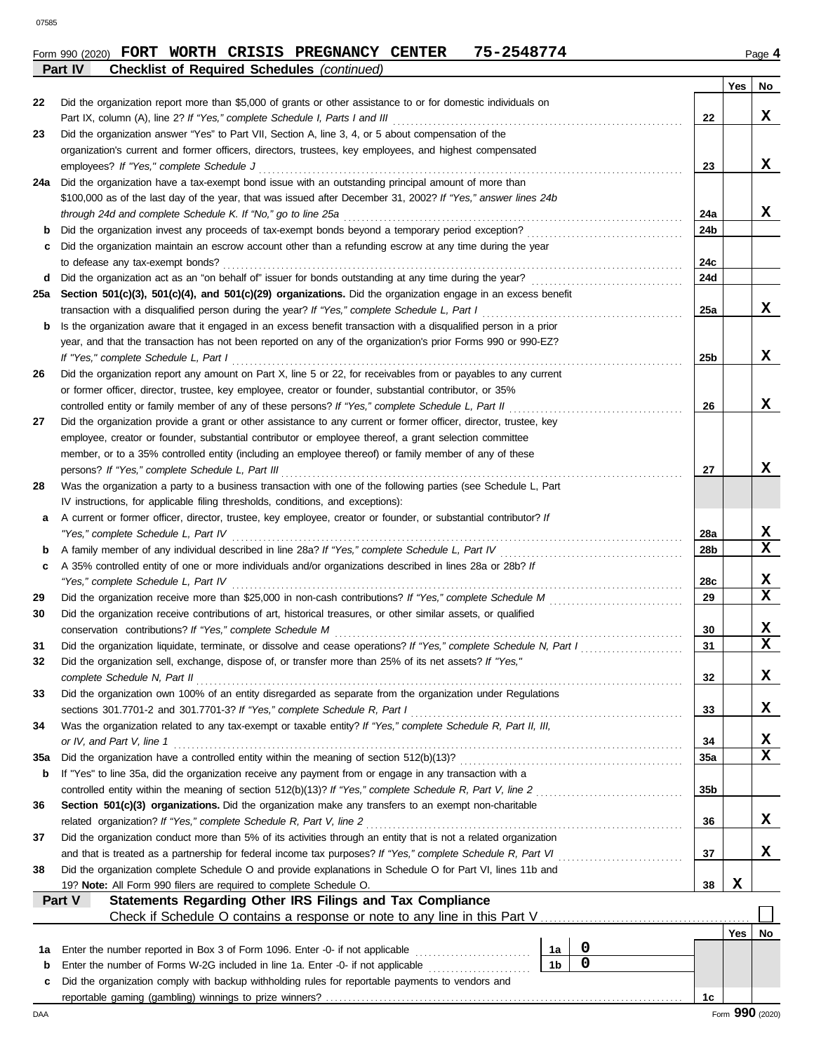#### **Form 990 (2020) FORT WORTH CRISIS PREGNANCY CENTER 75-2548774** Page 4 **Part IV Checklist of Required Schedules** *(continued)*

|          |                                                                                                                                                                                 |                |                  |                 | Yes | No                           |
|----------|---------------------------------------------------------------------------------------------------------------------------------------------------------------------------------|----------------|------------------|-----------------|-----|------------------------------|
| 22       | Did the organization report more than \$5,000 of grants or other assistance to or for domestic individuals on                                                                   |                |                  |                 |     |                              |
|          | Part IX, column (A), line 2? If "Yes," complete Schedule I, Parts I and III                                                                                                     |                |                  | 22              |     | x                            |
| 23       | Did the organization answer "Yes" to Part VII, Section A, line 3, 4, or 5 about compensation of the                                                                             |                |                  |                 |     |                              |
|          | organization's current and former officers, directors, trustees, key employees, and highest compensated                                                                         |                |                  |                 |     |                              |
|          | employees? If "Yes," complete Schedule J                                                                                                                                        |                |                  | 23              |     | x                            |
| 24a      | Did the organization have a tax-exempt bond issue with an outstanding principal amount of more than                                                                             |                |                  |                 |     |                              |
|          | \$100,000 as of the last day of the year, that was issued after December 31, 2002? If "Yes," answer lines 24b                                                                   |                |                  |                 |     |                              |
|          | through 24d and complete Schedule K. If "No," go to line 25a                                                                                                                    |                |                  | 24a             |     | x                            |
| b        |                                                                                                                                                                                 |                |                  | 24 <sub>b</sub> |     |                              |
| c        | Did the organization maintain an escrow account other than a refunding escrow at any time during the year                                                                       |                |                  |                 |     |                              |
|          | to defease any tax-exempt bonds?                                                                                                                                                |                |                  | 24c<br>24d      |     |                              |
| d<br>25a | Section 501(c)(3), 501(c)(4), and 501(c)(29) organizations. Did the organization engage in an excess benefit                                                                    |                |                  |                 |     |                              |
|          | transaction with a disqualified person during the year? If "Yes," complete Schedule L, Part I                                                                                   |                |                  | 25a             |     | x                            |
| b        | Is the organization aware that it engaged in an excess benefit transaction with a disqualified person in a prior                                                                |                |                  |                 |     |                              |
|          | year, and that the transaction has not been reported on any of the organization's prior Forms 990 or 990-EZ?                                                                    |                |                  |                 |     |                              |
|          | If "Yes," complete Schedule L, Part I                                                                                                                                           |                |                  | 25 <sub>b</sub> |     | x                            |
| 26       | Did the organization report any amount on Part X, line 5 or 22, for receivables from or payables to any current                                                                 |                |                  |                 |     |                              |
|          | or former officer, director, trustee, key employee, creator or founder, substantial contributor, or 35%                                                                         |                |                  |                 |     |                              |
|          | controlled entity or family member of any of these persons? If "Yes," complete Schedule L, Part II                                                                              |                |                  | 26              |     | x                            |
| 27       | Did the organization provide a grant or other assistance to any current or former officer, director, trustee, key                                                               |                |                  |                 |     |                              |
|          | employee, creator or founder, substantial contributor or employee thereof, a grant selection committee                                                                          |                |                  |                 |     |                              |
|          | member, or to a 35% controlled entity (including an employee thereof) or family member of any of these                                                                          |                |                  |                 |     |                              |
|          | persons? If "Yes," complete Schedule L, Part III                                                                                                                                |                |                  | 27              |     | x                            |
| 28       | Was the organization a party to a business transaction with one of the following parties (see Schedule L, Part                                                                  |                |                  |                 |     |                              |
|          | IV instructions, for applicable filing thresholds, conditions, and exceptions):                                                                                                 |                |                  |                 |     |                              |
| а        | A current or former officer, director, trustee, key employee, creator or founder, or substantial contributor? If                                                                |                |                  |                 |     |                              |
|          | "Yes," complete Schedule L, Part IV                                                                                                                                             |                |                  | 28a             |     | X                            |
| b        |                                                                                                                                                                                 |                |                  | 28 <sub>b</sub> |     | X                            |
| c        | A 35% controlled entity of one or more individuals and/or organizations described in lines 28a or 28b? If                                                                       |                |                  |                 |     |                              |
|          | "Yes," complete Schedule L, Part IV                                                                                                                                             |                |                  | 28c             |     | X<br>$\mathbf x$             |
| 29       |                                                                                                                                                                                 |                |                  | 29              |     |                              |
| 30       | Did the organization receive contributions of art, historical treasures, or other similar assets, or qualified                                                                  |                |                  |                 |     |                              |
|          | conservation contributions? If "Yes," complete Schedule M<br>Did the organization liquidate, terminate, or dissolve and cease operations? If "Yes," complete Schedule N, Part I |                |                  | 30<br>31        |     | X<br>$\overline{\mathbf{x}}$ |
| 31<br>32 | Did the organization sell, exchange, dispose of, or transfer more than 25% of its net assets? If "Yes,"                                                                         |                |                  |                 |     |                              |
|          | complete Schedule N, Part II                                                                                                                                                    |                |                  | 32              |     | х                            |
| 33       | Did the organization own 100% of an entity disregarded as separate from the organization under Regulations                                                                      |                |                  |                 |     |                              |
|          | sections 301.7701-2 and 301.7701-3? If "Yes," complete Schedule R, Part I                                                                                                       |                |                  | 33              |     | X.                           |
| 34       | Was the organization related to any tax-exempt or taxable entity? If "Yes," complete Schedule R, Part II, III,                                                                  |                |                  |                 |     |                              |
|          | or IV, and Part V, line 1                                                                                                                                                       |                |                  | 34              |     | X                            |
| 35a      |                                                                                                                                                                                 |                |                  | 35a             |     | $\overline{\mathbf{x}}$      |
| b        | If "Yes" to line 35a, did the organization receive any payment from or engage in any transaction with a                                                                         |                |                  |                 |     |                              |
|          | controlled entity within the meaning of section 512(b)(13)? If "Yes," complete Schedule R, Part V, line 2                                                                       |                |                  | 35 <sub>b</sub> |     |                              |
| 36       | Section 501(c)(3) organizations. Did the organization make any transfers to an exempt non-charitable                                                                            |                |                  |                 |     |                              |
|          | related organization? If "Yes," complete Schedule R, Part V, line 2                                                                                                             |                |                  | 36              |     | X,                           |
| 37       | Did the organization conduct more than 5% of its activities through an entity that is not a related organization                                                                |                |                  |                 |     |                              |
|          | and that is treated as a partnership for federal income tax purposes? If "Yes," complete Schedule R, Part VI                                                                    |                |                  | 37              |     | X.                           |
| 38       | Did the organization complete Schedule O and provide explanations in Schedule O for Part VI, lines 11b and                                                                      |                |                  |                 |     |                              |
|          | 19? Note: All Form 990 filers are required to complete Schedule O.                                                                                                              |                |                  | 38              | X   |                              |
|          | Statements Regarding Other IRS Filings and Tax Compliance<br>Part V                                                                                                             |                |                  |                 |     |                              |
|          | Check if Schedule O contains a response or note to any line in this Part V [11] Check if Schedule O contains a response or note to any line in this Part V                      |                |                  |                 |     |                              |
|          |                                                                                                                                                                                 |                |                  |                 |     | Yes   No                     |
| 1a       | Enter the number reported in Box 3 of Form 1096. Enter -0- if not applicable                                                                                                    | 1a             | 0<br>$\mathbf 0$ |                 |     |                              |
| b        | Enter the number of Forms W-2G included in line 1a. Enter -0- if not applicable                                                                                                 | 1 <sub>b</sub> |                  |                 |     |                              |
| c        | Did the organization comply with backup withholding rules for reportable payments to vendors and                                                                                |                |                  | 1c              |     |                              |
|          |                                                                                                                                                                                 |                |                  |                 |     |                              |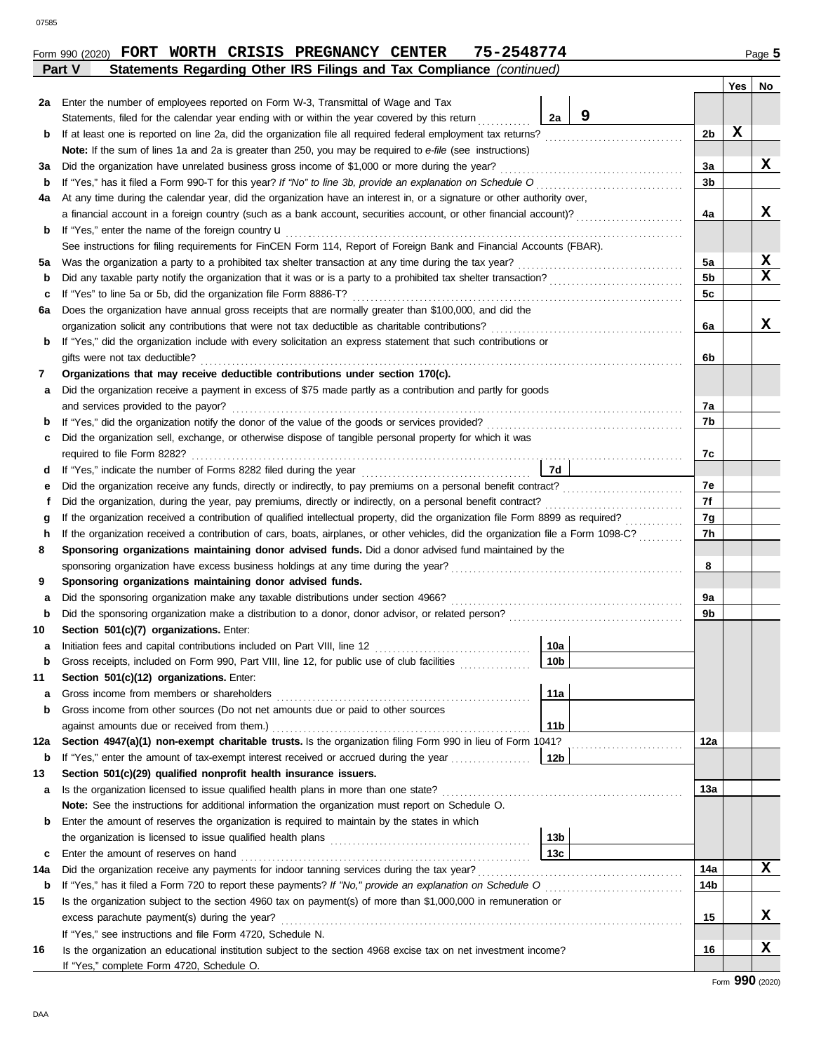**Yes No**

| - 9<br>2a<br>Statements, filed for the calendar year ending with or within the year covered by this return<br>X<br>2b<br>b<br>Note: If the sum of lines 1a and 2a is greater than 250, you may be required to e-file (see instructions)<br>X<br>Did the organization have unrelated business gross income of \$1,000 or more during the year?<br>За<br>за<br>3b<br>b<br>At any time during the calendar year, did the organization have an interest in, or a signature or other authority over,<br>4a<br>x<br>a financial account in a foreign country (such as a bank account, securities account, or other financial account)?<br>4a<br>If "Yes," enter the name of the foreign country <b>u</b><br>b<br>See instructions for filing requirements for FinCEN Form 114, Report of Foreign Bank and Financial Accounts (FBAR).<br>X<br>5a<br>5a<br>$\mathbf x$<br>5 <sub>b</sub><br>b<br>5c<br>If "Yes" to line 5a or 5b, did the organization file Form 8886-T?<br>с<br>Does the organization have annual gross receipts that are normally greater than \$100,000, and did the<br>6а<br>X<br>organization solicit any contributions that were not tax deductible as charitable contributions?<br>6a<br>If "Yes," did the organization include with every solicitation an express statement that such contributions or<br>b<br>gifts were not tax deductible?<br>6b<br>Organizations that may receive deductible contributions under section 170(c).<br>7<br>Did the organization receive a payment in excess of \$75 made partly as a contribution and partly for goods<br>а<br>and services provided to the payor?<br>7a<br>7b<br>b<br>Did the organization sell, exchange, or otherwise dispose of tangible personal property for which it was<br>c<br>7c<br>7d<br>d<br>7e<br>Did the organization receive any funds, directly or indirectly, to pay premiums on a personal benefit contract?<br>е<br>7f<br>Did the organization, during the year, pay premiums, directly or indirectly, on a personal benefit contract?<br>Ť.<br>7g<br>If the organization received a contribution of qualified intellectual property, did the organization file Form 8899 as required?<br>g<br>7h<br>If the organization received a contribution of cars, boats, airplanes, or other vehicles, did the organization file a Form 1098-C?<br>h<br>Sponsoring organizations maintaining donor advised funds. Did a donor advised fund maintained by the<br>8<br>sponsoring organization have excess business holdings at any time during the year?<br>8<br>9<br>Sponsoring organizations maintaining donor advised funds.<br>9a<br>а<br>9b<br>b<br>Section 501(c)(7) organizations. Enter:<br>10a<br>Initiation fees and capital contributions included on Part VIII, line 12<br>а<br>10 <sub>b</sub><br>Gross receipts, included on Form 990, Part VIII, line 12, for public use of club facilities<br>b<br>Section 501(c)(12) organizations. Enter:<br>11<br>Gross income from members or shareholders<br>11a<br>а<br>Gross income from other sources (Do not net amounts due or paid to other sources<br>b<br>against amounts due or received from them.)<br>11b<br>Section 4947(a)(1) non-exempt charitable trusts. Is the organization filing Form 990 in lieu of Form 1041?<br>12a<br>12a<br>If "Yes," enter the amount of tax-exempt interest received or accrued during the year<br>12b<br>$\mathbf b$<br>Section 501(c)(29) qualified nonprofit health insurance issuers.<br>13<br>Is the organization licensed to issue qualified health plans in more than one state?<br>13a<br>a<br>Note: See the instructions for additional information the organization must report on Schedule O.<br>Enter the amount of reserves the organization is required to maintain by the states in which<br>b<br>13b<br>13с<br>Enter the amount of reserves on hand<br>c<br>x<br>14a<br>Did the organization receive any payments for indoor tanning services during the tax year?<br>14b<br>b<br>Is the organization subject to the section 4960 tax on payment(s) of more than \$1,000,000 in remuneration or<br>X.<br>excess parachute payment(s) during the year?<br>15<br>If "Yes," see instructions and file Form 4720, Schedule N.<br>x<br>16<br>Is the organization an educational institution subject to the section 4968 excise tax on net investment income?<br>16<br>If "Yes," complete Form 4720, Schedule O.<br>Form 990 (2020) | 2a  | Enter the number of employees reported on Form W-3, Transmittal of Wage and Tax |  |  |  |  |  |  |
|--------------------------------------------------------------------------------------------------------------------------------------------------------------------------------------------------------------------------------------------------------------------------------------------------------------------------------------------------------------------------------------------------------------------------------------------------------------------------------------------------------------------------------------------------------------------------------------------------------------------------------------------------------------------------------------------------------------------------------------------------------------------------------------------------------------------------------------------------------------------------------------------------------------------------------------------------------------------------------------------------------------------------------------------------------------------------------------------------------------------------------------------------------------------------------------------------------------------------------------------------------------------------------------------------------------------------------------------------------------------------------------------------------------------------------------------------------------------------------------------------------------------------------------------------------------------------------------------------------------------------------------------------------------------------------------------------------------------------------------------------------------------------------------------------------------------------------------------------------------------------------------------------------------------------------------------------------------------------------------------------------------------------------------------------------------------------------------------------------------------------------------------------------------------------------------------------------------------------------------------------------------------------------------------------------------------------------------------------------------------------------------------------------------------------------------------------------------------------------------------------------------------------------------------------------------------------------------------------------------------------------------------------------------------------------------------------------------------------------------------------------------------------------------------------------------------------------------------------------------------------------------------------------------------------------------------------------------------------------------------------------------------------------------------------------------------------------------------------------------------------------------------------------------------------------------------------------------------------------------------------------------------------------------------------------------------------------------------------------------------------------------------------------------------------------------------------------------------------------------------------------------------------------------------------------------------------------------------------------------------------------------------------------------------------------------------------------------------------------------------------------------------------------------------------------------------------------------------------------------------------------------------------------------------------------------------------------------------------------------------------------------------------------------------------------------------------------------------------------------------------------------------------------------------------------------------------------------------------------------------------------------------------------------------------------------------------------------------------------------------------------------------------------------------------|-----|---------------------------------------------------------------------------------|--|--|--|--|--|--|
|                                                                                                                                                                                                                                                                                                                                                                                                                                                                                                                                                                                                                                                                                                                                                                                                                                                                                                                                                                                                                                                                                                                                                                                                                                                                                                                                                                                                                                                                                                                                                                                                                                                                                                                                                                                                                                                                                                                                                                                                                                                                                                                                                                                                                                                                                                                                                                                                                                                                                                                                                                                                                                                                                                                                                                                                                                                                                                                                                                                                                                                                                                                                                                                                                                                                                                                                                                                                                                                                                                                                                                                                                                                                                                                                                                                                                                                                                                                                                                                                                                                                                                                                                                                                                                                                                                                                                                                                                          |     |                                                                                 |  |  |  |  |  |  |
|                                                                                                                                                                                                                                                                                                                                                                                                                                                                                                                                                                                                                                                                                                                                                                                                                                                                                                                                                                                                                                                                                                                                                                                                                                                                                                                                                                                                                                                                                                                                                                                                                                                                                                                                                                                                                                                                                                                                                                                                                                                                                                                                                                                                                                                                                                                                                                                                                                                                                                                                                                                                                                                                                                                                                                                                                                                                                                                                                                                                                                                                                                                                                                                                                                                                                                                                                                                                                                                                                                                                                                                                                                                                                                                                                                                                                                                                                                                                                                                                                                                                                                                                                                                                                                                                                                                                                                                                                          |     |                                                                                 |  |  |  |  |  |  |
|                                                                                                                                                                                                                                                                                                                                                                                                                                                                                                                                                                                                                                                                                                                                                                                                                                                                                                                                                                                                                                                                                                                                                                                                                                                                                                                                                                                                                                                                                                                                                                                                                                                                                                                                                                                                                                                                                                                                                                                                                                                                                                                                                                                                                                                                                                                                                                                                                                                                                                                                                                                                                                                                                                                                                                                                                                                                                                                                                                                                                                                                                                                                                                                                                                                                                                                                                                                                                                                                                                                                                                                                                                                                                                                                                                                                                                                                                                                                                                                                                                                                                                                                                                                                                                                                                                                                                                                                                          |     |                                                                                 |  |  |  |  |  |  |
|                                                                                                                                                                                                                                                                                                                                                                                                                                                                                                                                                                                                                                                                                                                                                                                                                                                                                                                                                                                                                                                                                                                                                                                                                                                                                                                                                                                                                                                                                                                                                                                                                                                                                                                                                                                                                                                                                                                                                                                                                                                                                                                                                                                                                                                                                                                                                                                                                                                                                                                                                                                                                                                                                                                                                                                                                                                                                                                                                                                                                                                                                                                                                                                                                                                                                                                                                                                                                                                                                                                                                                                                                                                                                                                                                                                                                                                                                                                                                                                                                                                                                                                                                                                                                                                                                                                                                                                                                          |     |                                                                                 |  |  |  |  |  |  |
|                                                                                                                                                                                                                                                                                                                                                                                                                                                                                                                                                                                                                                                                                                                                                                                                                                                                                                                                                                                                                                                                                                                                                                                                                                                                                                                                                                                                                                                                                                                                                                                                                                                                                                                                                                                                                                                                                                                                                                                                                                                                                                                                                                                                                                                                                                                                                                                                                                                                                                                                                                                                                                                                                                                                                                                                                                                                                                                                                                                                                                                                                                                                                                                                                                                                                                                                                                                                                                                                                                                                                                                                                                                                                                                                                                                                                                                                                                                                                                                                                                                                                                                                                                                                                                                                                                                                                                                                                          |     |                                                                                 |  |  |  |  |  |  |
|                                                                                                                                                                                                                                                                                                                                                                                                                                                                                                                                                                                                                                                                                                                                                                                                                                                                                                                                                                                                                                                                                                                                                                                                                                                                                                                                                                                                                                                                                                                                                                                                                                                                                                                                                                                                                                                                                                                                                                                                                                                                                                                                                                                                                                                                                                                                                                                                                                                                                                                                                                                                                                                                                                                                                                                                                                                                                                                                                                                                                                                                                                                                                                                                                                                                                                                                                                                                                                                                                                                                                                                                                                                                                                                                                                                                                                                                                                                                                                                                                                                                                                                                                                                                                                                                                                                                                                                                                          |     |                                                                                 |  |  |  |  |  |  |
|                                                                                                                                                                                                                                                                                                                                                                                                                                                                                                                                                                                                                                                                                                                                                                                                                                                                                                                                                                                                                                                                                                                                                                                                                                                                                                                                                                                                                                                                                                                                                                                                                                                                                                                                                                                                                                                                                                                                                                                                                                                                                                                                                                                                                                                                                                                                                                                                                                                                                                                                                                                                                                                                                                                                                                                                                                                                                                                                                                                                                                                                                                                                                                                                                                                                                                                                                                                                                                                                                                                                                                                                                                                                                                                                                                                                                                                                                                                                                                                                                                                                                                                                                                                                                                                                                                                                                                                                                          |     |                                                                                 |  |  |  |  |  |  |
|                                                                                                                                                                                                                                                                                                                                                                                                                                                                                                                                                                                                                                                                                                                                                                                                                                                                                                                                                                                                                                                                                                                                                                                                                                                                                                                                                                                                                                                                                                                                                                                                                                                                                                                                                                                                                                                                                                                                                                                                                                                                                                                                                                                                                                                                                                                                                                                                                                                                                                                                                                                                                                                                                                                                                                                                                                                                                                                                                                                                                                                                                                                                                                                                                                                                                                                                                                                                                                                                                                                                                                                                                                                                                                                                                                                                                                                                                                                                                                                                                                                                                                                                                                                                                                                                                                                                                                                                                          |     |                                                                                 |  |  |  |  |  |  |
|                                                                                                                                                                                                                                                                                                                                                                                                                                                                                                                                                                                                                                                                                                                                                                                                                                                                                                                                                                                                                                                                                                                                                                                                                                                                                                                                                                                                                                                                                                                                                                                                                                                                                                                                                                                                                                                                                                                                                                                                                                                                                                                                                                                                                                                                                                                                                                                                                                                                                                                                                                                                                                                                                                                                                                                                                                                                                                                                                                                                                                                                                                                                                                                                                                                                                                                                                                                                                                                                                                                                                                                                                                                                                                                                                                                                                                                                                                                                                                                                                                                                                                                                                                                                                                                                                                                                                                                                                          |     |                                                                                 |  |  |  |  |  |  |
|                                                                                                                                                                                                                                                                                                                                                                                                                                                                                                                                                                                                                                                                                                                                                                                                                                                                                                                                                                                                                                                                                                                                                                                                                                                                                                                                                                                                                                                                                                                                                                                                                                                                                                                                                                                                                                                                                                                                                                                                                                                                                                                                                                                                                                                                                                                                                                                                                                                                                                                                                                                                                                                                                                                                                                                                                                                                                                                                                                                                                                                                                                                                                                                                                                                                                                                                                                                                                                                                                                                                                                                                                                                                                                                                                                                                                                                                                                                                                                                                                                                                                                                                                                                                                                                                                                                                                                                                                          |     |                                                                                 |  |  |  |  |  |  |
|                                                                                                                                                                                                                                                                                                                                                                                                                                                                                                                                                                                                                                                                                                                                                                                                                                                                                                                                                                                                                                                                                                                                                                                                                                                                                                                                                                                                                                                                                                                                                                                                                                                                                                                                                                                                                                                                                                                                                                                                                                                                                                                                                                                                                                                                                                                                                                                                                                                                                                                                                                                                                                                                                                                                                                                                                                                                                                                                                                                                                                                                                                                                                                                                                                                                                                                                                                                                                                                                                                                                                                                                                                                                                                                                                                                                                                                                                                                                                                                                                                                                                                                                                                                                                                                                                                                                                                                                                          |     |                                                                                 |  |  |  |  |  |  |
|                                                                                                                                                                                                                                                                                                                                                                                                                                                                                                                                                                                                                                                                                                                                                                                                                                                                                                                                                                                                                                                                                                                                                                                                                                                                                                                                                                                                                                                                                                                                                                                                                                                                                                                                                                                                                                                                                                                                                                                                                                                                                                                                                                                                                                                                                                                                                                                                                                                                                                                                                                                                                                                                                                                                                                                                                                                                                                                                                                                                                                                                                                                                                                                                                                                                                                                                                                                                                                                                                                                                                                                                                                                                                                                                                                                                                                                                                                                                                                                                                                                                                                                                                                                                                                                                                                                                                                                                                          |     |                                                                                 |  |  |  |  |  |  |
|                                                                                                                                                                                                                                                                                                                                                                                                                                                                                                                                                                                                                                                                                                                                                                                                                                                                                                                                                                                                                                                                                                                                                                                                                                                                                                                                                                                                                                                                                                                                                                                                                                                                                                                                                                                                                                                                                                                                                                                                                                                                                                                                                                                                                                                                                                                                                                                                                                                                                                                                                                                                                                                                                                                                                                                                                                                                                                                                                                                                                                                                                                                                                                                                                                                                                                                                                                                                                                                                                                                                                                                                                                                                                                                                                                                                                                                                                                                                                                                                                                                                                                                                                                                                                                                                                                                                                                                                                          |     |                                                                                 |  |  |  |  |  |  |
|                                                                                                                                                                                                                                                                                                                                                                                                                                                                                                                                                                                                                                                                                                                                                                                                                                                                                                                                                                                                                                                                                                                                                                                                                                                                                                                                                                                                                                                                                                                                                                                                                                                                                                                                                                                                                                                                                                                                                                                                                                                                                                                                                                                                                                                                                                                                                                                                                                                                                                                                                                                                                                                                                                                                                                                                                                                                                                                                                                                                                                                                                                                                                                                                                                                                                                                                                                                                                                                                                                                                                                                                                                                                                                                                                                                                                                                                                                                                                                                                                                                                                                                                                                                                                                                                                                                                                                                                                          |     |                                                                                 |  |  |  |  |  |  |
|                                                                                                                                                                                                                                                                                                                                                                                                                                                                                                                                                                                                                                                                                                                                                                                                                                                                                                                                                                                                                                                                                                                                                                                                                                                                                                                                                                                                                                                                                                                                                                                                                                                                                                                                                                                                                                                                                                                                                                                                                                                                                                                                                                                                                                                                                                                                                                                                                                                                                                                                                                                                                                                                                                                                                                                                                                                                                                                                                                                                                                                                                                                                                                                                                                                                                                                                                                                                                                                                                                                                                                                                                                                                                                                                                                                                                                                                                                                                                                                                                                                                                                                                                                                                                                                                                                                                                                                                                          |     |                                                                                 |  |  |  |  |  |  |
|                                                                                                                                                                                                                                                                                                                                                                                                                                                                                                                                                                                                                                                                                                                                                                                                                                                                                                                                                                                                                                                                                                                                                                                                                                                                                                                                                                                                                                                                                                                                                                                                                                                                                                                                                                                                                                                                                                                                                                                                                                                                                                                                                                                                                                                                                                                                                                                                                                                                                                                                                                                                                                                                                                                                                                                                                                                                                                                                                                                                                                                                                                                                                                                                                                                                                                                                                                                                                                                                                                                                                                                                                                                                                                                                                                                                                                                                                                                                                                                                                                                                                                                                                                                                                                                                                                                                                                                                                          |     |                                                                                 |  |  |  |  |  |  |
|                                                                                                                                                                                                                                                                                                                                                                                                                                                                                                                                                                                                                                                                                                                                                                                                                                                                                                                                                                                                                                                                                                                                                                                                                                                                                                                                                                                                                                                                                                                                                                                                                                                                                                                                                                                                                                                                                                                                                                                                                                                                                                                                                                                                                                                                                                                                                                                                                                                                                                                                                                                                                                                                                                                                                                                                                                                                                                                                                                                                                                                                                                                                                                                                                                                                                                                                                                                                                                                                                                                                                                                                                                                                                                                                                                                                                                                                                                                                                                                                                                                                                                                                                                                                                                                                                                                                                                                                                          |     |                                                                                 |  |  |  |  |  |  |
|                                                                                                                                                                                                                                                                                                                                                                                                                                                                                                                                                                                                                                                                                                                                                                                                                                                                                                                                                                                                                                                                                                                                                                                                                                                                                                                                                                                                                                                                                                                                                                                                                                                                                                                                                                                                                                                                                                                                                                                                                                                                                                                                                                                                                                                                                                                                                                                                                                                                                                                                                                                                                                                                                                                                                                                                                                                                                                                                                                                                                                                                                                                                                                                                                                                                                                                                                                                                                                                                                                                                                                                                                                                                                                                                                                                                                                                                                                                                                                                                                                                                                                                                                                                                                                                                                                                                                                                                                          |     |                                                                                 |  |  |  |  |  |  |
|                                                                                                                                                                                                                                                                                                                                                                                                                                                                                                                                                                                                                                                                                                                                                                                                                                                                                                                                                                                                                                                                                                                                                                                                                                                                                                                                                                                                                                                                                                                                                                                                                                                                                                                                                                                                                                                                                                                                                                                                                                                                                                                                                                                                                                                                                                                                                                                                                                                                                                                                                                                                                                                                                                                                                                                                                                                                                                                                                                                                                                                                                                                                                                                                                                                                                                                                                                                                                                                                                                                                                                                                                                                                                                                                                                                                                                                                                                                                                                                                                                                                                                                                                                                                                                                                                                                                                                                                                          |     |                                                                                 |  |  |  |  |  |  |
|                                                                                                                                                                                                                                                                                                                                                                                                                                                                                                                                                                                                                                                                                                                                                                                                                                                                                                                                                                                                                                                                                                                                                                                                                                                                                                                                                                                                                                                                                                                                                                                                                                                                                                                                                                                                                                                                                                                                                                                                                                                                                                                                                                                                                                                                                                                                                                                                                                                                                                                                                                                                                                                                                                                                                                                                                                                                                                                                                                                                                                                                                                                                                                                                                                                                                                                                                                                                                                                                                                                                                                                                                                                                                                                                                                                                                                                                                                                                                                                                                                                                                                                                                                                                                                                                                                                                                                                                                          |     |                                                                                 |  |  |  |  |  |  |
|                                                                                                                                                                                                                                                                                                                                                                                                                                                                                                                                                                                                                                                                                                                                                                                                                                                                                                                                                                                                                                                                                                                                                                                                                                                                                                                                                                                                                                                                                                                                                                                                                                                                                                                                                                                                                                                                                                                                                                                                                                                                                                                                                                                                                                                                                                                                                                                                                                                                                                                                                                                                                                                                                                                                                                                                                                                                                                                                                                                                                                                                                                                                                                                                                                                                                                                                                                                                                                                                                                                                                                                                                                                                                                                                                                                                                                                                                                                                                                                                                                                                                                                                                                                                                                                                                                                                                                                                                          |     |                                                                                 |  |  |  |  |  |  |
|                                                                                                                                                                                                                                                                                                                                                                                                                                                                                                                                                                                                                                                                                                                                                                                                                                                                                                                                                                                                                                                                                                                                                                                                                                                                                                                                                                                                                                                                                                                                                                                                                                                                                                                                                                                                                                                                                                                                                                                                                                                                                                                                                                                                                                                                                                                                                                                                                                                                                                                                                                                                                                                                                                                                                                                                                                                                                                                                                                                                                                                                                                                                                                                                                                                                                                                                                                                                                                                                                                                                                                                                                                                                                                                                                                                                                                                                                                                                                                                                                                                                                                                                                                                                                                                                                                                                                                                                                          |     |                                                                                 |  |  |  |  |  |  |
|                                                                                                                                                                                                                                                                                                                                                                                                                                                                                                                                                                                                                                                                                                                                                                                                                                                                                                                                                                                                                                                                                                                                                                                                                                                                                                                                                                                                                                                                                                                                                                                                                                                                                                                                                                                                                                                                                                                                                                                                                                                                                                                                                                                                                                                                                                                                                                                                                                                                                                                                                                                                                                                                                                                                                                                                                                                                                                                                                                                                                                                                                                                                                                                                                                                                                                                                                                                                                                                                                                                                                                                                                                                                                                                                                                                                                                                                                                                                                                                                                                                                                                                                                                                                                                                                                                                                                                                                                          |     |                                                                                 |  |  |  |  |  |  |
|                                                                                                                                                                                                                                                                                                                                                                                                                                                                                                                                                                                                                                                                                                                                                                                                                                                                                                                                                                                                                                                                                                                                                                                                                                                                                                                                                                                                                                                                                                                                                                                                                                                                                                                                                                                                                                                                                                                                                                                                                                                                                                                                                                                                                                                                                                                                                                                                                                                                                                                                                                                                                                                                                                                                                                                                                                                                                                                                                                                                                                                                                                                                                                                                                                                                                                                                                                                                                                                                                                                                                                                                                                                                                                                                                                                                                                                                                                                                                                                                                                                                                                                                                                                                                                                                                                                                                                                                                          |     |                                                                                 |  |  |  |  |  |  |
|                                                                                                                                                                                                                                                                                                                                                                                                                                                                                                                                                                                                                                                                                                                                                                                                                                                                                                                                                                                                                                                                                                                                                                                                                                                                                                                                                                                                                                                                                                                                                                                                                                                                                                                                                                                                                                                                                                                                                                                                                                                                                                                                                                                                                                                                                                                                                                                                                                                                                                                                                                                                                                                                                                                                                                                                                                                                                                                                                                                                                                                                                                                                                                                                                                                                                                                                                                                                                                                                                                                                                                                                                                                                                                                                                                                                                                                                                                                                                                                                                                                                                                                                                                                                                                                                                                                                                                                                                          |     |                                                                                 |  |  |  |  |  |  |
|                                                                                                                                                                                                                                                                                                                                                                                                                                                                                                                                                                                                                                                                                                                                                                                                                                                                                                                                                                                                                                                                                                                                                                                                                                                                                                                                                                                                                                                                                                                                                                                                                                                                                                                                                                                                                                                                                                                                                                                                                                                                                                                                                                                                                                                                                                                                                                                                                                                                                                                                                                                                                                                                                                                                                                                                                                                                                                                                                                                                                                                                                                                                                                                                                                                                                                                                                                                                                                                                                                                                                                                                                                                                                                                                                                                                                                                                                                                                                                                                                                                                                                                                                                                                                                                                                                                                                                                                                          |     |                                                                                 |  |  |  |  |  |  |
|                                                                                                                                                                                                                                                                                                                                                                                                                                                                                                                                                                                                                                                                                                                                                                                                                                                                                                                                                                                                                                                                                                                                                                                                                                                                                                                                                                                                                                                                                                                                                                                                                                                                                                                                                                                                                                                                                                                                                                                                                                                                                                                                                                                                                                                                                                                                                                                                                                                                                                                                                                                                                                                                                                                                                                                                                                                                                                                                                                                                                                                                                                                                                                                                                                                                                                                                                                                                                                                                                                                                                                                                                                                                                                                                                                                                                                                                                                                                                                                                                                                                                                                                                                                                                                                                                                                                                                                                                          |     |                                                                                 |  |  |  |  |  |  |
|                                                                                                                                                                                                                                                                                                                                                                                                                                                                                                                                                                                                                                                                                                                                                                                                                                                                                                                                                                                                                                                                                                                                                                                                                                                                                                                                                                                                                                                                                                                                                                                                                                                                                                                                                                                                                                                                                                                                                                                                                                                                                                                                                                                                                                                                                                                                                                                                                                                                                                                                                                                                                                                                                                                                                                                                                                                                                                                                                                                                                                                                                                                                                                                                                                                                                                                                                                                                                                                                                                                                                                                                                                                                                                                                                                                                                                                                                                                                                                                                                                                                                                                                                                                                                                                                                                                                                                                                                          |     |                                                                                 |  |  |  |  |  |  |
|                                                                                                                                                                                                                                                                                                                                                                                                                                                                                                                                                                                                                                                                                                                                                                                                                                                                                                                                                                                                                                                                                                                                                                                                                                                                                                                                                                                                                                                                                                                                                                                                                                                                                                                                                                                                                                                                                                                                                                                                                                                                                                                                                                                                                                                                                                                                                                                                                                                                                                                                                                                                                                                                                                                                                                                                                                                                                                                                                                                                                                                                                                                                                                                                                                                                                                                                                                                                                                                                                                                                                                                                                                                                                                                                                                                                                                                                                                                                                                                                                                                                                                                                                                                                                                                                                                                                                                                                                          |     |                                                                                 |  |  |  |  |  |  |
|                                                                                                                                                                                                                                                                                                                                                                                                                                                                                                                                                                                                                                                                                                                                                                                                                                                                                                                                                                                                                                                                                                                                                                                                                                                                                                                                                                                                                                                                                                                                                                                                                                                                                                                                                                                                                                                                                                                                                                                                                                                                                                                                                                                                                                                                                                                                                                                                                                                                                                                                                                                                                                                                                                                                                                                                                                                                                                                                                                                                                                                                                                                                                                                                                                                                                                                                                                                                                                                                                                                                                                                                                                                                                                                                                                                                                                                                                                                                                                                                                                                                                                                                                                                                                                                                                                                                                                                                                          |     |                                                                                 |  |  |  |  |  |  |
|                                                                                                                                                                                                                                                                                                                                                                                                                                                                                                                                                                                                                                                                                                                                                                                                                                                                                                                                                                                                                                                                                                                                                                                                                                                                                                                                                                                                                                                                                                                                                                                                                                                                                                                                                                                                                                                                                                                                                                                                                                                                                                                                                                                                                                                                                                                                                                                                                                                                                                                                                                                                                                                                                                                                                                                                                                                                                                                                                                                                                                                                                                                                                                                                                                                                                                                                                                                                                                                                                                                                                                                                                                                                                                                                                                                                                                                                                                                                                                                                                                                                                                                                                                                                                                                                                                                                                                                                                          |     |                                                                                 |  |  |  |  |  |  |
|                                                                                                                                                                                                                                                                                                                                                                                                                                                                                                                                                                                                                                                                                                                                                                                                                                                                                                                                                                                                                                                                                                                                                                                                                                                                                                                                                                                                                                                                                                                                                                                                                                                                                                                                                                                                                                                                                                                                                                                                                                                                                                                                                                                                                                                                                                                                                                                                                                                                                                                                                                                                                                                                                                                                                                                                                                                                                                                                                                                                                                                                                                                                                                                                                                                                                                                                                                                                                                                                                                                                                                                                                                                                                                                                                                                                                                                                                                                                                                                                                                                                                                                                                                                                                                                                                                                                                                                                                          | 10  |                                                                                 |  |  |  |  |  |  |
|                                                                                                                                                                                                                                                                                                                                                                                                                                                                                                                                                                                                                                                                                                                                                                                                                                                                                                                                                                                                                                                                                                                                                                                                                                                                                                                                                                                                                                                                                                                                                                                                                                                                                                                                                                                                                                                                                                                                                                                                                                                                                                                                                                                                                                                                                                                                                                                                                                                                                                                                                                                                                                                                                                                                                                                                                                                                                                                                                                                                                                                                                                                                                                                                                                                                                                                                                                                                                                                                                                                                                                                                                                                                                                                                                                                                                                                                                                                                                                                                                                                                                                                                                                                                                                                                                                                                                                                                                          |     |                                                                                 |  |  |  |  |  |  |
|                                                                                                                                                                                                                                                                                                                                                                                                                                                                                                                                                                                                                                                                                                                                                                                                                                                                                                                                                                                                                                                                                                                                                                                                                                                                                                                                                                                                                                                                                                                                                                                                                                                                                                                                                                                                                                                                                                                                                                                                                                                                                                                                                                                                                                                                                                                                                                                                                                                                                                                                                                                                                                                                                                                                                                                                                                                                                                                                                                                                                                                                                                                                                                                                                                                                                                                                                                                                                                                                                                                                                                                                                                                                                                                                                                                                                                                                                                                                                                                                                                                                                                                                                                                                                                                                                                                                                                                                                          |     |                                                                                 |  |  |  |  |  |  |
|                                                                                                                                                                                                                                                                                                                                                                                                                                                                                                                                                                                                                                                                                                                                                                                                                                                                                                                                                                                                                                                                                                                                                                                                                                                                                                                                                                                                                                                                                                                                                                                                                                                                                                                                                                                                                                                                                                                                                                                                                                                                                                                                                                                                                                                                                                                                                                                                                                                                                                                                                                                                                                                                                                                                                                                                                                                                                                                                                                                                                                                                                                                                                                                                                                                                                                                                                                                                                                                                                                                                                                                                                                                                                                                                                                                                                                                                                                                                                                                                                                                                                                                                                                                                                                                                                                                                                                                                                          |     |                                                                                 |  |  |  |  |  |  |
|                                                                                                                                                                                                                                                                                                                                                                                                                                                                                                                                                                                                                                                                                                                                                                                                                                                                                                                                                                                                                                                                                                                                                                                                                                                                                                                                                                                                                                                                                                                                                                                                                                                                                                                                                                                                                                                                                                                                                                                                                                                                                                                                                                                                                                                                                                                                                                                                                                                                                                                                                                                                                                                                                                                                                                                                                                                                                                                                                                                                                                                                                                                                                                                                                                                                                                                                                                                                                                                                                                                                                                                                                                                                                                                                                                                                                                                                                                                                                                                                                                                                                                                                                                                                                                                                                                                                                                                                                          |     |                                                                                 |  |  |  |  |  |  |
|                                                                                                                                                                                                                                                                                                                                                                                                                                                                                                                                                                                                                                                                                                                                                                                                                                                                                                                                                                                                                                                                                                                                                                                                                                                                                                                                                                                                                                                                                                                                                                                                                                                                                                                                                                                                                                                                                                                                                                                                                                                                                                                                                                                                                                                                                                                                                                                                                                                                                                                                                                                                                                                                                                                                                                                                                                                                                                                                                                                                                                                                                                                                                                                                                                                                                                                                                                                                                                                                                                                                                                                                                                                                                                                                                                                                                                                                                                                                                                                                                                                                                                                                                                                                                                                                                                                                                                                                                          |     |                                                                                 |  |  |  |  |  |  |
|                                                                                                                                                                                                                                                                                                                                                                                                                                                                                                                                                                                                                                                                                                                                                                                                                                                                                                                                                                                                                                                                                                                                                                                                                                                                                                                                                                                                                                                                                                                                                                                                                                                                                                                                                                                                                                                                                                                                                                                                                                                                                                                                                                                                                                                                                                                                                                                                                                                                                                                                                                                                                                                                                                                                                                                                                                                                                                                                                                                                                                                                                                                                                                                                                                                                                                                                                                                                                                                                                                                                                                                                                                                                                                                                                                                                                                                                                                                                                                                                                                                                                                                                                                                                                                                                                                                                                                                                                          |     |                                                                                 |  |  |  |  |  |  |
|                                                                                                                                                                                                                                                                                                                                                                                                                                                                                                                                                                                                                                                                                                                                                                                                                                                                                                                                                                                                                                                                                                                                                                                                                                                                                                                                                                                                                                                                                                                                                                                                                                                                                                                                                                                                                                                                                                                                                                                                                                                                                                                                                                                                                                                                                                                                                                                                                                                                                                                                                                                                                                                                                                                                                                                                                                                                                                                                                                                                                                                                                                                                                                                                                                                                                                                                                                                                                                                                                                                                                                                                                                                                                                                                                                                                                                                                                                                                                                                                                                                                                                                                                                                                                                                                                                                                                                                                                          |     |                                                                                 |  |  |  |  |  |  |
|                                                                                                                                                                                                                                                                                                                                                                                                                                                                                                                                                                                                                                                                                                                                                                                                                                                                                                                                                                                                                                                                                                                                                                                                                                                                                                                                                                                                                                                                                                                                                                                                                                                                                                                                                                                                                                                                                                                                                                                                                                                                                                                                                                                                                                                                                                                                                                                                                                                                                                                                                                                                                                                                                                                                                                                                                                                                                                                                                                                                                                                                                                                                                                                                                                                                                                                                                                                                                                                                                                                                                                                                                                                                                                                                                                                                                                                                                                                                                                                                                                                                                                                                                                                                                                                                                                                                                                                                                          |     |                                                                                 |  |  |  |  |  |  |
|                                                                                                                                                                                                                                                                                                                                                                                                                                                                                                                                                                                                                                                                                                                                                                                                                                                                                                                                                                                                                                                                                                                                                                                                                                                                                                                                                                                                                                                                                                                                                                                                                                                                                                                                                                                                                                                                                                                                                                                                                                                                                                                                                                                                                                                                                                                                                                                                                                                                                                                                                                                                                                                                                                                                                                                                                                                                                                                                                                                                                                                                                                                                                                                                                                                                                                                                                                                                                                                                                                                                                                                                                                                                                                                                                                                                                                                                                                                                                                                                                                                                                                                                                                                                                                                                                                                                                                                                                          |     |                                                                                 |  |  |  |  |  |  |
|                                                                                                                                                                                                                                                                                                                                                                                                                                                                                                                                                                                                                                                                                                                                                                                                                                                                                                                                                                                                                                                                                                                                                                                                                                                                                                                                                                                                                                                                                                                                                                                                                                                                                                                                                                                                                                                                                                                                                                                                                                                                                                                                                                                                                                                                                                                                                                                                                                                                                                                                                                                                                                                                                                                                                                                                                                                                                                                                                                                                                                                                                                                                                                                                                                                                                                                                                                                                                                                                                                                                                                                                                                                                                                                                                                                                                                                                                                                                                                                                                                                                                                                                                                                                                                                                                                                                                                                                                          |     |                                                                                 |  |  |  |  |  |  |
|                                                                                                                                                                                                                                                                                                                                                                                                                                                                                                                                                                                                                                                                                                                                                                                                                                                                                                                                                                                                                                                                                                                                                                                                                                                                                                                                                                                                                                                                                                                                                                                                                                                                                                                                                                                                                                                                                                                                                                                                                                                                                                                                                                                                                                                                                                                                                                                                                                                                                                                                                                                                                                                                                                                                                                                                                                                                                                                                                                                                                                                                                                                                                                                                                                                                                                                                                                                                                                                                                                                                                                                                                                                                                                                                                                                                                                                                                                                                                                                                                                                                                                                                                                                                                                                                                                                                                                                                                          |     |                                                                                 |  |  |  |  |  |  |
|                                                                                                                                                                                                                                                                                                                                                                                                                                                                                                                                                                                                                                                                                                                                                                                                                                                                                                                                                                                                                                                                                                                                                                                                                                                                                                                                                                                                                                                                                                                                                                                                                                                                                                                                                                                                                                                                                                                                                                                                                                                                                                                                                                                                                                                                                                                                                                                                                                                                                                                                                                                                                                                                                                                                                                                                                                                                                                                                                                                                                                                                                                                                                                                                                                                                                                                                                                                                                                                                                                                                                                                                                                                                                                                                                                                                                                                                                                                                                                                                                                                                                                                                                                                                                                                                                                                                                                                                                          |     |                                                                                 |  |  |  |  |  |  |
|                                                                                                                                                                                                                                                                                                                                                                                                                                                                                                                                                                                                                                                                                                                                                                                                                                                                                                                                                                                                                                                                                                                                                                                                                                                                                                                                                                                                                                                                                                                                                                                                                                                                                                                                                                                                                                                                                                                                                                                                                                                                                                                                                                                                                                                                                                                                                                                                                                                                                                                                                                                                                                                                                                                                                                                                                                                                                                                                                                                                                                                                                                                                                                                                                                                                                                                                                                                                                                                                                                                                                                                                                                                                                                                                                                                                                                                                                                                                                                                                                                                                                                                                                                                                                                                                                                                                                                                                                          |     |                                                                                 |  |  |  |  |  |  |
|                                                                                                                                                                                                                                                                                                                                                                                                                                                                                                                                                                                                                                                                                                                                                                                                                                                                                                                                                                                                                                                                                                                                                                                                                                                                                                                                                                                                                                                                                                                                                                                                                                                                                                                                                                                                                                                                                                                                                                                                                                                                                                                                                                                                                                                                                                                                                                                                                                                                                                                                                                                                                                                                                                                                                                                                                                                                                                                                                                                                                                                                                                                                                                                                                                                                                                                                                                                                                                                                                                                                                                                                                                                                                                                                                                                                                                                                                                                                                                                                                                                                                                                                                                                                                                                                                                                                                                                                                          | 14a |                                                                                 |  |  |  |  |  |  |
|                                                                                                                                                                                                                                                                                                                                                                                                                                                                                                                                                                                                                                                                                                                                                                                                                                                                                                                                                                                                                                                                                                                                                                                                                                                                                                                                                                                                                                                                                                                                                                                                                                                                                                                                                                                                                                                                                                                                                                                                                                                                                                                                                                                                                                                                                                                                                                                                                                                                                                                                                                                                                                                                                                                                                                                                                                                                                                                                                                                                                                                                                                                                                                                                                                                                                                                                                                                                                                                                                                                                                                                                                                                                                                                                                                                                                                                                                                                                                                                                                                                                                                                                                                                                                                                                                                                                                                                                                          |     |                                                                                 |  |  |  |  |  |  |
|                                                                                                                                                                                                                                                                                                                                                                                                                                                                                                                                                                                                                                                                                                                                                                                                                                                                                                                                                                                                                                                                                                                                                                                                                                                                                                                                                                                                                                                                                                                                                                                                                                                                                                                                                                                                                                                                                                                                                                                                                                                                                                                                                                                                                                                                                                                                                                                                                                                                                                                                                                                                                                                                                                                                                                                                                                                                                                                                                                                                                                                                                                                                                                                                                                                                                                                                                                                                                                                                                                                                                                                                                                                                                                                                                                                                                                                                                                                                                                                                                                                                                                                                                                                                                                                                                                                                                                                                                          | 15  |                                                                                 |  |  |  |  |  |  |
|                                                                                                                                                                                                                                                                                                                                                                                                                                                                                                                                                                                                                                                                                                                                                                                                                                                                                                                                                                                                                                                                                                                                                                                                                                                                                                                                                                                                                                                                                                                                                                                                                                                                                                                                                                                                                                                                                                                                                                                                                                                                                                                                                                                                                                                                                                                                                                                                                                                                                                                                                                                                                                                                                                                                                                                                                                                                                                                                                                                                                                                                                                                                                                                                                                                                                                                                                                                                                                                                                                                                                                                                                                                                                                                                                                                                                                                                                                                                                                                                                                                                                                                                                                                                                                                                                                                                                                                                                          |     |                                                                                 |  |  |  |  |  |  |
|                                                                                                                                                                                                                                                                                                                                                                                                                                                                                                                                                                                                                                                                                                                                                                                                                                                                                                                                                                                                                                                                                                                                                                                                                                                                                                                                                                                                                                                                                                                                                                                                                                                                                                                                                                                                                                                                                                                                                                                                                                                                                                                                                                                                                                                                                                                                                                                                                                                                                                                                                                                                                                                                                                                                                                                                                                                                                                                                                                                                                                                                                                                                                                                                                                                                                                                                                                                                                                                                                                                                                                                                                                                                                                                                                                                                                                                                                                                                                                                                                                                                                                                                                                                                                                                                                                                                                                                                                          |     |                                                                                 |  |  |  |  |  |  |
|                                                                                                                                                                                                                                                                                                                                                                                                                                                                                                                                                                                                                                                                                                                                                                                                                                                                                                                                                                                                                                                                                                                                                                                                                                                                                                                                                                                                                                                                                                                                                                                                                                                                                                                                                                                                                                                                                                                                                                                                                                                                                                                                                                                                                                                                                                                                                                                                                                                                                                                                                                                                                                                                                                                                                                                                                                                                                                                                                                                                                                                                                                                                                                                                                                                                                                                                                                                                                                                                                                                                                                                                                                                                                                                                                                                                                                                                                                                                                                                                                                                                                                                                                                                                                                                                                                                                                                                                                          |     |                                                                                 |  |  |  |  |  |  |
|                                                                                                                                                                                                                                                                                                                                                                                                                                                                                                                                                                                                                                                                                                                                                                                                                                                                                                                                                                                                                                                                                                                                                                                                                                                                                                                                                                                                                                                                                                                                                                                                                                                                                                                                                                                                                                                                                                                                                                                                                                                                                                                                                                                                                                                                                                                                                                                                                                                                                                                                                                                                                                                                                                                                                                                                                                                                                                                                                                                                                                                                                                                                                                                                                                                                                                                                                                                                                                                                                                                                                                                                                                                                                                                                                                                                                                                                                                                                                                                                                                                                                                                                                                                                                                                                                                                                                                                                                          |     |                                                                                 |  |  |  |  |  |  |

**Part V Statements Regarding Other IRS Filings and Tax Compliance** *(continued)*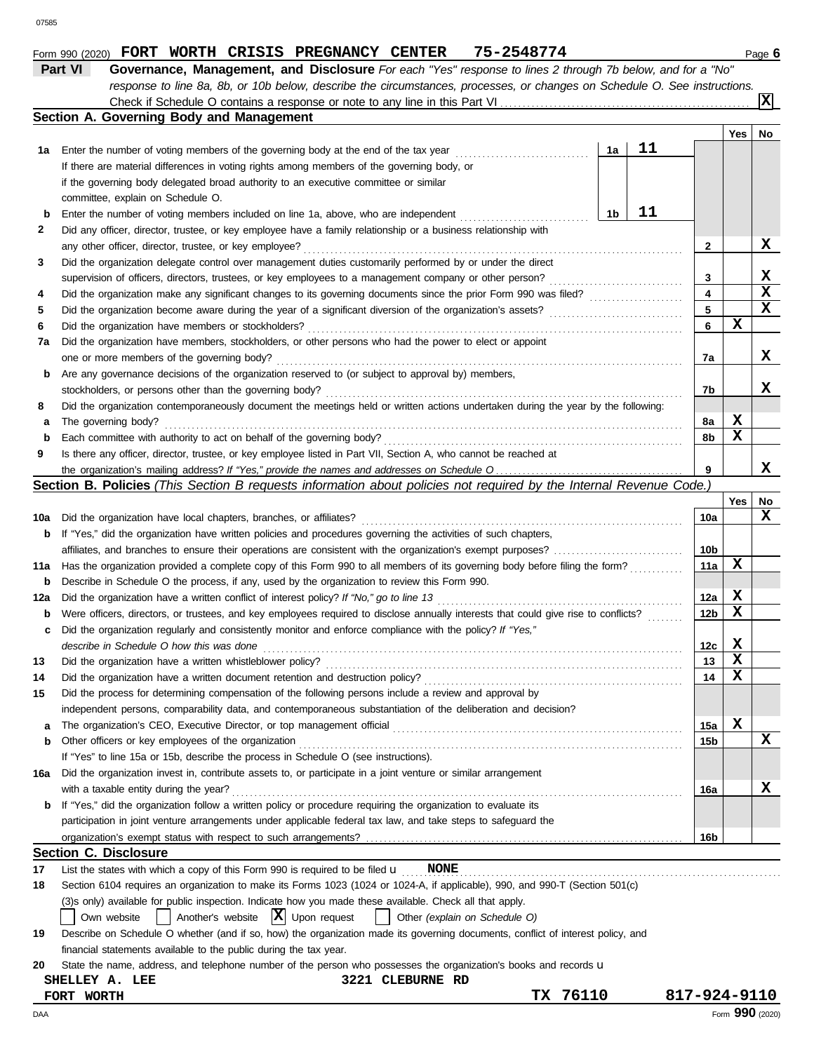|     | response to line 8a, 8b, or 10b below, describe the circumstances, processes, or changes on Schedule O. See instructions.           |                 |     |             |
|-----|-------------------------------------------------------------------------------------------------------------------------------------|-----------------|-----|-------------|
|     |                                                                                                                                     |                 |     | X           |
|     | Section A. Governing Body and Management                                                                                            |                 |     |             |
|     |                                                                                                                                     |                 | Yes | No          |
|     | 11<br>1a                                                                                                                            |                 |     |             |
| 1a  | Enter the number of voting members of the governing body at the end of the tax year                                                 |                 |     |             |
|     | If there are material differences in voting rights among members of the governing body, or                                          |                 |     |             |
|     | if the governing body delegated broad authority to an executive committee or similar                                                |                 |     |             |
|     | committee, explain on Schedule O.                                                                                                   |                 |     |             |
| b   | 11<br>Enter the number of voting members included on line 1a, above, who are independent<br>1b                                      |                 |     |             |
| 2   | Did any officer, director, trustee, or key employee have a family relationship or a business relationship with                      |                 |     |             |
|     | any other officer, director, trustee, or key employee?                                                                              | 2               |     | x           |
| 3   | Did the organization delegate control over management duties customarily performed by or under the direct                           |                 |     |             |
|     | supervision of officers, directors, trustees, or key employees to a management company or other person?                             | 3               |     | x           |
| 4   |                                                                                                                                     | 4               |     | $\mathbf x$ |
| 5   |                                                                                                                                     | 5               |     | X           |
| 6   | Did the organization have members or stockholders?                                                                                  | 6               | X   |             |
| 7a  | Did the organization have members, stockholders, or other persons who had the power to elect or appoint                             |                 |     |             |
|     | one or more members of the governing body?                                                                                          | 7a              |     | x           |
| b   | Are any governance decisions of the organization reserved to (or subject to approval by) members,                                   |                 |     |             |
|     | stockholders, or persons other than the governing body?                                                                             | 7b              |     | x           |
|     |                                                                                                                                     |                 |     |             |
| 8   | Did the organization contemporaneously document the meetings held or written actions undertaken during the year by the following:   |                 |     |             |
| а   | The governing body?                                                                                                                 | 8а              | X.  |             |
| b   | Each committee with authority to act on behalf of the governing body?                                                               | 8b              | X   |             |
| 9   | Is there any officer, director, trustee, or key employee listed in Part VII, Section A, who cannot be reached at                    |                 |     |             |
|     |                                                                                                                                     | 9               |     | x           |
|     | Section B. Policies (This Section B requests information about policies not required by the Internal Revenue Code.)                 |                 |     |             |
|     |                                                                                                                                     |                 | Yes | No          |
| 10a | Did the organization have local chapters, branches, or affiliates?                                                                  | 10a             |     | x           |
| b   | If "Yes," did the organization have written policies and procedures governing the activities of such chapters,                      |                 |     |             |
|     |                                                                                                                                     | 10b             |     |             |
| 11a | Has the organization provided a complete copy of this Form 990 to all members of its governing body before filing the form?         | 11a             | х   |             |
| b   | Describe in Schedule O the process, if any, used by the organization to review this Form 990.                                       |                 |     |             |
| 12a | Did the organization have a written conflict of interest policy? If "No," go to line 13                                             | 12a             | X   |             |
| b   | Were officers, directors, or trustees, and key employees required to disclose annually interests that could give rise to conflicts? | 12 <sub>b</sub> | X   |             |
| c   | Did the organization regularly and consistently monitor and enforce compliance with the policy? If "Yes,"                           |                 |     |             |
|     | describe in Schedule O how this was done                                                                                            | 12с             | X   |             |
| 13  | Did the organization have a written whistleblower policy?                                                                           | 13              | X   |             |
| 14  | Did the organization have a written document retention and destruction policy?                                                      | 14              | x   |             |
|     |                                                                                                                                     |                 |     |             |
| 15  | Did the process for determining compensation of the following persons include a review and approval by                              |                 |     |             |
|     | independent persons, comparability data, and contemporaneous substantiation of the deliberation and decision?                       |                 |     |             |
| а   |                                                                                                                                     | 15a             | х   |             |
| b   | Other officers or key employees of the organization                                                                                 | 15b             |     | x           |
|     | If "Yes" to line 15a or 15b, describe the process in Schedule O (see instructions).                                                 |                 |     |             |
| 16a | Did the organization invest in, contribute assets to, or participate in a joint venture or similar arrangement                      |                 |     |             |
|     | with a taxable entity during the year?                                                                                              | 16a             |     | x           |
| b   | If "Yes," did the organization follow a written policy or procedure requiring the organization to evaluate its                      |                 |     |             |
|     | participation in joint venture arrangements under applicable federal tax law, and take steps to safeguard the                       |                 |     |             |
|     |                                                                                                                                     | 16b             |     |             |
|     | <b>Section C. Disclosure</b>                                                                                                        |                 |     |             |
| 17  | List the states with which a copy of this Form 990 is required to be filed $\mathbf u$<br><b>NONE</b>                               |                 |     |             |
| 18  | Section 6104 requires an organization to make its Forms 1023 (1024 or 1024-A, if applicable), 990, and 990-T (Section 501(c)        |                 |     |             |
|     | (3)s only) available for public inspection. Indicate how you made these available. Check all that apply.                            |                 |     |             |
|     |                                                                                                                                     |                 |     |             |
|     | Another's website $ \mathbf{X} $ Upon request<br>Other (explain on Schedule O)<br>Own website                                       |                 |     |             |
| 19  | Describe on Schedule O whether (and if so, how) the organization made its governing documents, conflict of interest policy, and     |                 |     |             |
|     | financial statements available to the public during the tax year.                                                                   |                 |     |             |
| 20  | State the name, address, and telephone number of the person who possesses the organization's books and records u                    |                 |     |             |
|     | 3221 CLEBURNE RD<br>SHELLEY A. LEE                                                                                                  |                 |     |             |
|     | TX 76110<br>FORT WORTH                                                                                                              | 817-924-9110    |     |             |

**Form 990 (2020) FORT WORTH CRISIS PREGNANCY CENTER 75-2548774** Page 6

| Part VI | Governance, Management, and Disclosure For each "Yes" response to lines 2 through 7b below, and for a "No"                |
|---------|---------------------------------------------------------------------------------------------------------------------------|
|         | response to line 8a, 8b, or 10b below, describe the circumstances, processes, or changes on Schedule O. See instructions. |
|         | Check if Schedule O contains a response or note to any line in this Part VI                                               |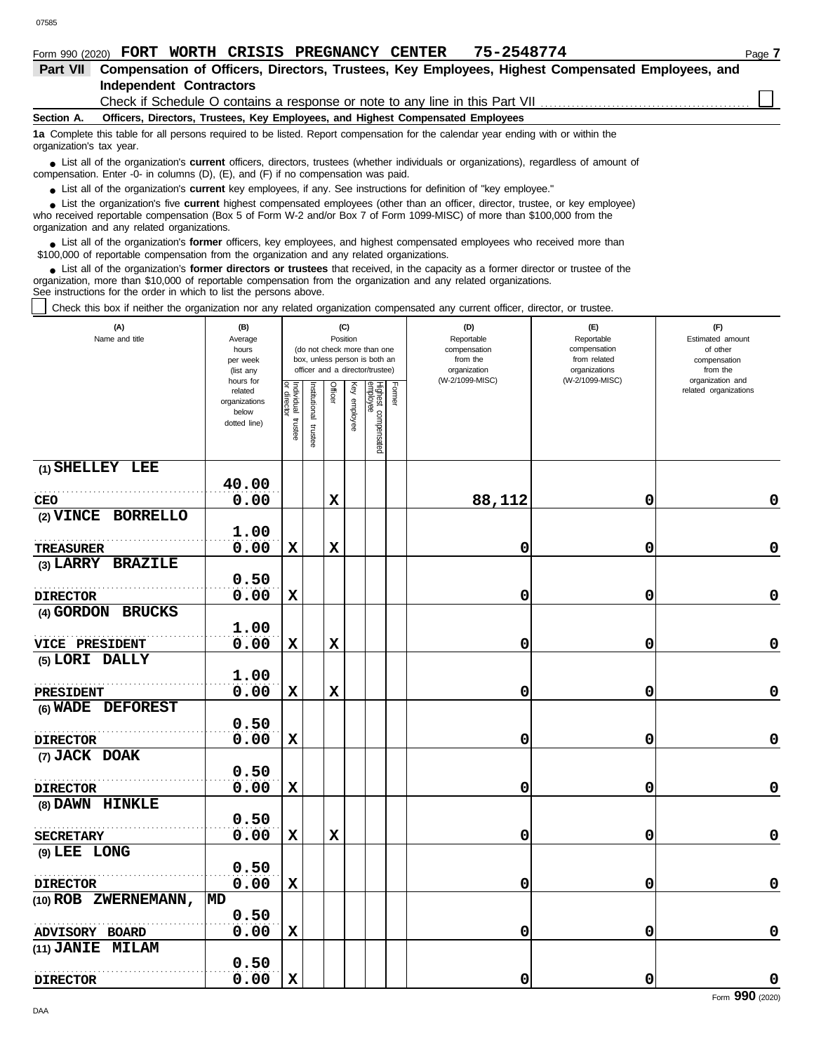|                          |                                                                                                                                                                                                                                                                                                            |                                |  | Form 990 (2020) FORT WORTH CRISIS PREGNANCY CENTER                                                                                |  | 75-2548774 |                                                                                                                                               |                                                                                                  | Page 7 |
|--------------------------|------------------------------------------------------------------------------------------------------------------------------------------------------------------------------------------------------------------------------------------------------------------------------------------------------------|--------------------------------|--|-----------------------------------------------------------------------------------------------------------------------------------|--|------------|-----------------------------------------------------------------------------------------------------------------------------------------------|--------------------------------------------------------------------------------------------------|--------|
| <b>Part VII</b>          |                                                                                                                                                                                                                                                                                                            |                                |  |                                                                                                                                   |  |            |                                                                                                                                               | Compensation of Officers, Directors, Trustees, Key Employees, Highest Compensated Employees, and |        |
|                          |                                                                                                                                                                                                                                                                                                            | <b>Independent Contractors</b> |  |                                                                                                                                   |  |            |                                                                                                                                               |                                                                                                  |        |
|                          |                                                                                                                                                                                                                                                                                                            |                                |  |                                                                                                                                   |  |            | Check if Schedule O contains a response or note to any line in this Part VII                                                                  |                                                                                                  |        |
| Section A.               |                                                                                                                                                                                                                                                                                                            |                                |  | Officers, Directors, Trustees, Key Employees, and Highest Compensated Employees                                                   |  |            |                                                                                                                                               |                                                                                                  |        |
| organization's tax year. |                                                                                                                                                                                                                                                                                                            |                                |  | 1a Complete this table for all persons required to be listed. Report compensation for the calendar year ending with or within the |  |            |                                                                                                                                               |                                                                                                  |        |
|                          |                                                                                                                                                                                                                                                                                                            |                                |  | compensation. Enter -0- in columns $(D)$ , $(E)$ , and $(F)$ if no compensation was paid.                                         |  |            | • List all of the organization's <b>current</b> officers, directors, trustees (whether individuals or organizations), regardless of amount of |                                                                                                  |        |
|                          |                                                                                                                                                                                                                                                                                                            |                                |  | • List all of the organization's <b>current</b> key employees, if any. See instructions for definition of "key employee."         |  |            |                                                                                                                                               |                                                                                                  |        |
|                          | • List the organization's five current highest compensated employees (other than an officer, director, trustee, or key employee)<br>who received reportable compensation (Box 5 of Form W-2 and/or Box 7 of Form 1099-MISC) of more than \$100,000 from the<br>organization and any related organizations. |                                |  |                                                                                                                                   |  |            |                                                                                                                                               |                                                                                                  |        |
|                          |                                                                                                                                                                                                                                                                                                            |                                |  | \$100,000 of reportable compensation from the organization and any related organizations.                                         |  |            | List all of the organization's former officers, key employees, and highest compensated employees who received more than                       |                                                                                                  |        |

List all of the organization's **former directors or trustees** that received, in the capacity as a former director or trustee of the organization, more than \$10,000 of reportable compensation from the organization and any related organizations. See instructions for the order in which to list the persons above. **•**

Check this box if neither the organization nor any related organization compensated any current officer, director, or trustee.

| (A)<br>Name and title          | (B)<br>Average<br>hours<br>per week<br>(list any<br>hours for | (C)<br>Position<br>(do not check more than one<br>box, unless person is both an<br>officer and a director/trustee) |                          |             |                 |                                 |        | (D)<br>Reportable<br>compensation<br>from the<br>organization<br>(W-2/1099-MISC) | (E)<br>Reportable<br>compensation<br>from related<br>organizations<br>(W-2/1099-MISC) | (F)<br>Estimated amount<br>of other<br>compensation<br>from the<br>organization and |
|--------------------------------|---------------------------------------------------------------|--------------------------------------------------------------------------------------------------------------------|--------------------------|-------------|-----------------|---------------------------------|--------|----------------------------------------------------------------------------------|---------------------------------------------------------------------------------------|-------------------------------------------------------------------------------------|
|                                | related<br>organizations<br>below<br>dotted line)             | Individual trustee<br>or director                                                                                  | Institutional<br>trustee | Officer     | Ķey<br>employee | Highest compensated<br>employee | Former |                                                                                  |                                                                                       | related organizations                                                               |
| (1) SHELLEY LEE                |                                                               |                                                                                                                    |                          |             |                 |                                 |        |                                                                                  |                                                                                       |                                                                                     |
| <b>CEO</b>                     | 40.00<br>0.00                                                 |                                                                                                                    |                          | $\mathbf x$ |                 |                                 |        | 88,112                                                                           | 0                                                                                     | 0                                                                                   |
| (2) VINCE BORRELLO             |                                                               |                                                                                                                    |                          |             |                 |                                 |        |                                                                                  |                                                                                       |                                                                                     |
|                                | 1.00                                                          |                                                                                                                    |                          |             |                 |                                 |        |                                                                                  |                                                                                       |                                                                                     |
| <b>TREASURER</b>               | 0.00                                                          | $\mathbf x$                                                                                                        |                          | $\mathbf x$ |                 |                                 |        | 0                                                                                | 0                                                                                     | $\mathbf 0$                                                                         |
| (3) LARRY BRAZILE              |                                                               |                                                                                                                    |                          |             |                 |                                 |        |                                                                                  |                                                                                       |                                                                                     |
|                                | 0.50                                                          |                                                                                                                    |                          |             |                 |                                 |        |                                                                                  |                                                                                       |                                                                                     |
| <b>DIRECTOR</b>                | 0.00                                                          | X                                                                                                                  |                          |             |                 |                                 |        | 0                                                                                | 0                                                                                     | $\pmb{0}$                                                                           |
| (4) GORDON BRUCKS              |                                                               |                                                                                                                    |                          |             |                 |                                 |        |                                                                                  |                                                                                       |                                                                                     |
|                                | 1.00                                                          |                                                                                                                    |                          |             |                 |                                 |        |                                                                                  |                                                                                       |                                                                                     |
| VICE PRESIDENT                 | 0.00                                                          | $\mathbf x$                                                                                                        |                          | $\mathbf x$ |                 |                                 |        | 0                                                                                | 0                                                                                     | 0                                                                                   |
| (5) LORI DALLY                 |                                                               |                                                                                                                    |                          |             |                 |                                 |        |                                                                                  |                                                                                       |                                                                                     |
|                                | 1.00<br>0.00                                                  | $\mathbf x$                                                                                                        |                          | $\mathbf x$ |                 |                                 |        | 0                                                                                | 0                                                                                     | 0                                                                                   |
| PRESIDENT<br>(6) WADE DEFOREST |                                                               |                                                                                                                    |                          |             |                 |                                 |        |                                                                                  |                                                                                       |                                                                                     |
|                                | 0.50                                                          |                                                                                                                    |                          |             |                 |                                 |        |                                                                                  |                                                                                       |                                                                                     |
| <b>DIRECTOR</b>                | 0.00                                                          | $\mathbf x$                                                                                                        |                          |             |                 |                                 |        | 0                                                                                | 0                                                                                     | $\pmb{0}$                                                                           |
| (7) JACK DOAK                  |                                                               |                                                                                                                    |                          |             |                 |                                 |        |                                                                                  |                                                                                       |                                                                                     |
|                                | 0.50                                                          |                                                                                                                    |                          |             |                 |                                 |        |                                                                                  |                                                                                       |                                                                                     |
| <b>DIRECTOR</b>                | 0.00                                                          | $\mathbf x$                                                                                                        |                          |             |                 |                                 |        | 0                                                                                | 0                                                                                     | $\mathbf 0$                                                                         |
| (8) DAWN HINKLE                |                                                               |                                                                                                                    |                          |             |                 |                                 |        |                                                                                  |                                                                                       |                                                                                     |
|                                | 0.50                                                          |                                                                                                                    |                          |             |                 |                                 |        |                                                                                  |                                                                                       |                                                                                     |
| <b>SECRETARY</b>               | 0.00                                                          | $\mathbf x$                                                                                                        |                          | $\mathbf x$ |                 |                                 |        | 0                                                                                | 0                                                                                     | 0                                                                                   |
| (9) LEE LONG                   |                                                               |                                                                                                                    |                          |             |                 |                                 |        |                                                                                  |                                                                                       |                                                                                     |
|                                | 0.50                                                          |                                                                                                                    |                          |             |                 |                                 |        |                                                                                  |                                                                                       |                                                                                     |
| <b>DIRECTOR</b>                | 0.00                                                          | $\mathbf x$                                                                                                        |                          |             |                 |                                 |        | 0                                                                                | 0                                                                                     | $\pmb{0}$                                                                           |
| (10) ROB ZWERNEMANN,           | MD                                                            |                                                                                                                    |                          |             |                 |                                 |        |                                                                                  |                                                                                       |                                                                                     |
|                                | 0.50                                                          |                                                                                                                    |                          |             |                 |                                 |        |                                                                                  |                                                                                       |                                                                                     |
| ADVISORY BOARD                 | 0.00                                                          | $\mathbf x$                                                                                                        |                          |             |                 |                                 |        | 0                                                                                | 0                                                                                     | 0                                                                                   |
| (11) JANIE MILAM               | 0.50                                                          |                                                                                                                    |                          |             |                 |                                 |        |                                                                                  |                                                                                       |                                                                                     |
| <b>DIRECTOR</b>                | 0.00                                                          | $\mathbf x$                                                                                                        |                          |             |                 |                                 |        | 0                                                                                | 0                                                                                     | $\mathbf 0$                                                                         |
|                                |                                                               |                                                                                                                    |                          |             |                 |                                 |        |                                                                                  |                                                                                       |                                                                                     |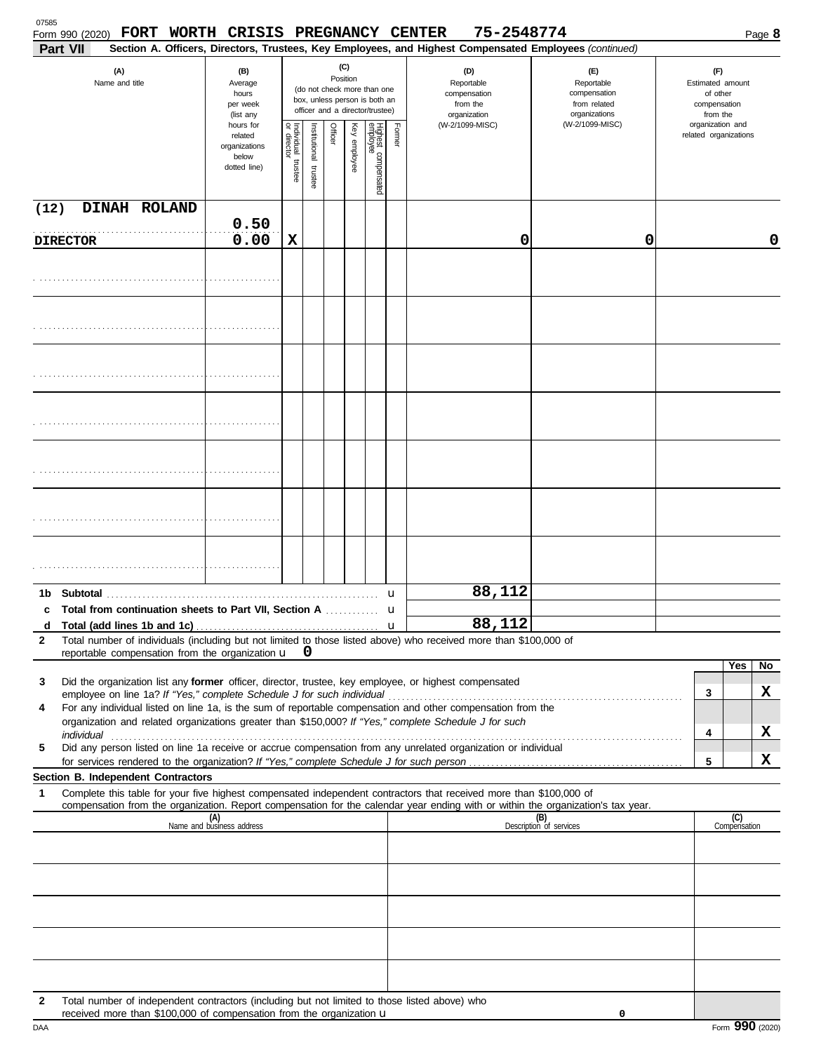| 07585<br>FORT WORTH CRISIS PREGNANCY CENTER<br>Form 990 (2020)<br>Part VII                                                                                                                                                                                                                                                                   |                                                                |                                      |                         |          |              |                                                                                                 |        | 75-2548774<br>Section A. Officers, Directors, Trustees, Key Employees, and Highest Compensated Employees (continued) |                                                                    |                                                                 |                     | Page 8 |
|----------------------------------------------------------------------------------------------------------------------------------------------------------------------------------------------------------------------------------------------------------------------------------------------------------------------------------------------|----------------------------------------------------------------|--------------------------------------|-------------------------|----------|--------------|-------------------------------------------------------------------------------------------------|--------|----------------------------------------------------------------------------------------------------------------------|--------------------------------------------------------------------|-----------------------------------------------------------------|---------------------|--------|
| (A)<br>Name and title                                                                                                                                                                                                                                                                                                                        | (B)<br>Average<br>hours<br>per week<br>(list any               |                                      |                         | Position | (C)          | (do not check more than one<br>box, unless person is both an<br>officer and a director/trustee) |        | (D)<br>Reportable<br>compensation<br>from the<br>organization                                                        | (E)<br>Reportable<br>compensation<br>from related<br>organizations | (F)<br>Estimated amount<br>of other<br>compensation<br>from the |                     |        |
|                                                                                                                                                                                                                                                                                                                                              | hours for<br>related<br>organizations<br>below<br>dotted line) | Individual<br>or director<br>trustee | nstitutional<br>trustee | Officer  | Key employee | Highest compensated<br>employee                                                                 | Former | (W-2/1099-MISC)                                                                                                      | (W-2/1099-MISC)                                                    | organization and<br>related organizations                       |                     |        |
| DINAH ROLAND<br>(12)                                                                                                                                                                                                                                                                                                                         |                                                                |                                      |                         |          |              |                                                                                                 |        |                                                                                                                      |                                                                    |                                                                 |                     |        |
| <b>DIRECTOR</b>                                                                                                                                                                                                                                                                                                                              | 0.50<br>0.00                                                   | X                                    |                         |          |              |                                                                                                 |        | 0                                                                                                                    | 0                                                                  |                                                                 |                     | 0      |
|                                                                                                                                                                                                                                                                                                                                              |                                                                |                                      |                         |          |              |                                                                                                 |        |                                                                                                                      |                                                                    |                                                                 |                     |        |
|                                                                                                                                                                                                                                                                                                                                              |                                                                |                                      |                         |          |              |                                                                                                 |        |                                                                                                                      |                                                                    |                                                                 |                     |        |
|                                                                                                                                                                                                                                                                                                                                              |                                                                |                                      |                         |          |              |                                                                                                 |        |                                                                                                                      |                                                                    |                                                                 |                     |        |
|                                                                                                                                                                                                                                                                                                                                              |                                                                |                                      |                         |          |              |                                                                                                 |        |                                                                                                                      |                                                                    |                                                                 |                     |        |
|                                                                                                                                                                                                                                                                                                                                              |                                                                |                                      |                         |          |              |                                                                                                 |        |                                                                                                                      |                                                                    |                                                                 |                     |        |
|                                                                                                                                                                                                                                                                                                                                              |                                                                |                                      |                         |          |              |                                                                                                 |        |                                                                                                                      |                                                                    |                                                                 |                     |        |
|                                                                                                                                                                                                                                                                                                                                              |                                                                |                                      |                         |          |              |                                                                                                 |        |                                                                                                                      |                                                                    |                                                                 |                     |        |
|                                                                                                                                                                                                                                                                                                                                              |                                                                |                                      |                         |          |              |                                                                                                 | u      | 88,112                                                                                                               |                                                                    |                                                                 |                     |        |
| c Total from continuation sheets to Part VII, Section A                                                                                                                                                                                                                                                                                      |                                                                |                                      |                         |          |              |                                                                                                 | u      |                                                                                                                      |                                                                    |                                                                 |                     |        |
| d<br>Total number of individuals (including but not limited to those listed above) who received more than \$100,000 of<br>2                                                                                                                                                                                                                  |                                                                |                                      |                         |          |              |                                                                                                 |        | 88,112                                                                                                               |                                                                    |                                                                 |                     |        |
| reportable compensation from the organization $\mathbf{u}$ 0                                                                                                                                                                                                                                                                                 |                                                                |                                      |                         |          |              |                                                                                                 |        |                                                                                                                      |                                                                    |                                                                 | Yes                 | No     |
| Did the organization list any former officer, director, trustee, key employee, or highest compensated<br>3                                                                                                                                                                                                                                   |                                                                |                                      |                         |          |              |                                                                                                 |        |                                                                                                                      |                                                                    |                                                                 |                     |        |
| For any individual listed on line 1a, is the sum of reportable compensation and other compensation from the<br>4                                                                                                                                                                                                                             |                                                                |                                      |                         |          |              |                                                                                                 |        |                                                                                                                      |                                                                    | 3                                                               |                     | X      |
| organization and related organizations greater than \$150,000? If "Yes," complete Schedule J for such<br>individual <b>construction and the construction of the construction</b> of the construction of the construction of the construction of the construction of the construction of the construction of the construction of the construc |                                                                |                                      |                         |          |              |                                                                                                 |        |                                                                                                                      |                                                                    | 4                                                               |                     | X      |
| Did any person listed on line 1a receive or accrue compensation from any unrelated organization or individual<br>5                                                                                                                                                                                                                           |                                                                |                                      |                         |          |              |                                                                                                 |        |                                                                                                                      |                                                                    | 5                                                               |                     | X      |
| Section B. Independent Contractors                                                                                                                                                                                                                                                                                                           |                                                                |                                      |                         |          |              |                                                                                                 |        |                                                                                                                      |                                                                    |                                                                 |                     |        |
| Complete this table for your five highest compensated independent contractors that received more than \$100,000 of<br>1<br>compensation from the organization. Report compensation for the calendar year ending with or within the organization's tax year.                                                                                  |                                                                |                                      |                         |          |              |                                                                                                 |        |                                                                                                                      |                                                                    |                                                                 |                     |        |
|                                                                                                                                                                                                                                                                                                                                              | (A)<br>Name and business address                               |                                      |                         |          |              |                                                                                                 |        |                                                                                                                      | (B)<br>Description of services                                     |                                                                 | (C)<br>Compensation |        |
|                                                                                                                                                                                                                                                                                                                                              |                                                                |                                      |                         |          |              |                                                                                                 |        |                                                                                                                      |                                                                    |                                                                 |                     |        |
|                                                                                                                                                                                                                                                                                                                                              |                                                                |                                      |                         |          |              |                                                                                                 |        |                                                                                                                      |                                                                    |                                                                 |                     |        |
|                                                                                                                                                                                                                                                                                                                                              |                                                                |                                      |                         |          |              |                                                                                                 |        |                                                                                                                      |                                                                    |                                                                 |                     |        |
|                                                                                                                                                                                                                                                                                                                                              |                                                                |                                      |                         |          |              |                                                                                                 |        |                                                                                                                      |                                                                    |                                                                 |                     |        |
|                                                                                                                                                                                                                                                                                                                                              |                                                                |                                      |                         |          |              |                                                                                                 |        |                                                                                                                      |                                                                    |                                                                 |                     |        |
|                                                                                                                                                                                                                                                                                                                                              |                                                                |                                      |                         |          |              |                                                                                                 |        |                                                                                                                      |                                                                    |                                                                 |                     |        |
| Total number of independent contractors (including but not limited to those listed above) who<br>$\mathbf{2}$<br>received more than \$100,000 of compensation from the organization u                                                                                                                                                        |                                                                |                                      |                         |          |              |                                                                                                 |        |                                                                                                                      | 0                                                                  |                                                                 |                     |        |

| DAA | Form 990 (2020) |
|-----|-----------------|
|-----|-----------------|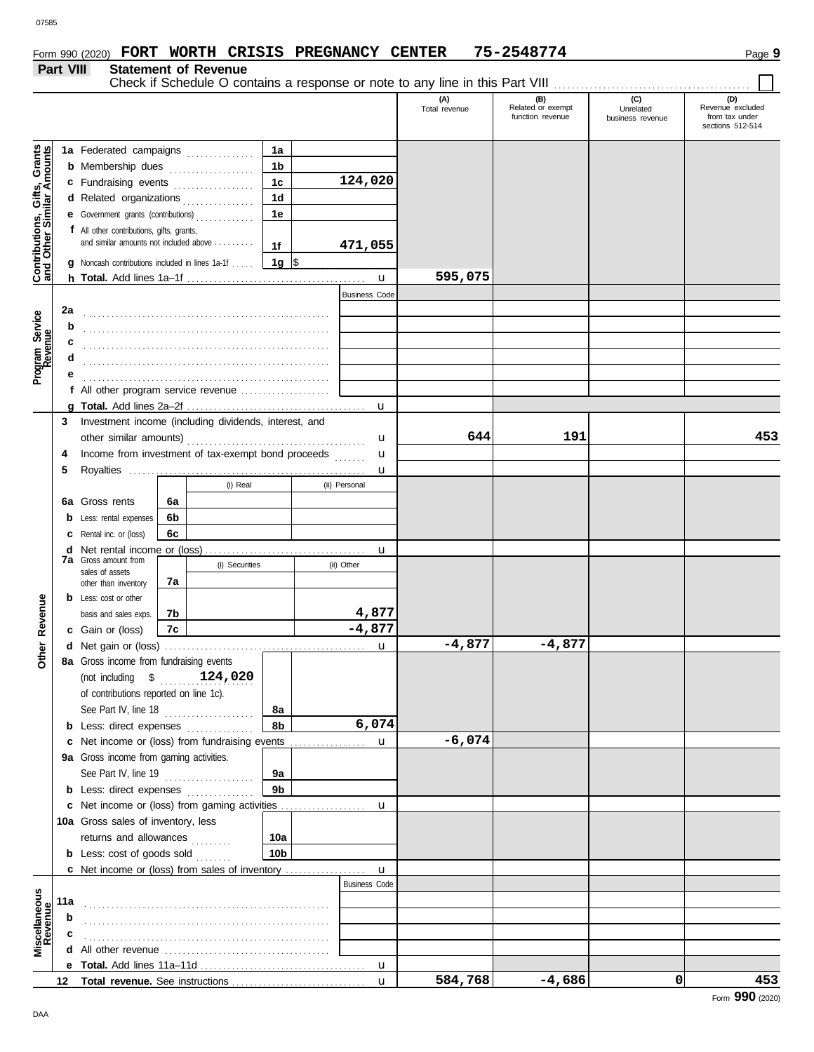**Part VIII Statement of Revenue**

#### Check if Schedule O contains a response or note to any line in this Part VIII. **(A) (B) (C) (C) Total revenue Related or exempt Unrelated** Total revenue (C) (C)<br>Total revenue Related Revenue excluded<br>The threst revenue to the transition of the studen business revenue sections 512-514 ts<br>ts **Contributions, Gifts, Grants 1a and Other Similar Amounts 1a** Federated campaigns ............... Gifts, Grant<br>
nilar Amount **1b b** Membership dues . . . . . . . . . . . . . . . . . **1c 124,020 c** Fundraising events . . . . . . . . . . . . . . . . **1d d** Related organizations . . . . . . . . . . . . . **1e e** Government grants (contributions) . . . . . . . . . . . . . Contributions,<br>and Other Sin **f** All other contributions, gifts, grants, and similar amounts not included above . . . . . . . . . **471,055 1f 1g g** Noncash contributions included in lines 1a-1f . . . . .  $\frac{1}{2}$ **595,075** u **h Total.** Add lines 1a–1f . . . . . . . . . . . . . . . . . . . . . . . . . . . . . . . . . . . . . . . . Business Code **2a** Program Service<br>Revenue **Program Service b** . . . . . . . . . . . . . . . . . . . . . . . . . . . . . . . . . . . . . . . . . . . . . . . . . . . . . . . **c d** . . . . . . . . . . . . . . . . . . . . . . . . . . . . . . . . . . . . . . . . . . . . . . . . . . . . . . . **e** . . . . . . . . . . . . . . . . . . . . . . . . . . . . . . . . . . . . . . . . . . . . . . . . . . . . . . . **f** All other program service revenue . . . . . . . . . . . . . . . . . . . . **g Total.** Add lines 2a–2f . . . . . . . . . . . . . . . . . . . . . . . . . . . . . . . . . . . . . . . . u **3** Investment income (including dividends, interest, and u **644 191 453** other similar amounts) . . . . . . . . . . . . . . . . . . . . . . . . . . . . . . . . . . . . . . . . Income from investment of tax-exempt bond proceeds **4** u **5** Royalties ..... u (i) Real (ii) Personal **6a 6a** Gross rents **6b b** Less: rental expenses **6c c** Rental inc. or (loss) **d** Net rental income or (loss) . . . . . . . . . . . . . . . . . . . . . . . . . . . . . . . . . . . . u **7a** Gross amount from (i) Securities (ii) Other sales of assets other than inventory **7a Other Revenue b** Less: cost or other **Other Revenue 4,877** basis and sales exps. **7b -4,877 7c c** Gain or (loss) **-4,877 -4,877 d** u Net gain or (loss) . . . . . . . . . . . . . . . . . . . . . . . . . . . . . . . . . . . . . . . . . . . . . **8a** Gross income from fundraising events (not including \$ . . . . . . . . . . . . . . . . . . . . . **124,020** of contributions reported on line 1c). See Part IV, line 18 . . . . . . . . . . . . . . . . . . . . **8a 6,074 8b b** Less: direct expenses ................ **-6,074** u **c** Net income or (loss) from fundraising events ................. Gross income from gaming activities. **9a** See Part IV, line 19 . . . . . . . . . . . . . . . . . . . . **9a 9b b** Less: direct expenses ................ Net income or (loss) from gaming activities . . . . . . . . . . . . . . . . . . . **c** u 10a Gross sales of inventory, less returns and allowances ......... **10a 10b b** Less: cost of goods sold ....... Net income or (loss) from sales of inventory . . . . . . . . . . . . . . . . . . **c** u Business Code **Revenue Miscellaneous 11a** . . . . . . . . . . . . . . . . . . . . . . . . . . . . . . . . . . . . . . . . . . . . . . . . . . . . . . . **b c** . . . . . . . . . . . . . . . . . . . . . . . . . . . . . . . . . . . . . . . . . . . . . . . . . . . . . . . All other revenue . . . . . . . . . . . . . . . . . . . . . . . . . . . . . . . . . . . . . **d** Ξ Total. Add lines 11a-11d u **e 584,768 -4,686 0 453 Total revenue.** See instructions **12** u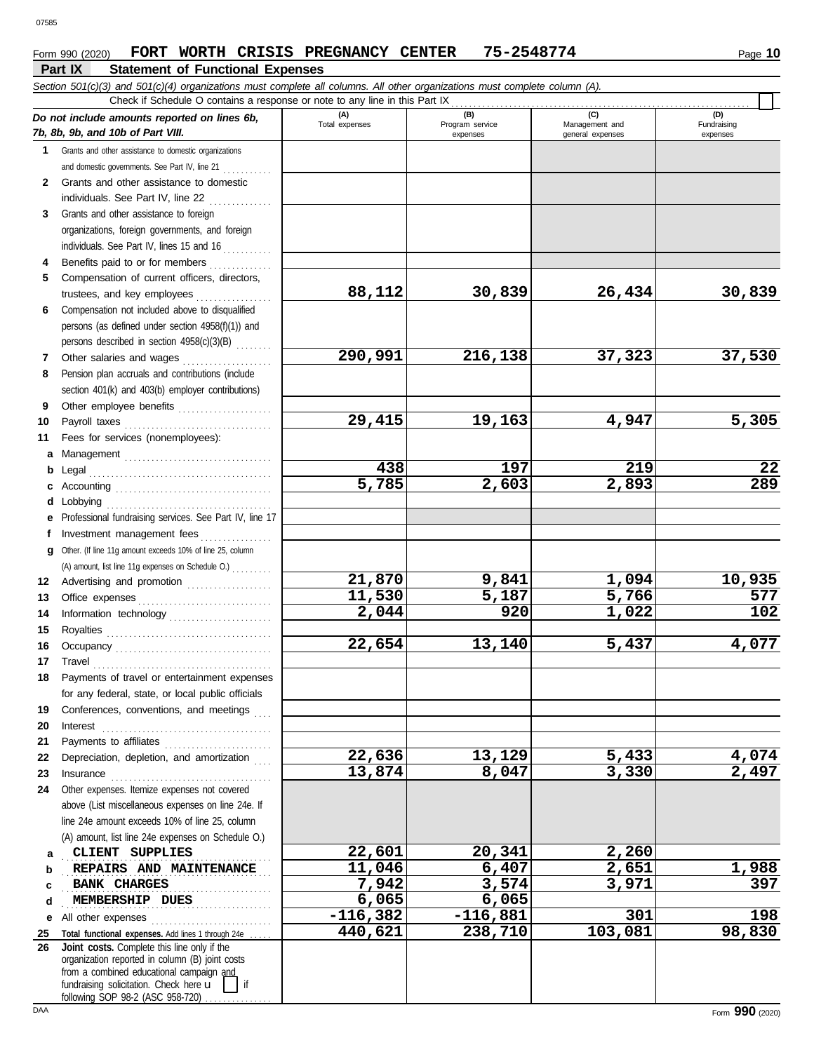#### **Part IX Statement of Functional Expenses** Form 990 (2020) FORT WORTH CRISIS PREGNANCY CENTER 75-2548774 Page 10

|              | Section 501(c)(3) and 501(c)(4) organizations must complete all columns. All other organizations must complete column (A).<br>Check if Schedule O contains a response or note to any line in this Part IX                                                                                                                                                                                                                                                                                                                   |                  |                             |                                    |                         |
|--------------|-----------------------------------------------------------------------------------------------------------------------------------------------------------------------------------------------------------------------------------------------------------------------------------------------------------------------------------------------------------------------------------------------------------------------------------------------------------------------------------------------------------------------------|------------------|-----------------------------|------------------------------------|-------------------------|
|              | Do not include amounts reported on lines 6b,                                                                                                                                                                                                                                                                                                                                                                                                                                                                                | (A)              | (B)                         | (C)                                | (D)                     |
|              | 7b, 8b, 9b, and 10b of Part VIII.                                                                                                                                                                                                                                                                                                                                                                                                                                                                                           | Total expenses   | Program service<br>expenses | Management and<br>general expenses | Fundraising<br>expenses |
|              | 1 Grants and other assistance to domestic organizations                                                                                                                                                                                                                                                                                                                                                                                                                                                                     |                  |                             |                                    |                         |
|              | and domestic governments. See Part IV, line 21                                                                                                                                                                                                                                                                                                                                                                                                                                                                              |                  |                             |                                    |                         |
| $\mathbf{2}$ | Grants and other assistance to domestic                                                                                                                                                                                                                                                                                                                                                                                                                                                                                     |                  |                             |                                    |                         |
|              | individuals. See Part IV, line 22                                                                                                                                                                                                                                                                                                                                                                                                                                                                                           |                  |                             |                                    |                         |
| 3            | Grants and other assistance to foreign                                                                                                                                                                                                                                                                                                                                                                                                                                                                                      |                  |                             |                                    |                         |
|              | organizations, foreign governments, and foreign                                                                                                                                                                                                                                                                                                                                                                                                                                                                             |                  |                             |                                    |                         |
|              | individuals. See Part IV, lines 15 and 16                                                                                                                                                                                                                                                                                                                                                                                                                                                                                   |                  |                             |                                    |                         |
| 4            | Benefits paid to or for members                                                                                                                                                                                                                                                                                                                                                                                                                                                                                             |                  |                             |                                    |                         |
| 5            | Compensation of current officers, directors,                                                                                                                                                                                                                                                                                                                                                                                                                                                                                |                  |                             |                                    |                         |
|              | trustees, and key employees                                                                                                                                                                                                                                                                                                                                                                                                                                                                                                 | 88,112           | 30,839                      | 26,434                             | 30,839                  |
| 6            | Compensation not included above to disqualified                                                                                                                                                                                                                                                                                                                                                                                                                                                                             |                  |                             |                                    |                         |
|              | persons (as defined under section 4958(f)(1)) and                                                                                                                                                                                                                                                                                                                                                                                                                                                                           |                  |                             |                                    |                         |
|              | persons described in section 4958(c)(3)(B)                                                                                                                                                                                                                                                                                                                                                                                                                                                                                  |                  |                             |                                    |                         |
| 7            | Other salaries and wages                                                                                                                                                                                                                                                                                                                                                                                                                                                                                                    | 290,991          | 216,138                     | 37,323                             | 37,530                  |
| 8            | Pension plan accruals and contributions (include                                                                                                                                                                                                                                                                                                                                                                                                                                                                            |                  |                             |                                    |                         |
|              | section 401(k) and 403(b) employer contributions)                                                                                                                                                                                                                                                                                                                                                                                                                                                                           |                  |                             |                                    |                         |
| 9            | Other employee benefits                                                                                                                                                                                                                                                                                                                                                                                                                                                                                                     |                  |                             |                                    |                         |
| 10           | Payroll taxes                                                                                                                                                                                                                                                                                                                                                                                                                                                                                                               | 29,415           | 19,163                      | 4,947                              | 5,305                   |
| 11           | Fees for services (nonemployees):                                                                                                                                                                                                                                                                                                                                                                                                                                                                                           |                  |                             |                                    |                         |
| a            |                                                                                                                                                                                                                                                                                                                                                                                                                                                                                                                             |                  |                             |                                    |                         |
| b            | Legal                                                                                                                                                                                                                                                                                                                                                                                                                                                                                                                       | 438              | 197                         | 219                                | 22                      |
| c            |                                                                                                                                                                                                                                                                                                                                                                                                                                                                                                                             | 5,785            | 2,603                       | 2,893                              | 289                     |
| d            | Lobbying                                                                                                                                                                                                                                                                                                                                                                                                                                                                                                                    |                  |                             |                                    |                         |
| е            | Professional fundraising services. See Part IV, line 17                                                                                                                                                                                                                                                                                                                                                                                                                                                                     |                  |                             |                                    |                         |
| f            | Investment management fees<br>.                                                                                                                                                                                                                                                                                                                                                                                                                                                                                             |                  |                             |                                    |                         |
| q            | Other. (If line 11g amount exceeds 10% of line 25, column                                                                                                                                                                                                                                                                                                                                                                                                                                                                   |                  |                             |                                    |                         |
|              | (A) amount, list line 11g expenses on Schedule O.)                                                                                                                                                                                                                                                                                                                                                                                                                                                                          |                  |                             |                                    |                         |
| 12           | Advertising and promotion                                                                                                                                                                                                                                                                                                                                                                                                                                                                                                   | 21,870<br>11,530 | 9,841                       | 1,094                              | 10,935                  |
| 13           |                                                                                                                                                                                                                                                                                                                                                                                                                                                                                                                             |                  | 5,187<br>920                | 5,766                              | 577<br>102              |
| 14           |                                                                                                                                                                                                                                                                                                                                                                                                                                                                                                                             | 2,044            |                             | 1,022                              |                         |
| 15           |                                                                                                                                                                                                                                                                                                                                                                                                                                                                                                                             | 22,654           | 13,140                      |                                    | 4,077                   |
| 16           |                                                                                                                                                                                                                                                                                                                                                                                                                                                                                                                             |                  |                             | 5,437                              |                         |
| 17           | $\begin{minipage}[c]{0.9\linewidth} \begin{tabular}{l} \textbf{Travel} \end{tabular} \end{minipage} \end{minipage} \begin{minipage}[c]{0.9\linewidth} \begin{tabular}{l} \textbf{True} \end{tabular} \end{minipage} \end{minipage} \begin{minipage}[c]{0.9\linewidth} \begin{tabular}{l} \textbf{True} \end{tabular} \end{minipage} \end{minipage} \begin{minipage}[c]{0.9\linewidth} \begin{tabular}{l} \textbf{True} \end{tabular} \end{minipage} \end{minipage} \begin{minipage}[c]{0.9\linewidth} \begin{tabular}{l} \$ |                  |                             |                                    |                         |
|              | Payments of travel or entertainment expenses                                                                                                                                                                                                                                                                                                                                                                                                                                                                                |                  |                             |                                    |                         |
|              | for any federal, state, or local public officials<br>Conferences, conventions, and meetings                                                                                                                                                                                                                                                                                                                                                                                                                                 |                  |                             |                                    |                         |
| 19           |                                                                                                                                                                                                                                                                                                                                                                                                                                                                                                                             |                  |                             |                                    |                         |
| 20<br>21     | Interest                                                                                                                                                                                                                                                                                                                                                                                                                                                                                                                    |                  |                             |                                    |                         |
| 22           | Payments to affiliates<br>Depreciation, depletion, and amortization                                                                                                                                                                                                                                                                                                                                                                                                                                                         | 22,636           | 13,129                      | 5,433                              | 4,074                   |
| 23           |                                                                                                                                                                                                                                                                                                                                                                                                                                                                                                                             | 13,874           | 8,047                       | 3,330                              | 2,497                   |
| 24           | Other expenses. Itemize expenses not covered                                                                                                                                                                                                                                                                                                                                                                                                                                                                                |                  |                             |                                    |                         |
|              | above (List miscellaneous expenses on line 24e. If                                                                                                                                                                                                                                                                                                                                                                                                                                                                          |                  |                             |                                    |                         |
|              | line 24e amount exceeds 10% of line 25, column                                                                                                                                                                                                                                                                                                                                                                                                                                                                              |                  |                             |                                    |                         |
|              | (A) amount, list line 24e expenses on Schedule O.)                                                                                                                                                                                                                                                                                                                                                                                                                                                                          |                  |                             |                                    |                         |
| а            | CLIENT SUPPLIES                                                                                                                                                                                                                                                                                                                                                                                                                                                                                                             | 22,601           | 20,341                      | 2,260                              |                         |
| b            | REPAIRS AND MAINTENANCE                                                                                                                                                                                                                                                                                                                                                                                                                                                                                                     | 11,046           | 6,407                       | 2,651                              | 1,988                   |
| c            | <b>BANK CHARGES</b>                                                                                                                                                                                                                                                                                                                                                                                                                                                                                                         | 7,942            | 3,574                       | 3,971                              | 397                     |
| d            | MEMBERSHIP DUES                                                                                                                                                                                                                                                                                                                                                                                                                                                                                                             | 6,065            | 6,065                       |                                    |                         |
| е            | All other expenses                                                                                                                                                                                                                                                                                                                                                                                                                                                                                                          | $-116,382$       | $-116,881$                  | 301                                | 198                     |
| <u>25</u>    | Total functional expenses. Add lines 1 through 24e                                                                                                                                                                                                                                                                                                                                                                                                                                                                          | 440,621          | $\overline{238,}710$        | 103,081                            | 98,830                  |
| 26           | Joint costs. Complete this line only if the                                                                                                                                                                                                                                                                                                                                                                                                                                                                                 |                  |                             |                                    |                         |
|              | organization reported in column (B) joint costs                                                                                                                                                                                                                                                                                                                                                                                                                                                                             |                  |                             |                                    |                         |
|              | from a combined educational campaign and<br>fundraising solicitation. Check here u<br>if                                                                                                                                                                                                                                                                                                                                                                                                                                    |                  |                             |                                    |                         |
|              | following SOP 98-2 (ASC 958-720)                                                                                                                                                                                                                                                                                                                                                                                                                                                                                            |                  |                             |                                    |                         |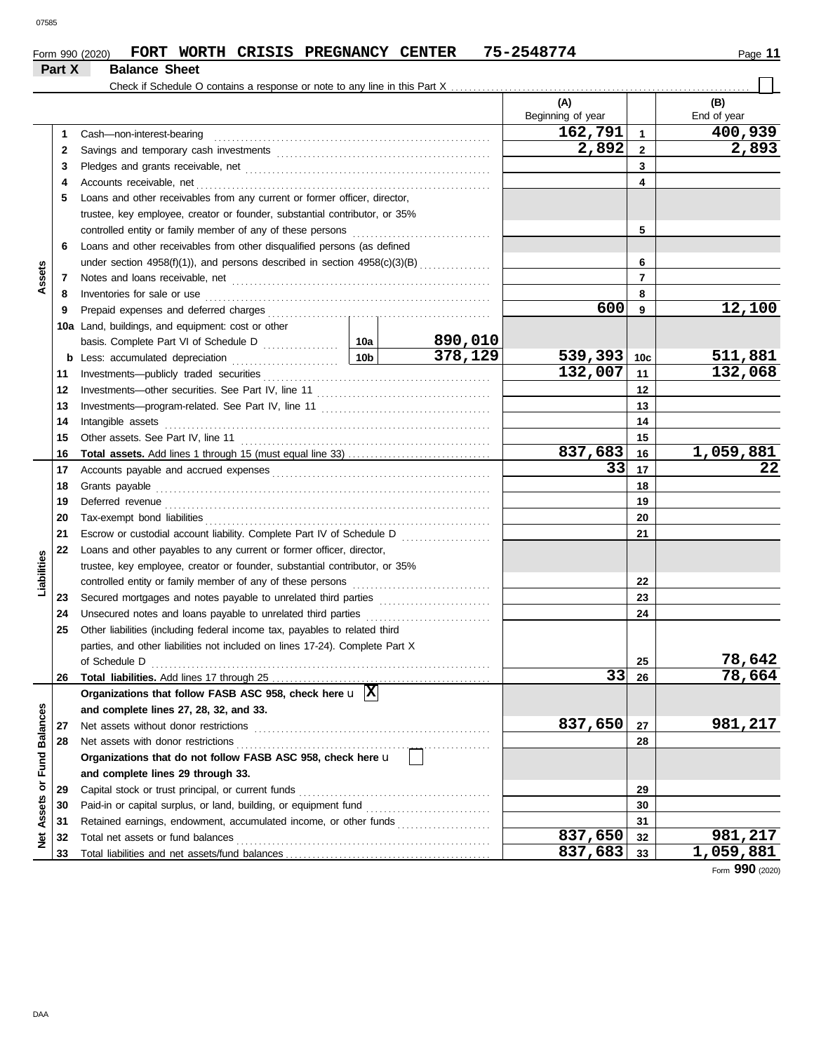### Form 990 (2020) FORT WORTH CRISIS PREGNANCY CENTER 75-2548774 Page 11 **Part X Balance Sheet**

|                  |    | Check if Schedule O contains a response or note to any line in this Part X                                                                                                                                                          |  |         |                   |                 |             |
|------------------|----|-------------------------------------------------------------------------------------------------------------------------------------------------------------------------------------------------------------------------------------|--|---------|-------------------|-----------------|-------------|
|                  |    |                                                                                                                                                                                                                                     |  |         | (A)               |                 | (B)         |
|                  |    |                                                                                                                                                                                                                                     |  |         | Beginning of year |                 | End of year |
|                  | 1  | Cash-non-interest-bearing                                                                                                                                                                                                           |  |         | 162,791           | $\mathbf{1}$    | 400,939     |
|                  | 2  |                                                                                                                                                                                                                                     |  |         | 2,892             | $\mathbf{2}$    | 2,893       |
|                  | 3  |                                                                                                                                                                                                                                     |  |         |                   | 3               |             |
|                  | 4  |                                                                                                                                                                                                                                     |  |         |                   | 4               |             |
|                  | 5  | Loans and other receivables from any current or former officer, director,                                                                                                                                                           |  |         |                   |                 |             |
|                  |    | trustee, key employee, creator or founder, substantial contributor, or 35%                                                                                                                                                          |  |         |                   |                 |             |
|                  |    |                                                                                                                                                                                                                                     |  |         |                   | 5               |             |
|                  | 6  | Loans and other receivables from other disqualified persons (as defined                                                                                                                                                             |  |         |                   |                 |             |
|                  |    | under section $4958(f)(1)$ ), and persons described in section $4958(c)(3)(B)$                                                                                                                                                      |  |         |                   | 6               |             |
| Assets           | 7  |                                                                                                                                                                                                                                     |  |         |                   | $\overline{7}$  |             |
|                  | 8  | Inventories for sale or use <i>communication</i> and the contract of the contract of the contract of the contract of the contract of the contract of the contract of the contract of the contract of the contract of the contract o |  |         |                   | 8               |             |
|                  | 9  |                                                                                                                                                                                                                                     |  |         | 600               | 9               | 12,100      |
|                  |    | 10a Land, buildings, and equipment: cost or other                                                                                                                                                                                   |  |         |                   |                 |             |
|                  |    |                                                                                                                                                                                                                                     |  | 890,010 |                   |                 |             |
|                  |    |                                                                                                                                                                                                                                     |  | 378,129 | 539,393           | 10 <sub>c</sub> | 511,881     |
|                  | 11 |                                                                                                                                                                                                                                     |  |         | 132,007           | 11              | 132,068     |
|                  | 12 |                                                                                                                                                                                                                                     |  |         |                   | 12              |             |
|                  | 13 |                                                                                                                                                                                                                                     |  |         | 13                |                 |             |
|                  | 14 | Intangible assets with the control of the set of the control of the control of the set of the control of the control of the control of the control of the control of the control of the control of the control of the control       |  |         |                   | 14              |             |
|                  | 15 |                                                                                                                                                                                                                                     |  |         |                   | 15              |             |
|                  | 16 |                                                                                                                                                                                                                                     |  |         | 837,683           | 16              | 1,059,881   |
|                  | 17 |                                                                                                                                                                                                                                     |  |         | 33                | 17              | 22          |
|                  | 18 |                                                                                                                                                                                                                                     |  |         |                   | 18              |             |
|                  | 19 |                                                                                                                                                                                                                                     |  |         | 19                |                 |             |
|                  | 20 |                                                                                                                                                                                                                                     |  |         |                   | 20              |             |
|                  | 21 |                                                                                                                                                                                                                                     |  |         |                   | 21              |             |
|                  | 22 | Loans and other payables to any current or former officer, director,                                                                                                                                                                |  |         |                   |                 |             |
| Liabilities      |    | trustee, key employee, creator or founder, substantial contributor, or 35%                                                                                                                                                          |  |         |                   |                 |             |
|                  |    |                                                                                                                                                                                                                                     |  |         |                   | 22              |             |
|                  | 23 |                                                                                                                                                                                                                                     |  |         |                   | 23              |             |
|                  | 24 | Unsecured notes and loans payable to unrelated third parties [[[[[[[[[[[[[[[[[[[[[[[]]]]]]]]]                                                                                                                                       |  |         |                   | 24              |             |
|                  | 25 | Other liabilities (including federal income tax, payables to related third                                                                                                                                                          |  |         |                   |                 |             |
|                  |    | parties, and other liabilities not included on lines 17-24). Complete Part X                                                                                                                                                        |  |         |                   |                 |             |
|                  |    |                                                                                                                                                                                                                                     |  |         |                   | 25              | 78,642      |
|                  | 26 | Total liabilities. Add lines 17 through 25                                                                                                                                                                                          |  |         |                   | $33$ 26         | 78,664      |
|                  |    | Organizations that follow FASB ASC 958, check here $\mathbf{u}$  X                                                                                                                                                                  |  |         |                   |                 |             |
|                  |    | and complete lines 27, 28, 32, and 33.                                                                                                                                                                                              |  |         |                   |                 |             |
|                  | 27 | Net assets without donor restrictions                                                                                                                                                                                               |  |         | 837,650           | 27              | 981,217     |
|                  | 28 | Net assets with donor restrictions                                                                                                                                                                                                  |  |         |                   | 28              |             |
|                  |    | Organizations that do not follow FASB ASC 958, check here u                                                                                                                                                                         |  |         |                   |                 |             |
| or Fund Balances |    | and complete lines 29 through 33.                                                                                                                                                                                                   |  |         |                   |                 |             |
|                  | 29 |                                                                                                                                                                                                                                     |  |         | 29                |                 |             |
| Assets           | 30 |                                                                                                                                                                                                                                     |  |         |                   | 30              |             |
|                  | 31 | Retained earnings, endowment, accumulated income, or other funds                                                                                                                                                                    |  |         |                   | 31              |             |
| ğ                | 32 | Total net assets or fund balances                                                                                                                                                                                                   |  |         | 837,650           | 32              | 981,217     |
|                  | 33 |                                                                                                                                                                                                                                     |  |         | 837,683           | 33              | 1,059,881   |

Form **990** (2020)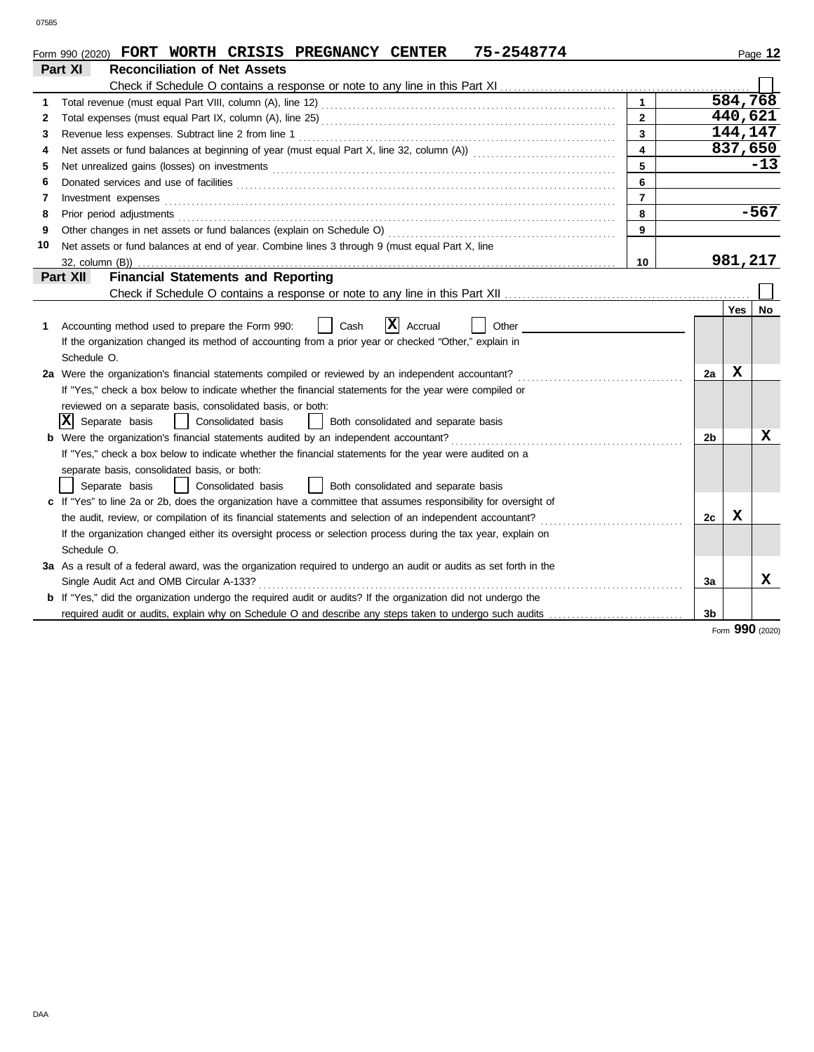|    | 75-2548774<br>Form 990 (2020) FORT WORTH CRISIS PREGNANCY CENTER                                                                                                                                                               |                |                |         | Page 12 |
|----|--------------------------------------------------------------------------------------------------------------------------------------------------------------------------------------------------------------------------------|----------------|----------------|---------|---------|
|    | Part XI<br><b>Reconciliation of Net Assets</b>                                                                                                                                                                                 |                |                |         |         |
|    |                                                                                                                                                                                                                                |                |                |         |         |
| 1  |                                                                                                                                                                                                                                | $\mathbf{1}$   |                | 584,768 |         |
| 2  |                                                                                                                                                                                                                                | $\overline{2}$ |                | 440,621 |         |
| 3  |                                                                                                                                                                                                                                | 3              |                | 144,147 |         |
| 4  |                                                                                                                                                                                                                                | 4              |                | 837,650 |         |
| 5  | Net unrealized gains (losses) on investments [11] match and the contract of the state of the state of the state of the state of the state of the state of the state of the state of the state of the state of the state of the | 5              |                |         | $-13$   |
| 6  | Donated services and use of facilities <b>constants and interview of the service of the services</b> and use of facilities                                                                                                     | 6              |                |         |         |
| 7  | Investment expenses <b>contract and the expenses</b>                                                                                                                                                                           | $\overline{7}$ |                |         |         |
| 8  | Prior period adjustments                                                                                                                                                                                                       | 8              |                |         | $-567$  |
| 9  |                                                                                                                                                                                                                                | 9              |                |         |         |
| 10 | Net assets or fund balances at end of year. Combine lines 3 through 9 (must equal Part X, line                                                                                                                                 |                |                |         |         |
|    | 32, column (B))                                                                                                                                                                                                                | 10             |                | 981,217 |         |
|    | <b>Financial Statements and Reporting</b><br>Part XII                                                                                                                                                                          |                |                |         |         |
|    |                                                                                                                                                                                                                                |                |                |         |         |
|    |                                                                                                                                                                                                                                |                |                | Yes     | No.     |
| 1. | $ {\bf x} $<br>Cash<br>Accounting method used to prepare the Form 990:<br>Accrual<br>Other                                                                                                                                     |                |                |         |         |
|    | If the organization changed its method of accounting from a prior year or checked "Other," explain in                                                                                                                          |                |                |         |         |
|    | Schedule O.                                                                                                                                                                                                                    |                |                |         |         |
|    | 2a Were the organization's financial statements compiled or reviewed by an independent accountant?                                                                                                                             |                | 2a             | х       |         |
|    | If "Yes," check a box below to indicate whether the financial statements for the year were compiled or                                                                                                                         |                |                |         |         |
|    | reviewed on a separate basis, consolidated basis, or both:                                                                                                                                                                     |                |                |         |         |
|    | x <br>Separate basis<br>Consolidated basis<br>Both consolidated and separate basis                                                                                                                                             |                |                |         |         |
|    | <b>b</b> Were the organization's financial statements audited by an independent accountant?<br>1                                                                                                                               |                | 2 <sub>b</sub> |         | х       |
|    | If "Yes," check a box below to indicate whether the financial statements for the year were audited on a                                                                                                                        |                |                |         |         |
|    | separate basis, consolidated basis, or both:                                                                                                                                                                                   |                |                |         |         |
|    | Consolidated basis<br>Both consolidated and separate basis<br>Separate basis                                                                                                                                                   |                |                |         |         |
|    | c If "Yes" to line 2a or 2b, does the organization have a committee that assumes responsibility for oversight of                                                                                                               |                |                |         |         |
|    | the audit, review, or compilation of its financial statements and selection of an independent accountant?                                                                                                                      |                | 2c             | X       |         |
|    | If the organization changed either its oversight process or selection process during the tax year, explain on                                                                                                                  |                |                |         |         |
|    | Schedule O.                                                                                                                                                                                                                    |                |                |         |         |
|    | 3a As a result of a federal award, was the organization required to undergo an audit or audits as set forth in the                                                                                                             |                |                |         |         |
|    | Single Audit Act and OMB Circular A-133?                                                                                                                                                                                       |                | 3a             |         | x       |
|    | If "Yes," did the organization undergo the required audit or audits? If the organization did not undergo the                                                                                                                   |                |                |         |         |
|    |                                                                                                                                                                                                                                |                | 3 <sub>b</sub> |         |         |
|    |                                                                                                                                                                                                                                |                |                |         |         |

Form **990** (2020)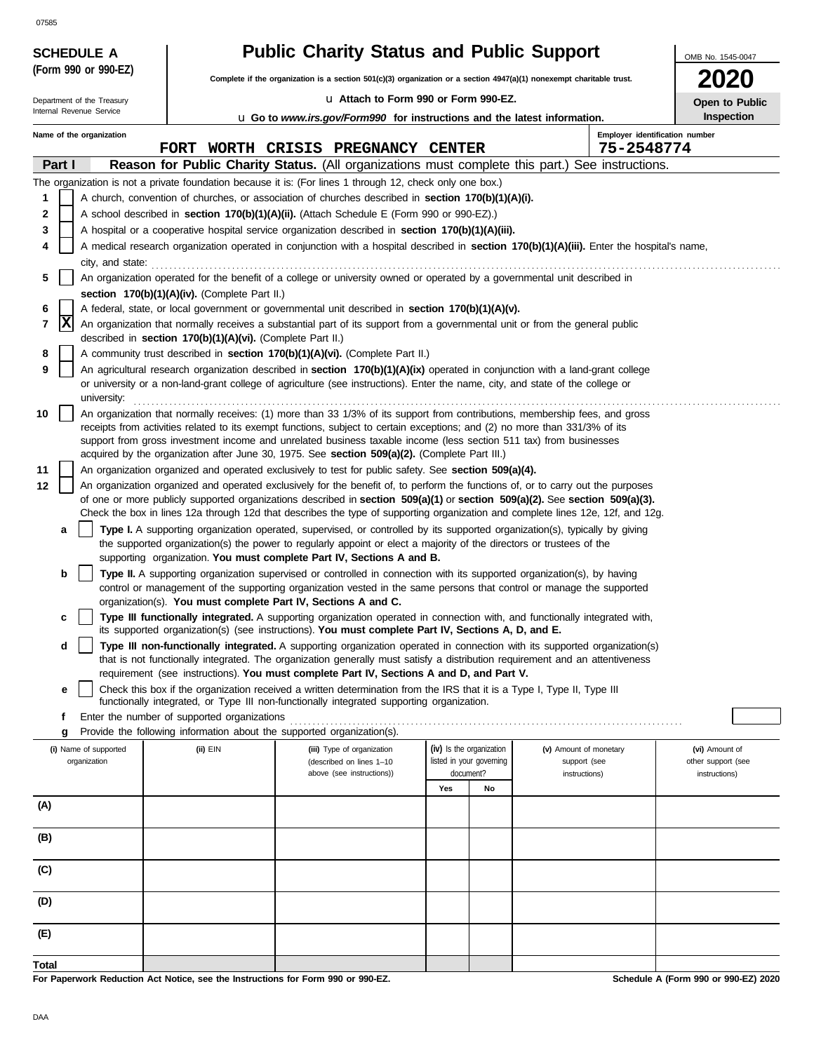|        |        | <b>SCHEDULE A</b>                     |                                                            | <b>Public Charity Status and Public Support</b>                                                                                                                                                                                                                                                                              |     |                                                      |                                        | OMB No. 1545-0047                    |
|--------|--------|---------------------------------------|------------------------------------------------------------|------------------------------------------------------------------------------------------------------------------------------------------------------------------------------------------------------------------------------------------------------------------------------------------------------------------------------|-----|------------------------------------------------------|----------------------------------------|--------------------------------------|
|        |        | (Form 990 or 990-EZ)                  |                                                            | Complete if the organization is a section 501(c)(3) organization or a section 4947(a)(1) nonexempt charitable trust.                                                                                                                                                                                                         |     |                                                      |                                        | <b>2020</b>                          |
|        |        | Department of the Treasury            |                                                            | Lu Attach to Form 990 or Form 990-EZ.                                                                                                                                                                                                                                                                                        |     |                                                      |                                        | Open to Public                       |
|        |        | Internal Revenue Service              |                                                            | <b>u</b> Go to www.irs.gov/Form990 for instructions and the latest information.                                                                                                                                                                                                                                              |     |                                                      |                                        | <b>Inspection</b>                    |
|        |        | Name of the organization              |                                                            |                                                                                                                                                                                                                                                                                                                              |     |                                                      | Employer identification number         |                                      |
|        |        |                                       |                                                            | FORT WORTH CRISIS PREGNANCY CENTER                                                                                                                                                                                                                                                                                           |     |                                                      | 75-2548774                             |                                      |
|        | Part I |                                       |                                                            | Reason for Public Charity Status. (All organizations must complete this part.) See instructions.                                                                                                                                                                                                                             |     |                                                      |                                        |                                      |
| 1      |        |                                       |                                                            | The organization is not a private foundation because it is: (For lines 1 through 12, check only one box.)<br>A church, convention of churches, or association of churches described in section 170(b)(1)(A)(i).                                                                                                              |     |                                                      |                                        |                                      |
| 2      |        |                                       |                                                            | A school described in section 170(b)(1)(A)(ii). (Attach Schedule E (Form 990 or 990-EZ).)                                                                                                                                                                                                                                    |     |                                                      |                                        |                                      |
| 3      |        |                                       |                                                            | A hospital or a cooperative hospital service organization described in section 170(b)(1)(A)(iii).                                                                                                                                                                                                                            |     |                                                      |                                        |                                      |
|        |        |                                       |                                                            | A medical research organization operated in conjunction with a hospital described in section 170(b)(1)(A)(iii). Enter the hospital's name,                                                                                                                                                                                   |     |                                                      |                                        |                                      |
|        |        | city, and state:                      |                                                            |                                                                                                                                                                                                                                                                                                                              |     |                                                      |                                        |                                      |
| 5      |        |                                       |                                                            | An organization operated for the benefit of a college or university owned or operated by a governmental unit described in                                                                                                                                                                                                    |     |                                                      |                                        |                                      |
|        |        |                                       | section 170(b)(1)(A)(iv). (Complete Part II.)              |                                                                                                                                                                                                                                                                                                                              |     |                                                      |                                        |                                      |
| 6<br>7 | X      |                                       |                                                            | A federal, state, or local government or governmental unit described in section 170(b)(1)(A)(v).<br>An organization that normally receives a substantial part of its support from a governmental unit or from the general public                                                                                             |     |                                                      |                                        |                                      |
|        |        |                                       | described in section 170(b)(1)(A)(vi). (Complete Part II.) |                                                                                                                                                                                                                                                                                                                              |     |                                                      |                                        |                                      |
| 8      |        |                                       |                                                            | A community trust described in section 170(b)(1)(A)(vi). (Complete Part II.)                                                                                                                                                                                                                                                 |     |                                                      |                                        |                                      |
| 9      |        | university:                           |                                                            | An agricultural research organization described in section 170(b)(1)(A)(ix) operated in conjunction with a land-grant college<br>or university or a non-land-grant college of agriculture (see instructions). Enter the name, city, and state of the college or                                                              |     |                                                      |                                        |                                      |
| 10     |        |                                       |                                                            | An organization that normally receives: (1) more than 33 1/3% of its support from contributions, membership fees, and gross                                                                                                                                                                                                  |     |                                                      |                                        |                                      |
|        |        |                                       |                                                            | receipts from activities related to its exempt functions, subject to certain exceptions; and (2) no more than 331/3% of its                                                                                                                                                                                                  |     |                                                      |                                        |                                      |
|        |        |                                       |                                                            | support from gross investment income and unrelated business taxable income (less section 511 tax) from businesses                                                                                                                                                                                                            |     |                                                      |                                        |                                      |
| 11     |        |                                       |                                                            | acquired by the organization after June 30, 1975. See section 509(a)(2). (Complete Part III.)<br>An organization organized and operated exclusively to test for public safety. See section 509(a)(4).                                                                                                                        |     |                                                      |                                        |                                      |
| 12     |        |                                       |                                                            | An organization organized and operated exclusively for the benefit of, to perform the functions of, or to carry out the purposes                                                                                                                                                                                             |     |                                                      |                                        |                                      |
|        |        |                                       |                                                            | of one or more publicly supported organizations described in section 509(a)(1) or section 509(a)(2). See section 509(a)(3).                                                                                                                                                                                                  |     |                                                      |                                        |                                      |
|        |        |                                       |                                                            | Check the box in lines 12a through 12d that describes the type of supporting organization and complete lines 12e, 12f, and 12g.                                                                                                                                                                                              |     |                                                      |                                        |                                      |
|        | а      |                                       |                                                            | Type I. A supporting organization operated, supervised, or controlled by its supported organization(s), typically by giving<br>the supported organization(s) the power to regularly appoint or elect a majority of the directors or trustees of the<br>supporting organization. You must complete Part IV, Sections A and B. |     |                                                      |                                        |                                      |
|        | b      |                                       |                                                            | Type II. A supporting organization supervised or controlled in connection with its supported organization(s), by having                                                                                                                                                                                                      |     |                                                      |                                        |                                      |
|        |        |                                       |                                                            | control or management of the supporting organization vested in the same persons that control or manage the supported                                                                                                                                                                                                         |     |                                                      |                                        |                                      |
|        |        |                                       |                                                            | organization(s). You must complete Part IV, Sections A and C.                                                                                                                                                                                                                                                                |     |                                                      |                                        |                                      |
|        | c      |                                       |                                                            | Type III functionally integrated. A supporting organization operated in connection with, and functionally integrated with,<br>its supported organization(s) (see instructions). You must complete Part IV, Sections A, D, and E.                                                                                             |     |                                                      |                                        |                                      |
|        | d      |                                       |                                                            | Type III non-functionally integrated. A supporting organization operated in connection with its supported organization(s)                                                                                                                                                                                                    |     |                                                      |                                        |                                      |
|        |        |                                       |                                                            | that is not functionally integrated. The organization generally must satisfy a distribution requirement and an attentiveness                                                                                                                                                                                                 |     |                                                      |                                        |                                      |
|        |        |                                       |                                                            | requirement (see instructions). You must complete Part IV, Sections A and D, and Part V.<br>Check this box if the organization received a written determination from the IRS that it is a Type I, Type II, Type III                                                                                                          |     |                                                      |                                        |                                      |
|        | е      |                                       |                                                            | functionally integrated, or Type III non-functionally integrated supporting organization.                                                                                                                                                                                                                                    |     |                                                      |                                        |                                      |
|        | f      |                                       | Enter the number of supported organizations                |                                                                                                                                                                                                                                                                                                                              |     |                                                      |                                        |                                      |
|        | g      |                                       |                                                            | Provide the following information about the supported organization(s).                                                                                                                                                                                                                                                       |     |                                                      |                                        |                                      |
|        |        | (i) Name of supported<br>organization | (ii) EIN                                                   | (iii) Type of organization<br>(described on lines 1-10                                                                                                                                                                                                                                                                       |     | (iv) Is the organization<br>listed in your governing | (v) Amount of monetary<br>support (see | (vi) Amount of<br>other support (see |
|        |        |                                       |                                                            | above (see instructions))                                                                                                                                                                                                                                                                                                    |     | document?                                            | instructions)                          | instructions)                        |
|        |        |                                       |                                                            |                                                                                                                                                                                                                                                                                                                              | Yes | No                                                   |                                        |                                      |
| (A)    |        |                                       |                                                            |                                                                                                                                                                                                                                                                                                                              |     |                                                      |                                        |                                      |
| (B)    |        |                                       |                                                            |                                                                                                                                                                                                                                                                                                                              |     |                                                      |                                        |                                      |
| (C)    |        |                                       |                                                            |                                                                                                                                                                                                                                                                                                                              |     |                                                      |                                        |                                      |
| (D)    |        |                                       |                                                            |                                                                                                                                                                                                                                                                                                                              |     |                                                      |                                        |                                      |
| (E)    |        |                                       |                                                            |                                                                                                                                                                                                                                                                                                                              |     |                                                      |                                        |                                      |
| Total  |        |                                       |                                                            |                                                                                                                                                                                                                                                                                                                              |     |                                                      |                                        |                                      |

**For Paperwork Reduction Act Notice, see the Instructions for Form 990 or 990-EZ.**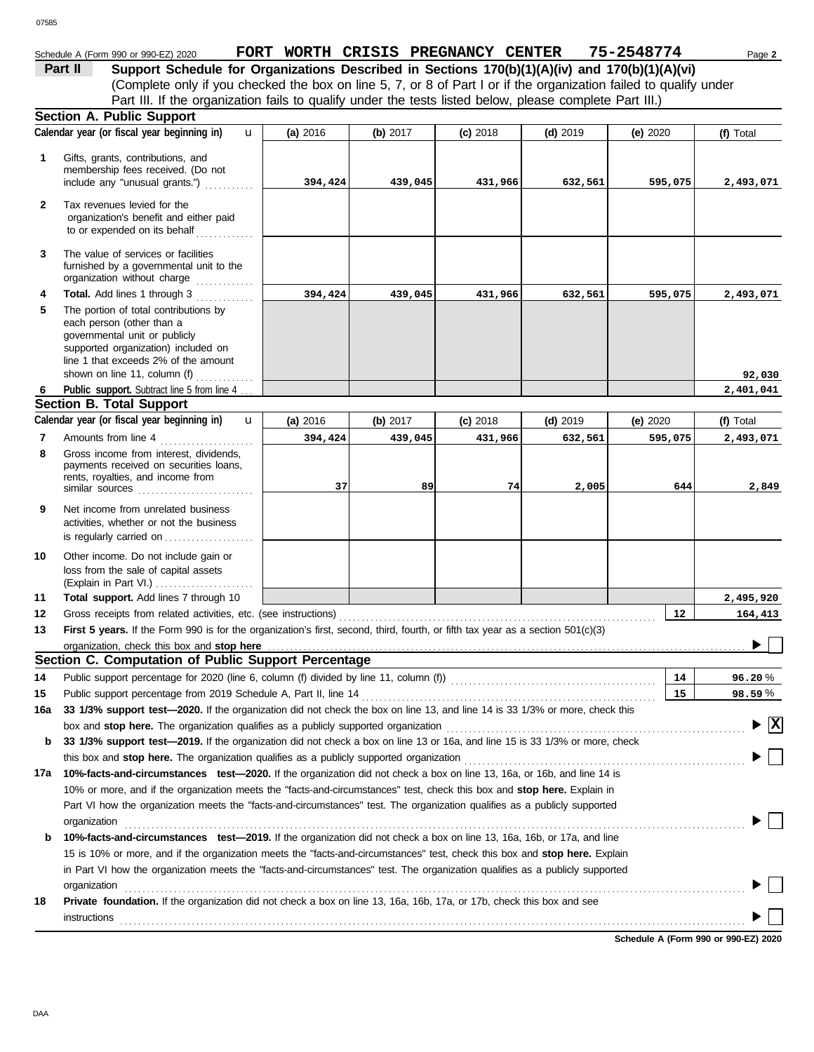## Schedule A (Form 990 or 990-EZ) 2020 **FORT WORTH CRISIS PREGNANCY CENTER** 75-2548774 Page 2

(Complete only if you checked the box on line 5, 7, or 8 of Part I or if the organization failed to qualify under **Part II Support Schedule for Organizations Described in Sections 170(b)(1)(A)(iv) and 170(b)(1)(A)(vi)** Part III. If the organization fails to qualify under the tests listed below, please complete Part III.)

|        | <b>Section A. Public Support</b>                                                                                                                                                   |            |          |            |            |            |                 |
|--------|------------------------------------------------------------------------------------------------------------------------------------------------------------------------------------|------------|----------|------------|------------|------------|-----------------|
|        | Calendar year (or fiscal year beginning in)<br>$\mathbf{u}$                                                                                                                        | (a) 2016   | (b) 2017 | $(c)$ 2018 | $(d)$ 2019 | (e) $2020$ | (f) Total       |
| 1      | Gifts, grants, contributions, and<br>membership fees received. (Do not<br>include any "unusual grants.")                                                                           | 394,424    | 439,045  | 431,966    | 632,561    | 595,075    | 2,493,071       |
| 2      | Tax revenues levied for the<br>organization's benefit and either paid<br>to or expended on its behalf                                                                              |            |          |            |            |            |                 |
| 3      | The value of services or facilities<br>furnished by a governmental unit to the<br>organization without charge<br><u>.</u><br>1986 - Johann John Barnett, amerikanischer Politiker  |            |          |            |            |            |                 |
| 4      | Total. Add lines 1 through 3                                                                                                                                                       | 394,424    | 439,045  | 431,966    | 632,561    | 595,075    | 2,493,071       |
| 5      | The portion of total contributions by<br>each person (other than a<br>governmental unit or publicly<br>supported organization) included on<br>line 1 that exceeds 2% of the amount |            |          |            |            |            |                 |
|        | shown on line 11, column (f)                                                                                                                                                       |            |          |            |            |            | 92,030          |
| 6      | Public support. Subtract line 5 from line 4.                                                                                                                                       |            |          |            |            |            | 2,401,041       |
|        | <b>Section B. Total Support</b><br>Calendar year (or fiscal year beginning in)<br>$\mathbf{u}$                                                                                     |            | (b) 2017 | $(c)$ 2018 | $(d)$ 2019 |            | (f) Total       |
|        |                                                                                                                                                                                    | (a) $2016$ |          |            |            | (e) $2020$ |                 |
| 7<br>8 | Amounts from line 4<br>Gross income from interest, dividends,<br>payments received on securities loans,                                                                            | 394,424    | 439,045  | 431,966    | 632,561    | 595,075    | 2,493,071       |
|        | rents, royalties, and income from                                                                                                                                                  | 37         | 89       | 74         | 2,005      | 644        | 2,849           |
| 9      | Net income from unrelated business<br>activities, whether or not the business<br>is regularly carried on                                                                           |            |          |            |            |            |                 |
| 10     | Other income. Do not include gain or<br>loss from the sale of capital assets                                                                                                       |            |          |            |            |            |                 |
| 11     | Total support. Add lines 7 through 10                                                                                                                                              |            |          |            |            |            | 2,495,920       |
| 12     |                                                                                                                                                                                    |            |          |            |            | 12         | 164,413         |
| 13     | First 5 years. If the Form 990 is for the organization's first, second, third, fourth, or fifth tax year as a section 501(c)(3)                                                    |            |          |            |            |            |                 |
|        | organization, check this box and stop here                                                                                                                                         |            |          |            |            |            |                 |
|        | Section C. Computation of Public Support Percentage                                                                                                                                |            |          |            |            |            |                 |
| 14     |                                                                                                                                                                                    |            |          |            |            | 14         | 96.20%          |
| 15     | Public support percentage from 2019 Schedule A, Part II, line 14                                                                                                                   |            |          |            |            | 15         | 98.59%          |
|        | 16a 33 1/3% support test—2020. If the organization did not check the box on line 13, and line 14 is 33 1/3% or more, check this                                                    |            |          |            |            |            |                 |
|        | box and stop here. The organization qualifies as a publicly supported organization                                                                                                 |            |          |            |            |            | $\vert x \vert$ |
| b      | 33 1/3% support test-2019. If the organization did not check a box on line 13 or 16a, and line 15 is 33 1/3% or more, check                                                        |            |          |            |            |            |                 |
|        |                                                                                                                                                                                    |            |          |            |            |            |                 |
| 17a    | 10%-facts-and-circumstances test-2020. If the organization did not check a box on line 13, 16a, or 16b, and line 14 is                                                             |            |          |            |            |            |                 |
|        | 10% or more, and if the organization meets the "facts-and-circumstances" test, check this box and <b>stop here.</b> Explain in                                                     |            |          |            |            |            |                 |
|        | Part VI how the organization meets the "facts-and-circumstances" test. The organization qualifies as a publicly supported<br>organization                                          |            |          |            |            |            |                 |
| b      | 10%-facts-and-circumstances test-2019. If the organization did not check a box on line 13, 16a, 16b, or 17a, and line                                                              |            |          |            |            |            |                 |
|        | 15 is 10% or more, and if the organization meets the "facts-and-circumstances" test, check this box and <b>stop here.</b> Explain                                                  |            |          |            |            |            |                 |
|        | in Part VI how the organization meets the "facts-and-circumstances" test. The organization qualifies as a publicly supported                                                       |            |          |            |            |            |                 |
|        | organization                                                                                                                                                                       |            |          |            |            |            |                 |
| 18     | Private foundation. If the organization did not check a box on line 13, 16a, 16b, 17a, or 17b, check this box and see                                                              |            |          |            |            |            |                 |
|        | instructions                                                                                                                                                                       |            |          |            |            |            |                 |
|        |                                                                                                                                                                                    |            |          |            |            |            |                 |

**Schedule A (Form 990 or 990-EZ) 2020**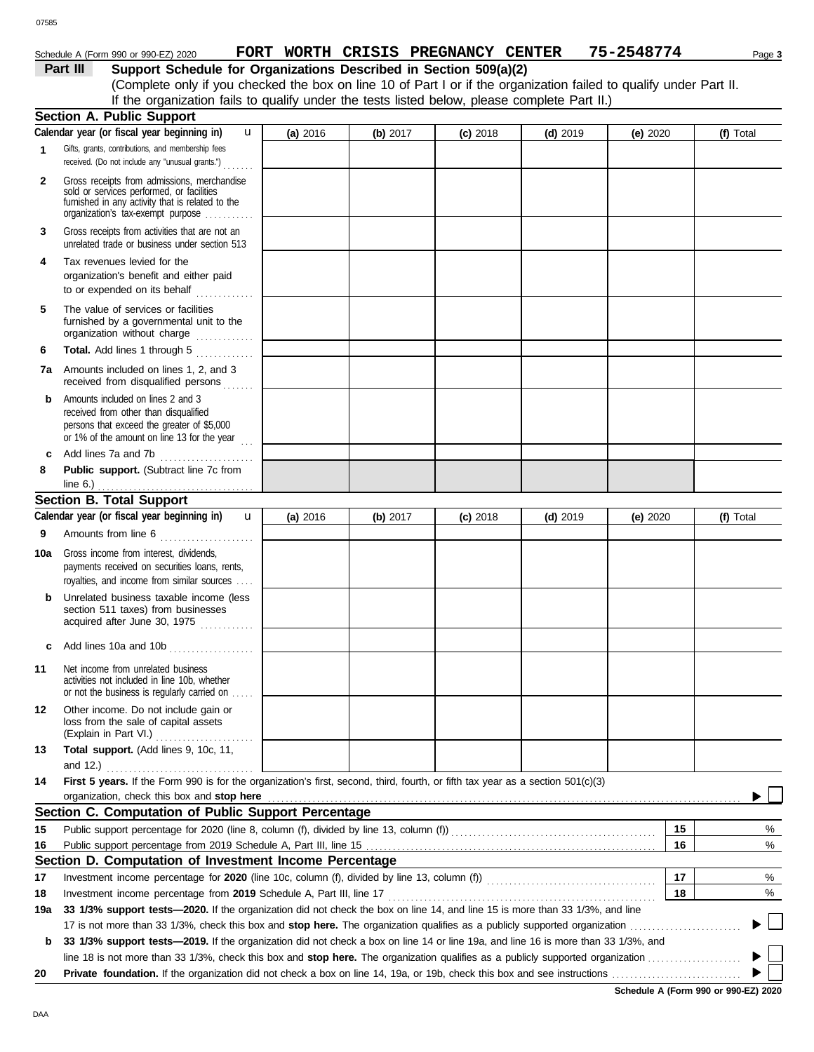#### 07585

### Schedule A (Form 990 or 990-EZ) 2020 **FORT WORTH CRISIS PREGNANCY CENTER** 75-2548774 Page 3

**Part III** Support Schedule for Organizations Described in Section 509(a)(2) (Complete only if you checked the box on line 10 of Part I or if the organization failed to qualify under Part II. If the organization fails to qualify under the tests listed below, please complete Part II.)

|              | <b>Section A. Public Support</b>                                                                                                                                                  |          |            |            |            |            |    |                 |
|--------------|-----------------------------------------------------------------------------------------------------------------------------------------------------------------------------------|----------|------------|------------|------------|------------|----|-----------------|
|              | Calendar year (or fiscal year beginning in)<br>u                                                                                                                                  | (a) 2016 | (b) $2017$ | $(c)$ 2018 | $(d)$ 2019 | (e) $2020$ |    | (f) Total       |
| 1            | Gifts, grants, contributions, and membership fees<br>received. (Do not include any "unusual grants.")                                                                             |          |            |            |            |            |    |                 |
| $\mathbf{2}$ | Gross receipts from admissions, merchandise<br>sold or services performed, or facilities<br>furnished in any activity that is related to the<br>organization's fax-exempt purpose |          |            |            |            |            |    |                 |
| 3            | Gross receipts from activities that are not an<br>unrelated trade or business under section 513                                                                                   |          |            |            |            |            |    |                 |
| 4            | Tax revenues levied for the<br>organization's benefit and either paid<br>to or expended on its behalf                                                                             |          |            |            |            |            |    |                 |
| 5            | The value of services or facilities<br>furnished by a governmental unit to the<br>organization without charge                                                                     |          |            |            |            |            |    |                 |
| 6            | Total. Add lines 1 through 5                                                                                                                                                      |          |            |            |            |            |    |                 |
|              | 7a Amounts included on lines 1, 2, and 3<br>received from disqualified persons                                                                                                    |          |            |            |            |            |    |                 |
| b            | Amounts included on lines 2 and 3<br>received from other than disqualified<br>persons that exceed the greater of \$5,000<br>or 1% of the amount on line 13 for the year $\ldots$  |          |            |            |            |            |    |                 |
| c            | Add lines 7a and 7b                                                                                                                                                               |          |            |            |            |            |    |                 |
| 8            | Public support. (Subtract line 7c from<br>line $6.$ )                                                                                                                             |          |            |            |            |            |    |                 |
|              | <b>Section B. Total Support</b>                                                                                                                                                   |          |            |            |            |            |    |                 |
|              | Calendar year (or fiscal year beginning in)<br>$\mathbf{u}$                                                                                                                       | (a) 2016 | (b) $2017$ | $(c)$ 2018 | $(d)$ 2019 | (e) $2020$ |    | (f) Total       |
| 9            | Amounts from line 6                                                                                                                                                               |          |            |            |            |            |    |                 |
| 10a          | Gross income from interest, dividends,<br>payments received on securities loans, rents,<br>royalties, and income from similar sources                                             |          |            |            |            |            |    |                 |
| b            | Unrelated business taxable income (less<br>section 511 taxes) from businesses<br>acquired after June 30, 1975                                                                     |          |            |            |            |            |    |                 |
| c            | Add lines 10a and 10b                                                                                                                                                             |          |            |            |            |            |    |                 |
| 11           | Net income from unrelated business<br>activities not included in line 10b, whether<br>or not the business is regularly carried on                                                 |          |            |            |            |            |    |                 |
| 12           | Other income. Do not include gain or<br>loss from the sale of capital assets<br>(Explain in Part VI.)                                                                             |          |            |            |            |            |    |                 |
| 13           | Total support. (Add lines 9, 10c, 11,<br>and 12.) $\ldots$                                                                                                                        |          |            |            |            |            |    |                 |
| 14           | First 5 years. If the Form 990 is for the organization's first, second, third, fourth, or fifth tax year as a section 501(c)(3)<br>organization, check this box and stop here     |          |            |            |            |            |    |                 |
|              | Section C. Computation of Public Support Percentage                                                                                                                               |          |            |            |            |            |    |                 |
| 15           |                                                                                                                                                                                   |          |            |            |            |            | 15 | %               |
| 16           |                                                                                                                                                                                   |          |            |            |            |            | 16 | %               |
|              | Section D. Computation of Investment Income Percentage                                                                                                                            |          |            |            |            |            |    |                 |
| 17           |                                                                                                                                                                                   |          |            |            |            |            | 17 | %               |
| 18           | Investment income percentage from 2019 Schedule A, Part III, line 17                                                                                                              |          |            |            |            |            | 18 | %               |
| 19a          | 33 1/3% support tests-2020. If the organization did not check the box on line 14, and line 15 is more than 33 1/3%, and line                                                      |          |            |            |            |            |    |                 |
|              |                                                                                                                                                                                   |          |            |            |            |            |    | $\vert \ \vert$ |
| b            | 33 1/3% support tests-2019. If the organization did not check a box on line 14 or line 19a, and line 16 is more than 33 1/3%, and                                                 |          |            |            |            |            |    |                 |
|              |                                                                                                                                                                                   |          |            |            |            |            |    |                 |
| 20           |                                                                                                                                                                                   |          |            |            |            |            |    |                 |

**Schedule A (Form 990 or 990-EZ) 2020**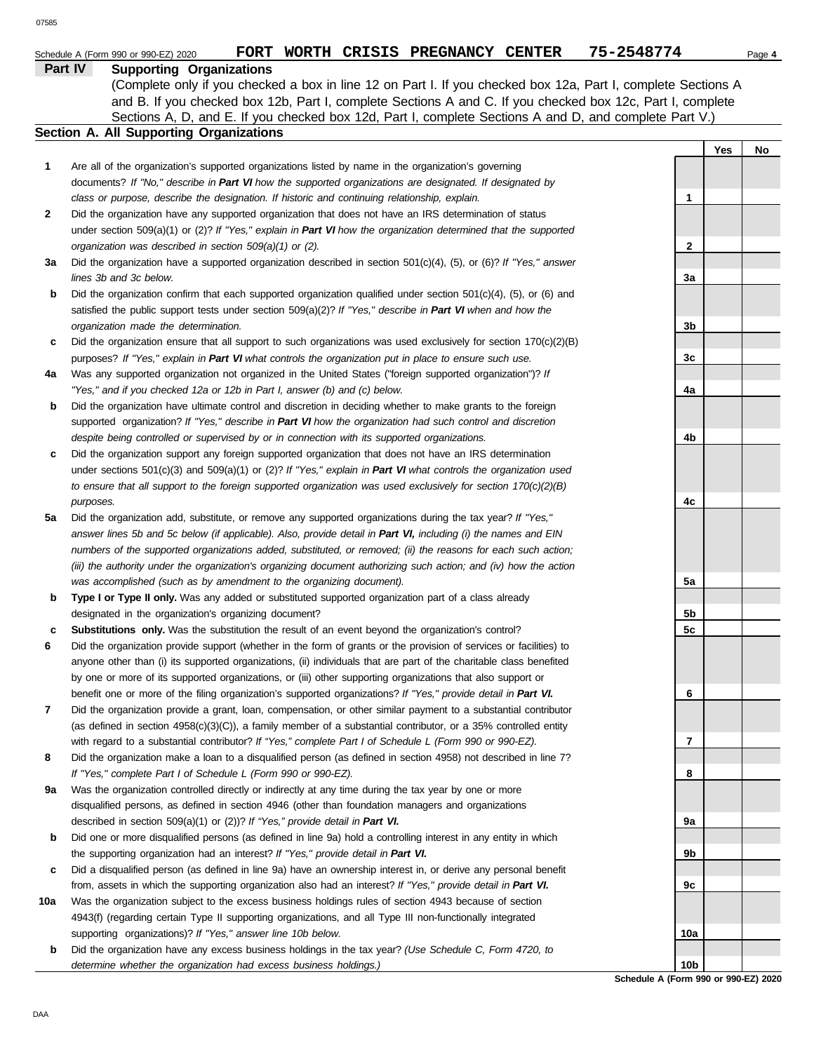| Part IV | <b>Supporting Organizations</b> |
|---------|---------------------------------|
|         |                                 |

Sections A, D, and E. If you checked box 12d, Part I, complete Sections A and D, and complete Part V.) (Complete only if you checked a box in line 12 on Part I. If you checked box 12a, Part I, complete Sections A and B. If you checked box 12b, Part I, complete Sections A and C. If you checked box 12c, Part I, complete

# **Section A. All Supporting Organizations**

|     |                                                                                                                                                                                                                                   |                 | Yes | No |
|-----|-----------------------------------------------------------------------------------------------------------------------------------------------------------------------------------------------------------------------------------|-----------------|-----|----|
| 1   | Are all of the organization's supported organizations listed by name in the organization's governing                                                                                                                              |                 |     |    |
|     | documents? If "No," describe in Part VI how the supported organizations are designated. If designated by                                                                                                                          |                 |     |    |
|     | class or purpose, describe the designation. If historic and continuing relationship, explain.                                                                                                                                     | 1               |     |    |
| 2   | Did the organization have any supported organization that does not have an IRS determination of status                                                                                                                            |                 |     |    |
|     | under section $509(a)(1)$ or (2)? If "Yes," explain in Part VI how the organization determined that the supported                                                                                                                 |                 |     |    |
|     | organization was described in section 509(a)(1) or (2).                                                                                                                                                                           | 2               |     |    |
| За  | Did the organization have a supported organization described in section $501(c)(4)$ , (5), or (6)? If "Yes," answer                                                                                                               |                 |     |    |
|     | lines 3b and 3c below.                                                                                                                                                                                                            | За              |     |    |
| b   | Did the organization confirm that each supported organization qualified under section $501(c)(4)$ , $(5)$ , or $(6)$ and                                                                                                          |                 |     |    |
|     | satisfied the public support tests under section $509(a)(2)$ ? If "Yes," describe in Part VI when and how the                                                                                                                     |                 |     |    |
|     | organization made the determination.                                                                                                                                                                                              | 3b              |     |    |
| c   | Did the organization ensure that all support to such organizations was used exclusively for section $170(c)(2)(B)$                                                                                                                |                 |     |    |
|     | purposes? If "Yes," explain in Part VI what controls the organization put in place to ensure such use.                                                                                                                            | 3c              |     |    |
| 4a  | Was any supported organization not organized in the United States ("foreign supported organization")? If                                                                                                                          |                 |     |    |
|     | "Yes," and if you checked 12a or 12b in Part I, answer (b) and (c) below.                                                                                                                                                         | 4a              |     |    |
| b   | Did the organization have ultimate control and discretion in deciding whether to make grants to the foreign                                                                                                                       |                 |     |    |
|     | supported organization? If "Yes," describe in Part VI how the organization had such control and discretion                                                                                                                        |                 |     |    |
|     | despite being controlled or supervised by or in connection with its supported organizations.                                                                                                                                      | 4b              |     |    |
| c   | Did the organization support any foreign supported organization that does not have an IRS determination<br>under sections $501(c)(3)$ and $509(a)(1)$ or $(2)$ ? If "Yes," explain in Part VI what controls the organization used |                 |     |    |
|     | to ensure that all support to the foreign supported organization was used exclusively for section $170(c)(2)(B)$                                                                                                                  |                 |     |    |
|     |                                                                                                                                                                                                                                   | 4c              |     |    |
| 5a  | purposes.<br>Did the organization add, substitute, or remove any supported organizations during the tax year? If "Yes,"                                                                                                           |                 |     |    |
|     | answer lines 5b and 5c below (if applicable). Also, provide detail in Part VI, including (i) the names and EIN                                                                                                                    |                 |     |    |
|     | numbers of the supported organizations added, substituted, or removed; (ii) the reasons for each such action;                                                                                                                     |                 |     |    |
|     | (iii) the authority under the organization's organizing document authorizing such action; and (iv) how the action                                                                                                                 |                 |     |    |
|     | was accomplished (such as by amendment to the organizing document).                                                                                                                                                               | 5a              |     |    |
| b   | Type I or Type II only. Was any added or substituted supported organization part of a class already                                                                                                                               |                 |     |    |
|     | designated in the organization's organizing document?                                                                                                                                                                             | 5b              |     |    |
| c   | <b>Substitutions only.</b> Was the substitution the result of an event beyond the organization's control?                                                                                                                         | 5c              |     |    |
| 6   | Did the organization provide support (whether in the form of grants or the provision of services or facilities) to                                                                                                                |                 |     |    |
|     | anyone other than (i) its supported organizations, (ii) individuals that are part of the charitable class benefited                                                                                                               |                 |     |    |
|     | by one or more of its supported organizations, or (iii) other supporting organizations that also support or                                                                                                                       |                 |     |    |
|     | benefit one or more of the filing organization's supported organizations? If "Yes," provide detail in Part VI.                                                                                                                    | 6               |     |    |
| 7   | Did the organization provide a grant, loan, compensation, or other similar payment to a substantial contributor                                                                                                                   |                 |     |    |
|     | (as defined in section $4958(c)(3)(C)$ ), a family member of a substantial contributor, or a 35% controlled entity                                                                                                                |                 |     |    |
|     | with regard to a substantial contributor? If "Yes," complete Part I of Schedule L (Form 990 or 990-EZ).                                                                                                                           | 7               |     |    |
| 8   | Did the organization make a loan to a disqualified person (as defined in section 4958) not described in line 7?                                                                                                                   |                 |     |    |
|     | If "Yes," complete Part I of Schedule L (Form 990 or 990-EZ).                                                                                                                                                                     | 8               |     |    |
| 9а  | Was the organization controlled directly or indirectly at any time during the tax year by one or more                                                                                                                             |                 |     |    |
|     | disqualified persons, as defined in section 4946 (other than foundation managers and organizations                                                                                                                                |                 |     |    |
|     | described in section 509(a)(1) or (2))? If "Yes," provide detail in Part VI.                                                                                                                                                      | 9а              |     |    |
| b   | Did one or more disqualified persons (as defined in line 9a) hold a controlling interest in any entity in which                                                                                                                   |                 |     |    |
|     | the supporting organization had an interest? If "Yes," provide detail in Part VI.                                                                                                                                                 | 9b              |     |    |
| c   | Did a disqualified person (as defined in line 9a) have an ownership interest in, or derive any personal benefit                                                                                                                   |                 |     |    |
|     | from, assets in which the supporting organization also had an interest? If "Yes," provide detail in Part VI.                                                                                                                      | 9c              |     |    |
| 10a | Was the organization subject to the excess business holdings rules of section 4943 because of section                                                                                                                             |                 |     |    |
|     | 4943(f) (regarding certain Type II supporting organizations, and all Type III non-functionally integrated                                                                                                                         |                 |     |    |
|     | supporting organizations)? If "Yes," answer line 10b below.                                                                                                                                                                       | 10a             |     |    |
| b   | Did the organization have any excess business holdings in the tax year? (Use Schedule C, Form 4720, to                                                                                                                            |                 |     |    |
|     | determine whether the organization had excess business holdings.)                                                                                                                                                                 | 10 <sub>b</sub> |     |    |

**Schedule A (Form 990 or 990-EZ) 2020**

 $\overline{a}$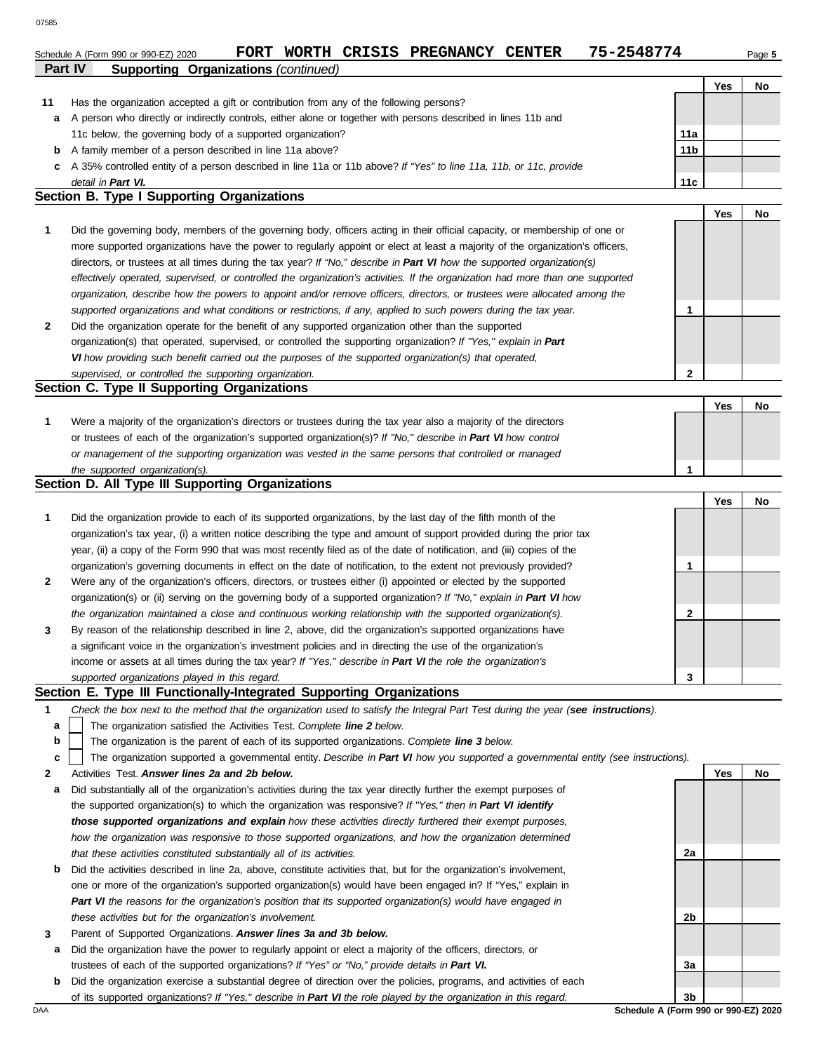### **Part IV Supporting Organizations** *(continued)* Schedule A (Form 990 or 990-EZ) 2020 **FORT WORTH CRISIS PREGNANCY CENTER** 75-2548774 Page 5

|    | . <b>.</b><br><b>Supporting Sigamzations</b> (committed)                                                             |                 |            |    |
|----|----------------------------------------------------------------------------------------------------------------------|-----------------|------------|----|
|    |                                                                                                                      |                 | <b>Yes</b> | No |
| 11 | Has the organization accepted a gift or contribution from any of the following persons?                              |                 |            |    |
| a  | A person who directly or indirectly controls, either alone or together with persons described in lines 11b and       |                 |            |    |
|    | 11c below, the governing body of a supported organization?                                                           | 11a             |            |    |
| b  | A family member of a person described in line 11a above?                                                             | 11 <sub>b</sub> |            |    |
|    | c A 35% controlled entity of a person described in line 11a or 11b above? If "Yes" to line 11a, 11b, or 11c, provide |                 |            |    |
|    | detail in Part VI.                                                                                                   | 11c             |            |    |

#### **Section B. Type I Supporting Organizations**

- **2 1** *supported organizations and what conditions or restrictions, if any, applied to such powers during the tax year. organization, describe how the powers to appoint and/or remove officers, directors, or trustees were allocated among the effectively operated, supervised, or controlled the organization's activities. If the organization had more than one supported* directors, or trustees at all times during the tax year? *If "No," describe in Part VI how the supported organization(s)* more supported organizations have the power to regularly appoint or elect at least a majority of the organization's officers, Did the governing body, members of the governing body, officers acting in their official capacity, or membership of one or Did the organization operate for the benefit of any supported organization other than the supported **1**
- organization(s) that operated, supervised, or controlled the supporting organization? *If "Yes," explain in Part VI how providing such benefit carried out the purposes of the supported organization(s) that operated, supervised, or controlled the supporting organization.*

#### **Section C. Type II Supporting Organizations**

Were a majority of the organization's directors or trustees during the tax year also a majority of the directors or trustees of each of the organization's supported organization(s)? *If "No," describe in Part VI how control* **1** *or management of the supporting organization was vested in the same persons that controlled or managed the supported organization(s).* **Yes No 1**

#### **Section D. All Type III Supporting Organizations**

|                |                                                                                                                        |   | Yes | No |
|----------------|------------------------------------------------------------------------------------------------------------------------|---|-----|----|
| $\mathbf{1}$   | Did the organization provide to each of its supported organizations, by the last day of the fifth month of the         |   |     |    |
|                | organization's tax year, (i) a written notice describing the type and amount of support provided during the prior tax  |   |     |    |
|                | year, (ii) a copy of the Form 990 that was most recently filed as of the date of notification, and (iii) copies of the |   |     |    |
|                | organization's governing documents in effect on the date of notification, to the extent not previously provided?       |   |     |    |
| $\overline{2}$ | Were any of the organization's officers, directors, or trustees either (i) appointed or elected by the supported       |   |     |    |
|                | organization(s) or (ii) serving on the governing body of a supported organization? If "No," explain in Part VI how     |   |     |    |
|                | the organization maintained a close and continuous working relationship with the supported organization(s).            | ົ |     |    |
| $\mathbf{3}$   | By reason of the relationship described in line 2, above, did the organization's supported organizations have          |   |     |    |
|                | a significant voice in the organization's investment policies and in directing the use of the organization's           |   |     |    |
|                | income or assets at all times during the tax year? If "Yes," describe in Part VI the role the organization's           |   |     |    |
|                | supported organizations played in this regard.                                                                         | 3 |     |    |

#### **Section E. Type III Functionally-Integrated Supporting Organizations**

- **1** *Check the box next to the method that the organization used to satisfy the Integral Part Test during the year (see instructions).*
	- The organization satisfied the Activities Test. *Complete line 2 below.* **a**
	- The organization is the parent of each of its supported organizations. *Complete line 3 below.* **b**
	- The organization supported a governmental entity. *Describe in Part VI how you supported a governmental entity (see instructions).* **c**
- **2** Activities Test. *Answer lines 2a and 2b below.*
	- **a** Did substantially all of the organization's activities during the tax year directly further the exempt purposes of the supported organization(s) to which the organization was responsive? *If "Yes," then in Part VI identify those supported organizations and explain how these activities directly furthered their exempt purposes, how the organization was responsive to those supported organizations, and how the organization determined that these activities constituted substantially all of its activities.*
	- **b** Did the activities described in line 2a, above, constitute activities that, but for the organization's involvement, one or more of the organization's supported organization(s) would have been engaged in? If "Yes," explain in *Part VI the reasons for the organization's position that its supported organization(s) would have engaged in these activities but for the organization's involvement.*
- **3** Parent of Supported Organizations. *Answer lines 3a and 3b below.*
- **a** Did the organization have the power to regularly appoint or elect a majority of the officers, directors, or trustees of each of the supported organizations? *If "Yes" or "No," provide details in Part VI.*
- DAA **Schedule A (Form 990 or 990-EZ) 2020 b** Did the organization exercise a substantial degree of direction over the policies, programs, and activities of each of its supported organizations? *If "Yes," describe in Part VI the role played by the organization in this regard.*

**3b**

**2a**

**2b**

**3a**

**Yes No**

**2**

**Yes No**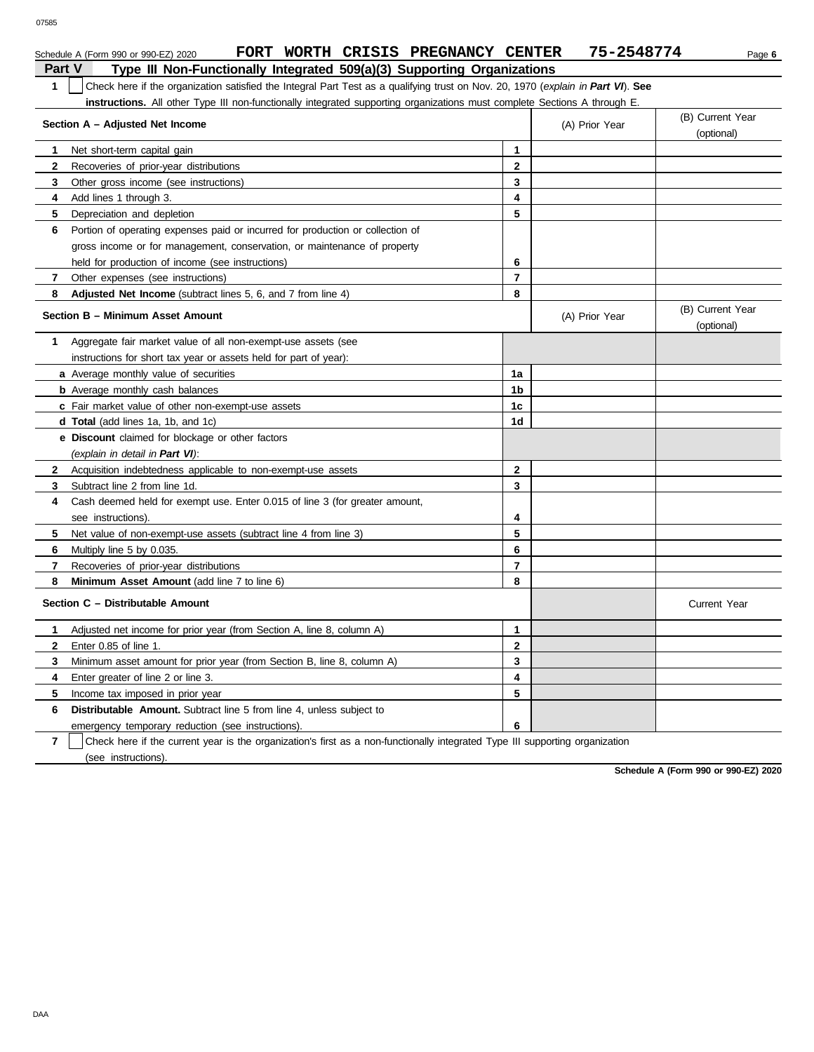|                | FORT WORTH CRISIS PREGNANCY CENTER<br>Schedule A (Form 990 or 990-EZ) 2020                                                       |                | 75-2548774     | Page 6                         |
|----------------|----------------------------------------------------------------------------------------------------------------------------------|----------------|----------------|--------------------------------|
| <b>Part V</b>  | Type III Non-Functionally Integrated 509(a)(3) Supporting Organizations                                                          |                |                |                                |
| $\mathbf{1}$   | Check here if the organization satisfied the Integral Part Test as a qualifying trust on Nov. 20, 1970 (explain in Part VI). See |                |                |                                |
|                | instructions. All other Type III non-functionally integrated supporting organizations must complete Sections A through E.        |                |                |                                |
|                | Section A - Adjusted Net Income                                                                                                  |                | (A) Prior Year | (B) Current Year<br>(optional) |
| 1              | Net short-term capital gain                                                                                                      | 1              |                |                                |
| 2              | Recoveries of prior-year distributions                                                                                           | $\overline{2}$ |                |                                |
| 3              | Other gross income (see instructions)                                                                                            | 3              |                |                                |
| 4              | Add lines 1 through 3.                                                                                                           | 4              |                |                                |
| 5              | Depreciation and depletion                                                                                                       | 5              |                |                                |
| 6              | Portion of operating expenses paid or incurred for production or collection of                                                   |                |                |                                |
|                | gross income or for management, conservation, or maintenance of property                                                         |                |                |                                |
|                | held for production of income (see instructions)                                                                                 | 6              |                |                                |
| 7              | Other expenses (see instructions)                                                                                                | $\overline{7}$ |                |                                |
| 8              | <b>Adjusted Net Income</b> (subtract lines 5, 6, and 7 from line 4)                                                              | 8              |                |                                |
|                | Section B - Minimum Asset Amount                                                                                                 |                | (A) Prior Year | (B) Current Year<br>(optional) |
| 1.             | Aggregate fair market value of all non-exempt-use assets (see                                                                    |                |                |                                |
|                | instructions for short tax year or assets held for part of year):                                                                |                |                |                                |
|                | a Average monthly value of securities                                                                                            | 1a             |                |                                |
|                | <b>b</b> Average monthly cash balances                                                                                           | 1b             |                |                                |
|                | c Fair market value of other non-exempt-use assets                                                                               | 1 <sub>c</sub> |                |                                |
|                | d Total (add lines 1a, 1b, and 1c)                                                                                               | 1d             |                |                                |
|                | <b>e</b> Discount claimed for blockage or other factors                                                                          |                |                |                                |
|                | (explain in detail in Part VI):                                                                                                  |                |                |                                |
| 2              | Acquisition indebtedness applicable to non-exempt-use assets                                                                     | $\mathbf{2}$   |                |                                |
| 3              | Subtract line 2 from line 1d.                                                                                                    | $\mathbf 3$    |                |                                |
| 4              | Cash deemed held for exempt use. Enter 0.015 of line 3 (for greater amount,                                                      |                |                |                                |
|                | see instructions).                                                                                                               | 4              |                |                                |
| 5.             | Net value of non-exempt-use assets (subtract line 4 from line 3)                                                                 | 5              |                |                                |
| 6              | Multiply line 5 by 0.035.                                                                                                        | 6              |                |                                |
| $\overline{7}$ | Recoveries of prior-year distributions                                                                                           | $\overline{7}$ |                |                                |
| 8              | Minimum Asset Amount (add line 7 to line 6)                                                                                      | 8              |                |                                |
|                | Section C - Distributable Amount                                                                                                 |                |                | <b>Current Year</b>            |
| 1              | Adjusted net income for prior year (from Section A, line 8, column A)                                                            | $\mathbf{1}$   |                |                                |
| $\mathbf{2}$   | Enter 0.85 of line 1.                                                                                                            | $\overline{2}$ |                |                                |
| 3              | Minimum asset amount for prior year (from Section B, line 8, column A)                                                           | $\mathbf 3$    |                |                                |
| 4              | Enter greater of line 2 or line 3.                                                                                               | 4              |                |                                |
| 5              | Income tax imposed in prior year                                                                                                 | 5              |                |                                |
| 6              | <b>Distributable Amount.</b> Subtract line 5 from line 4, unless subject to                                                      |                |                |                                |
|                | emergency temporary reduction (see instructions).                                                                                | 6              |                |                                |

**7** | Check here if the current year is the organization's first as a non-functionally integrated Type III supporting organization (see instructions).

**Schedule A (Form 990 or 990-EZ) 2020**

DAA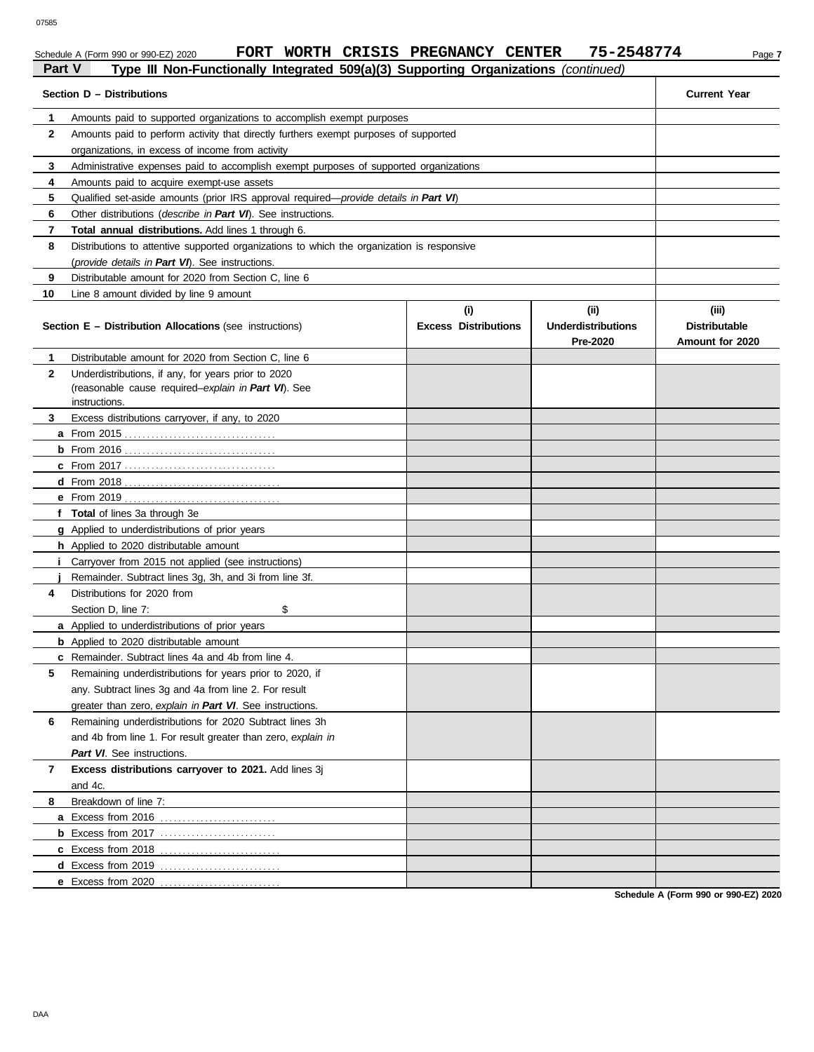### Schedule A (Form 990 or 990-EZ) 2020 **FORT WORTH CRISIS PREGNANCY CENTER** 75-2548774 Page 7 **Part V Part V Part III Non-Functionally Integrated 509(a)(3) Supporting Organizations** *(continued)*<br>**Part V Type III Non-Functionally Integrated 509(a)(3) Supporting Organizations** *(continued)*

|              | rype in Non-runctionary integrated bootago, oupporting organizations (continued            |                             |                                       |                                         |  |  |
|--------------|--------------------------------------------------------------------------------------------|-----------------------------|---------------------------------------|-----------------------------------------|--|--|
|              | Section D - Distributions                                                                  |                             |                                       | <b>Current Year</b>                     |  |  |
| 1.           | Amounts paid to supported organizations to accomplish exempt purposes                      |                             |                                       |                                         |  |  |
| $\mathbf{2}$ | Amounts paid to perform activity that directly furthers exempt purposes of supported       |                             |                                       |                                         |  |  |
|              | organizations, in excess of income from activity                                           |                             |                                       |                                         |  |  |
| 3            | Administrative expenses paid to accomplish exempt purposes of supported organizations      |                             |                                       |                                         |  |  |
| 4            | Amounts paid to acquire exempt-use assets                                                  |                             |                                       |                                         |  |  |
| 5            | Qualified set-aside amounts (prior IRS approval required-provide details in Part VI)       |                             |                                       |                                         |  |  |
| 6            | Other distributions ( <i>describe in Part VI</i> ). See instructions.                      |                             |                                       |                                         |  |  |
| 7            | Total annual distributions. Add lines 1 through 6.                                         |                             |                                       |                                         |  |  |
| 8            | Distributions to attentive supported organizations to which the organization is responsive |                             |                                       |                                         |  |  |
|              | (provide details in Part VI). See instructions.                                            |                             |                                       |                                         |  |  |
| 9            | Distributable amount for 2020 from Section C, line 6                                       |                             |                                       |                                         |  |  |
| 10           | Line 8 amount divided by line 9 amount                                                     |                             |                                       |                                         |  |  |
|              |                                                                                            | (i)                         | (ii)                                  | (iii)                                   |  |  |
|              | <b>Section E - Distribution Allocations (see instructions)</b>                             | <b>Excess Distributions</b> | <b>Underdistributions</b><br>Pre-2020 | <b>Distributable</b><br>Amount for 2020 |  |  |
| 1            | Distributable amount for 2020 from Section C, line 6                                       |                             |                                       |                                         |  |  |
| $\mathbf{2}$ | Underdistributions, if any, for years prior to 2020                                        |                             |                                       |                                         |  |  |
|              | (reasonable cause required-explain in Part VI). See                                        |                             |                                       |                                         |  |  |
|              | instructions.                                                                              |                             |                                       |                                         |  |  |
| 3            | Excess distributions carryover, if any, to 2020                                            |                             |                                       |                                         |  |  |
|              |                                                                                            |                             |                                       |                                         |  |  |
|              |                                                                                            |                             |                                       |                                         |  |  |
|              |                                                                                            |                             |                                       |                                         |  |  |
|              |                                                                                            |                             |                                       |                                         |  |  |
|              |                                                                                            |                             |                                       |                                         |  |  |
|              | f Total of lines 3a through 3e                                                             |                             |                                       |                                         |  |  |
|              | g Applied to underdistributions of prior years<br>h Applied to 2020 distributable amount   |                             |                                       |                                         |  |  |
| Î.           | Carryover from 2015 not applied (see instructions)                                         |                             |                                       |                                         |  |  |
|              | Remainder. Subtract lines 3g, 3h, and 3i from line 3f.                                     |                             |                                       |                                         |  |  |
| 4            | Distributions for 2020 from                                                                |                             |                                       |                                         |  |  |
|              | \$<br>Section D, line 7:                                                                   |                             |                                       |                                         |  |  |
|              | a Applied to underdistributions of prior years                                             |                             |                                       |                                         |  |  |
|              | <b>b</b> Applied to 2020 distributable amount                                              |                             |                                       |                                         |  |  |
|              | c Remainder. Subtract lines 4a and 4b from line 4.                                         |                             |                                       |                                         |  |  |
| 5            | Remaining underdistributions for years prior to 2020, if                                   |                             |                                       |                                         |  |  |
|              | any. Subtract lines 3g and 4a from line 2. For result                                      |                             |                                       |                                         |  |  |
|              | greater than zero, explain in Part VI. See instructions.                                   |                             |                                       |                                         |  |  |
| 6            | Remaining underdistributions for 2020 Subtract lines 3h                                    |                             |                                       |                                         |  |  |
|              | and 4b from line 1. For result greater than zero, explain in                               |                             |                                       |                                         |  |  |
|              | Part VI. See instructions.                                                                 |                             |                                       |                                         |  |  |
| 7            | Excess distributions carryover to 2021. Add lines 3j                                       |                             |                                       |                                         |  |  |
|              | and 4c.                                                                                    |                             |                                       |                                         |  |  |
| 8            | Breakdown of line 7:                                                                       |                             |                                       |                                         |  |  |
|              | a Excess from 2016                                                                         |                             |                                       |                                         |  |  |
|              |                                                                                            |                             |                                       |                                         |  |  |
|              | <b>c</b> Excess from 2018                                                                  |                             |                                       |                                         |  |  |
|              |                                                                                            |                             |                                       |                                         |  |  |
|              | e Excess from 2020                                                                         |                             |                                       |                                         |  |  |

**Schedule A (Form 990 or 990-EZ) 2020**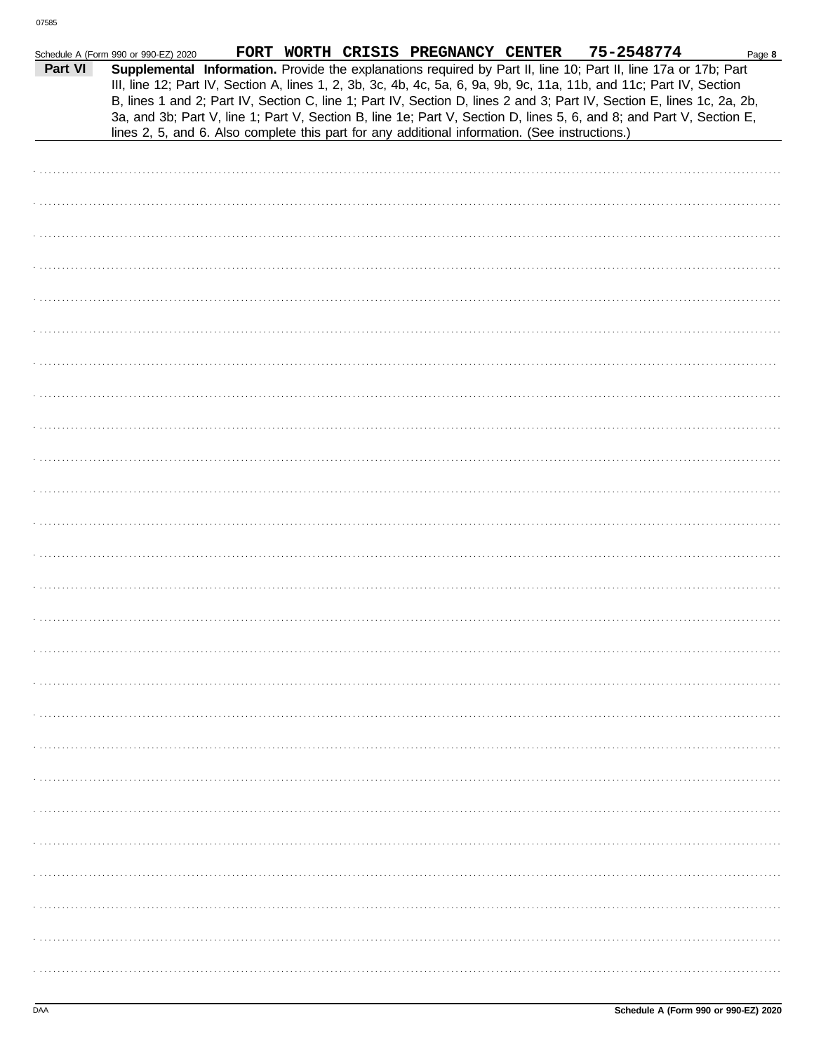| Part VI<br>Supplemental Information. Provide the explanations required by Part II, line 10; Part II, line 17a or 17b; Part<br>III, line 12; Part IV, Section A, lines 1, 2, 3b, 3c, 4b, 4c, 5a, 6, 9a, 9b, 9c, 11a, 11b, and 11c; Part IV, Section<br>B, lines 1 and 2; Part IV, Section C, line 1; Part IV, Section D, lines 2 and 3; Part IV, Section E, lines 1c, 2a, 2b,<br>3a, and 3b; Part V, line 1; Part V, Section B, line 1e; Part V, Section D, lines 5, 6, and 8; and Part V, Section E,<br>lines 2, 5, and 6. Also complete this part for any additional information. (See instructions.) | Schedule A (Form 990 or 990-EZ) 2020 |  | FORT WORTH CRISIS PREGNANCY CENTER | 75-2548774 | Page 8 |
|--------------------------------------------------------------------------------------------------------------------------------------------------------------------------------------------------------------------------------------------------------------------------------------------------------------------------------------------------------------------------------------------------------------------------------------------------------------------------------------------------------------------------------------------------------------------------------------------------------|--------------------------------------|--|------------------------------------|------------|--------|
|                                                                                                                                                                                                                                                                                                                                                                                                                                                                                                                                                                                                        |                                      |  |                                    |            |        |
|                                                                                                                                                                                                                                                                                                                                                                                                                                                                                                                                                                                                        |                                      |  |                                    |            |        |
|                                                                                                                                                                                                                                                                                                                                                                                                                                                                                                                                                                                                        |                                      |  |                                    |            |        |
|                                                                                                                                                                                                                                                                                                                                                                                                                                                                                                                                                                                                        |                                      |  |                                    |            |        |
|                                                                                                                                                                                                                                                                                                                                                                                                                                                                                                                                                                                                        |                                      |  |                                    |            |        |
|                                                                                                                                                                                                                                                                                                                                                                                                                                                                                                                                                                                                        |                                      |  |                                    |            |        |
|                                                                                                                                                                                                                                                                                                                                                                                                                                                                                                                                                                                                        |                                      |  |                                    |            |        |
|                                                                                                                                                                                                                                                                                                                                                                                                                                                                                                                                                                                                        |                                      |  |                                    |            |        |
|                                                                                                                                                                                                                                                                                                                                                                                                                                                                                                                                                                                                        |                                      |  |                                    |            |        |
|                                                                                                                                                                                                                                                                                                                                                                                                                                                                                                                                                                                                        |                                      |  |                                    |            |        |
|                                                                                                                                                                                                                                                                                                                                                                                                                                                                                                                                                                                                        |                                      |  |                                    |            |        |
|                                                                                                                                                                                                                                                                                                                                                                                                                                                                                                                                                                                                        |                                      |  |                                    |            |        |
|                                                                                                                                                                                                                                                                                                                                                                                                                                                                                                                                                                                                        |                                      |  |                                    |            |        |
|                                                                                                                                                                                                                                                                                                                                                                                                                                                                                                                                                                                                        |                                      |  |                                    |            |        |
|                                                                                                                                                                                                                                                                                                                                                                                                                                                                                                                                                                                                        |                                      |  |                                    |            |        |
|                                                                                                                                                                                                                                                                                                                                                                                                                                                                                                                                                                                                        |                                      |  |                                    |            |        |
|                                                                                                                                                                                                                                                                                                                                                                                                                                                                                                                                                                                                        |                                      |  |                                    |            |        |
|                                                                                                                                                                                                                                                                                                                                                                                                                                                                                                                                                                                                        |                                      |  |                                    |            |        |
|                                                                                                                                                                                                                                                                                                                                                                                                                                                                                                                                                                                                        |                                      |  |                                    |            |        |
|                                                                                                                                                                                                                                                                                                                                                                                                                                                                                                                                                                                                        |                                      |  |                                    |            |        |
|                                                                                                                                                                                                                                                                                                                                                                                                                                                                                                                                                                                                        |                                      |  |                                    |            |        |
|                                                                                                                                                                                                                                                                                                                                                                                                                                                                                                                                                                                                        |                                      |  |                                    |            |        |
|                                                                                                                                                                                                                                                                                                                                                                                                                                                                                                                                                                                                        |                                      |  |                                    |            |        |
|                                                                                                                                                                                                                                                                                                                                                                                                                                                                                                                                                                                                        |                                      |  |                                    |            |        |
|                                                                                                                                                                                                                                                                                                                                                                                                                                                                                                                                                                                                        |                                      |  |                                    |            |        |
|                                                                                                                                                                                                                                                                                                                                                                                                                                                                                                                                                                                                        |                                      |  |                                    |            |        |
|                                                                                                                                                                                                                                                                                                                                                                                                                                                                                                                                                                                                        |                                      |  |                                    |            |        |
|                                                                                                                                                                                                                                                                                                                                                                                                                                                                                                                                                                                                        |                                      |  |                                    |            |        |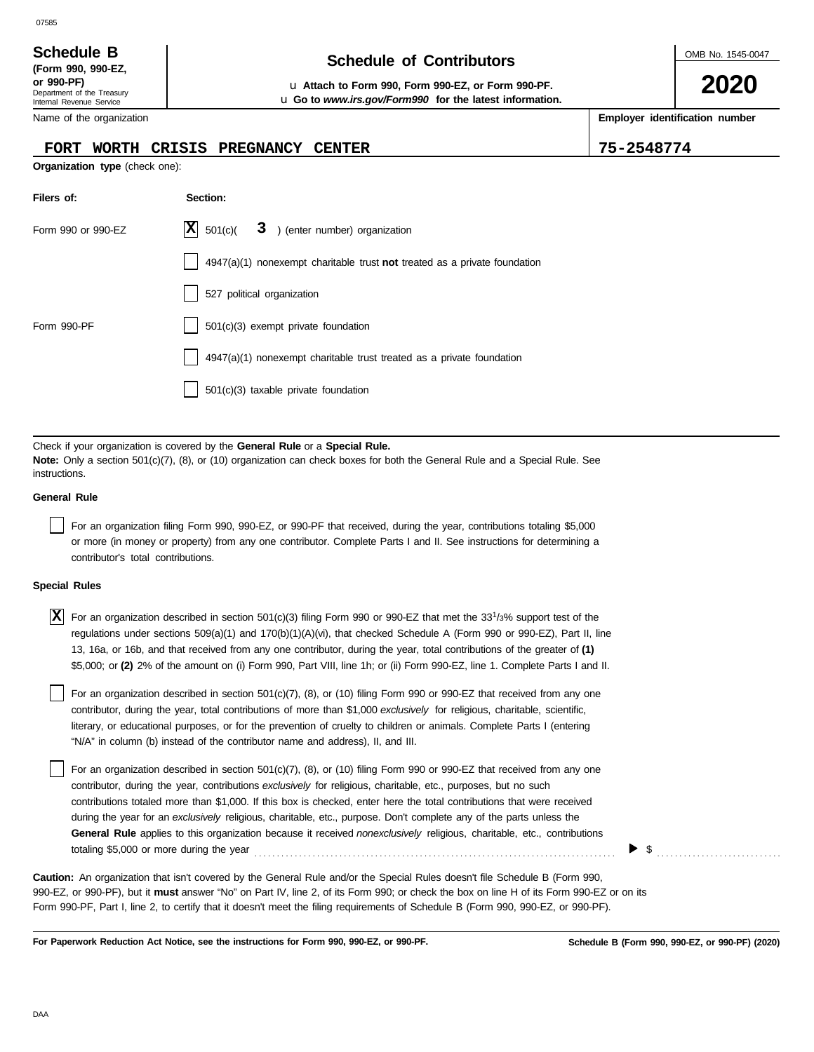# **Schedule of Contributors Schedule B**

**or 990-PF)** u **Attach to Form 990, Form 990-EZ, or Form 990-PF.** u **Go to** *www.irs.gov/Form990* **for the latest information.** OMB No. 1545-0047

**2020**

**Employer identification number**

Name of the organization

Department of the Treasury Internal Revenue Service

**(Form 990, 990-EZ,**

#### **FORT WORTH CRISIS PREGNANCY CENTER 75-2548774**

**Organization type** (check one):

| Filers of:         | Section:                                                                  |
|--------------------|---------------------------------------------------------------------------|
| Form 990 or 990-EZ | $ \mathbf{X} $ 501(c)(<br>3 ) (enter number) organization                 |
|                    | 4947(a)(1) nonexempt charitable trust not treated as a private foundation |
|                    | 527 political organization                                                |
| Form 990-PF        | $501(c)(3)$ exempt private foundation                                     |
|                    | 4947(a)(1) nonexempt charitable trust treated as a private foundation     |
|                    | 501(c)(3) taxable private foundation                                      |

Check if your organization is covered by the **General Rule** or a **Special Rule. Note:** Only a section 501(c)(7), (8), or (10) organization can check boxes for both the General Rule and a Special Rule. See instructions.

#### **General Rule**

For an organization filing Form 990, 990-EZ, or 990-PF that received, during the year, contributions totaling \$5,000 or more (in money or property) from any one contributor. Complete Parts I and II. See instructions for determining a contributor's total contributions.

#### **Special Rules**

| X For an organization described in section 501(c)(3) filing Form 990 or 990-EZ that met the 33 <sup>1</sup> /3% support test of the |
|-------------------------------------------------------------------------------------------------------------------------------------|
| regulations under sections 509(a)(1) and 170(b)(1)(A)(vi), that checked Schedule A (Form 990 or 990-EZ), Part II, line              |
| 13, 16a, or 16b, and that received from any one contributor, during the year, total contributions of the greater of (1)             |
| \$5,000; or (2) 2% of the amount on (i) Form 990, Part VIII, line 1h; or (ii) Form 990-EZ, line 1. Complete Parts I and II.         |

literary, or educational purposes, or for the prevention of cruelty to children or animals. Complete Parts I (entering For an organization described in section 501(c)(7), (8), or (10) filing Form 990 or 990-EZ that received from any one contributor, during the year, total contributions of more than \$1,000 *exclusively* for religious, charitable, scientific, "N/A" in column (b) instead of the contributor name and address), II, and III.

For an organization described in section 501(c)(7), (8), or (10) filing Form 990 or 990-EZ that received from any one contributor, during the year, contributions *exclusively* for religious, charitable, etc., purposes, but no such contributions totaled more than \$1,000. If this box is checked, enter here the total contributions that were received during the year for an *exclusively* religious, charitable, etc., purpose. Don't complete any of the parts unless the **General Rule** applies to this organization because it received *nonexclusively* religious, charitable, etc., contributions totaling \$5,000 or more during the year . . . . . . . . . . . . . . . . . . . . . . . . . . . . . . . . . . . . . . . . . . . . . . . . . . . . . . . . . . . . . . . . . . . . . . . . . . . . . . . . .

▶ \$ . . . . . . . . . . . . . . . . . . . . . . . . . . . .

990-EZ, or 990-PF), but it **must** answer "No" on Part IV, line 2, of its Form 990; or check the box on line H of its Form 990-EZ or on its Form 990-PF, Part I, line 2, to certify that it doesn't meet the filing requirements of Schedule B (Form 990, 990-EZ, or 990-PF). **Caution:** An organization that isn't covered by the General Rule and/or the Special Rules doesn't file Schedule B (Form 990,

**For Paperwork Reduction Act Notice, see the instructions for Form 990, 990-EZ, or 990-PF.**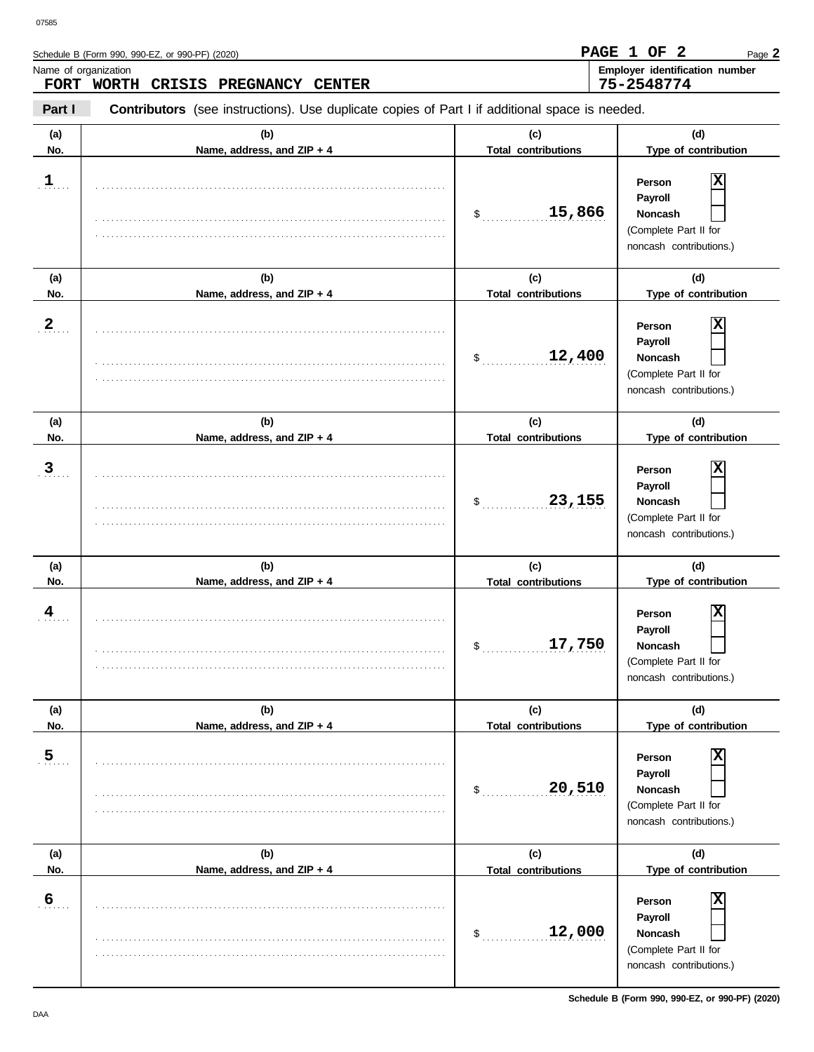| Name of organization | FORT WORTH CRISIS PREGNANCY CENTER                                                             |                                   | Employer identification number<br>75-2548774                                                 |
|----------------------|------------------------------------------------------------------------------------------------|-----------------------------------|----------------------------------------------------------------------------------------------|
| Part I               | Contributors (see instructions). Use duplicate copies of Part I if additional space is needed. |                                   |                                                                                              |
| (a)<br>No.           | (b)<br>Name, address, and ZIP + 4                                                              | (c)<br><b>Total contributions</b> | (d)<br>Type of contribution                                                                  |
| $\mathbf{1}$         |                                                                                                | 15,866<br>$\mathsf{\$}$           | x<br>Person<br>Payroll<br>Noncash<br>(Complete Part II for<br>noncash contributions.)        |
| (a)<br>No.           | (b)<br>Name, address, and ZIP + 4                                                              | (c)<br><b>Total contributions</b> | (d)<br>Type of contribution                                                                  |
| $\overline{a}$       |                                                                                                | 12,400<br>$\mathsf{\$}$           | x<br>Person<br>Payroll<br>Noncash<br>(Complete Part II for<br>noncash contributions.)        |
| (a)<br>No.           | (b)<br>Name, address, and ZIP + 4                                                              | (c)<br><b>Total contributions</b> | (d)<br>Type of contribution                                                                  |
| $\mathbf{3}$         |                                                                                                | 23,155<br>$\mathsf{\$}$           | x<br>Person<br>Payroll<br>Noncash<br>(Complete Part II for<br>noncash contributions.)        |
| (a)<br>No.           | (b)<br>Name, address, and ZIP + 4                                                              | (c)<br><b>Total contributions</b> | (d)<br>Type of contribution                                                                  |
| 4                    |                                                                                                | 17,750<br>\$                      | X<br>Person<br><b>Payroll</b><br>Noncash<br>(Complete Part II for<br>noncash contributions.) |
| (a)<br>No.           | (b)<br>Name, address, and ZIP + 4                                                              | (c)<br><b>Total contributions</b> | (d)<br>Type of contribution                                                                  |
| $\overline{5}$       |                                                                                                | 20,510<br>\$                      | X<br>Person<br>Payroll<br>Noncash<br>(Complete Part II for<br>noncash contributions.)        |

|        | .                            |                            | (Complete Part II for<br>noncash contributions.)                                      |
|--------|------------------------------|----------------------------|---------------------------------------------------------------------------------------|
| (a)    |                              | (C)                        | (d)                                                                                   |
| No.    | Name, address, and $ZIP + 4$ | <b>Total contributions</b> | Type of contribution                                                                  |
| 6<br>. |                              | 12,000                     | x<br>Person<br>Payroll<br>Noncash<br>(Complete Part II for<br>noncash contributions.) |

**Schedule B (Form 990, 990-EZ, or 990-PF) (2020)**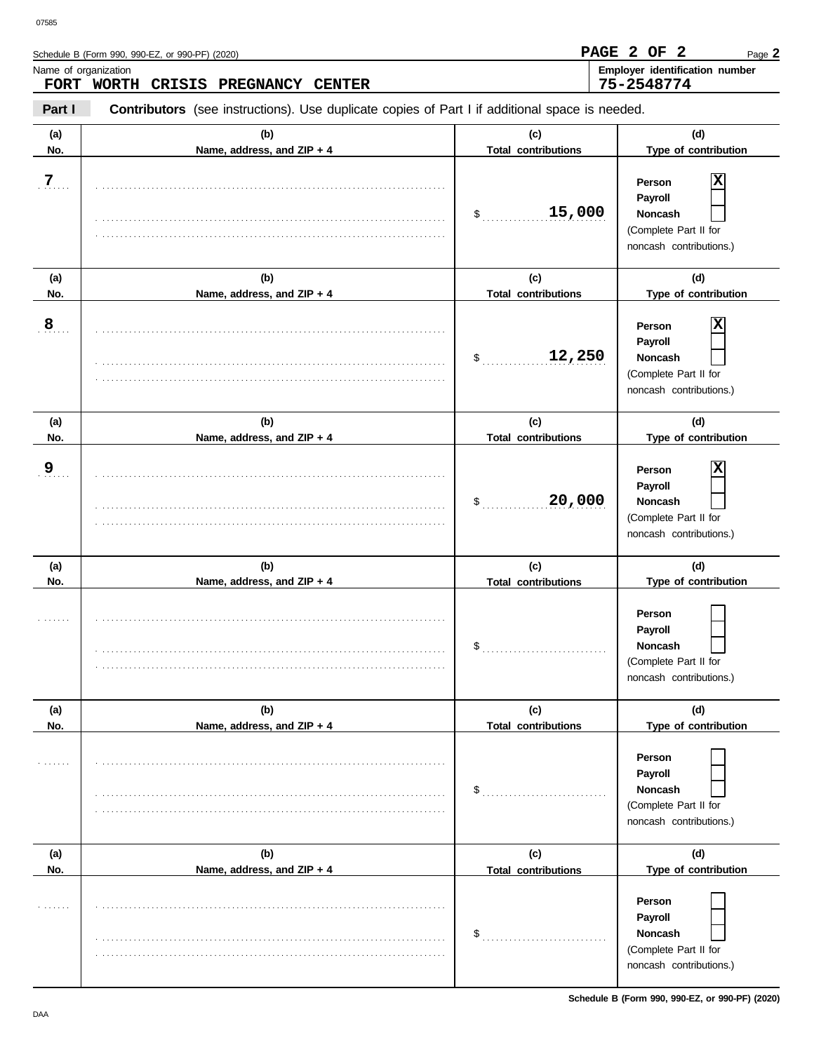| 07585<br>Name of organization | Schedule B (Form 990, 990-EZ, or 990-PF) (2020)<br>FORT WORTH<br>CRISIS<br><b>PREGNANCY</b><br><b>CENTER</b> |                                            | PAGE 2 OF 2<br>Page 2<br>Employer identification number<br>75-2548774                                                |
|-------------------------------|--------------------------------------------------------------------------------------------------------------|--------------------------------------------|----------------------------------------------------------------------------------------------------------------------|
| Part I                        | <b>Contributors</b> (see instructions). Use duplicate copies of Part I if additional space is needed.        |                                            |                                                                                                                      |
| (a)<br>No.                    | (b)<br>Name, address, and ZIP + 4                                                                            | (c)<br><b>Total contributions</b>          | (d)<br>Type of contribution                                                                                          |
| 7                             |                                                                                                              | 15,000<br>\$                               | X<br>Person<br>Payroll<br><b>Noncash</b><br>(Complete Part II for<br>noncash contributions.)                         |
| (a)                           | (b)                                                                                                          | (c)                                        | (d)                                                                                                                  |
| No.<br>8                      | Name, address, and ZIP + 4                                                                                   | <b>Total contributions</b><br>12,250<br>\$ | Type of contribution<br>х<br>Person<br>Payroll<br><b>Noncash</b><br>(Complete Part II for<br>noncash contributions.) |
| (a)                           | (b)                                                                                                          | (c)                                        | (d)                                                                                                                  |
| No.<br>9                      | Name, address, and ZIP + 4                                                                                   | <b>Total contributions</b><br>20,000<br>\$ | Type of contribution<br>х<br>Person<br>Payroll<br><b>Noncash</b><br>(Complete Part II for<br>noncash contributions.) |

|            |                                   |                                   | noncash contributions.)                                                                 |
|------------|-----------------------------------|-----------------------------------|-----------------------------------------------------------------------------------------|
| (a)<br>No. | (b)<br>Name, address, and ZIP + 4 | (c)<br><b>Total contributions</b> | (d)<br>Type of contribution                                                             |
|            |                                   | \$                                | Person<br>Payroll<br><b>Noncash</b><br>(Complete Part II for<br>noncash contributions.) |
| (a)        | (b)                               | (c)                               | (d)                                                                                     |
| No.        | Name, address, and ZIP + 4        | <b>Total contributions</b>        | Type of contribution                                                                    |
|            |                                   | \$                                | Person<br>Payroll<br><b>Noncash</b><br>(Complete Part II for<br>noncash contributions.) |
| (a)        | (b)                               | (c)                               | (d)                                                                                     |
| No.        | Name, address, and ZIP + 4        | <b>Total contributions</b>        | Type of contribution                                                                    |
|            |                                   | \$                                | Person<br>Payroll<br><b>Noncash</b><br>(Complete Part II for<br>noncash contributions.) |

**Schedule B (Form 990, 990-EZ, or 990-PF) (2020)**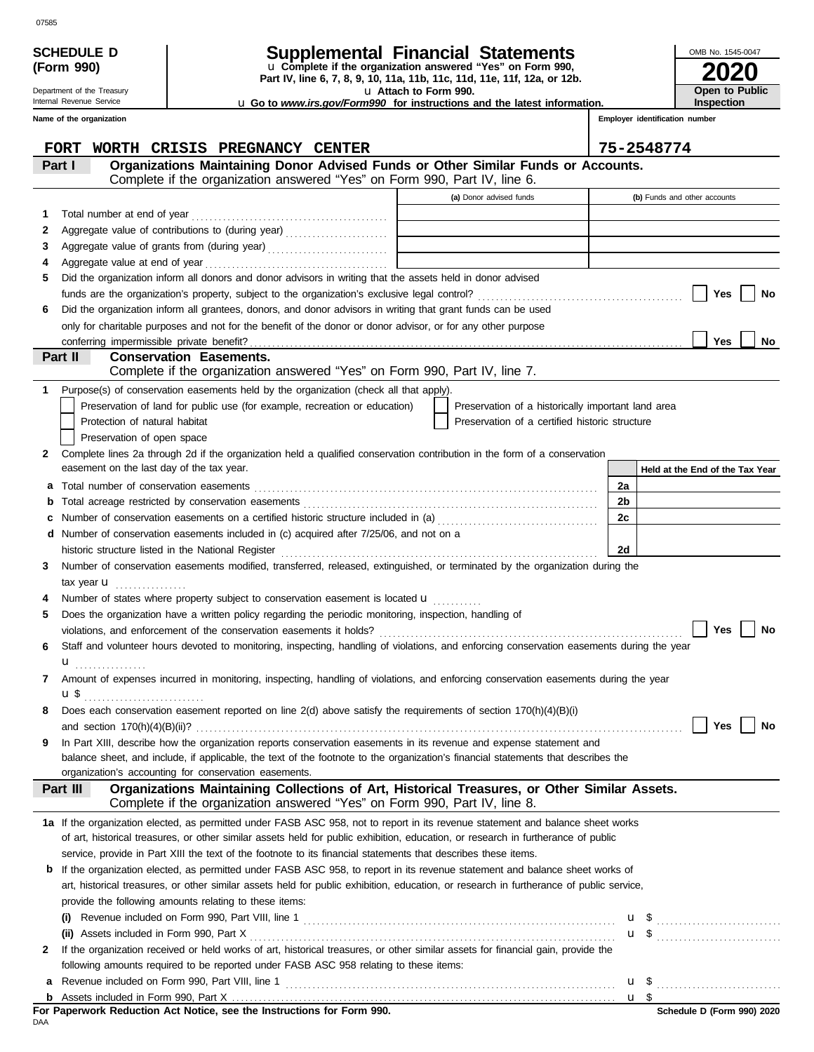|     | <b>SCHEDULE D</b>                              |                                                                                                                                                                                            |                       | Supplemental Financial Statements                                        |                                |           | OMB No. 1545-0047               |
|-----|------------------------------------------------|--------------------------------------------------------------------------------------------------------------------------------------------------------------------------------------------|-----------------------|--------------------------------------------------------------------------|--------------------------------|-----------|---------------------------------|
|     | (Form 990)                                     |                                                                                                                                                                                            |                       | u Complete if the organization answered "Yes" on Form 990,               |                                |           |                                 |
|     | Department of the Treasury                     |                                                                                                                                                                                            | u Attach to Form 990. | Part IV, line 6, 7, 8, 9, 10, 11a, 11b, 11c, 11d, 11e, 11f, 12a, or 12b. |                                |           | Open to Public                  |
|     | Internal Revenue Service                       | <b>u</b> Go to <i>www.irs.gov/Form990</i> for instructions and the latest information.                                                                                                     |                       |                                                                          |                                |           | <b>Inspection</b>               |
|     | Name of the organization                       |                                                                                                                                                                                            |                       |                                                                          | Employer identification number |           |                                 |
|     |                                                |                                                                                                                                                                                            |                       |                                                                          |                                |           |                                 |
|     | <b>FORT</b>                                    | WORTH CRISIS PREGNANCY CENTER                                                                                                                                                              |                       |                                                                          | 75-2548774                     |           |                                 |
|     | Part I                                         | Organizations Maintaining Donor Advised Funds or Other Similar Funds or Accounts.<br>Complete if the organization answered "Yes" on Form 990, Part IV, line 6.                             |                       |                                                                          |                                |           |                                 |
|     |                                                |                                                                                                                                                                                            |                       | (a) Donor advised funds                                                  |                                |           | (b) Funds and other accounts    |
| 1   | Total number at end of year                    |                                                                                                                                                                                            |                       |                                                                          |                                |           |                                 |
| 2   |                                                | Aggregate value of contributions to (during year)                                                                                                                                          |                       | <u> 1989 - Johann Barbara, martxa alemaniar a</u>                        |                                |           |                                 |
| 3   |                                                |                                                                                                                                                                                            |                       |                                                                          |                                |           |                                 |
| 4   |                                                |                                                                                                                                                                                            |                       |                                                                          |                                |           |                                 |
| 5   |                                                | Did the organization inform all donors and donor advisors in writing that the assets held in donor advised                                                                                 |                       |                                                                          |                                |           |                                 |
|     |                                                |                                                                                                                                                                                            |                       |                                                                          |                                |           | Yes<br>No                       |
| 6   |                                                | Did the organization inform all grantees, donors, and donor advisors in writing that grant funds can be used                                                                               |                       |                                                                          |                                |           |                                 |
|     |                                                | only for charitable purposes and not for the benefit of the donor or donor advisor, or for any other purpose                                                                               |                       |                                                                          |                                |           |                                 |
|     | conferring impermissible private benefit?      |                                                                                                                                                                                            |                       |                                                                          |                                |           | <b>Yes</b><br>No                |
|     | Part II                                        | <b>Conservation Easements.</b>                                                                                                                                                             |                       |                                                                          |                                |           |                                 |
|     |                                                | Complete if the organization answered "Yes" on Form 990, Part IV, line 7.                                                                                                                  |                       |                                                                          |                                |           |                                 |
| 1.  |                                                | Purpose(s) of conservation easements held by the organization (check all that apply).                                                                                                      |                       |                                                                          |                                |           |                                 |
|     |                                                | Preservation of land for public use (for example, recreation or education)                                                                                                                 |                       | Preservation of a historically important land area                       |                                |           |                                 |
|     | Protection of natural habitat                  |                                                                                                                                                                                            |                       | Preservation of a certified historic structure                           |                                |           |                                 |
| 2   | Preservation of open space                     | Complete lines 2a through 2d if the organization held a qualified conservation contribution in the form of a conservation                                                                  |                       |                                                                          |                                |           |                                 |
|     | easement on the last day of the tax year.      |                                                                                                                                                                                            |                       |                                                                          |                                |           | Held at the End of the Tax Year |
| а   |                                                |                                                                                                                                                                                            |                       |                                                                          | 2a                             |           |                                 |
|     |                                                |                                                                                                                                                                                            |                       |                                                                          | 2b                             |           |                                 |
|     |                                                | Number of conservation easements on a certified historic structure included in (a) [[[[[[[[[[[[[[[[[[[[[[[[[]]]]]]]                                                                        |                       |                                                                          | 2c                             |           |                                 |
| d   |                                                | Number of conservation easements included in (c) acquired after 7/25/06, and not on a                                                                                                      |                       |                                                                          |                                |           |                                 |
|     |                                                | historic structure listed in the National Register                                                                                                                                         |                       |                                                                          | 2d                             |           |                                 |
| 3   |                                                | Number of conservation easements modified, transferred, released, extinguished, or terminated by the organization during the                                                               |                       |                                                                          |                                |           |                                 |
|     | tax year $\mathbf{u}$ <sub>1111111111111</sub> |                                                                                                                                                                                            |                       |                                                                          |                                |           |                                 |
| 4   |                                                | Number of states where property subject to conservation easement is located <b>u</b>                                                                                                       |                       |                                                                          |                                |           |                                 |
| 5   |                                                | Does the organization have a written policy regarding the periodic monitoring, inspection, handling of                                                                                     |                       |                                                                          |                                |           |                                 |
|     |                                                |                                                                                                                                                                                            |                       |                                                                          |                                |           | No<br>Yes                       |
| 6   |                                                | Staff and volunteer hours devoted to monitoring, inspecting, handling of violations, and enforcing conservation easements during the year                                                  |                       |                                                                          |                                |           |                                 |
|     | u <sub></sub>                                  |                                                                                                                                                                                            |                       |                                                                          |                                |           |                                 |
| 7   |                                                | Amount of expenses incurred in monitoring, inspecting, handling of violations, and enforcing conservation easements during the year                                                        |                       |                                                                          |                                |           |                                 |
|     |                                                |                                                                                                                                                                                            |                       |                                                                          |                                |           |                                 |
| 8   |                                                | Does each conservation easement reported on line 2(d) above satisfy the requirements of section 170(h)(4)(B)(i)                                                                            |                       |                                                                          |                                |           |                                 |
|     |                                                |                                                                                                                                                                                            |                       |                                                                          |                                |           | Yes<br>No                       |
| 9   |                                                | In Part XIII, describe how the organization reports conservation easements in its revenue and expense statement and                                                                        |                       |                                                                          |                                |           |                                 |
|     |                                                | balance sheet, and include, if applicable, the text of the footnote to the organization's financial statements that describes the<br>organization's accounting for conservation easements. |                       |                                                                          |                                |           |                                 |
|     | Part III                                       | Organizations Maintaining Collections of Art, Historical Treasures, or Other Similar Assets.                                                                                               |                       |                                                                          |                                |           |                                 |
|     |                                                | Complete if the organization answered "Yes" on Form 990, Part IV, line 8.                                                                                                                  |                       |                                                                          |                                |           |                                 |
|     |                                                | 1a If the organization elected, as permitted under FASB ASC 958, not to report in its revenue statement and balance sheet works                                                            |                       |                                                                          |                                |           |                                 |
|     |                                                | of art, historical treasures, or other similar assets held for public exhibition, education, or research in furtherance of public                                                          |                       |                                                                          |                                |           |                                 |
|     |                                                | service, provide in Part XIII the text of the footnote to its financial statements that describes these items.                                                                             |                       |                                                                          |                                |           |                                 |
|     |                                                | <b>b</b> If the organization elected, as permitted under FASB ASC 958, to report in its revenue statement and balance sheet works of                                                       |                       |                                                                          |                                |           |                                 |
|     |                                                | art, historical treasures, or other similar assets held for public exhibition, education, or research in furtherance of public service,                                                    |                       |                                                                          |                                |           |                                 |
|     |                                                | provide the following amounts relating to these items:                                                                                                                                     |                       |                                                                          |                                |           |                                 |
|     |                                                |                                                                                                                                                                                            |                       |                                                                          |                                |           |                                 |
|     |                                                |                                                                                                                                                                                            |                       |                                                                          |                                |           | $\mathbf{u}$ \$                 |
| 2   |                                                | If the organization received or held works of art, historical treasures, or other similar assets for financial gain, provide the                                                           |                       |                                                                          |                                |           |                                 |
|     |                                                | following amounts required to be reported under FASB ASC 958 relating to these items:                                                                                                      |                       |                                                                          |                                |           |                                 |
| а   |                                                |                                                                                                                                                                                            |                       |                                                                          |                                |           | $\mathbf{u}$ \$                 |
| b   |                                                |                                                                                                                                                                                            |                       |                                                                          |                                | $u \,$ \$ |                                 |
| DAA |                                                | For Paperwork Reduction Act Notice, see the Instructions for Form 990.                                                                                                                     |                       |                                                                          |                                |           | Schedule D (Form 990) 2020      |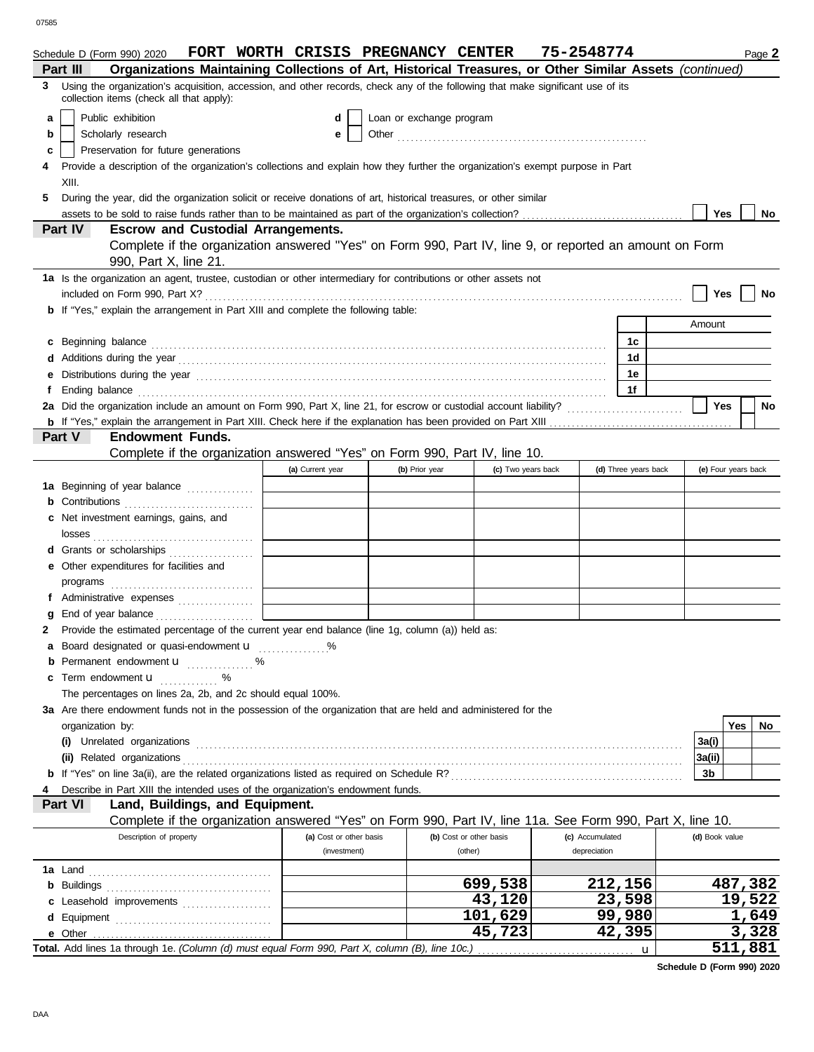|    | Schedule D (Form 990) 2020                                                                                                                                                                                                     |                                                                                                                           |                         | FORT WORTH CRISIS PREGNANCY CENTER |                         | 75-2548774      |                      |                | Page 2              |
|----|--------------------------------------------------------------------------------------------------------------------------------------------------------------------------------------------------------------------------------|---------------------------------------------------------------------------------------------------------------------------|-------------------------|------------------------------------|-------------------------|-----------------|----------------------|----------------|---------------------|
|    | Organizations Maintaining Collections of Art, Historical Treasures, or Other Similar Assets (continued)<br>Part III                                                                                                            |                                                                                                                           |                         |                                    |                         |                 |                      |                |                     |
| 3  | Using the organization's acquisition, accession, and other records, check any of the following that make significant use of its<br>collection items (check all that apply):                                                    |                                                                                                                           |                         |                                    |                         |                 |                      |                |                     |
| a  | Public exhibition                                                                                                                                                                                                              |                                                                                                                           | d                       | Loan or exchange program           |                         |                 |                      |                |                     |
| b  | Scholarly research                                                                                                                                                                                                             |                                                                                                                           | е                       |                                    |                         |                 |                      |                |                     |
| c  | Preservation for future generations                                                                                                                                                                                            |                                                                                                                           |                         |                                    |                         |                 |                      |                |                     |
| 4  | Provide a description of the organization's collections and explain how they further the organization's exempt purpose in Part                                                                                                 |                                                                                                                           |                         |                                    |                         |                 |                      |                |                     |
|    | XIII.                                                                                                                                                                                                                          |                                                                                                                           |                         |                                    |                         |                 |                      |                |                     |
|    |                                                                                                                                                                                                                                |                                                                                                                           |                         |                                    |                         |                 |                      |                |                     |
| 5. | During the year, did the organization solicit or receive donations of art, historical treasures, or other similar                                                                                                              |                                                                                                                           |                         |                                    |                         |                 |                      | Yes            | No.                 |
|    | Part IV<br><b>Escrow and Custodial Arrangements.</b>                                                                                                                                                                           |                                                                                                                           |                         |                                    |                         |                 |                      |                |                     |
|    | Complete if the organization answered "Yes" on Form 990, Part IV, line 9, or reported an amount on Form                                                                                                                        |                                                                                                                           |                         |                                    |                         |                 |                      |                |                     |
|    | 990, Part X, line 21.                                                                                                                                                                                                          |                                                                                                                           |                         |                                    |                         |                 |                      |                |                     |
|    | 1a Is the organization an agent, trustee, custodian or other intermediary for contributions or other assets not                                                                                                                |                                                                                                                           |                         |                                    |                         |                 |                      |                |                     |
|    | included on Form 990, Part X?<br><b>b</b> If "Yes," explain the arrangement in Part XIII and complete the following table:                                                                                                     |                                                                                                                           |                         |                                    |                         |                 |                      | Yes            | No                  |
|    |                                                                                                                                                                                                                                |                                                                                                                           |                         |                                    |                         |                 |                      | Amount         |                     |
|    |                                                                                                                                                                                                                                |                                                                                                                           |                         |                                    |                         |                 |                      |                |                     |
| C  | Beginning balance                                                                                                                                                                                                              |                                                                                                                           |                         |                                    |                         |                 | 1c                   |                |                     |
|    | Additions during the year material contact the year material contact the year material contact the year material contact the year material contact the year material contact the year material contact the year of the year an |                                                                                                                           |                         |                                    |                         |                 | 1 <sub>d</sub>       |                |                     |
|    |                                                                                                                                                                                                                                |                                                                                                                           |                         |                                    |                         |                 | 1e                   |                |                     |
|    |                                                                                                                                                                                                                                |                                                                                                                           |                         |                                    |                         |                 | 1f                   |                |                     |
|    | 2a Did the organization include an amount on Form 990, Part X, line 21, for escrow or custodial account liability?                                                                                                             |                                                                                                                           |                         |                                    |                         |                 |                      | <b>Yes</b>     | No                  |
|    | <b>Part V</b><br><b>Endowment Funds.</b>                                                                                                                                                                                       |                                                                                                                           |                         |                                    |                         |                 |                      |                |                     |
|    |                                                                                                                                                                                                                                |                                                                                                                           |                         |                                    |                         |                 |                      |                |                     |
|    | Complete if the organization answered "Yes" on Form 990, Part IV, line 10.                                                                                                                                                     |                                                                                                                           |                         |                                    |                         |                 |                      |                |                     |
|    |                                                                                                                                                                                                                                |                                                                                                                           | (a) Current year        | (b) Prior year                     | (c) Two years back      |                 | (d) Three years back |                | (e) Four years back |
|    | 1a Beginning of year balance                                                                                                                                                                                                   |                                                                                                                           |                         |                                    |                         |                 |                      |                |                     |
|    | Contributions <b>CONSIDER AND READ PROPERTY</b>                                                                                                                                                                                |                                                                                                                           |                         |                                    |                         |                 |                      |                |                     |
|    | Net investment earnings, gains, and                                                                                                                                                                                            |                                                                                                                           |                         |                                    |                         |                 |                      |                |                     |
|    |                                                                                                                                                                                                                                |                                                                                                                           |                         |                                    |                         |                 |                      |                |                     |
|    | Grants or scholarships                                                                                                                                                                                                         |                                                                                                                           |                         |                                    |                         |                 |                      |                |                     |
|    | Other expenditures for facilities and                                                                                                                                                                                          |                                                                                                                           |                         |                                    |                         |                 |                      |                |                     |
|    | programs                                                                                                                                                                                                                       |                                                                                                                           |                         |                                    |                         |                 |                      |                |                     |
|    |                                                                                                                                                                                                                                |                                                                                                                           |                         |                                    |                         |                 |                      |                |                     |
|    | End of year balance                                                                                                                                                                                                            |                                                                                                                           |                         |                                    |                         |                 |                      |                |                     |
| 2  | Provide the estimated percentage of the current year end balance (line 1g, column (a)) held as:                                                                                                                                |                                                                                                                           |                         |                                    |                         |                 |                      |                |                     |
| а  | Board designated or quasi-endowment u                                                                                                                                                                                          |                                                                                                                           |                         |                                    |                         |                 |                      |                |                     |
| b  | Permanent endowment <b>u</b> %                                                                                                                                                                                                 |                                                                                                                           |                         |                                    |                         |                 |                      |                |                     |
| c  | Term endowment <b>u</b><br>.                                                                                                                                                                                                   |                                                                                                                           |                         |                                    |                         |                 |                      |                |                     |
|    | The percentages on lines 2a, 2b, and 2c should equal 100%.                                                                                                                                                                     |                                                                                                                           |                         |                                    |                         |                 |                      |                |                     |
|    | 3a Are there endowment funds not in the possession of the organization that are held and administered for the                                                                                                                  |                                                                                                                           |                         |                                    |                         |                 |                      |                |                     |
|    | organization by:                                                                                                                                                                                                               |                                                                                                                           |                         |                                    |                         |                 |                      |                | Yes<br>No           |
|    |                                                                                                                                                                                                                                |                                                                                                                           |                         |                                    |                         |                 |                      | 3a(i)          |                     |
|    |                                                                                                                                                                                                                                |                                                                                                                           |                         |                                    |                         |                 |                      | 3a(ii)         |                     |
|    |                                                                                                                                                                                                                                |                                                                                                                           |                         |                                    |                         |                 |                      | 3b             |                     |
|    | Describe in Part XIII the intended uses of the organization's endowment funds.                                                                                                                                                 |                                                                                                                           |                         |                                    |                         |                 |                      |                |                     |
|    | Land, Buildings, and Equipment.<br>Part VI                                                                                                                                                                                     |                                                                                                                           |                         |                                    |                         |                 |                      |                |                     |
|    | Complete if the organization answered "Yes" on Form 990, Part IV, line 11a. See Form 990, Part X, line 10.                                                                                                                     |                                                                                                                           |                         |                                    |                         |                 |                      |                |                     |
|    | Description of property                                                                                                                                                                                                        |                                                                                                                           | (a) Cost or other basis |                                    | (b) Cost or other basis | (c) Accumulated |                      | (d) Book value |                     |
|    |                                                                                                                                                                                                                                |                                                                                                                           | (investment)            |                                    | (other)                 | depreciation    |                      |                |                     |
|    |                                                                                                                                                                                                                                |                                                                                                                           |                         |                                    |                         |                 |                      |                |                     |
|    |                                                                                                                                                                                                                                |                                                                                                                           |                         |                                    | 699,538                 |                 | 212,156              |                | 487,382             |
| С  | Leasehold improvements                                                                                                                                                                                                         |                                                                                                                           |                         |                                    | 43,120                  |                 | 23,598               |                | 19,522              |
| d  |                                                                                                                                                                                                                                |                                                                                                                           |                         |                                    | 101,629                 |                 | 99,980               |                | <u>1,649</u>        |
|    |                                                                                                                                                                                                                                |                                                                                                                           |                         |                                    | 45,723                  |                 | 42,395               |                | 3,328               |
|    |                                                                                                                                                                                                                                | 511,881<br>Total. Add lines 1a through 1e. (Column (d) must equal Form 990, Part X, column (B), line 10c.)<br>$\mathbf u$ |                         |                                    |                         |                 |                      |                |                     |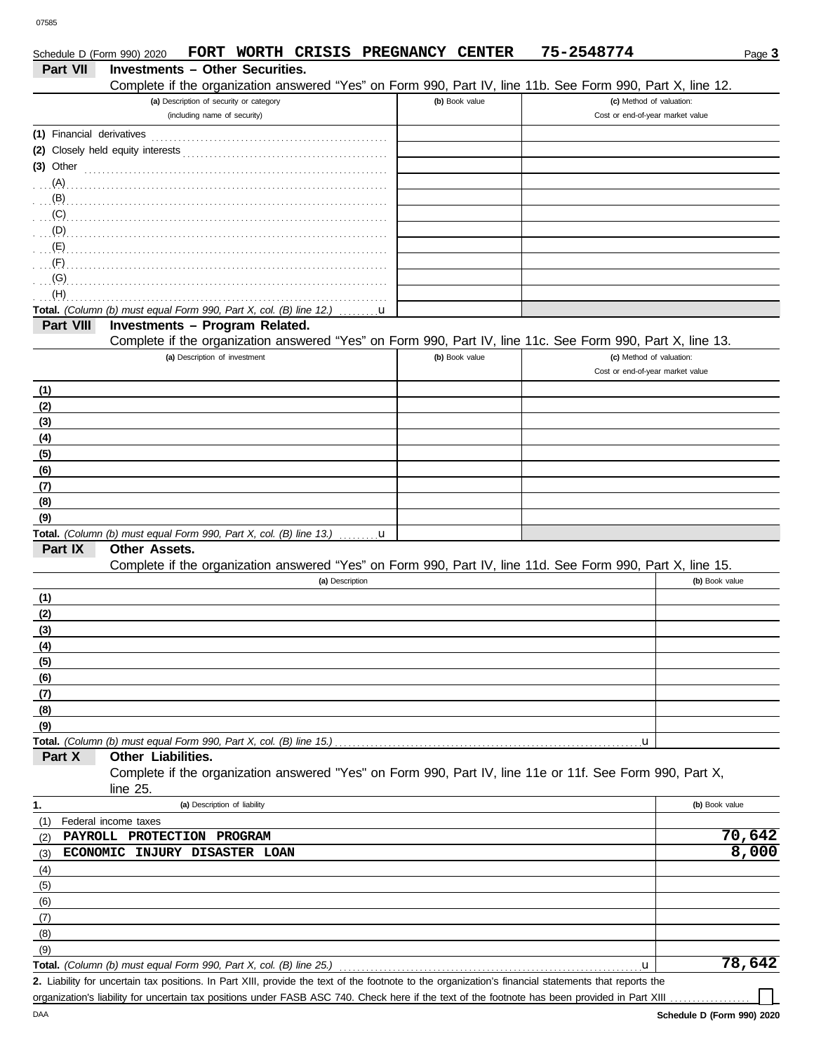|                           | Schedule D (Form 990) 2020                                                         | FORT WORTH CRISIS PREGNANCY CENTER      |                 |              |                | 75-2548774                                                                                                 | Page 3         |  |
|---------------------------|------------------------------------------------------------------------------------|-----------------------------------------|-----------------|--------------|----------------|------------------------------------------------------------------------------------------------------------|----------------|--|
| Part VII                  |                                                                                    | <b>Investments - Other Securities.</b>  |                 |              |                |                                                                                                            |                |  |
|                           |                                                                                    |                                         |                 |              |                | Complete if the organization answered "Yes" on Form 990, Part IV, line 11b. See Form 990, Part X, line 12. |                |  |
|                           |                                                                                    | (a) Description of security or category |                 |              | (b) Book value | (c) Method of valuation:                                                                                   |                |  |
|                           |                                                                                    | (including name of security)            |                 |              |                | Cost or end-of-year market value                                                                           |                |  |
| (1) Financial derivatives |                                                                                    |                                         |                 |              |                |                                                                                                            |                |  |
|                           |                                                                                    |                                         |                 |              |                |                                                                                                            |                |  |
| $(3)$ Other               |                                                                                    |                                         |                 |              |                |                                                                                                            |                |  |
| (A)                       |                                                                                    |                                         |                 |              |                |                                                                                                            |                |  |
| (B)                       |                                                                                    |                                         |                 |              |                |                                                                                                            |                |  |
| (C)                       |                                                                                    |                                         |                 |              |                |                                                                                                            |                |  |
| (D)                       |                                                                                    |                                         |                 |              |                |                                                                                                            |                |  |
| (E)                       |                                                                                    |                                         |                 |              |                |                                                                                                            |                |  |
| $\overline{F}$ .          |                                                                                    |                                         |                 |              |                |                                                                                                            |                |  |
| (G)                       |                                                                                    |                                         |                 |              |                |                                                                                                            |                |  |
| (H)                       |                                                                                    |                                         |                 |              |                |                                                                                                            |                |  |
|                           | Total. (Column (b) must equal Form 990, Part X, col. (B) line 12.) $\dots \dots u$ |                                         |                 |              |                |                                                                                                            |                |  |
| Part VIII                 |                                                                                    | Investments - Program Related.          |                 |              |                |                                                                                                            |                |  |
|                           |                                                                                    |                                         |                 |              |                | Complete if the organization answered "Yes" on Form 990, Part IV, line 11c. See Form 990, Part X, line 13. |                |  |
|                           |                                                                                    | (a) Description of investment           |                 |              | (b) Book value | (c) Method of valuation:                                                                                   |                |  |
|                           |                                                                                    |                                         |                 |              |                | Cost or end-of-year market value                                                                           |                |  |
| (1)                       |                                                                                    |                                         |                 |              |                |                                                                                                            |                |  |
| (2)                       |                                                                                    |                                         |                 |              |                |                                                                                                            |                |  |
| (3)                       |                                                                                    |                                         |                 |              |                |                                                                                                            |                |  |
| (4)                       |                                                                                    |                                         |                 |              |                |                                                                                                            |                |  |
| (5)                       |                                                                                    |                                         |                 |              |                |                                                                                                            |                |  |
| (6)                       |                                                                                    |                                         |                 |              |                |                                                                                                            |                |  |
| (7)                       |                                                                                    |                                         |                 |              |                |                                                                                                            |                |  |
| (8)                       |                                                                                    |                                         |                 |              |                |                                                                                                            |                |  |
| (9)                       |                                                                                    |                                         |                 |              |                |                                                                                                            |                |  |
|                           | Total. (Column (b) must equal Form 990, Part X, col. (B) line 13.)                 |                                         |                 | $\mathbf{u}$ |                |                                                                                                            |                |  |
| Part IX                   | Other Assets.                                                                      |                                         |                 |              |                |                                                                                                            |                |  |
|                           |                                                                                    |                                         |                 |              |                | Complete if the organization answered "Yes" on Form 990, Part IV, line 11d. See Form 990, Part X, line 15. |                |  |
|                           |                                                                                    |                                         | (a) Description |              |                |                                                                                                            | (b) Book value |  |
| (1)                       |                                                                                    |                                         |                 |              |                |                                                                                                            |                |  |
| (2)                       |                                                                                    |                                         |                 |              |                |                                                                                                            |                |  |
| (3)                       |                                                                                    |                                         |                 |              |                |                                                                                                            |                |  |
| (4)                       |                                                                                    |                                         |                 |              |                |                                                                                                            |                |  |
| (5)                       |                                                                                    |                                         |                 |              |                |                                                                                                            |                |  |
| (6)                       |                                                                                    |                                         |                 |              |                |                                                                                                            |                |  |
| (7)                       |                                                                                    |                                         |                 |              |                |                                                                                                            |                |  |
| (8)                       |                                                                                    |                                         |                 |              |                |                                                                                                            |                |  |
| (9)                       | Total. (Column (b) must equal Form 990, Part X, col. (B) line 15.)                 |                                         |                 |              |                |                                                                                                            |                |  |
| Part X                    | Other Liabilities.                                                                 |                                         |                 |              |                | u,                                                                                                         |                |  |
|                           |                                                                                    |                                         |                 |              |                | Complete if the organization answered "Yes" on Form 990, Part IV, line 11e or 11f. See Form 990, Part X,   |                |  |
|                           | line 25.                                                                           |                                         |                 |              |                |                                                                                                            |                |  |
| 1.                        |                                                                                    | (a) Description of liability            |                 |              |                |                                                                                                            | (b) Book value |  |
| (1)                       | Federal income taxes                                                               |                                         |                 |              |                |                                                                                                            |                |  |
| (2)                       | PAYROLL PROTECTION PROGRAM                                                         |                                         |                 |              |                |                                                                                                            | 70,642         |  |
| (3)                       | ECONOMIC INJURY DISASTER LOAN                                                      |                                         |                 |              |                |                                                                                                            | 8,000          |  |
| (4)                       |                                                                                    |                                         |                 |              |                |                                                                                                            |                |  |
| (5)                       |                                                                                    |                                         |                 |              |                |                                                                                                            |                |  |
| (6)                       |                                                                                    |                                         |                 |              |                |                                                                                                            |                |  |
| (7)                       |                                                                                    |                                         |                 |              |                |                                                                                                            |                |  |
| (8)                       |                                                                                    |                                         |                 |              |                |                                                                                                            |                |  |
| (9)                       |                                                                                    |                                         |                 |              |                |                                                                                                            |                |  |
|                           | Total. (Column (b) must equal Form 990, Part X, col. (B) line 25.)                 |                                         |                 |              |                | $\mathbf{u}$                                                                                               | 78,642         |  |
|                           |                                                                                    |                                         |                 |              |                |                                                                                                            |                |  |

Liability for uncertain tax positions. In Part XIII, provide the text of the footnote to the organization's financial statements that reports the **2.** organization's liability for uncertain tax positions under FASB ASC 740. Check here if the text of the footnote has been provided in Part XIII

 $\Box$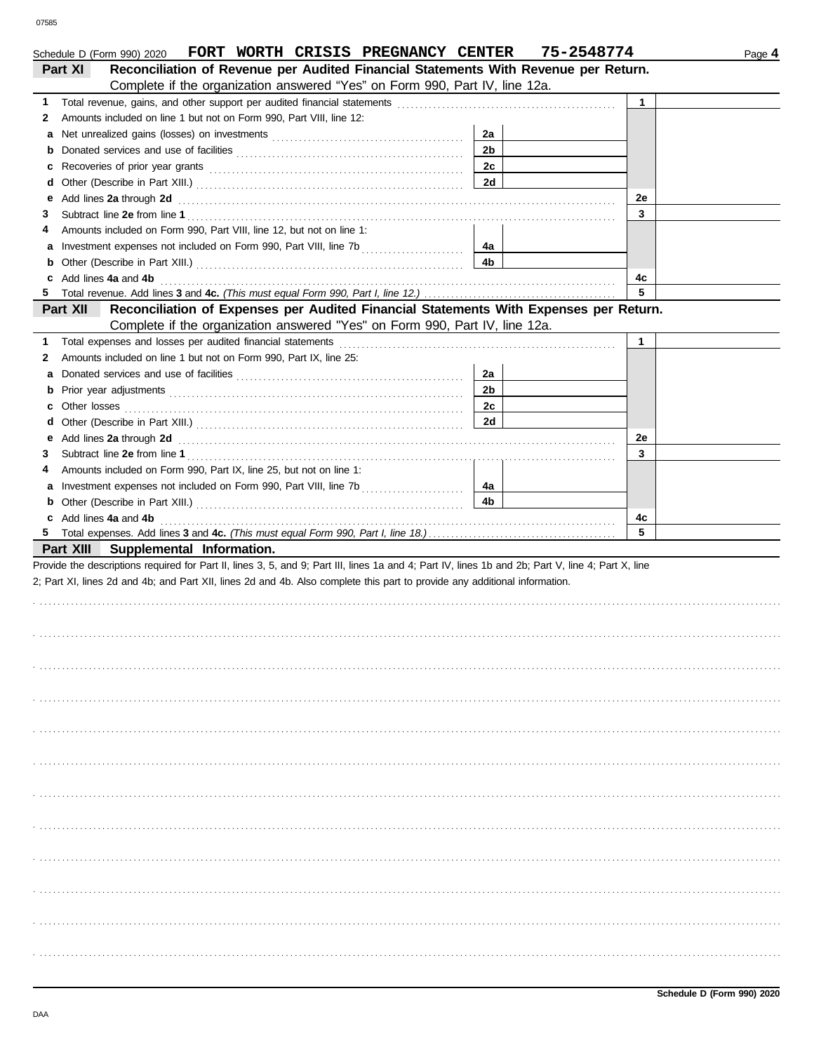|    | FORT WORTH CRISIS PREGNANCY CENTER<br>Schedule D (Form 990) 2020                                                                                                                                                                                                                                      |                | 75-2548774 |    | Page 4 |
|----|-------------------------------------------------------------------------------------------------------------------------------------------------------------------------------------------------------------------------------------------------------------------------------------------------------|----------------|------------|----|--------|
|    | Reconciliation of Revenue per Audited Financial Statements With Revenue per Return.<br>Part XI                                                                                                                                                                                                        |                |            |    |        |
|    | Complete if the organization answered "Yes" on Form 990, Part IV, line 12a.                                                                                                                                                                                                                           |                |            |    |        |
| 1. | Total revenue, gains, and other support per audited financial statements                                                                                                                                                                                                                              |                |            | 1  |        |
| 2  | Amounts included on line 1 but not on Form 990, Part VIII, line 12:                                                                                                                                                                                                                                   |                |            |    |        |
| а  |                                                                                                                                                                                                                                                                                                       | 2a             |            |    |        |
| b  |                                                                                                                                                                                                                                                                                                       | 2 <sub>b</sub> |            |    |        |
| c  |                                                                                                                                                                                                                                                                                                       | 2c             |            |    |        |
| d  |                                                                                                                                                                                                                                                                                                       | 2d             |            |    |        |
| е  | Add lines 2a through 2d <b>Martin Community 20</b> and 20 and 20 and 20 and 20 and 20 and 20 and 20 and 20 and 20 and 20 and 20 and 20 and 20 and 20 and 20 and 20 and 20 and 20 and 20 and 20 and 20 and 20 and 20 and 20 and 20 a                                                                   |                |            | 2е |        |
| 3  |                                                                                                                                                                                                                                                                                                       |                |            | 3  |        |
|    | Amounts included on Form 990, Part VIII, line 12, but not on line 1:                                                                                                                                                                                                                                  |                |            |    |        |
| а  |                                                                                                                                                                                                                                                                                                       | 4a             |            |    |        |
| b  |                                                                                                                                                                                                                                                                                                       | 4b             |            |    |        |
| c  | Add lines 4a and 4b                                                                                                                                                                                                                                                                                   |                |            | 4с |        |
| 5  |                                                                                                                                                                                                                                                                                                       |                |            | 5  |        |
|    | Reconciliation of Expenses per Audited Financial Statements With Expenses per Return.<br>Part XII                                                                                                                                                                                                     |                |            |    |        |
|    | Complete if the organization answered "Yes" on Form 990, Part IV, line 12a.                                                                                                                                                                                                                           |                |            |    |        |
| 1. | Total expenses and losses per audited financial statements                                                                                                                                                                                                                                            |                |            | 1  |        |
| 2  | Amounts included on line 1 but not on Form 990, Part IX, line 25:                                                                                                                                                                                                                                     |                |            |    |        |
| а  |                                                                                                                                                                                                                                                                                                       | 2a             |            |    |        |
| b  |                                                                                                                                                                                                                                                                                                       | 2 <sub>b</sub> |            |    |        |
| с  | Other losses <b>contracts</b> and <b>contracts</b> and <b>contracts</b> and <b>contracts</b> and <b>contracts</b> and <b>contracts</b> and <b>contracts</b> and <b>contracts</b> and <b>contracts</b> and <b>contracts</b> and <b>contracts</b> and <b>contracts</b> and <b>contracts</b> and <b></b> | 2c             |            |    |        |
| d  |                                                                                                                                                                                                                                                                                                       | 2d             |            |    |        |
| е  | Add lines 2a through 2d <b>Martin Community 20</b> and 20 and 20 and 20 and 20 and 20 and 20 and 20 and 20 and 20 and 20 and 20 and 20 and 20 and 20 and 20 and 20 and 20 and 20 and 20 and 20 and 20 and 20 and 20 and 20 and 20 a                                                                   |                |            | 2e |        |
| З  |                                                                                                                                                                                                                                                                                                       |                |            | 3  |        |
| 4  | Amounts included on Form 990, Part IX, line 25, but not on line 1:                                                                                                                                                                                                                                    |                |            |    |        |
| а  |                                                                                                                                                                                                                                                                                                       | 4a             |            |    |        |
| b  |                                                                                                                                                                                                                                                                                                       | 4b             |            |    |        |
| c  | Add lines 4a and 4b                                                                                                                                                                                                                                                                                   |                |            | 4c |        |
|    |                                                                                                                                                                                                                                                                                                       |                |            | 5  |        |
|    | Part XIII Supplemental Information.                                                                                                                                                                                                                                                                   |                |            |    |        |
|    | Provide the descriptions required for Part II, lines 3, 5, and 9; Part III, lines 1a and 4; Part IV, lines 1b and 2b; Part V, line 4; Part X, line                                                                                                                                                    |                |            |    |        |
|    | 2; Part XI, lines 2d and 4b; and Part XII, lines 2d and 4b. Also complete this part to provide any additional information.                                                                                                                                                                            |                |            |    |        |
|    |                                                                                                                                                                                                                                                                                                       |                |            |    |        |
|    |                                                                                                                                                                                                                                                                                                       |                |            |    |        |
|    |                                                                                                                                                                                                                                                                                                       |                |            |    |        |
|    |                                                                                                                                                                                                                                                                                                       |                |            |    |        |
|    |                                                                                                                                                                                                                                                                                                       |                |            |    |        |
|    |                                                                                                                                                                                                                                                                                                       |                |            |    |        |
|    |                                                                                                                                                                                                                                                                                                       |                |            |    |        |
|    |                                                                                                                                                                                                                                                                                                       |                |            |    |        |
|    |                                                                                                                                                                                                                                                                                                       |                |            |    |        |
|    |                                                                                                                                                                                                                                                                                                       |                |            |    |        |
|    |                                                                                                                                                                                                                                                                                                       |                |            |    |        |
|    |                                                                                                                                                                                                                                                                                                       |                |            |    |        |
|    |                                                                                                                                                                                                                                                                                                       |                |            |    |        |
|    |                                                                                                                                                                                                                                                                                                       |                |            |    |        |
|    |                                                                                                                                                                                                                                                                                                       |                |            |    |        |
|    |                                                                                                                                                                                                                                                                                                       |                |            |    |        |
|    |                                                                                                                                                                                                                                                                                                       |                |            |    |        |
|    |                                                                                                                                                                                                                                                                                                       |                |            |    |        |
|    |                                                                                                                                                                                                                                                                                                       |                |            |    |        |
|    |                                                                                                                                                                                                                                                                                                       |                |            |    |        |
|    |                                                                                                                                                                                                                                                                                                       |                |            |    |        |
|    |                                                                                                                                                                                                                                                                                                       |                |            |    |        |
|    |                                                                                                                                                                                                                                                                                                       |                |            |    |        |
|    |                                                                                                                                                                                                                                                                                                       |                |            |    |        |
|    |                                                                                                                                                                                                                                                                                                       |                |            |    |        |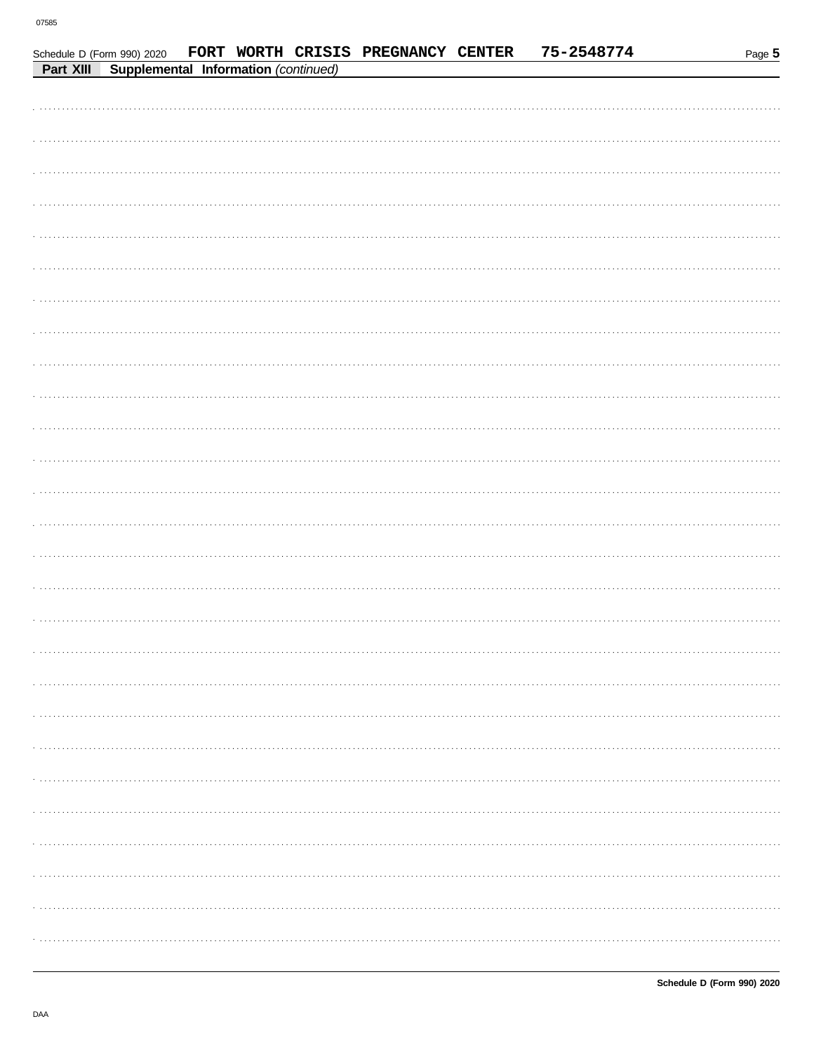Schedule D (Form 990) 2020

| <b>Part XIII Supplemental Information (continued)</b> |
|-------------------------------------------------------|
|                                                       |
|                                                       |
|                                                       |
|                                                       |
|                                                       |
|                                                       |
|                                                       |
|                                                       |
|                                                       |
|                                                       |
|                                                       |
|                                                       |
|                                                       |
|                                                       |
|                                                       |
|                                                       |
|                                                       |
|                                                       |
|                                                       |
|                                                       |
|                                                       |
|                                                       |
|                                                       |
|                                                       |
|                                                       |
|                                                       |
|                                                       |
|                                                       |
|                                                       |

FORT WORTH CRISIS PREGNANCY CENTER

75-2548774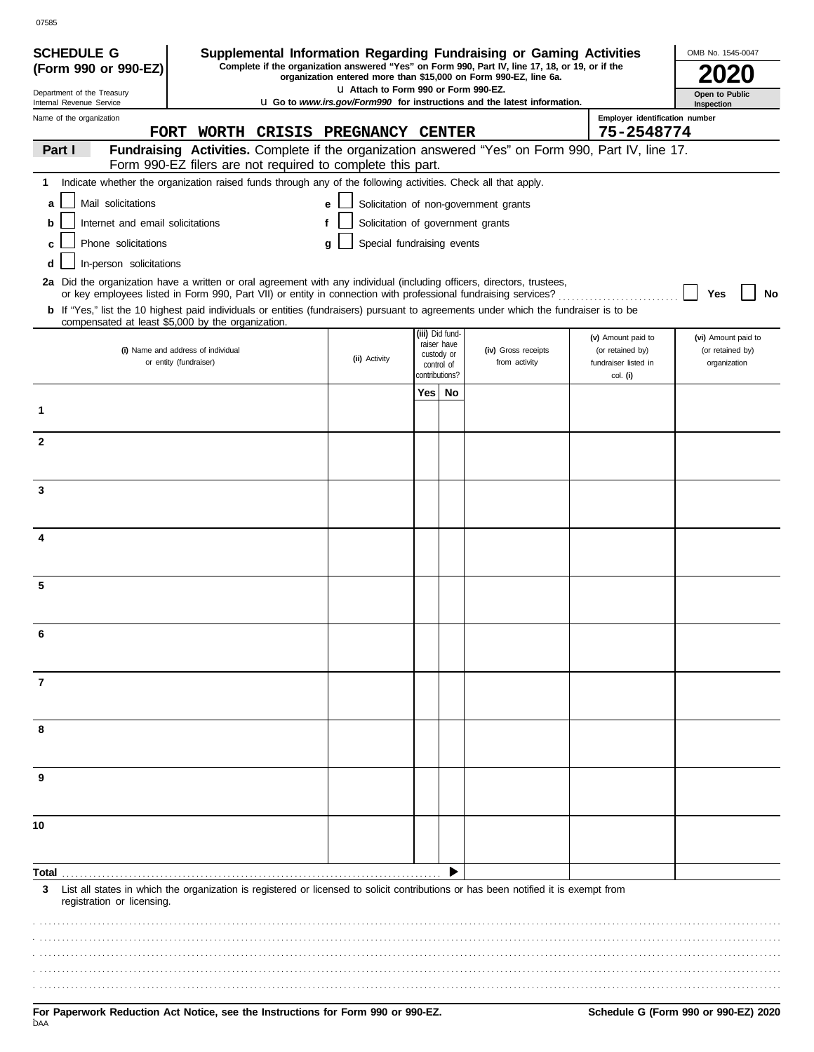| <b>SCHEDULE G</b>                                                                                                                                                                          |                                                              |   |                                       |                |                                | Supplemental Information Regarding Fundraising or Gaming Activities                                                                                                 |                                  | OMB No. 1545-0047                |
|--------------------------------------------------------------------------------------------------------------------------------------------------------------------------------------------|--------------------------------------------------------------|---|---------------------------------------|----------------|--------------------------------|---------------------------------------------------------------------------------------------------------------------------------------------------------------------|----------------------------------|----------------------------------|
| (Form 990 or 990-EZ)                                                                                                                                                                       |                                                              |   |                                       |                |                                | Complete if the organization answered "Yes" on Form 990, Part IV, line 17, 18, or 19, or if the<br>organization entered more than \$15,000 on Form 990-EZ, line 6a. |                                  |                                  |
| Department of the Treasury<br>Internal Revenue Service                                                                                                                                     |                                                              |   | LI Attach to Form 990 or Form 990-EZ. |                |                                | <b>u Go to www.irs.gov/Form990 for instructions and the latest information.</b>                                                                                     |                                  | Open to Public<br>Inspection     |
| Name of the organization                                                                                                                                                                   |                                                              |   |                                       |                |                                |                                                                                                                                                                     | Employer identification number   |                                  |
|                                                                                                                                                                                            | FORT WORTH CRISIS PREGNANCY CENTER                           |   |                                       |                |                                |                                                                                                                                                                     | 75-2548774                       |                                  |
| Part I                                                                                                                                                                                     |                                                              |   |                                       |                |                                | Fundraising Activities. Complete if the organization answered "Yes" on Form 990, Part IV, line 17.                                                                  |                                  |                                  |
| Indicate whether the organization raised funds through any of the following activities. Check all that apply.<br>1                                                                         | Form 990-EZ filers are not required to complete this part.   |   |                                       |                |                                |                                                                                                                                                                     |                                  |                                  |
|                                                                                                                                                                                            |                                                              |   |                                       |                |                                |                                                                                                                                                                     |                                  |                                  |
| Mail solicitations<br>a                                                                                                                                                                    |                                                              | e |                                       |                |                                | Solicitation of non-government grants                                                                                                                               |                                  |                                  |
| Internet and email solicitations<br>b                                                                                                                                                      |                                                              | f |                                       |                |                                | Solicitation of government grants                                                                                                                                   |                                  |                                  |
| Phone solicitations<br>C                                                                                                                                                                   |                                                              | a | Special fundraising events            |                |                                |                                                                                                                                                                     |                                  |                                  |
| In-person solicitations<br>d                                                                                                                                                               |                                                              |   |                                       |                |                                |                                                                                                                                                                     |                                  |                                  |
| 2a Did the organization have a written or oral agreement with any individual (including officers, directors, trustees,                                                                     |                                                              |   |                                       |                |                                | or key employees listed in Form 990, Part VII) or entity in connection with professional fundraising services?                                                      |                                  | Yes<br>No                        |
| b If "Yes," list the 10 highest paid individuals or entities (fundraisers) pursuant to agreements under which the fundraiser is to be<br>compensated at least \$5,000 by the organization. |                                                              |   |                                       |                |                                |                                                                                                                                                                     |                                  |                                  |
|                                                                                                                                                                                            |                                                              |   |                                       |                | (iii) Did fund-<br>raiser have |                                                                                                                                                                     | (v) Amount paid to               | (vi) Amount paid to              |
|                                                                                                                                                                                            | (i) Name and address of individual<br>or entity (fundraiser) |   | (ii) Activity                         |                | custody or                     | (iv) Gross receipts<br>from activity                                                                                                                                | (or retained by)                 | (or retained by)<br>organization |
|                                                                                                                                                                                            |                                                              |   |                                       | contributions? | control of                     |                                                                                                                                                                     | fundraiser listed in<br>col. (i) |                                  |
|                                                                                                                                                                                            |                                                              |   |                                       | Yes No         |                                |                                                                                                                                                                     |                                  |                                  |
| 1                                                                                                                                                                                          |                                                              |   |                                       |                |                                |                                                                                                                                                                     |                                  |                                  |
| $\mathbf{2}$                                                                                                                                                                               |                                                              |   |                                       |                |                                |                                                                                                                                                                     |                                  |                                  |
|                                                                                                                                                                                            |                                                              |   |                                       |                |                                |                                                                                                                                                                     |                                  |                                  |
| 3                                                                                                                                                                                          |                                                              |   |                                       |                |                                |                                                                                                                                                                     |                                  |                                  |
|                                                                                                                                                                                            |                                                              |   |                                       |                |                                |                                                                                                                                                                     |                                  |                                  |
|                                                                                                                                                                                            |                                                              |   |                                       |                |                                |                                                                                                                                                                     |                                  |                                  |
|                                                                                                                                                                                            |                                                              |   |                                       |                |                                |                                                                                                                                                                     |                                  |                                  |
| 5                                                                                                                                                                                          |                                                              |   |                                       |                |                                |                                                                                                                                                                     |                                  |                                  |
|                                                                                                                                                                                            |                                                              |   |                                       |                |                                |                                                                                                                                                                     |                                  |                                  |
|                                                                                                                                                                                            |                                                              |   |                                       |                |                                |                                                                                                                                                                     |                                  |                                  |
|                                                                                                                                                                                            |                                                              |   |                                       |                |                                |                                                                                                                                                                     |                                  |                                  |
| 7                                                                                                                                                                                          |                                                              |   |                                       |                |                                |                                                                                                                                                                     |                                  |                                  |
|                                                                                                                                                                                            |                                                              |   |                                       |                |                                |                                                                                                                                                                     |                                  |                                  |
| 8                                                                                                                                                                                          |                                                              |   |                                       |                |                                |                                                                                                                                                                     |                                  |                                  |
|                                                                                                                                                                                            |                                                              |   |                                       |                |                                |                                                                                                                                                                     |                                  |                                  |
| 9                                                                                                                                                                                          |                                                              |   |                                       |                |                                |                                                                                                                                                                     |                                  |                                  |
|                                                                                                                                                                                            |                                                              |   |                                       |                |                                |                                                                                                                                                                     |                                  |                                  |
| 10                                                                                                                                                                                         |                                                              |   |                                       |                |                                |                                                                                                                                                                     |                                  |                                  |
|                                                                                                                                                                                            |                                                              |   |                                       |                |                                |                                                                                                                                                                     |                                  |                                  |
| Total                                                                                                                                                                                      |                                                              |   |                                       |                |                                |                                                                                                                                                                     |                                  |                                  |
| 3                                                                                                                                                                                          |                                                              |   |                                       |                |                                | List all states in which the organization is registered or licensed to solicit contributions or has been notified it is exempt from                                 |                                  |                                  |
| registration or licensing.                                                                                                                                                                 |                                                              |   |                                       |                |                                |                                                                                                                                                                     |                                  |                                  |
|                                                                                                                                                                                            |                                                              |   |                                       |                |                                |                                                                                                                                                                     |                                  |                                  |
|                                                                                                                                                                                            |                                                              |   |                                       |                |                                |                                                                                                                                                                     |                                  |                                  |
|                                                                                                                                                                                            |                                                              |   |                                       |                |                                |                                                                                                                                                                     |                                  |                                  |
|                                                                                                                                                                                            |                                                              |   |                                       |                |                                |                                                                                                                                                                     |                                  |                                  |
|                                                                                                                                                                                            |                                                              |   |                                       |                |                                |                                                                                                                                                                     |                                  |                                  |

.

07585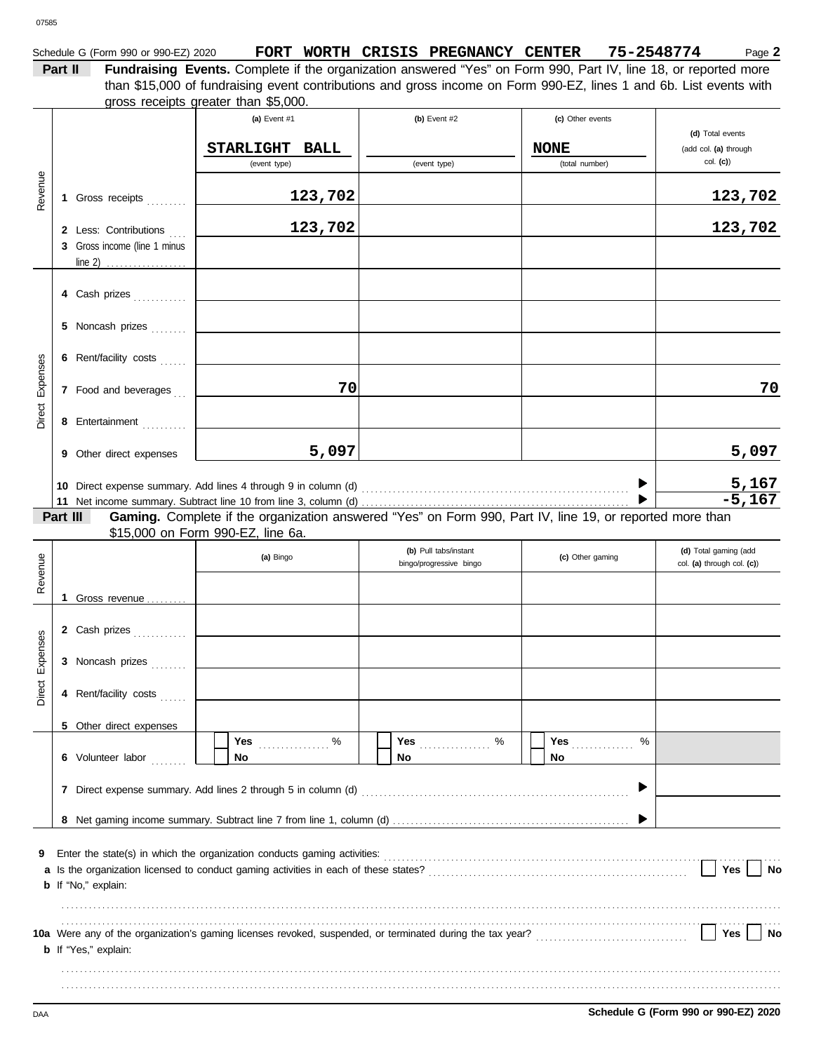## Schedule G (Form 990 or 990-EZ) 2020 **FORT WORTH CRISIS PREGNANCY CENTER** 75-2548774 Page 2

**Part II Fundraising Events.** Complete if the organization answered "Yes" on Form 990, Part IV, line 18, or reported more gross receipts greater than \$5,000. than \$15,000 of fundraising event contributions and gross income on Form 990-EZ, lines 1 and 6b. List events with

|                 |          |                                                                                                                                                                     | (a) Event #1                      |             | (b) Event #2                                                                                             | (c) Other events       | (d) Total events                                    |
|-----------------|----------|---------------------------------------------------------------------------------------------------------------------------------------------------------------------|-----------------------------------|-------------|----------------------------------------------------------------------------------------------------------|------------------------|-----------------------------------------------------|
|                 |          |                                                                                                                                                                     | <b>STARLIGHT</b>                  | <b>BALL</b> |                                                                                                          | <b>NONE</b>            | (add col. (a) through                               |
|                 |          |                                                                                                                                                                     | (event type)                      |             | (event type)                                                                                             | (total number)         | $col.$ (c))                                         |
|                 |          |                                                                                                                                                                     |                                   |             |                                                                                                          |                        |                                                     |
| Revenue         |          | 1 Gross receipts                                                                                                                                                    |                                   | 123,702     |                                                                                                          |                        | 123,702                                             |
|                 |          | 2 Less: Contributions                                                                                                                                               |                                   | 123,702     |                                                                                                          |                        | 123,702                                             |
|                 |          | 3 Gross income (line 1 minus                                                                                                                                        |                                   |             |                                                                                                          |                        |                                                     |
|                 |          |                                                                                                                                                                     |                                   |             |                                                                                                          |                        |                                                     |
|                 |          | 4 Cash prizes                                                                                                                                                       |                                   |             |                                                                                                          |                        |                                                     |
|                 |          |                                                                                                                                                                     |                                   |             |                                                                                                          |                        |                                                     |
|                 |          | 5 Noncash prizes                                                                                                                                                    |                                   |             |                                                                                                          |                        |                                                     |
| Direct Expenses |          | 6 Rent/facility costs                                                                                                                                               |                                   |             |                                                                                                          |                        |                                                     |
|                 |          | 7 Food and beverages                                                                                                                                                |                                   | 70          |                                                                                                          |                        | 70                                                  |
|                 |          | 8 Entertainment                                                                                                                                                     |                                   |             |                                                                                                          |                        |                                                     |
|                 |          | 9 Other direct expenses                                                                                                                                             |                                   | 5,097       |                                                                                                          |                        | 5,097                                               |
|                 |          |                                                                                                                                                                     |                                   |             |                                                                                                          |                        |                                                     |
|                 |          |                                                                                                                                                                     |                                   |             |                                                                                                          |                        | $\frac{5,167}{-5,167}$                              |
|                 | Part III |                                                                                                                                                                     |                                   |             | Gaming. Complete if the organization answered "Yes" on Form 990, Part IV, line 19, or reported more than |                        |                                                     |
|                 |          |                                                                                                                                                                     | \$15,000 on Form 990-EZ, line 6a. |             |                                                                                                          |                        |                                                     |
| Revenue         |          |                                                                                                                                                                     | (a) Bingo                         |             | (b) Pull tabs/instant<br>bingo/progressive bingo                                                         | (c) Other gaming       | (d) Total gaming (add<br>col. (a) through col. (c)) |
|                 |          |                                                                                                                                                                     |                                   |             |                                                                                                          |                        |                                                     |
|                 |          | 1 Gross revenue                                                                                                                                                     |                                   |             |                                                                                                          |                        |                                                     |
|                 |          | 2 Cash prizes                                                                                                                                                       |                                   |             |                                                                                                          |                        |                                                     |
|                 |          | 3 Noncash prizes                                                                                                                                                    |                                   |             |                                                                                                          |                        |                                                     |
| Direct Expenses |          |                                                                                                                                                                     |                                   |             |                                                                                                          |                        |                                                     |
|                 |          | 4 Rent/facility costs                                                                                                                                               |                                   |             |                                                                                                          |                        |                                                     |
|                 |          | 5 Other direct expenses                                                                                                                                             |                                   |             |                                                                                                          |                        |                                                     |
|                 |          | 6 Volunteer labor                                                                                                                                                   | Yes $\ldots$ %<br>No              |             | No.                                                                                                      | <b>Yes</b><br>%<br>No. |                                                     |
|                 |          |                                                                                                                                                                     |                                   |             |                                                                                                          |                        |                                                     |
|                 |          |                                                                                                                                                                     |                                   |             |                                                                                                          |                        |                                                     |
|                 |          |                                                                                                                                                                     |                                   |             |                                                                                                          |                        |                                                     |
| 9               |          | Enter the state(s) in which the organization conducts gaming activities: [11] production content the state(s) in which the organization conducts gaming activities: |                                   |             |                                                                                                          |                        |                                                     |
|                 |          |                                                                                                                                                                     |                                   |             |                                                                                                          |                        | Yes<br>No                                           |
|                 |          | <b>b</b> If "No," explain:                                                                                                                                          |                                   |             |                                                                                                          |                        |                                                     |
|                 |          |                                                                                                                                                                     |                                   |             |                                                                                                          |                        |                                                     |
|                 |          |                                                                                                                                                                     |                                   |             |                                                                                                          |                        | Yes<br>No                                           |
|                 |          | <b>b</b> If "Yes," explain:                                                                                                                                         |                                   |             |                                                                                                          |                        |                                                     |
|                 |          |                                                                                                                                                                     |                                   |             |                                                                                                          |                        |                                                     |
|                 |          |                                                                                                                                                                     |                                   |             |                                                                                                          |                        |                                                     |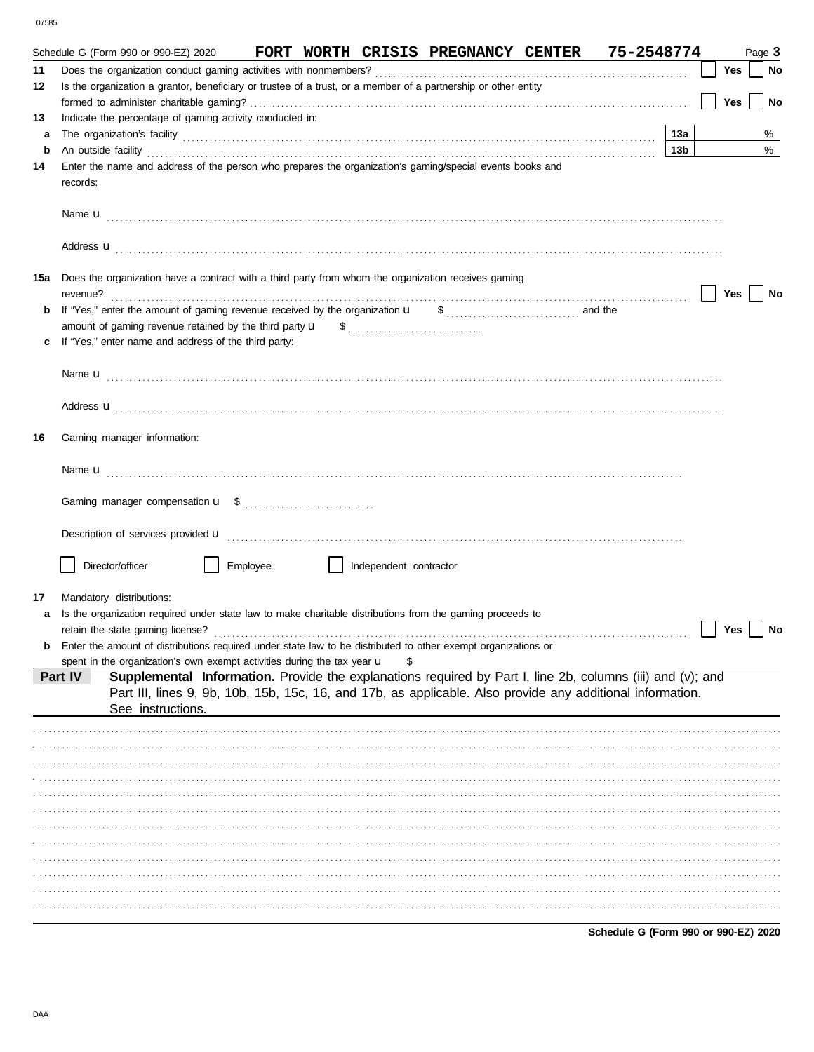07585

|     | FORT WORTH CRISIS PREGNANCY CENTER 75-2548774<br>Schedule G (Form 990 or 990-EZ) 2020                                                                                                                                                |                 |            | Page 3 |           |
|-----|--------------------------------------------------------------------------------------------------------------------------------------------------------------------------------------------------------------------------------------|-----------------|------------|--------|-----------|
| 11  |                                                                                                                                                                                                                                      |                 | Yes        |        | <b>No</b> |
| 12  | Is the organization a grantor, beneficiary or trustee of a trust, or a member of a partnership or other entity                                                                                                                       |                 |            |        |           |
|     |                                                                                                                                                                                                                                      |                 | <b>Yes</b> |        | <b>No</b> |
| 13  | Indicate the percentage of gaming activity conducted in:                                                                                                                                                                             |                 |            |        |           |
| а   | The organization's facility [13a]                                                                                                                                                                                                    |                 |            |        | %         |
| b   | An outside facility <b>contained a set of the contract of the contract of the contract of the contract of the contract of the contract of the contract of the contract of the contract of the contract of the contract of the co</b> | 13 <sub>b</sub> |            |        | %         |
| 14  | Enter the name and address of the person who prepares the organization's gaming/special events books and<br>records:                                                                                                                 |                 |            |        |           |
|     |                                                                                                                                                                                                                                      |                 |            |        |           |
|     |                                                                                                                                                                                                                                      |                 |            |        |           |
| 15a | Does the organization have a contract with a third party from whom the organization receives gaming<br>revenue?                                                                                                                      |                 | Yes        |        | No        |
| b   |                                                                                                                                                                                                                                      |                 |            |        |           |
|     |                                                                                                                                                                                                                                      |                 |            |        |           |
|     | If "Yes," enter name and address of the third party:                                                                                                                                                                                 |                 |            |        |           |
|     |                                                                                                                                                                                                                                      |                 |            |        |           |
|     |                                                                                                                                                                                                                                      |                 |            |        |           |
|     |                                                                                                                                                                                                                                      |                 |            |        |           |
| 16  | Gaming manager information:                                                                                                                                                                                                          |                 |            |        |           |
|     |                                                                                                                                                                                                                                      |                 |            |        |           |
|     |                                                                                                                                                                                                                                      |                 |            |        |           |
|     | Description of services provided <b>u</b> electron contract the contract of the contract of the contract of the contract of the contract of the contract of the contract of the contract of the contract of the contract of the con  |                 |            |        |           |
|     | Director/officer<br>Employee<br>Independent contractor                                                                                                                                                                               |                 |            |        |           |
| 17  | Mandatory distributions:                                                                                                                                                                                                             |                 |            |        |           |
|     | Is the organization required under state law to make charitable distributions from the gaming proceeds to                                                                                                                            |                 |            |        |           |
|     | retain the state gaming license?                                                                                                                                                                                                     |                 | Yes $ $    |        | <b>No</b> |
|     | Enter the amount of distributions required under state law to be distributed to other exempt organizations or                                                                                                                        |                 |            |        |           |
|     | spent in the organization's own exempt activities during the tax year u<br>\$                                                                                                                                                        |                 |            |        |           |
|     | Supplemental Information. Provide the explanations required by Part I, line 2b, columns (iii) and (v); and<br>Part IV<br>Part III, lines 9, 9b, 10b, 15b, 15c, 16, and 17b, as applicable. Also provide any additional information.  |                 |            |        |           |
|     | See instructions.                                                                                                                                                                                                                    |                 |            |        |           |
|     |                                                                                                                                                                                                                                      |                 |            |        |           |
|     |                                                                                                                                                                                                                                      |                 |            |        |           |
|     |                                                                                                                                                                                                                                      |                 |            |        |           |
|     |                                                                                                                                                                                                                                      |                 |            |        |           |
|     |                                                                                                                                                                                                                                      |                 |            |        |           |
|     |                                                                                                                                                                                                                                      |                 |            |        |           |
|     |                                                                                                                                                                                                                                      |                 |            |        |           |
|     |                                                                                                                                                                                                                                      |                 |            |        |           |
|     |                                                                                                                                                                                                                                      |                 |            |        |           |
|     |                                                                                                                                                                                                                                      |                 |            |        |           |
|     |                                                                                                                                                                                                                                      |                 |            |        |           |
|     |                                                                                                                                                                                                                                      |                 |            |        |           |

Schedule G (Form 990 or 990-EZ) 2020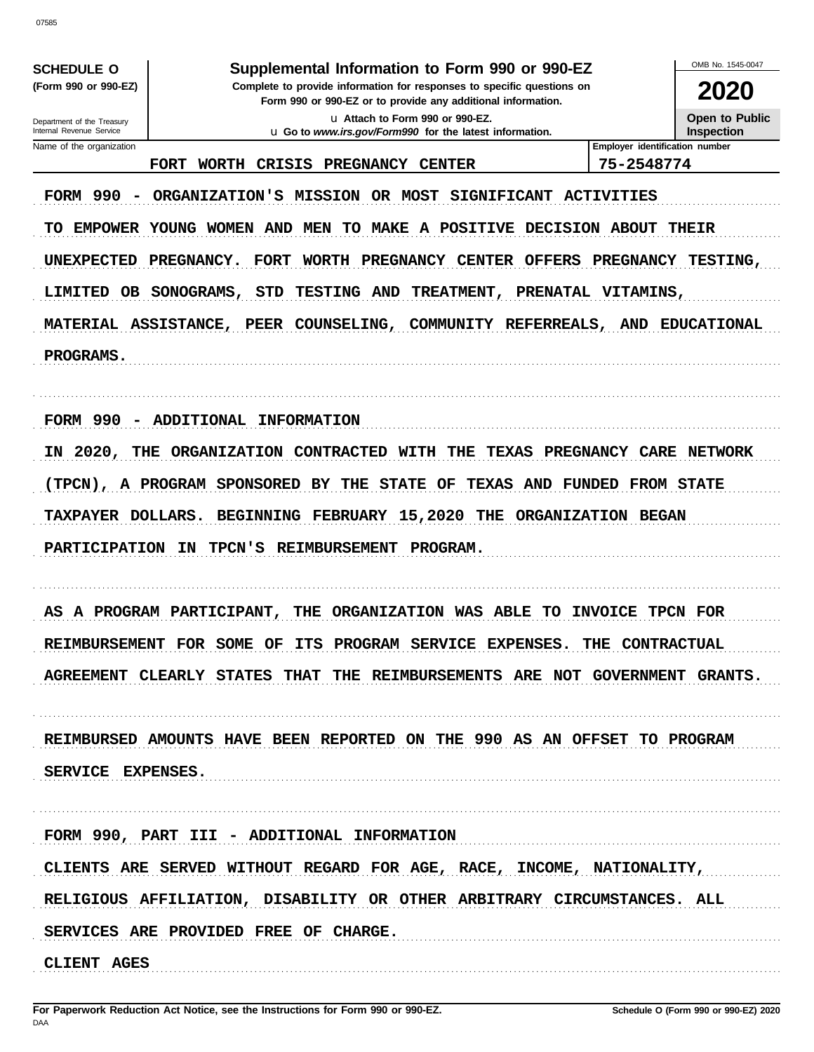|                                                                            |                                                                                                                                                                                                                                                                                                                                                             |                                | OMB No. 1545-0047                                  |
|----------------------------------------------------------------------------|-------------------------------------------------------------------------------------------------------------------------------------------------------------------------------------------------------------------------------------------------------------------------------------------------------------------------------------------------------------|--------------------------------|----------------------------------------------------|
| <b>SCHEDULE O</b><br>(Form 990 or 990-EZ)                                  | Supplemental Information to Form 990 or 990-EZ<br>Complete to provide information for responses to specific questions on                                                                                                                                                                                                                                    |                                | 2020                                               |
| Department of the Treasury                                                 | Form 990 or 990-EZ or to provide any additional information.<br>La Attach to Form 990 or 990-EZ.                                                                                                                                                                                                                                                            |                                | <b>Open to Public</b>                              |
| Internal Revenue Service                                                   | <b>u</b> Go to <i>www.irs.gov/Form990</i> for the latest information.                                                                                                                                                                                                                                                                                       | Employer identification number | <b>Inspection</b>                                  |
| Name of the organization                                                   | <b>FORT</b><br><b>WORTH</b><br>CRISIS<br>PREGNANCY<br><b>CENTER</b>                                                                                                                                                                                                                                                                                         | 75-2548774                     |                                                    |
| FORM 990<br>$\overline{\phantom{a}}$<br>TO<br><b>UNEXPECTED</b><br>LIMITED | ORGANIZATION'S<br><b>MISSION</b><br>OR MOST<br>SIGNIFICANT ACTIVITIES<br>EMPOWER YOUNG WOMEN AND<br>TO MAKE<br>A POSITIVE DECISION ABOUT<br>MEN<br>PREGNANCY.<br><b>FORT</b><br>WORTH PREGNANCY CENTER OFFERS<br>OB SONOGRAMS,<br>STD<br><b>TESTING AND</b><br>TREATMENT, PRENATAL VITAMINS,<br>MATERIAL ASSISTANCE, PEER COUNSELING, COMMUNITY REFERREALS, | PREGNANCY                      | <b>THEIR</b><br><b>TESTING,</b><br>AND EDUCATIONAL |
| PROGRAMS.                                                                  |                                                                                                                                                                                                                                                                                                                                                             |                                |                                                    |
| FORM 990<br>$\overline{\phantom{a}}$                                       | ADDITIONAL INFORMATION                                                                                                                                                                                                                                                                                                                                      |                                |                                                    |
| 2020,<br>IN                                                                | THE ORGANIZATION<br>CONTRACTED WITH THE<br>TEXAS PREGNANCY CARE NETWORK                                                                                                                                                                                                                                                                                     |                                |                                                    |
|                                                                            | (TPCN), A PROGRAM SPONSORED BY THE STATE<br>OF<br><b>TEXAS AND</b>                                                                                                                                                                                                                                                                                          | FUNDED<br><b>FROM STATE</b>    |                                                    |
| TAXPAYER DOLLARS.                                                          | BEGINNING FEBRUARY 15,2020 THE                                                                                                                                                                                                                                                                                                                              | ORGANIZATION BEGAN             |                                                    |
| <b>PARTICIPATION</b>                                                       | <b>TPCN'S</b><br><b>REIMBURSEMENT</b><br>PROGRAM.<br>ΙN                                                                                                                                                                                                                                                                                                     |                                |                                                    |
|                                                                            | AS A PROGRAM PARTICIPANT,<br>ORGANIZATION WAS ABLE<br>TO<br>THE                                                                                                                                                                                                                                                                                             | <b>INVOICE</b>                 | TPCN FOR                                           |
|                                                                            | REIMBURSEMENT FOR SOME OF ITS PROGRAM SERVICE EXPENSES. THE CONTRACTUAL                                                                                                                                                                                                                                                                                     |                                |                                                    |
|                                                                            | AGREEMENT CLEARLY STATES THAT THE REIMBURSEMENTS ARE NOT GOVERNMENT GRANTS.                                                                                                                                                                                                                                                                                 |                                |                                                    |
|                                                                            | REIMBURSED AMOUNTS HAVE BEEN REPORTED ON THE 990 AS AN OFFSET TO PROGRAM                                                                                                                                                                                                                                                                                    |                                |                                                    |
| SERVICE EXPENSES.                                                          |                                                                                                                                                                                                                                                                                                                                                             |                                |                                                    |
|                                                                            | FORM 990, PART III - ADDITIONAL INFORMATION                                                                                                                                                                                                                                                                                                                 |                                |                                                    |
|                                                                            | CLIENTS ARE SERVED WITHOUT REGARD FOR AGE, RACE, INCOME, NATIONALITY,                                                                                                                                                                                                                                                                                       |                                |                                                    |
|                                                                            | RELIGIOUS AFFILIATION, DISABILITY OR OTHER ARBITRARY CIRCUMSTANCES. ALL                                                                                                                                                                                                                                                                                     |                                |                                                    |
|                                                                            | SERVICES ARE PROVIDED FREE OF CHARGE.                                                                                                                                                                                                                                                                                                                       |                                |                                                    |
| CLIENT AGES                                                                |                                                                                                                                                                                                                                                                                                                                                             |                                |                                                    |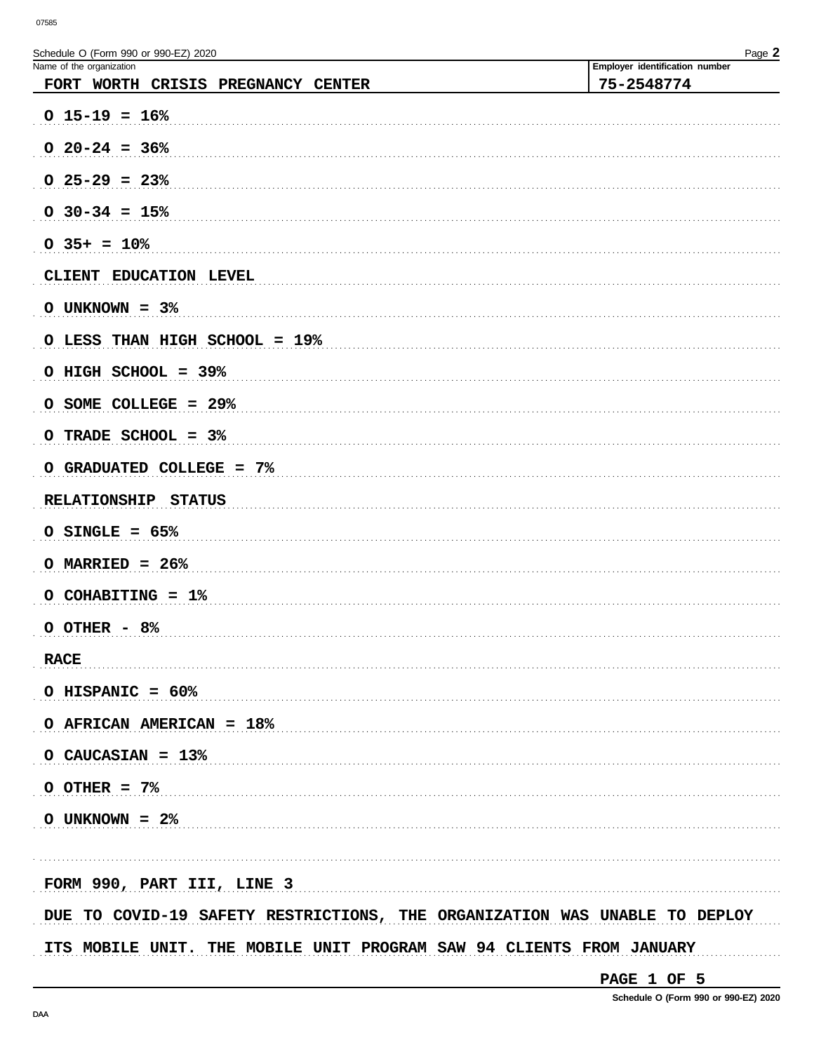| Schedule O (Form 990 or 990-EZ) 2020<br>Name of the organization<br>FORT WORTH CRISIS PREGNANCY CENTER | Page $Z$<br>Employer identification number<br>75-2548774 |
|--------------------------------------------------------------------------------------------------------|----------------------------------------------------------|
| $0$ 15-19 = 16%                                                                                        |                                                          |
| $0$ 20-24 = 36%                                                                                        |                                                          |
| $0$ 25-29 = 23%                                                                                        |                                                          |
| $0$ 30-34 = 15%                                                                                        |                                                          |
| $0.35+ = 10%$                                                                                          |                                                          |
| CLIENT EDUCATION LEVEL                                                                                 |                                                          |
| O UNKNOWN = $3\%$                                                                                      |                                                          |
| O LESS THAN HIGH SCHOOL = 19%                                                                          |                                                          |
| O HIGH SCHOOL = 39%                                                                                    |                                                          |
| O SOME COLLEGE = 29%                                                                                   |                                                          |
| O TRADE SCHOOL = 3%                                                                                    |                                                          |
| O GRADUATED COLLEGE = 7%                                                                               |                                                          |
| RELATIONSHIP STATUS                                                                                    |                                                          |
| O SINGLE = $65%$                                                                                       |                                                          |
| O MARRIED = $26\%$                                                                                     |                                                          |
| O COHABITING = 1%                                                                                      |                                                          |
| O OTHER - 8%                                                                                           |                                                          |
| <b>RACE</b>                                                                                            |                                                          |
| O HISPANIC = $60\%$                                                                                    |                                                          |
| O AFRICAN AMERICAN = 18%                                                                               |                                                          |
| $O CAUCASIAN = 13%$                                                                                    |                                                          |
| O OTHER = $7\%$                                                                                        |                                                          |
| O UNKNOWN = $2\%$                                                                                      |                                                          |
| FORM 990, PART III, LINE 3                                                                             |                                                          |
| DUE TO COVID-19 SAFETY RESTRICTIONS, THE ORGANIZATION WAS UNABLE TO DEPLOY                             |                                                          |
| ITS MOBILE UNIT. THE MOBILE UNIT PROGRAM SAW 94 CLIENTS FROM JANUARY                                   |                                                          |

PAGE 1 OF 5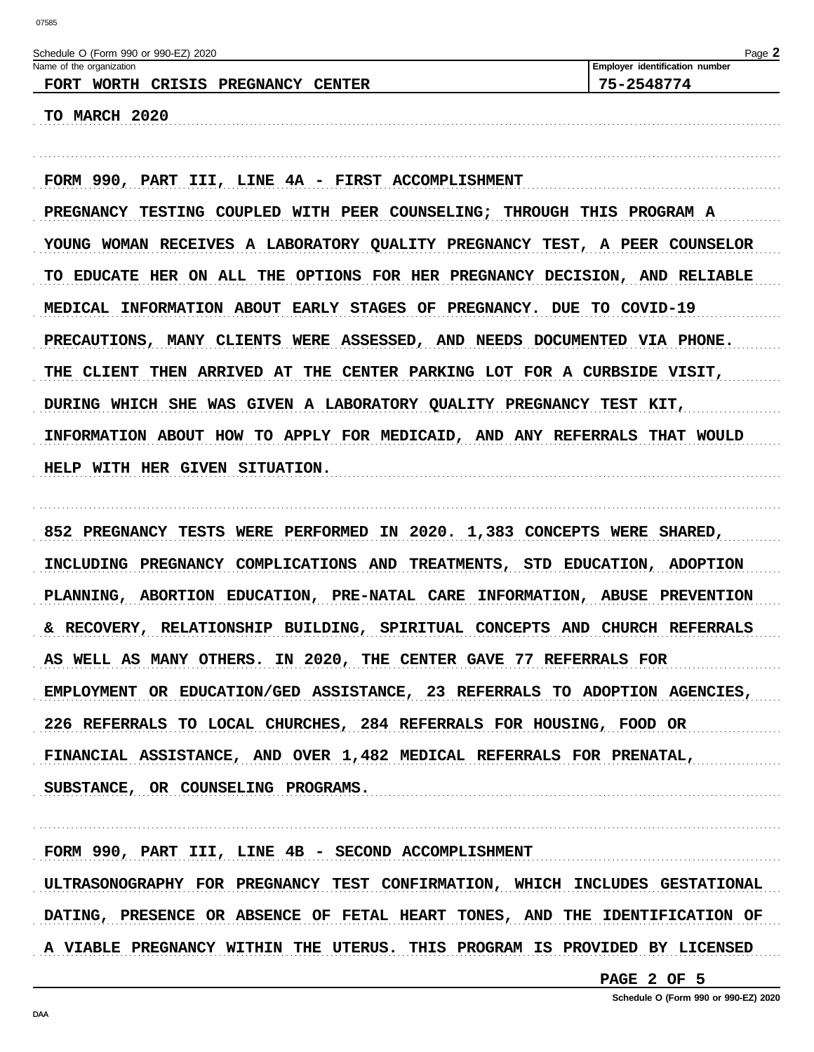| FORM 990, PART III, LINE 4A - FIRST ACCOMPLISHMENT<br>PREGNANCY TESTING COUPLED WITH PEER COUNSELING; THROUGH THIS PROGRAM A<br>YOUNG WOMAN RECEIVES A LABORATORY QUALITY PREGNANCY TEST, A PEER COUNSELOR<br>TO EDUCATE HER ON ALL THE OPTIONS FOR HER PREGNANCY DECISION, AND RELIABLE<br>MEDICAL INFORMATION ABOUT EARLY STAGES OF PREGNANCY. DUE TO COVID-19<br>PRECAUTIONS, MANY CLIENTS WERE ASSESSED, AND NEEDS DOCUMENTED VIA PHONE.<br>THE CLIENT THEN ARRIVED AT THE CENTER PARKING LOT FOR A CURBSIDE VISIT,<br>DURING WHICH SHE WAS GIVEN A LABORATORY QUALITY PREGNANCY TEST KIT,<br>INFORMATION ABOUT HOW TO APPLY FOR MEDICAID, AND ANY REFERRALS THAT WOULD<br>HELP WITH HER GIVEN SITUATION.<br>852 PREGNANCY TESTS WERE PERFORMED IN 2020. 1,383 CONCEPTS WERE SHARED,<br>INCLUDING PREGNANCY COMPLICATIONS AND TREATMENTS, STD EDUCATION, ADOPTION<br>PLANNING, ABORTION EDUCATION, PRE-NATAL CARE INFORMATION, ABUSE PREVENTION<br>& RECOVERY, RELATIONSHIP BUILDING, SPIRITUAL CONCEPTS AND CHURCH REFERRALS<br>AS WELL AS MANY OTHERS. IN 2020, THE CENTER GAVE 77 REFERRALS FOR<br>EMPLOYMENT OR EDUCATION/GED ASSISTANCE, 23 REFERRALS TO ADOPTION AGENCIES,<br>226 REFERRALS TO LOCAL CHURCHES, 284 REFERRALS FOR HOUSING, FOOD OR<br>FINANCIAL ASSISTANCE, AND OVER 1,482 MEDICAL REFERRALS FOR PRENATAL, | Name of the organization<br>FORT WORTH CRISIS PREGNANCY CENTER | Page 2<br>Employer identification number<br>75-2548774 |
|-------------------------------------------------------------------------------------------------------------------------------------------------------------------------------------------------------------------------------------------------------------------------------------------------------------------------------------------------------------------------------------------------------------------------------------------------------------------------------------------------------------------------------------------------------------------------------------------------------------------------------------------------------------------------------------------------------------------------------------------------------------------------------------------------------------------------------------------------------------------------------------------------------------------------------------------------------------------------------------------------------------------------------------------------------------------------------------------------------------------------------------------------------------------------------------------------------------------------------------------------------------------------------------------------------------------------------------|----------------------------------------------------------------|--------------------------------------------------------|
|                                                                                                                                                                                                                                                                                                                                                                                                                                                                                                                                                                                                                                                                                                                                                                                                                                                                                                                                                                                                                                                                                                                                                                                                                                                                                                                                     | TO MARCH 2020                                                  |                                                        |
|                                                                                                                                                                                                                                                                                                                                                                                                                                                                                                                                                                                                                                                                                                                                                                                                                                                                                                                                                                                                                                                                                                                                                                                                                                                                                                                                     |                                                                |                                                        |
|                                                                                                                                                                                                                                                                                                                                                                                                                                                                                                                                                                                                                                                                                                                                                                                                                                                                                                                                                                                                                                                                                                                                                                                                                                                                                                                                     |                                                                |                                                        |
|                                                                                                                                                                                                                                                                                                                                                                                                                                                                                                                                                                                                                                                                                                                                                                                                                                                                                                                                                                                                                                                                                                                                                                                                                                                                                                                                     |                                                                |                                                        |
|                                                                                                                                                                                                                                                                                                                                                                                                                                                                                                                                                                                                                                                                                                                                                                                                                                                                                                                                                                                                                                                                                                                                                                                                                                                                                                                                     |                                                                |                                                        |
|                                                                                                                                                                                                                                                                                                                                                                                                                                                                                                                                                                                                                                                                                                                                                                                                                                                                                                                                                                                                                                                                                                                                                                                                                                                                                                                                     |                                                                |                                                        |
|                                                                                                                                                                                                                                                                                                                                                                                                                                                                                                                                                                                                                                                                                                                                                                                                                                                                                                                                                                                                                                                                                                                                                                                                                                                                                                                                     |                                                                |                                                        |
|                                                                                                                                                                                                                                                                                                                                                                                                                                                                                                                                                                                                                                                                                                                                                                                                                                                                                                                                                                                                                                                                                                                                                                                                                                                                                                                                     |                                                                |                                                        |
|                                                                                                                                                                                                                                                                                                                                                                                                                                                                                                                                                                                                                                                                                                                                                                                                                                                                                                                                                                                                                                                                                                                                                                                                                                                                                                                                     |                                                                |                                                        |
|                                                                                                                                                                                                                                                                                                                                                                                                                                                                                                                                                                                                                                                                                                                                                                                                                                                                                                                                                                                                                                                                                                                                                                                                                                                                                                                                     |                                                                |                                                        |
|                                                                                                                                                                                                                                                                                                                                                                                                                                                                                                                                                                                                                                                                                                                                                                                                                                                                                                                                                                                                                                                                                                                                                                                                                                                                                                                                     |                                                                |                                                        |
|                                                                                                                                                                                                                                                                                                                                                                                                                                                                                                                                                                                                                                                                                                                                                                                                                                                                                                                                                                                                                                                                                                                                                                                                                                                                                                                                     |                                                                |                                                        |
|                                                                                                                                                                                                                                                                                                                                                                                                                                                                                                                                                                                                                                                                                                                                                                                                                                                                                                                                                                                                                                                                                                                                                                                                                                                                                                                                     |                                                                |                                                        |
|                                                                                                                                                                                                                                                                                                                                                                                                                                                                                                                                                                                                                                                                                                                                                                                                                                                                                                                                                                                                                                                                                                                                                                                                                                                                                                                                     |                                                                |                                                        |
|                                                                                                                                                                                                                                                                                                                                                                                                                                                                                                                                                                                                                                                                                                                                                                                                                                                                                                                                                                                                                                                                                                                                                                                                                                                                                                                                     |                                                                |                                                        |
|                                                                                                                                                                                                                                                                                                                                                                                                                                                                                                                                                                                                                                                                                                                                                                                                                                                                                                                                                                                                                                                                                                                                                                                                                                                                                                                                     |                                                                |                                                        |
|                                                                                                                                                                                                                                                                                                                                                                                                                                                                                                                                                                                                                                                                                                                                                                                                                                                                                                                                                                                                                                                                                                                                                                                                                                                                                                                                     |                                                                |                                                        |
|                                                                                                                                                                                                                                                                                                                                                                                                                                                                                                                                                                                                                                                                                                                                                                                                                                                                                                                                                                                                                                                                                                                                                                                                                                                                                                                                     |                                                                |                                                        |
|                                                                                                                                                                                                                                                                                                                                                                                                                                                                                                                                                                                                                                                                                                                                                                                                                                                                                                                                                                                                                                                                                                                                                                                                                                                                                                                                     | SUBSTANCE, OR COUNSELING PROGRAMS.                             |                                                        |

FORM 990, PART III, LINE 4B - SECOND ACCOMPLISHMENT ULTRASONOGRAPHY FOR PREGNANCY TEST CONFIRMATION, WHICH INCLUDES GESTATIONAL DATING, PRESENCE OR ABSENCE OF FETAL HEART TONES, AND THE IDENTIFICATION OF A VIABLE PREGNANCY WITHIN THE UTERUS. THIS PROGRAM IS PROVIDED BY LICENSED

PAGE 2 OF 5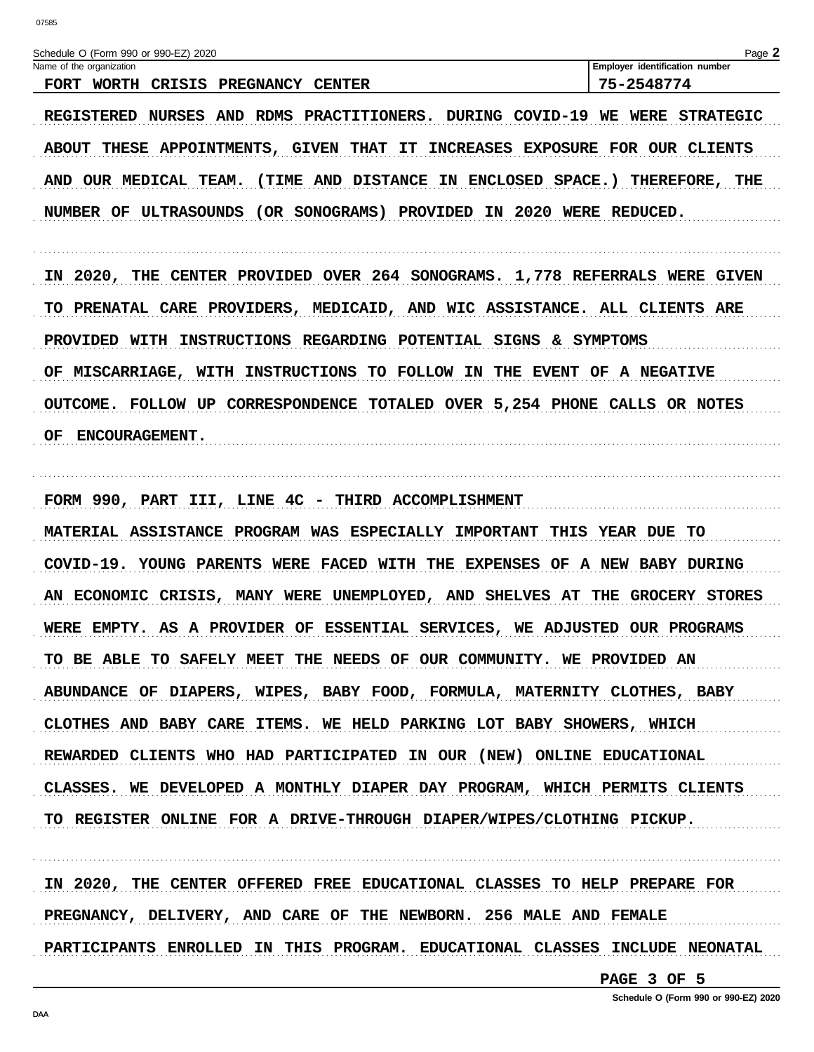| Name of the organization<br>FORT WORTH CRISIS PREGNANCY CENTER<br>REGISTERED NURSES AND RDMS PRACTITIONERS. DURING COVID-19 WE WERE STRATEGIC                                                                                    | Employer identification number<br>75-2548774 |
|----------------------------------------------------------------------------------------------------------------------------------------------------------------------------------------------------------------------------------|----------------------------------------------|
|                                                                                                                                                                                                                                  |                                              |
| ABOUT THESE APPOINTMENTS, GIVEN THAT IT INCREASES EXPOSURE FOR OUR CLIENTS<br>AND OUR MEDICAL TEAM. (TIME AND DISTANCE IN ENCLOSED SPACE.) THEREFORE, THE<br>NUMBER OF ULTRASOUNDS (OR SONOGRAMS) PROVIDED IN 2020 WERE REDUCED. |                                              |
| IN 2020, THE CENTER PROVIDED OVER 264 SONOGRAMS. 1,778 REFERRALS WERE GIVEN                                                                                                                                                      |                                              |
| TO PRENATAL CARE PROVIDERS, MEDICAID, AND WIC ASSISTANCE. ALL CLIENTS ARE                                                                                                                                                        |                                              |
| PROVIDED WITH INSTRUCTIONS REGARDING POTENTIAL SIGNS & SYMPTOMS                                                                                                                                                                  |                                              |
| OF MISCARRIAGE, WITH INSTRUCTIONS TO FOLLOW IN THE EVENT OF A NEGATIVE                                                                                                                                                           |                                              |
| OUTCOME. FOLLOW UP CORRESPONDENCE TOTALED OVER 5,254 PHONE CALLS OR NOTES                                                                                                                                                        |                                              |
| <b>ENCOURAGEMENT.</b><br>OF.                                                                                                                                                                                                     |                                              |
|                                                                                                                                                                                                                                  |                                              |
| FORM 990, PART III, LINE 4C - THIRD ACCOMPLISHMENT                                                                                                                                                                               |                                              |
| MATERIAL ASSISTANCE PROGRAM WAS ESPECIALLY IMPORTANT THIS YEAR DUE TO                                                                                                                                                            |                                              |
| COVID-19. YOUNG PARENTS WERE FACED WITH THE EXPENSES OF A NEW BABY DURING                                                                                                                                                        |                                              |
| AN ECONOMIC CRISIS, MANY WERE UNEMPLOYED, AND SHELVES AT                                                                                                                                                                         | THE GROCERY STORES                           |
| WERE EMPTY. AS A PROVIDER OF ESSENTIAL SERVICES, WE ADJUSTED OUR PROGRAMS                                                                                                                                                        |                                              |
| TO BE ABLE TO SAFELY MEET THE NEEDS OF OUR COMMUNITY. WE PROVIDED AN                                                                                                                                                             |                                              |
| ABUNDANCE OF DIAPERS, WIPES, BABY FOOD, FORMULA, MATERNITY CLOTHES, BABY                                                                                                                                                         |                                              |
| CLOTHES AND BABY CARE ITEMS. WE HELD PARKING LOT BABY SHOWERS, WHICH                                                                                                                                                             |                                              |
| REWARDED CLIENTS WHO HAD PARTICIPATED IN OUR (NEW) ONLINE EDUCATIONAL                                                                                                                                                            |                                              |
| CLASSES. WE DEVELOPED A MONTHLY DIAPER DAY PROGRAM, WHICH PERMITS CLIENTS                                                                                                                                                        |                                              |
| TO REGISTER ONLINE FOR A DRIVE-THROUGH DIAPER/WIPES/CLOTHING PICKUP.                                                                                                                                                             |                                              |

IN 2020, THE CENTER OFFERED FREE EDUCATIONAL CLASSES TO HELP PREPARE FOR PREGNANCY, DELIVERY, AND CARE OF THE NEWBORN. 256 MALE AND FEMALE PARTICIPANTS ENROLLED IN THIS PROGRAM. EDUCATIONAL CLASSES INCLUDE NEONATAL

PAGE 3 OF 5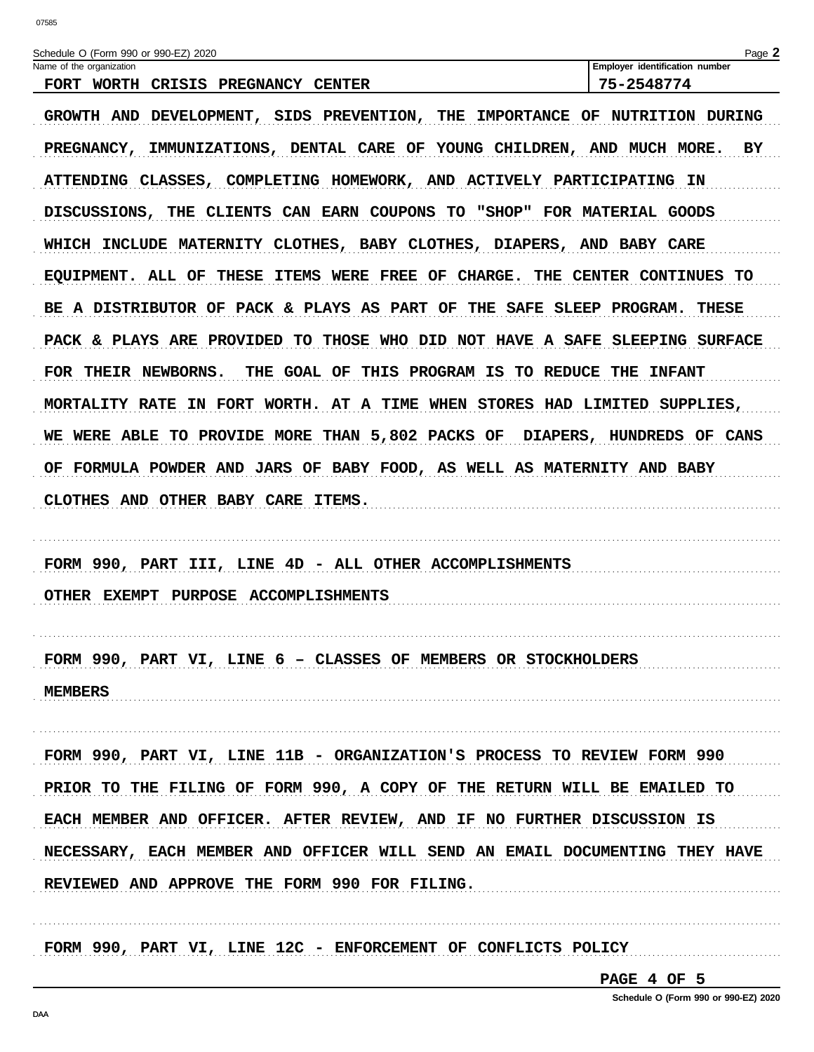| Schedule O (Form 990 or 990-EZ) 2020                                                                                                                                                                                                                                                                                                                                                                                                                                                                                                                                                                                                                                                                                                                                                                                                                                                                                                                                               | Page 2                         |
|------------------------------------------------------------------------------------------------------------------------------------------------------------------------------------------------------------------------------------------------------------------------------------------------------------------------------------------------------------------------------------------------------------------------------------------------------------------------------------------------------------------------------------------------------------------------------------------------------------------------------------------------------------------------------------------------------------------------------------------------------------------------------------------------------------------------------------------------------------------------------------------------------------------------------------------------------------------------------------|--------------------------------|
| Name of the organization                                                                                                                                                                                                                                                                                                                                                                                                                                                                                                                                                                                                                                                                                                                                                                                                                                                                                                                                                           | Employer identification number |
| FORT WORTH CRISIS PREGNANCY CENTER<br>GROWTH AND DEVELOPMENT, SIDS PREVENTION, THE IMPORTANCE OF NUTRITION DURING<br>PREGNANCY, IMMUNIZATIONS, DENTAL CARE OF YOUNG CHILDREN, AND MUCH MORE.<br>ATTENDING CLASSES, COMPLETING HOMEWORK, AND ACTIVELY PARTICIPATING IN<br>DISCUSSIONS, THE CLIENTS CAN EARN COUPONS TO "SHOP" FOR MATERIAL GOODS<br>WHICH INCLUDE MATERNITY CLOTHES, BABY CLOTHES, DIAPERS, AND BABY CARE<br>EQUIPMENT. ALL OF THESE ITEMS WERE FREE OF CHARGE. THE CENTER CONTINUES TO<br>BE A DISTRIBUTOR OF PACK & PLAYS AS PART OF THE SAFE SLEEP PROGRAM. THESE<br>PACK & PLAYS ARE PROVIDED TO THOSE WHO DID NOT HAVE A SAFE SLEEPING SURFACE<br>THE GOAL OF THIS PROGRAM IS TO REDUCE THE INFANT<br>FOR THEIR NEWBORNS.<br>MORTALITY RATE IN FORT WORTH. AT A TIME WHEN STORES HAD LIMITED SUPPLIES,<br>WE WERE ABLE TO PROVIDE MORE THAN 5,802 PACKS OF DIAPERS, HUNDREDS OF CANS<br>OF FORMULA POWDER AND JARS OF BABY FOOD, AS WELL AS MATERNITY AND BABY | 75-2548774<br>ВY               |
| CLOTHES AND OTHER BABY CARE ITEMS.<br>FORM 990, PART III, LINE 4D - ALL OTHER ACCOMPLISHMENTS<br>OTHER EXEMPT PURPOSE ACCOMPLISHMENTS                                                                                                                                                                                                                                                                                                                                                                                                                                                                                                                                                                                                                                                                                                                                                                                                                                              |                                |
| FORM 990, PART VI, LINE 6 - CLASSES OF MEMBERS OR STOCKHOLDERS<br><b>MEMBERS</b>                                                                                                                                                                                                                                                                                                                                                                                                                                                                                                                                                                                                                                                                                                                                                                                                                                                                                                   |                                |
| FORM 990, PART VI, LINE 11B - ORGANIZATION'S PROCESS TO REVIEW FORM 990                                                                                                                                                                                                                                                                                                                                                                                                                                                                                                                                                                                                                                                                                                                                                                                                                                                                                                            |                                |
| PRIOR TO THE FILING OF FORM 990, A COPY OF THE RETURN WILL BE EMAILED TO                                                                                                                                                                                                                                                                                                                                                                                                                                                                                                                                                                                                                                                                                                                                                                                                                                                                                                           |                                |
| EACH MEMBER AND OFFICER. AFTER REVIEW, AND IF NO FURTHER DISCUSSION IS                                                                                                                                                                                                                                                                                                                                                                                                                                                                                                                                                                                                                                                                                                                                                                                                                                                                                                             |                                |
| NECESSARY, EACH MEMBER AND OFFICER WILL SEND AN EMAIL DOCUMENTING THEY HAVE                                                                                                                                                                                                                                                                                                                                                                                                                                                                                                                                                                                                                                                                                                                                                                                                                                                                                                        |                                |
| REVIEWED AND APPROVE THE FORM 990 FOR FILING.                                                                                                                                                                                                                                                                                                                                                                                                                                                                                                                                                                                                                                                                                                                                                                                                                                                                                                                                      |                                |
|                                                                                                                                                                                                                                                                                                                                                                                                                                                                                                                                                                                                                                                                                                                                                                                                                                                                                                                                                                                    |                                |

FORM 990, PART VI, LINE 12C - ENFORCEMENT OF CONFLICTS POLICY

PAGE 4 OF 5

. . . . . . . . . . . . . .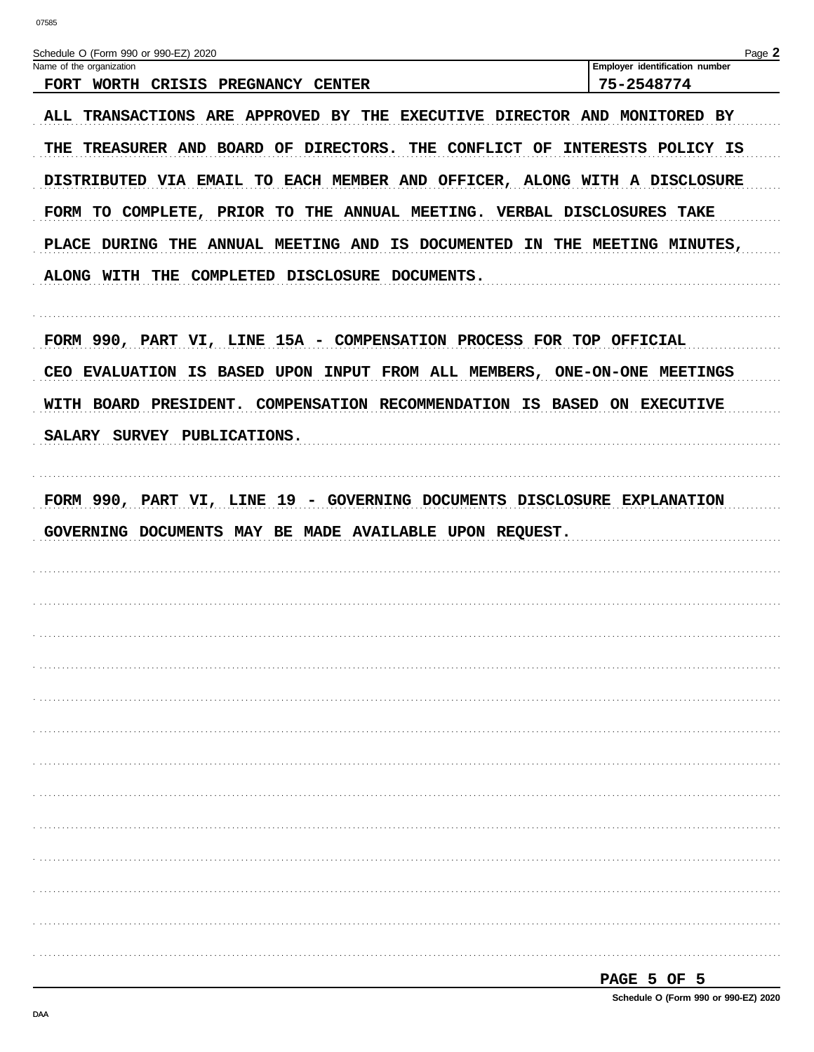| Schedule O (Form 990 or 990-EZ) 2020<br>Name of the organization<br>FORT WORTH CRISIS PREGNANCY CENTER                             | Page 2<br>Employer identification number<br>75-2548774 |
|------------------------------------------------------------------------------------------------------------------------------------|--------------------------------------------------------|
| ALL TRANSACTIONS ARE APPROVED BY THE EXECUTIVE DIRECTOR AND MONITORED BY                                                           |                                                        |
| THE TREASURER AND BOARD OF DIRECTORS. THE CONFLICT OF INTERESTS POLICY IS                                                          |                                                        |
| DISTRIBUTED VIA EMAIL TO EACH MEMBER AND OFFICER, ALONG WITH A DISCLOSURE                                                          |                                                        |
| FORM TO COMPLETE, PRIOR TO THE ANNUAL MEETING. VERBAL DISCLOSURES TAKE                                                             |                                                        |
| PLACE DURING THE ANNUAL MEETING AND IS DOCUMENTED IN THE MEETING MINUTES,                                                          |                                                        |
| ALONG WITH THE COMPLETED DISCLOSURE DOCUMENTS.                                                                                     |                                                        |
|                                                                                                                                    |                                                        |
| FORM 990, PART VI, LINE 15A - COMPENSATION PROCESS FOR TOP OFFICIAL                                                                |                                                        |
| CEO EVALUATION IS BASED UPON INPUT FROM ALL MEMBERS, ONE-ON-ONE MEETINGS                                                           |                                                        |
| WITH BOARD PRESIDENT. COMPENSATION RECOMMENDATION IS BASED ON EXECUTIVE                                                            |                                                        |
| SALARY SURVEY PUBLICATIONS.                                                                                                        |                                                        |
|                                                                                                                                    |                                                        |
| FORM 990, PART VI, LINE 19 - GOVERNING DOCUMENTS DISCLOSURE EXPLANATION<br>GOVERNING DOCUMENTS MAY BE MADE AVAILABLE UPON REQUEST. |                                                        |
|                                                                                                                                    |                                                        |
|                                                                                                                                    |                                                        |
|                                                                                                                                    |                                                        |
|                                                                                                                                    |                                                        |
|                                                                                                                                    |                                                        |
|                                                                                                                                    |                                                        |
|                                                                                                                                    |                                                        |
|                                                                                                                                    |                                                        |
|                                                                                                                                    |                                                        |
|                                                                                                                                    |                                                        |
|                                                                                                                                    |                                                        |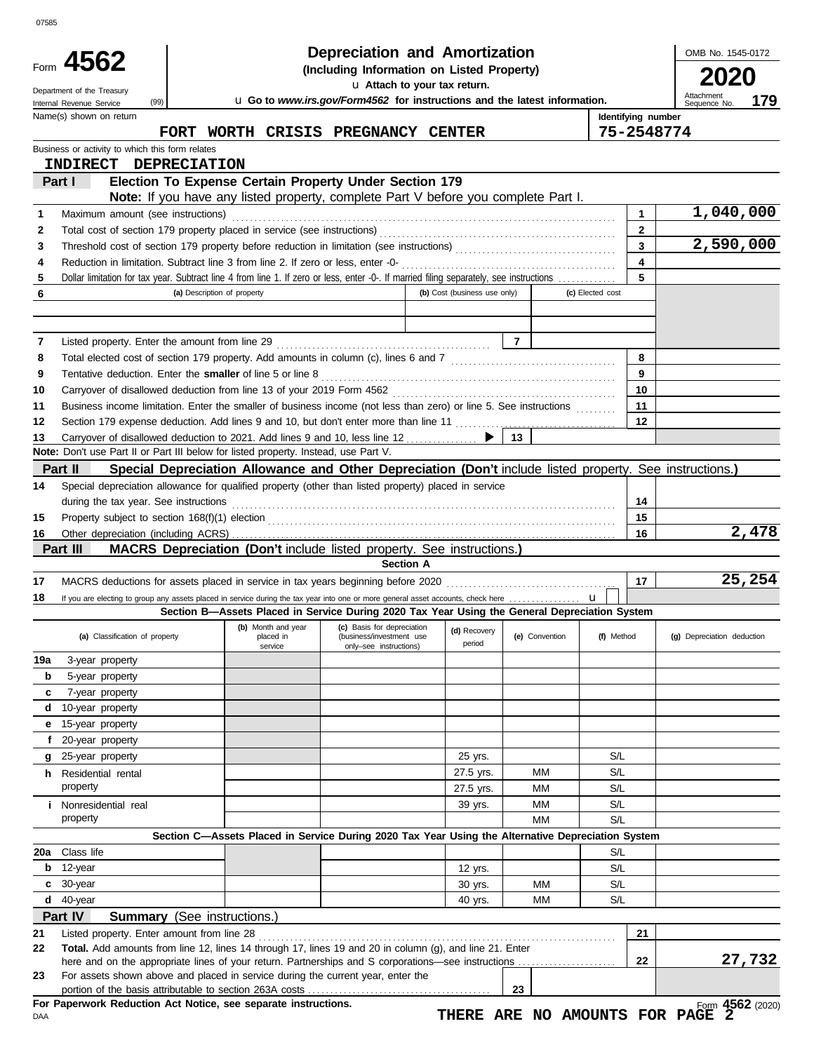|                                                 |                                                                                                                                                                                                                  | Depreciation and Amortization                                                                                                                |                              |                |                    |                | OMB No. 1545-0172          |
|-------------------------------------------------|------------------------------------------------------------------------------------------------------------------------------------------------------------------------------------------------------------------|----------------------------------------------------------------------------------------------------------------------------------------------|------------------------------|----------------|--------------------|----------------|----------------------------|
| Form 4562                                       |                                                                                                                                                                                                                  | (Including Information on Listed Property)                                                                                                   |                              |                |                    |                | 2020                       |
| Department of the Treasury                      |                                                                                                                                                                                                                  | u Attach to your tax return.                                                                                                                 |                              |                |                    |                | Attachment                 |
| (99)<br>Internal Revenue Service                | u Go to www.irs.gov/Form4562 for instructions and the latest information.                                                                                                                                        |                                                                                                                                              | 179<br>Sequence No.          |                |                    |                |                            |
| Name(s) shown on return                         | FORT WORTH CRISIS PREGNANCY CENTER                                                                                                                                                                               |                                                                                                                                              |                              |                | Identifying number | 75-2548774     |                            |
| Business or activity to which this form relates |                                                                                                                                                                                                                  |                                                                                                                                              |                              |                |                    |                |                            |
| INDIRECT DEPRECIATION                           |                                                                                                                                                                                                                  |                                                                                                                                              |                              |                |                    |                |                            |
| Part I                                          | Election To Expense Certain Property Under Section 179                                                                                                                                                           |                                                                                                                                              |                              |                |                    |                |                            |
|                                                 | <b>Note:</b> If you have any listed property, complete Part V before you complete Part I.                                                                                                                        |                                                                                                                                              |                              |                |                    |                |                            |
| Maximum amount (see instructions)<br>1          |                                                                                                                                                                                                                  |                                                                                                                                              |                              |                |                    | 1              | 1,040,000                  |
| 2                                               |                                                                                                                                                                                                                  |                                                                                                                                              |                              |                |                    | $\overline{2}$ |                            |
| 3                                               |                                                                                                                                                                                                                  |                                                                                                                                              |                              |                |                    | $\overline{3}$ | 2,590,000                  |
| 4                                               |                                                                                                                                                                                                                  |                                                                                                                                              |                              |                |                    | 4<br>5         |                            |
| $\overline{\mathbf{5}}$<br>6                    | Dollar limitation for tax year. Subtract line 4 from line 1. If zero or less, enter -0-. If married filing separately, see instructions<br>(a) Description of property                                           |                                                                                                                                              | (b) Cost (business use only) |                | (c) Elected cost   |                |                            |
|                                                 |                                                                                                                                                                                                                  |                                                                                                                                              |                              |                |                    |                |                            |
|                                                 |                                                                                                                                                                                                                  |                                                                                                                                              |                              |                |                    |                |                            |
| 7                                               |                                                                                                                                                                                                                  |                                                                                                                                              |                              |                |                    |                |                            |
| 8                                               |                                                                                                                                                                                                                  |                                                                                                                                              |                              |                |                    | 8              |                            |
| 9                                               |                                                                                                                                                                                                                  |                                                                                                                                              |                              |                |                    | 9              |                            |
| 10                                              |                                                                                                                                                                                                                  |                                                                                                                                              |                              |                |                    | 10             |                            |
| 11                                              | Business income limitation. Enter the smaller of business income (not less than zero) or line 5. See instructions                                                                                                |                                                                                                                                              |                              |                |                    | 11             |                            |
| 12                                              |                                                                                                                                                                                                                  |                                                                                                                                              |                              |                |                    | 12             |                            |
| 13                                              |                                                                                                                                                                                                                  |                                                                                                                                              |                              | 13             |                    |                |                            |
| Part II                                         | Note: Don't use Part II or Part III below for listed property. Instead, use Part V.                                                                                                                              |                                                                                                                                              |                              |                |                    |                |                            |
|                                                 | Special Depreciation Allowance and Other Depreciation (Don't include listed property. See instructions.)<br>Special depreciation allowance for qualified property (other than listed property) placed in service |                                                                                                                                              |                              |                |                    |                |                            |
| 14                                              |                                                                                                                                                                                                                  |                                                                                                                                              |                              |                |                    | 14             |                            |
| 15                                              |                                                                                                                                                                                                                  |                                                                                                                                              |                              |                |                    | 15             |                            |
| 16                                              |                                                                                                                                                                                                                  |                                                                                                                                              |                              |                |                    | 16             | 2,478                      |
| Part III                                        | MACRS Depreciation (Don't include listed property. See instructions.)                                                                                                                                            |                                                                                                                                              |                              |                |                    |                |                            |
|                                                 |                                                                                                                                                                                                                  | <b>Section A</b>                                                                                                                             |                              |                |                    |                |                            |
| 17                                              |                                                                                                                                                                                                                  |                                                                                                                                              |                              |                |                    | 17             | 25,254                     |
| 18                                              | If you are electing to group any assets placed in service during the tax year into one or more general asset accounts, check here                                                                                |                                                                                                                                              |                              |                |                    |                |                            |
|                                                 | Section B-Assets Placed in Service During 2020 Tax Year Using the General Depreciation System                                                                                                                    |                                                                                                                                              |                              |                |                    |                |                            |
| (a) Classification of property                  | placed in                                                                                                                                                                                                        | (b) Month and year (c) Basis for depreciation $\left  \begin{array}{c} \text{(A) Reconvann} \end{array} \right $<br>(business/investment use | (d) Recovery<br>period       | (e) Convention | (f) Method         |                | (g) Depreciation deduction |
| 19a<br>3-year property                          | service                                                                                                                                                                                                          | only-see instructions)                                                                                                                       |                              |                |                    |                |                            |
| b<br>5-year property                            |                                                                                                                                                                                                                  |                                                                                                                                              |                              |                |                    |                |                            |
| 7-year property<br>c                            |                                                                                                                                                                                                                  |                                                                                                                                              |                              |                |                    |                |                            |
| 10-year property<br>d                           |                                                                                                                                                                                                                  |                                                                                                                                              |                              |                |                    |                |                            |
| 15-year property<br>е                           |                                                                                                                                                                                                                  |                                                                                                                                              |                              |                |                    |                |                            |
| 20-year property<br>f                           |                                                                                                                                                                                                                  |                                                                                                                                              |                              |                |                    |                |                            |
| 25-year property<br>g                           |                                                                                                                                                                                                                  |                                                                                                                                              | 25 yrs.                      |                | S/L                |                |                            |
| h Residential rental                            |                                                                                                                                                                                                                  |                                                                                                                                              | 27.5 yrs.                    | MМ             | S/L                |                |                            |
| property                                        |                                                                                                                                                                                                                  |                                                                                                                                              | 27.5 yrs.                    | MМ             | S/L                |                |                            |
| <i>i</i> Nonresidential real                    |                                                                                                                                                                                                                  |                                                                                                                                              | 39 yrs.                      | MМ             | S/L                |                |                            |
| property                                        |                                                                                                                                                                                                                  |                                                                                                                                              |                              | MM             | S/L                |                |                            |
| Class life<br>20a                               | Section C-Assets Placed in Service During 2020 Tax Year Using the Alternative Depreciation System                                                                                                                |                                                                                                                                              |                              |                |                    |                |                            |
| 12-year<br>b                                    |                                                                                                                                                                                                                  |                                                                                                                                              |                              |                | S/L<br>S/L         |                |                            |
| 30-year<br>c                                    |                                                                                                                                                                                                                  |                                                                                                                                              | 12 yrs.<br>30 yrs.           | MМ             | S/L                |                |                            |
| d<br>40-year                                    |                                                                                                                                                                                                                  |                                                                                                                                              | 40 yrs.                      | ΜМ             | S/L                |                |                            |
| Part IV                                         | <b>Summary</b> (See instructions.)                                                                                                                                                                               |                                                                                                                                              |                              |                |                    |                |                            |
| 21                                              |                                                                                                                                                                                                                  |                                                                                                                                              |                              |                | .                  | 21             |                            |
| 22                                              | Total. Add amounts from line 12, lines 14 through 17, lines 19 and 20 in column (g), and line 21. Enter                                                                                                          |                                                                                                                                              |                              |                |                    |                |                            |
|                                                 |                                                                                                                                                                                                                  |                                                                                                                                              |                              |                |                    | 22             | 27,732                     |
| 23                                              | For assets shown above and placed in service during the current year, enter the                                                                                                                                  |                                                                                                                                              |                              |                |                    |                |                            |
|                                                 |                                                                                                                                                                                                                  |                                                                                                                                              |                              | 23             |                    |                |                            |

| ×<br>۰. | × | ۰. | I |  |
|---------|---|----|---|--|
|         |   |    |   |  |

ARE NO AMOUNTS FO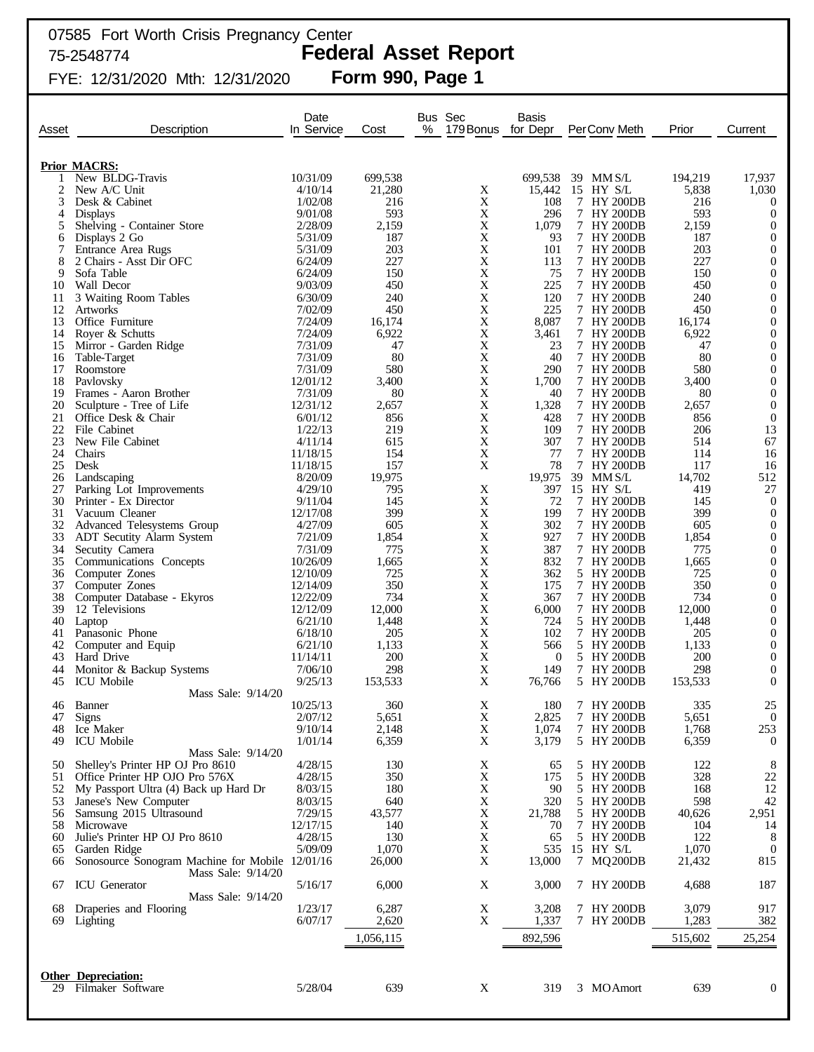# 75-2548774 **Federal Asset Report**

| Asset    | Description                                                           | Date<br>In Service   | Cost              | Bus Sec<br>%<br>179 Bonus for Depr | <b>Basis</b> | PerConv Meth             | Prior            | Current                              |
|----------|-----------------------------------------------------------------------|----------------------|-------------------|------------------------------------|--------------|--------------------------|------------------|--------------------------------------|
|          |                                                                       |                      |                   |                                    |              |                          |                  |                                      |
|          | <b>Prior MACRS:</b><br>New BLDG-Travis                                | 10/31/09             |                   |                                    | 699,538      | 39 MM S/L                |                  |                                      |
| 2        | New A/C Unit                                                          | 4/10/14              | 699,538<br>21,280 | X                                  | 15,442       | 15 HY S/L                | 194,219<br>5,838 | 17,937<br>1,030                      |
| 3        | Desk & Cabinet                                                        | 1/02/08              | 216               | X                                  | 108          | 7 HY 200DB               | 216              | $\boldsymbol{0}$                     |
| 4        | <b>Displays</b>                                                       | 9/01/08              | 593               | $\mathbf X$                        | 296          | 7 HY 200DB               | 593              | $\mathbf{0}$                         |
| 5        | Shelving - Container Store                                            | 2/28/09              | 2,159             | X                                  | 1,079        | 7 HY 200DB               | 2,159            | $\boldsymbol{0}$                     |
| 6        | Displays 2 Go                                                         | 5/31/09              | 187               | $\mathbf X$                        | 93           | 7 HY 200DB               | 187              | $\mathbf{0}$                         |
| 7        | Entrance Area Rugs                                                    | 5/31/09              | 203               | $\mathbf X$                        | 101          | 7 HY 200DB               | 203              | $\boldsymbol{0}$                     |
|          | 2 Chairs - Asst Dir OFC                                               | 6/24/09              | 227               | $\mathbf X$                        | 113          | 7 HY 200DB               | 227              | $\boldsymbol{0}$                     |
| 9        | Sofa Table                                                            | 6/24/09              | 150               | $\mathbf X$                        | 75           | 7 HY 200DB               | 150              | $\boldsymbol{0}$                     |
| 10       | Wall Decor                                                            | 9/03/09<br>6/30/09   | 450<br>240        | $\mathbf X$<br>$\mathbf X$         | 225<br>120   | 7 HY 200DB<br>7 HY 200DB | 450<br>240       | $\boldsymbol{0}$                     |
| 11<br>12 | 3 Waiting Room Tables<br>Artworks                                     | 7/02/09              | 450               | $\mathbf X$                        | 225          | 7 HY 200DB               | 450              | $\boldsymbol{0}$<br>$\boldsymbol{0}$ |
| 13       | Office Furniture                                                      | 7/24/09              | 16,174            | $\mathbf X$                        | 8,087        | 7 HY 200DB               | 16,174           | $\boldsymbol{0}$                     |
| 14       | Royer & Schutts                                                       | 7/24/09              | 6,922             | $\mathbf X$                        | 3,461        | 7 HY 200DB               | 6,922            | $\boldsymbol{0}$                     |
| 15       | Mirror - Garden Ridge                                                 | 7/31/09              | 47                | $\mathbf X$                        | 23           | 7 HY 200DB               | 47               | $\boldsymbol{0}$                     |
| 16       | Table-Target                                                          | 7/31/09              | 80                | $\mathbf X$                        | 40           | 7 HY 200DB               | 80               | $\boldsymbol{0}$                     |
| 17       | Roomstore                                                             | 7/31/09              | 580               | $\mathbf X$                        | 290          | 7 HY 200DB               | 580              | $\boldsymbol{0}$                     |
| 18       | Pavlovsky                                                             | 12/01/12             | 3,400             | $\mathbf X$                        | 1,700        | 7 HY 200DB               | 3,400            | $\boldsymbol{0}$                     |
| 19       | Frames - Aaron Brother                                                | 7/31/09              | 80                | $\mathbf X$                        | 40           | 7 HY 200DB               | 80               | $\boldsymbol{0}$                     |
| 20       | Sculpture - Tree of Life                                              | 12/31/12             | 2,657             | $\mathbf X$                        | 1,328        | 7 HY 200DB               | 2,657            | $\mathbf{0}$                         |
| 21       | Office Desk & Chair                                                   | 6/01/12              | 856               | $\mathbf X$                        | 428          | 7 HY 200DB               | 856              | $\boldsymbol{0}$                     |
| 22<br>23 | File Cabinet                                                          | 1/22/13<br>4/11/14   | 219<br>615        | $\mathbf X$<br>$\mathbf X$         | 109<br>307   | 7 HY 200DB<br>7 HY 200DB | 206<br>514       | 13<br>67                             |
| 24       | New File Cabinet<br>Chairs                                            | 11/18/15             | 154               | $\mathbf X$                        | 77           | 7 HY 200DB               | 114              | 16                                   |
| 25       | Desk                                                                  | 11/18/15             | 157               | X                                  | 78           | 7 HY 200DB               | 117              | 16                                   |
| 26       | Landscaping                                                           | 8/20/09              | 19,975            |                                    | 19,975       | 39 MM S/L                | 14,702           | 512                                  |
| 27       | Parking Lot Improvements                                              | 4/29/10              | 795               | X                                  | 397          | 15 HY S/L                | 419              | 27                                   |
| 30       | Printer - Ex Director                                                 | 9/11/04              | 145               | X                                  | 72           | 7 HY 200DB               | 145              | $\overline{0}$                       |
| 31       | Vacuum Cleaner                                                        | 12/17/08             | 399               | X                                  | 199          | 7 HY 200DB               | 399              | $\boldsymbol{0}$                     |
| 32       | Advanced Telesystems Group                                            | 4/27/09              | 605               | $\mathbf X$                        | 302          | 7 HY 200DB               | 605              | $\mathbf{0}$                         |
| 33       | <b>ADT</b> Secutity Alarm System                                      | 7/21/09              | 1,854             | X                                  | 927          | 7 HY 200DB               | 1,854            | $\boldsymbol{0}$                     |
| 34       | Secutity Camera                                                       | 7/31/09              | 775               | $\mathbf X$                        | 387          | 7 HY 200DB               | 775              | $\boldsymbol{0}$                     |
| 35       | Communications Concepts                                               | 10/26/09             | 1,665             | X                                  | 832          | 7 HY 200DB               | 1,665            | $\boldsymbol{0}$                     |
| 36       | Computer Zones                                                        | 12/10/09             | 725               | X                                  | 362          | 5 HY 200DB               | 725              | $\boldsymbol{0}$                     |
| 37<br>38 | Computer Zones<br>Computer Database - Ekyros                          | 12/14/09<br>12/22/09 | 350<br>734        | X<br>X                             | 175<br>367   | 7 HY 200DB<br>7 HY 200DB | 350<br>734       | $\boldsymbol{0}$<br>$\boldsymbol{0}$ |
| 39       | 12 Televisions                                                        | 12/12/09             | 12,000            | X                                  | 6,000        | 7 HY 200DB               | 12,000           | $\boldsymbol{0}$                     |
| 40       | Laptop                                                                | 6/21/10              | 1,448             | X                                  | 724          | 5 HY 200DB               | 1,448            | $\boldsymbol{0}$                     |
| 41       | Panasonic Phone                                                       | 6/18/10              | 205               | X                                  | 102          | 7 HY 200DB               | 205              | $\boldsymbol{0}$                     |
| 42       | Computer and Equip                                                    | 6/21/10              | 1,133             | $\mathbf X$                        | 566          | 5 HY 200DB               | 1,133            | $\boldsymbol{0}$                     |
| 43       | Hard Drive                                                            | 11/14/11             | 200               | $\mathbf X$                        | $\theta$     | 5 HY 200DB               | <b>200</b>       | $\boldsymbol{0}$                     |
| 44       | Monitor & Backup Systems                                              | 7/06/10              | 298               | $\mathbf X$                        | 149          | 7 HY 200DB               | 298              | $\boldsymbol{0}$                     |
| 45       | <b>ICU</b> Mobile                                                     | 9/25/13              | 153,533           | X                                  | 76,766       | 5 HY 200DB               | 153,533          | $\theta$                             |
|          | Mass Sale: 9/14/20                                                    |                      |                   |                                    |              |                          |                  |                                      |
|          | 46 Banner                                                             | 10/25/13             | 360               | X                                  | 180          | 7 HY 200DB               | 335              | 25                                   |
| 47       | <b>Signs</b>                                                          | 2/07/12              | 5,651             | X                                  | 2,825        | 7 HY 200DB               | 5,651            | $\overline{0}$                       |
| 48       | Ice Maker                                                             | 9/10/14              | 2,148             | X                                  | 1,074        | 7 HY 200DB               | 1,768            | 253                                  |
| 49       | <b>ICU</b> Mobile<br>Mass Sale: 9/14/20                               | 1/01/14              | 6,359             | Χ                                  | 3,179        | 5 HY 200DB               | 6,359            | $\boldsymbol{0}$                     |
| 50       | Shelley's Printer HP OJ Pro 8610                                      | 4/28/15              | 130               | X                                  | 65           | 5 HY 200DB               | 122              | 8                                    |
| 51       | Office Printer HP OJO Pro 576X                                        | 4/28/15              | 350               | X                                  | 175          | 5 HY 200DB               | 328              | 22                                   |
| 52       | My Passport Ultra (4) Back up Hard Dr                                 | 8/03/15              | 180               | X                                  | 90           | 5 HY 200DB               | 168              | 12                                   |
| 53       | Janese's New Computer                                                 | 8/03/15              | 640               | X                                  | 320          | 5 HY 200DB               | 598              | 42                                   |
| 56       | Samsung 2015 Ultrasound                                               | 7/29/15              | 43,577            | $\mathbf X$                        | 21,788       | 5 HY 200DB               | 40,626           | 2,951                                |
| 58       | Microwave                                                             | 12/17/15             | 140               | X                                  | 70           | 7 HY 200DB               | 104              | 14                                   |
| 60       | Julie's Printer HP OJ Pro 8610                                        | 4/28/15              | 130               | X                                  | 65           | 5 HY 200DB               | 122              | 8                                    |
| 65       | Garden Ridge                                                          | 5/09/09              | 1,070             | X                                  | 535          | 15 HY S/L                | 1,070            | $\overline{0}$                       |
| 66       | Sonosource Sonogram Machine for Mobile 12/01/16<br>Mass Sale: 9/14/20 |                      | 26,000            | X                                  | 13,000       | 7 MQ200DB                | 21,432           | 815                                  |
| 67       | <b>ICU</b> Generator<br>Mass Sale: 9/14/20                            | 5/16/17              | 6,000             | X                                  | 3,000        | 7 HY 200DB               | 4,688            | 187                                  |
| 68       | Draperies and Flooring                                                | 1/23/17              | 6,287             | X                                  | 3,208        | 7 HY 200DB               | 3,079            | 917                                  |
| 69       | Lighting                                                              | 6/07/17              | 2,620             | X                                  | 1,337        | 7 HY 200DB               | 1,283            | 382                                  |
|          |                                                                       |                      | 1,056,115         |                                    | 892,596      |                          | 515,602          | 25,254                               |
|          |                                                                       |                      |                   |                                    |              |                          |                  |                                      |
|          |                                                                       |                      |                   |                                    |              |                          |                  |                                      |
|          | <b>Other Depreciation:</b>                                            |                      |                   |                                    |              |                          |                  |                                      |
|          | 29 Filmaker Software                                                  | 5/28/04              | 639               | X                                  | 319          | 3 MOAmort                | 639              | $\boldsymbol{0}$                     |
|          |                                                                       |                      |                   |                                    |              |                          |                  |                                      |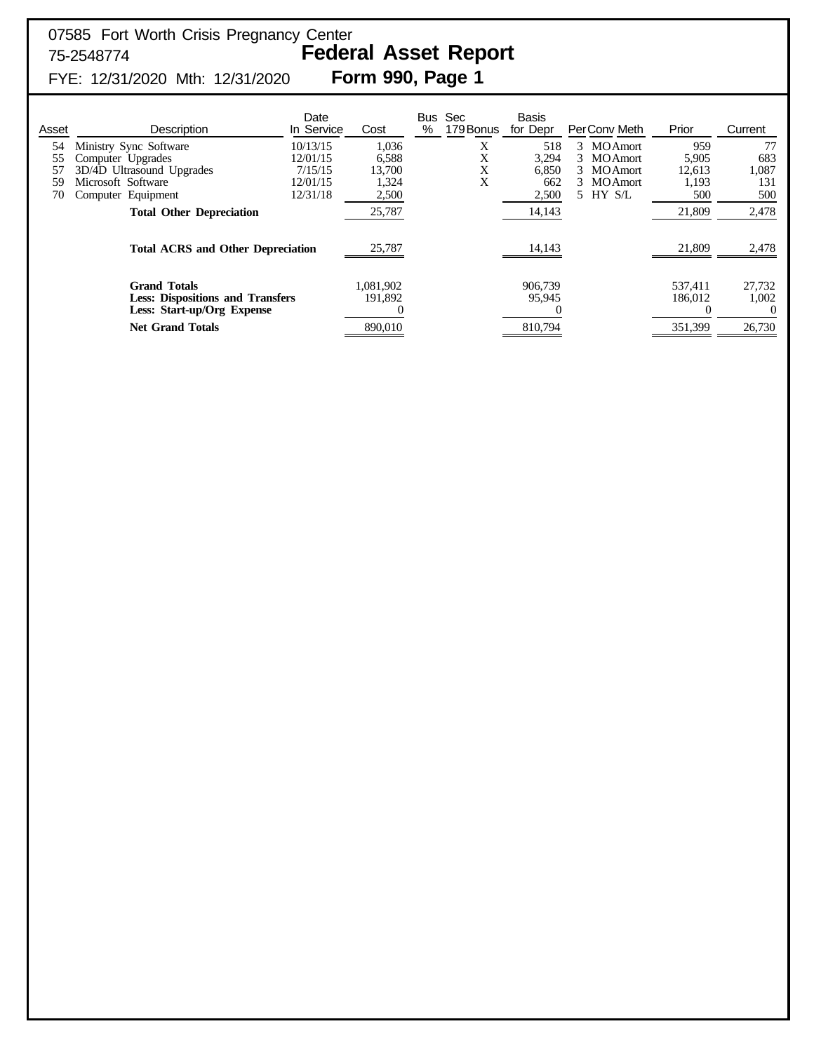| Asset | <b>Description</b>                                                                           | Date<br>In Service | Cost                 | <b>Bus</b><br>% | Sec<br>179 Bonus | <b>Basis</b><br>for Depr | PerConv Meth         | Prior              | Current                     |
|-------|----------------------------------------------------------------------------------------------|--------------------|----------------------|-----------------|------------------|--------------------------|----------------------|--------------------|-----------------------------|
| 54    | Ministry Sync Software                                                                       | 10/13/15           | 1,036                |                 | Χ                | 518                      | <b>MOAmort</b><br>3  | 959                | 77                          |
| 55    | Computer Upgrades                                                                            | 12/01/15           | 6,588                |                 | X                | 3,294                    | <b>MOAmort</b><br>3. | 5,905              | 683                         |
|       | 3D/4D Ultrasound Upgrades                                                                    | 7/15/15            | 13.700               |                 | X                | 6.850                    | <b>MOAmort</b>       | 12,613             | 1,087                       |
| 59    | Microsoft Software                                                                           | 12/01/15           | 1,324                |                 | X                | 662                      | <b>MOAmort</b>       | 1,193              | 131                         |
| 70    | Computer Equipment                                                                           | 12/31/18           | 2,500                |                 |                  | 2,500                    | HY S/L               | 500                | 500                         |
|       | <b>Total Other Depreciation</b>                                                              |                    | 25,787               |                 |                  | 14,143                   |                      | 21,809             | 2,478                       |
|       | <b>Total ACRS and Other Depreciation</b>                                                     |                    | 25,787               |                 |                  | 14,143                   |                      | 21,809             | 2,478                       |
|       | <b>Grand Totals</b><br><b>Less: Dispositions and Transfers</b><br>Less: Start-up/Org Expense |                    | 1,081,902<br>191,892 |                 |                  | 906,739<br>95,945        |                      | 537.411<br>186,012 | 27,732<br>1,002<br>$\theta$ |
|       | <b>Net Grand Totals</b>                                                                      |                    | 890,010              |                 |                  | 810,794                  |                      | 351,399            | 26,730                      |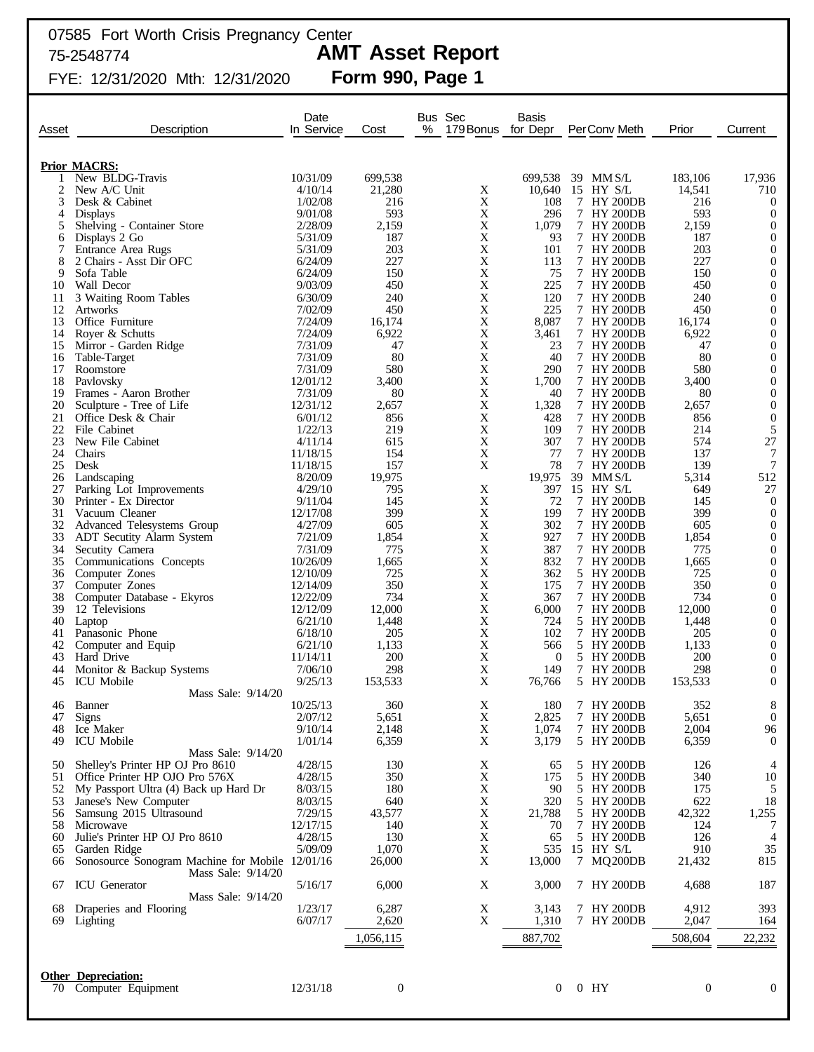| Asset    | Description                                                             | Date<br>In Service   | Cost             | Bus Sec<br>%<br>179 Bonus  | <b>Basis</b><br>for Depr | PerConv Meth             | Prior            | Current                          |
|----------|-------------------------------------------------------------------------|----------------------|------------------|----------------------------|--------------------------|--------------------------|------------------|----------------------------------|
|          | <b>Prior MACRS:</b>                                                     |                      |                  |                            |                          |                          |                  |                                  |
|          | New BLDG-Travis                                                         | 10/31/09             | 699,538          |                            | 699,538                  | 39 MMS/L                 | 183,106          | 17,936                           |
| 2        | New A/C Unit                                                            | 4/10/14              | 21,280           | X                          | 10,640                   | 15 HY S/L                | 14,541           | 710                              |
| 3<br>4   | Desk & Cabinet                                                          | 1/02/08<br>9/01/08   | 216<br>593       | X<br>X                     | 108<br>296               | 7 HY 200DB               | 216<br>593       | $\overline{0}$<br>$\overline{0}$ |
| 5        | <b>Displays</b><br>Shelving - Container Store                           | 2/28/09              | 2,159            | X                          | 1,079                    | 7 HY 200DB<br>7 HY 200DB | 2,159            | $\mathbf{0}$                     |
| 6        | Displays 2 Go                                                           | 5/31/09              | 187              | X                          | 93                       | 7 HY 200DB               | 187              | $\mathbf{0}$                     |
| 7        | Entrance Area Rugs                                                      | 5/31/09              | 203              | X                          | 101                      | 7 HY 200DB               | 203              | $\mathbf{0}$                     |
| 8        | 2 Chairs - Asst Dir OFC                                                 | 6/24/09              | 227              | X                          | 113                      | 7 HY 200DB               | 227              | $\mathbf{0}$                     |
| 9        | Sofa Table                                                              | 6/24/09              | 150              | X                          | 75                       | 7 HY 200DB               | 150              | $\boldsymbol{0}$                 |
| 10       | Wall Decor                                                              | 9/03/09              | 450              | X                          | 225                      | 7 HY 200DB               | 450              | $\mathbf{0}$                     |
| 11       | 3 Waiting Room Tables                                                   | 6/30/09              | 240              | X                          | 120                      | 7 HY 200DB               | 240              | $\boldsymbol{0}$                 |
| 12       | <b>Artworks</b>                                                         | 7/02/09              | 450              | X                          | 225                      | 7 HY 200DB               | 450              | $\mathbf{0}$                     |
| 13       | Office Furniture                                                        | 7/24/09              | 16,174           | X                          | 8,087                    | 7 HY 200DB               | 16,174           | $\boldsymbol{0}$                 |
| 14<br>15 | Royer & Schutts                                                         | 7/24/09<br>7/31/09   | 6,922<br>47      | $\mathbf X$<br>$\mathbf X$ | 3,461<br>23              | 7 HY 200DB<br>7 HY 200DB | 6,922<br>47      | $\mathbf{0}$<br>$\mathbf{0}$     |
| 16       | Mirror - Garden Ridge<br>Table-Target                                   | 7/31/09              | 80               | $\mathbf X$                | 40                       | 7 HY 200DB               | 80               | $\mathbf{0}$                     |
| 17       | Roomstore                                                               | 7/31/09              | 580              | $\mathbf X$                | 290                      | 7 HY 200DB               | 580              | $\boldsymbol{0}$                 |
| 18       | Pavlovsky                                                               | 12/01/12             | 3,400            | $\mathbf X$                | 1,700                    | 7 HY 200DB               | 3,400            | $\mathbf{0}$                     |
| 19       | Frames - Aaron Brother                                                  | 7/31/09              | 80               | $\mathbf X$                | 40                       | 7 HY 200DB               | 80               | $\mathbf{0}$                     |
| 20       | Sculpture - Tree of Life                                                | 12/31/12             | 2,657            | $\mathbf X$                | 1,328                    | 7 HY 200DB               | 2,657            | $\mathbf{0}$                     |
| 21       | Office Desk & Chair                                                     | 6/01/12              | 856              | X                          | 428                      | 7 HY 200DB               | 856              | $\mathbf{0}$                     |
| 22       | File Cabinet                                                            | 1/22/13              | 219              | X                          | 109                      | 7 HY 200DB               | 214              | 5                                |
| 23       | New File Cabinet                                                        | 4/11/14              | 615              | X                          | 307                      | 7 HY 200DB               | 574              | $27\,$                           |
| 24       | Chairs                                                                  | 11/18/15<br>11/18/15 | 154              | X<br>X                     | 77                       | 7 HY 200DB               | 137              | 7                                |
| 25<br>26 | Desk<br>Landscaping                                                     | 8/20/09              | 157<br>19,975    |                            | 78<br>19,975             | 7 HY 200DB<br>39 MMS/L   | 139<br>5,314     | 7<br>512                         |
| 27       | Parking Lot Improvements                                                | 4/29/10              | 795              | X                          | 397                      | 15 HY S/L                | 649              | 27                               |
| 30       | Printer - Ex Director                                                   | 9/11/04              | 145              | X                          | 72                       | 7 HY 200DB               | 145              | $\mathbf{0}$                     |
| 31       | Vacuum Cleaner                                                          | 12/17/08             | 399              | $\mathbf X$                | 199                      | 7 HY 200DB               | 399              | $\mathbf{0}$                     |
| 32       | Advanced Telesystems Group                                              | 4/27/09              | 605              | X                          | 302                      | 7 HY 200DB               | 605              | $\mathbf{0}$                     |
| 33       | <b>ADT</b> Secutity Alarm System                                        | 7/21/09              | 1,854            | $\mathbf X$                | 927                      | 7 HY 200DB               | 1,854            | $\mathbf{0}$                     |
| 34       | Secutity Camera                                                         | 7/31/09              | 775              | X                          | 387                      | 7 HY 200DB               | 775              | $\mathbf{0}$                     |
| 35       | Communications Concepts                                                 | 10/26/09             | 1,665            | $\mathbf X$                | 832                      | 7 HY 200DB               | 1,665            | $\boldsymbol{0}$                 |
| 36       | Computer Zones                                                          | 12/10/09             | 725              | X                          | 362                      | 5 HY 200DB               | 725              | $\mathbf{0}$                     |
| 37<br>38 | Computer Zones                                                          | 12/14/09<br>12/22/09 | 350<br>734       | $\mathbf X$<br>X           | 175<br>367               | 7 HY 200DB<br>7 HY 200DB | 350<br>734       | $\mathbf{0}$<br>$\mathbf{0}$     |
| 39       | Computer Database - Ekyros<br>12 Televisions                            | 12/12/09             | 12,000           | $\mathbf X$                | 6,000                    | 7 HY 200DB               | 12,000           | $\mathbf{0}$                     |
| 40       | Laptop                                                                  | 6/21/10              | 1,448            | X                          | 724                      | 5 HY 200DB               | 1,448            | $\mathbf{0}$                     |
| 41       | Panasonic Phone                                                         | 6/18/10              | 205              | X                          | 102                      | 7 HY 200DB               | 205              | $\mathbf{0}$                     |
| 42       | Computer and Equip                                                      | 6/21/10              | 1,133            | $\mathbf X$                | 566                      | 5 HY 200DB               | 1,133            | $\mathbf{0}$                     |
| 43       | Hard Drive                                                              | 11/14/11             | 200              | X                          | $\theta$                 | 5 HY 200DB               | 200              | $\mathbf{0}$                     |
| 44       | Monitor & Backup Systems                                                | 7/06/10              | 298              | $\mathbf X$                | 149                      | 7 HY 200DB               | 298              | $\mathbf{0}$                     |
| 45       | <b>ICU</b> Mobile                                                       | 9/25/13              | 153,533          | X                          | 76,766                   | 5 HY 200DB               | 153,533          | $\overline{0}$                   |
|          | Mass Sale: 9/14/20                                                      |                      |                  |                            |                          |                          |                  |                                  |
|          | 46 Banner                                                               | 10/25/13             | 360              | $\mathbf X$                | 180                      | 7 HY 200DB               | 352              | 8                                |
| 47<br>48 | <b>Signs</b><br>Ice Maker                                               | 2/07/12<br>9/10/14   | 5,651<br>2,148   | $\mathbf X$<br>X           | 2,825<br>1,074           | 7 HY 200DB<br>7 HY 200DB | 5,651<br>2,004   | $\overline{0}$                   |
| 49       | <b>ICU</b> Mobile                                                       | 1/01/14              | 6,359            | X                          | 3,179                    | 5 HY 200DB               | 6,359            | 96<br>$\overline{0}$             |
|          | Mass Sale: 9/14/20                                                      |                      |                  |                            |                          |                          |                  |                                  |
| 50       | Shelley's Printer HP OJ Pro 8610                                        | 4/28/15              | 130              | X                          | 65                       | 5 HY 200DB               | 126              | 4                                |
| 51       | Office Printer HP OJO Pro 576X                                          | 4/28/15              | 350              | X                          | 175                      | 5 HY 200DB               | 340              | 10                               |
| 52       | My Passport Ultra (4) Back up Hard Dr                                   | 8/03/15              | 180              | X                          | 90                       | 5 HY 200DB               | 175              | 5                                |
| 53       | Janese's New Computer                                                   | 8/03/15              | 640              | $\mathbf X$                | 320                      | 5 HY 200DB               | 622              | 18                               |
|          | 56 Samsung 2015 Ultrasound                                              | 7/29/15              | 43,577           | $\mathbf X$                | 21,788                   | 5 HY 200DB               | 42,322           | 1,255                            |
| 58       | Microwave                                                               | 12/17/15             | 140              | X                          | 70                       | 7 HY 200DB               | 124              | 7                                |
| 60       | Julie's Printer HP OJ Pro 8610                                          | 4/28/15              | 130              | X                          | 65                       | 5 HY 200DB               | 126              | $\overline{4}$                   |
| 65       | Garden Ridge                                                            | 5/09/09              | 1,070<br>26,000  | X<br>X                     | 535<br>13,000            | 15 HY S/L                | 910              | 35<br>815                        |
| 66       | Sonosource Sonogram Machine for Mobile 12/01/16<br>Mass Sale: $9/14/20$ |                      |                  |                            |                          | 7 MQ200DB                | 21,432           |                                  |
| 67       | <b>ICU</b> Generator                                                    | 5/16/17              | 6,000            | X                          | 3,000                    | 7 HY 200DB               | 4,688            | 187                              |
|          | Mass Sale: 9/14/20                                                      |                      |                  |                            |                          |                          |                  |                                  |
| 68       | Draperies and Flooring                                                  | 1/23/17              | 6,287            | X                          | 3,143                    | 7 HY 200DB               | 4,912            | 393                              |
| 69       | Lighting                                                                | 6/07/17              | 2,620            | X                          | 1,310                    | 7 HY 200DB               | 2,047            | 164                              |
|          |                                                                         |                      | 1,056,115        |                            | 887,702                  |                          | 508,604          | 22,232                           |
|          |                                                                         |                      |                  |                            |                          |                          |                  |                                  |
|          |                                                                         |                      |                  |                            |                          |                          |                  |                                  |
|          | <b>Other Depreciation:</b>                                              |                      |                  |                            |                          |                          |                  |                                  |
|          | 70 Computer Equipment                                                   | 12/31/18             | $\boldsymbol{0}$ |                            | $\overline{0}$           | $0$ HY                   | $\boldsymbol{0}$ | $\mathbf{0}$                     |
|          |                                                                         |                      |                  |                            |                          |                          |                  |                                  |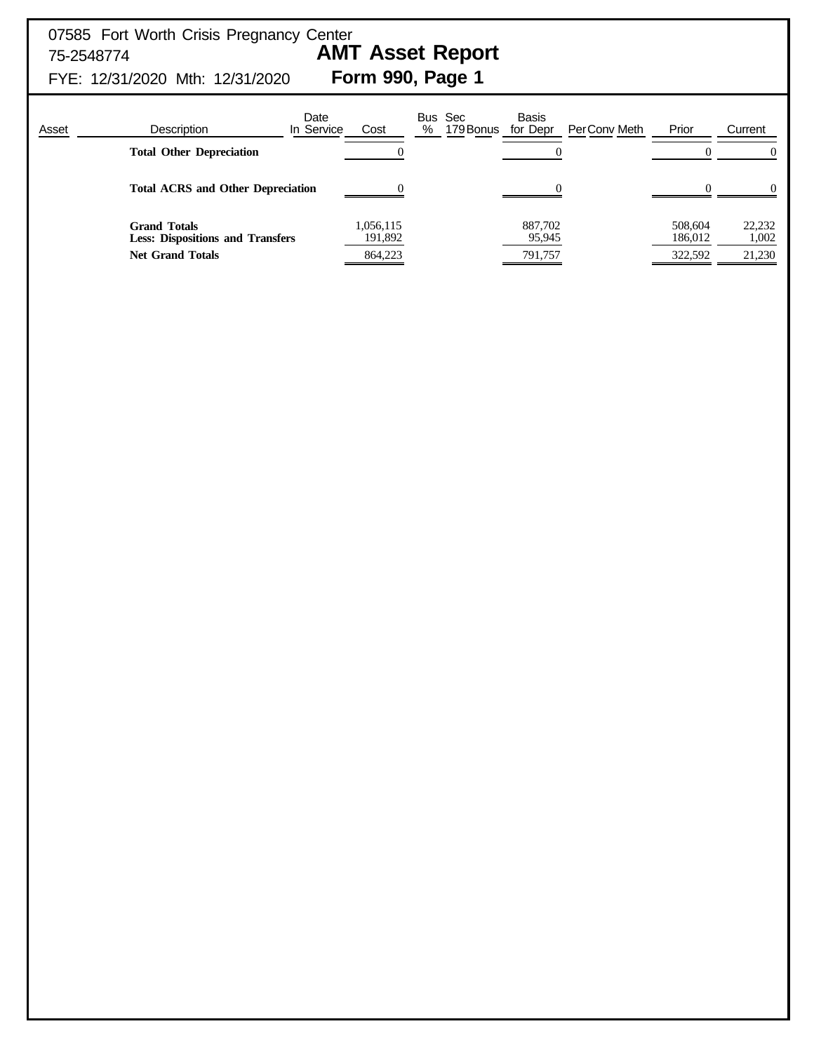| Asset | <b>Description</b>                             | Date<br>In Service                      | Cost | Bus Sec<br>179 Bonus<br>% | <b>Basis</b><br>for Depr<br>PerConv Meth | Prior                         | Current                   |
|-------|------------------------------------------------|-----------------------------------------|------|---------------------------|------------------------------------------|-------------------------------|---------------------------|
|       | <b>Total Other Depreciation</b>                |                                         |      |                           |                                          |                               |                           |
|       | <b>Total ACRS and Other Depreciation</b>       |                                         |      |                           |                                          |                               | 0                         |
|       | <b>Grand Totals</b><br><b>Net Grand Totals</b> | <b>Less: Dispositions and Transfers</b> |      |                           | 887,702<br>95,945<br>791,757             | 508,604<br>186,012<br>322,592 | 22,232<br>1,002<br>21,230 |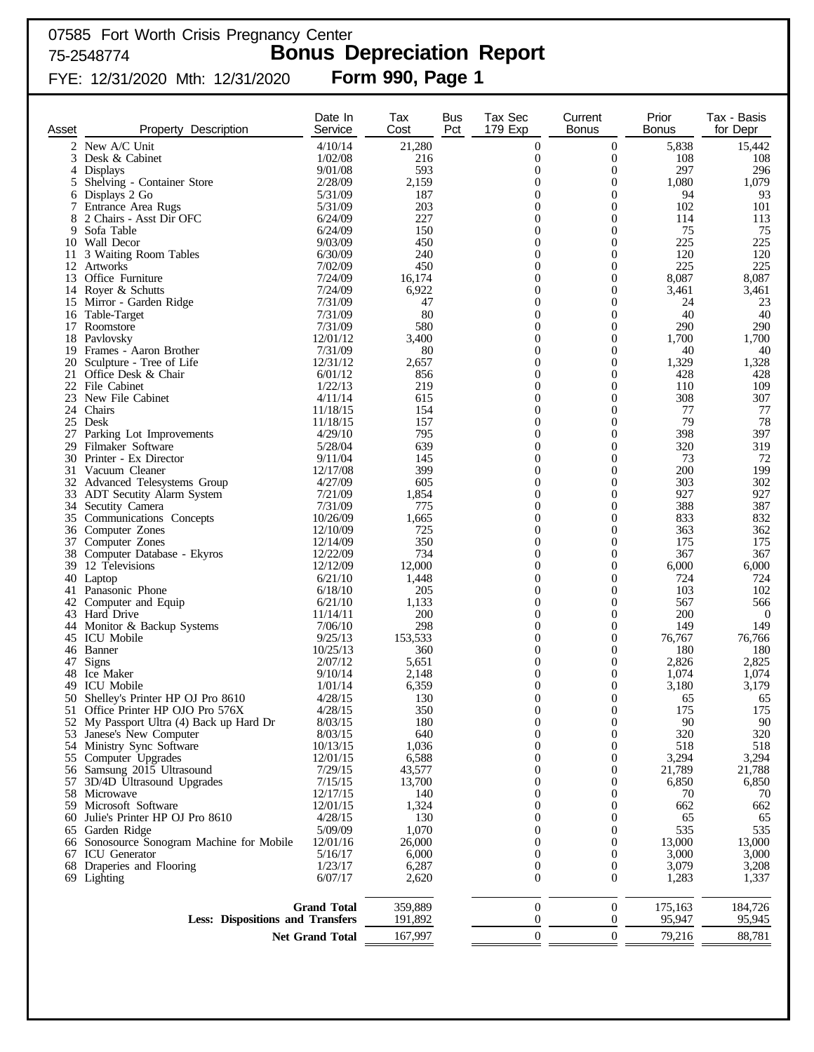# 07585 Fort Worth Crisis Pregnancy Center 75-2548774 **Bonus Depreciation Report** FYE: 12/31/2020 Mth: 12/31/2020 **Form 990, Page 1**

| Asset          | Description<br>Property                                        | Date In<br>Service     | Tax<br>Cost    | <b>Bus</b><br>Pct | Tax Sec<br>179 Exp               | Current<br><b>Bonus</b>              | Prior<br><b>Bonus</b> | Tax - Basis<br>for Depr |
|----------------|----------------------------------------------------------------|------------------------|----------------|-------------------|----------------------------------|--------------------------------------|-----------------------|-------------------------|
| $\overline{2}$ | New A/C Unit                                                   | 4/10/14                | 21,280         |                   | $\mathbf{0}$                     | $\boldsymbol{0}$                     | 5,838                 | 15,442                  |
|                | 3 Desk & Cabinet                                               | 1/02/08                | 216            |                   | 0                                | $\boldsymbol{0}$                     | 108                   | 108                     |
| 4              | Displays                                                       | 9/01/08                | 593            |                   | $\theta$                         | $\boldsymbol{0}$                     | 297                   | 296                     |
|                | 5 Shelving - Container Store                                   | 2/28/09                | 2,159          |                   | $\theta$                         | $\boldsymbol{0}$                     | 1,080                 | 1,079                   |
|                | 6 Displays 2 Go                                                | 5/31/09                | 187<br>203     |                   | $\theta$<br>$\theta$             | $\boldsymbol{0}$<br>$\theta$         | 94<br>102             | 93<br>101               |
| 8              | 7 Entrance Area Rugs<br>2 Chairs - Asst Dir OFC                | 5/31/09<br>6/24/09     | 227            |                   | $\overline{0}$                   | $\mathbf{0}$                         | 114                   | 113                     |
| 9              | Sofa Table                                                     | 6/24/09                | 150            |                   | 0                                | $\theta$                             | 75                    | 75                      |
|                | 10 Wall Decor                                                  | 9/03/09                | 450            |                   | $\overline{0}$                   | $\boldsymbol{0}$                     | 225                   | 225                     |
|                | 11 3 Waiting Room Tables                                       | 6/30/09                | 240            |                   | $\theta$                         | $\theta$                             | 120                   | 120                     |
|                | 12 Artworks                                                    | 7/02/09                | 450            |                   | $\overline{0}$                   | $\boldsymbol{0}$                     | 225                   | 225                     |
|                | 13 Office Furniture                                            | 7/24/09<br>7/24/09     | 16,174         |                   | 0                                | $\theta$                             | 8,087                 | 8,087                   |
|                | 14 Royer & Schutts<br>15 Mirror - Garden Ridge                 | 7/31/09                | 6,922<br>47    |                   | $\overline{0}$<br>$\theta$       | $\boldsymbol{0}$<br>$\theta$         | 3,461<br>24           | 3,461<br>23             |
|                | 16 Table-Target                                                | 7/31/09                | 80             |                   | $\overline{0}$                   | $\boldsymbol{0}$                     | 40                    | 40                      |
|                | 17 Roomstore                                                   | 7/31/09                | 580            |                   | 0                                | $\theta$                             | 290                   | 290                     |
|                | 18 Pavlovsky                                                   | 12/01/12               | 3,400          |                   | $\overline{0}$                   | $\boldsymbol{0}$                     | 1,700                 | 1,700                   |
|                | 19 Frames - Aaron Brother                                      | 7/31/09                | 80             |                   | $\theta$                         | $\mathbf{0}$                         | 40                    | 40                      |
| 20             | Sculpture - Tree of Life                                       | 12/31/12               | 2,657          |                   | $\overline{0}$                   | $\mathbf{0}$                         | 1,329                 | 1,328                   |
| 21             | Office Desk & Chair<br>22 File Cabinet                         | 6/01/12<br>1/22/13     | 856<br>219     |                   | $\theta$<br>$\overline{0}$       | $\mathbf{0}$<br>$\mathbf{0}$         | 428<br>110            | 428<br>109              |
|                | 23 New File Cabinet                                            | 4/11/14                | 615            |                   | $\Omega$                         | $\mathbf{0}$                         | 308                   | 307                     |
|                | 24 Chairs                                                      | 11/18/15               | 154            |                   | $\overline{0}$                   | $\mathbf{0}$                         | 77                    | 77                      |
|                | 25 Desk                                                        | 11/18/15               | 157            |                   | $\Omega$                         | $\theta$                             | 79                    | 78                      |
| 27             | Parking Lot Improvements                                       | 4/29/10                | 795            |                   | $\overline{0}$                   | $\mathbf{0}$                         | 398                   | 397                     |
|                | 29 Filmaker Software                                           | 5/28/04                | 639            |                   | $\Omega$                         | $\theta$                             | 320                   | 319                     |
|                | 30 Printer - Ex Director<br>31 Vacuum Cleaner                  | 9/11/04<br>12/17/08    | 145<br>399     |                   | $\overline{0}$<br>$\theta$       | $\mathbf{0}$<br>$\theta$             | 73<br>200             | 72<br>199               |
|                | 32 Advanced Telesystems Group                                  | 4/27/09                | 605            |                   | $\overline{0}$                   | $\mathbf{0}$                         | 303                   | 302                     |
|                | 33 ADT Secutity Alarm System                                   | 7/21/09                | 1,854          |                   | $\theta$                         | $\theta$                             | 927                   | 927                     |
| 34             | Secutity Camera                                                | 7/31/09                | 775            |                   | $\overline{0}$                   | $\mathbf{0}$                         | 388                   | 387                     |
|                | 35 Communications Concepts                                     | 10/26/09               | 1,665          |                   | $\theta$                         | $\theta$                             | 833                   | 832                     |
|                | 36 Computer Zones                                              | 12/10/09               | 725            |                   | $\overline{0}$                   | $\boldsymbol{0}$                     | 363                   | 362                     |
|                | 37 Computer Zones                                              | 12/14/09               | 350            |                   | $\theta$                         | $\theta$                             | 175                   | 175                     |
| 39             | 38 Computer Database - Ekyros<br>12 Televisions                | 12/22/09<br>12/12/09   | 734<br>12,000  |                   | $\theta$<br>$\theta$             | $\mathbf{0}$<br>$\boldsymbol{0}$     | 367<br>6,000          | 367<br>6,000            |
|                | 40 Laptop                                                      | 6/21/10                | 1,448          |                   | $\theta$                         | $\boldsymbol{0}$                     | 724                   | 724                     |
|                | 41 Panasonic Phone                                             | 6/18/10                | 205            |                   | $\theta$                         | $\theta$                             | 103                   | 102                     |
|                | 42 Computer and Equip                                          | 6/21/10                | 1,133          |                   | $\theta$                         | $\theta$                             | 567                   | 566                     |
|                | 43 Hard Drive                                                  | 11/14/11               | 200            |                   | $\theta$                         | $\boldsymbol{0}$                     | 200                   | $\boldsymbol{0}$        |
|                | 44 Monitor & Backup Systems                                    | 7/06/10                | 298            |                   | $\theta$                         | $\theta$<br>$\theta$                 | 149                   | 149                     |
|                | 45 ICU Mobile<br>46 Banner                                     | 9/25/13<br>10/25/13    | 153,533<br>360 |                   | $\theta$<br>$\theta$             | $\theta$                             | 76,767<br>180         | 76,766<br>180           |
| 47             | <b>Signs</b>                                                   | 2/07/12                | 5,651          |                   | $\theta$                         | $\theta$                             | 2,826                 | 2,825                   |
|                | 48 Ice Maker                                                   | 9/10/14                | 2,148          |                   | $\boldsymbol{0}$                 | $\boldsymbol{0}$                     | 1,074                 | 1,074                   |
| 49.            | <b>ICU</b> Mobile                                              | 1/01/14                | 6,359          |                   | $\theta$                         | $\boldsymbol{0}$                     | 3,180                 | 3,179                   |
|                | 50 Shelley's Printer HP OJ Pro 8610                            | 4/28/15                | 130            |                   | $\Omega$                         | $\Omega$                             | 65                    | 65                      |
|                | 51 Office Printer HP OJO Pro 576X                              | 4/28/15                | 350            |                   | $\mathbf{0}$                     | 0                                    | 175                   | 175                     |
| 52<br>53       | My Passport Ultra (4) Back up Hard Dr<br>Janese's New Computer | 8/03/15<br>8/03/15     | 180<br>640     |                   | $\overline{0}$<br>$\theta$       | $\boldsymbol{0}$<br>$\boldsymbol{0}$ | 90<br>320             | 90<br>320               |
|                | 54 Ministry Sync Software                                      | 10/13/15               | 1,036          |                   | $\theta$                         | $\boldsymbol{0}$                     | 518                   | 518                     |
|                | 55 Computer Upgrades                                           | 12/01/15               | 6,588          |                   | $\overline{0}$                   | $\boldsymbol{0}$                     | 3,294                 | 3,294                   |
| 56             | Samsung 2015 Ultrasound                                        | 7/29/15                | 43,577         |                   | $\overline{0}$                   | $\boldsymbol{0}$                     | 21,789                | 21,788                  |
| 57             | 3D/4D Ultrasound Upgrades                                      | 7/15/15                | 13,700         |                   | $\overline{0}$                   | $\boldsymbol{0}$                     | 6,850                 | 6,850                   |
|                | 58 Microwave                                                   | 12/17/15               | 140            |                   | $\overline{0}$                   | $\boldsymbol{0}$                     | 70                    | 70                      |
|                | 59 Microsoft Software<br>Julie's Printer HP OJ Pro 8610        | 12/01/15<br>4/28/15    | 1,324<br>130   |                   | $\overline{0}$<br>$\overline{0}$ | $\boldsymbol{0}$<br>$\boldsymbol{0}$ | 662<br>65             | 662<br>65               |
| 60<br>65       | Garden Ridge                                                   | 5/09/09                | 1,070          |                   | $\overline{0}$                   | $\boldsymbol{0}$                     | 535                   | 535                     |
|                | 66 Sonosource Sonogram Machine for Mobile                      | 12/01/16               | 26,000         |                   | $\overline{0}$                   | $\boldsymbol{0}$                     | 13,000                | 13,000                  |
|                | 67 ICU Generator                                               | 5/16/17                | 6,000          |                   | $\overline{0}$                   | $\boldsymbol{0}$                     | 3,000                 | 3,000                   |
|                | 68 Draperies and Flooring                                      | 1/23/17                | 6,287          |                   | $\boldsymbol{0}$                 | $\boldsymbol{0}$                     | 3,079                 | 3,208                   |
|                | 69 Lighting                                                    | 6/07/17                | 2,620          |                   | $\boldsymbol{0}$                 | $\boldsymbol{0}$                     | 1,283                 | 1,337                   |
|                |                                                                | <b>Grand Total</b>     | 359,889        |                   | $\mathbf{0}$                     | $\boldsymbol{0}$                     | 175,163               | 184,726                 |
|                | <b>Less: Dispositions and Transfers</b>                        |                        | 191,892        |                   | $\theta$                         | 0                                    | 95,947                | 95,945                  |
|                |                                                                | <b>Net Grand Total</b> | 167,997        |                   | $\mathbf{0}$                     | $\boldsymbol{0}$                     | 79,216                | 88,781                  |
|                |                                                                |                        |                |                   |                                  |                                      |                       |                         |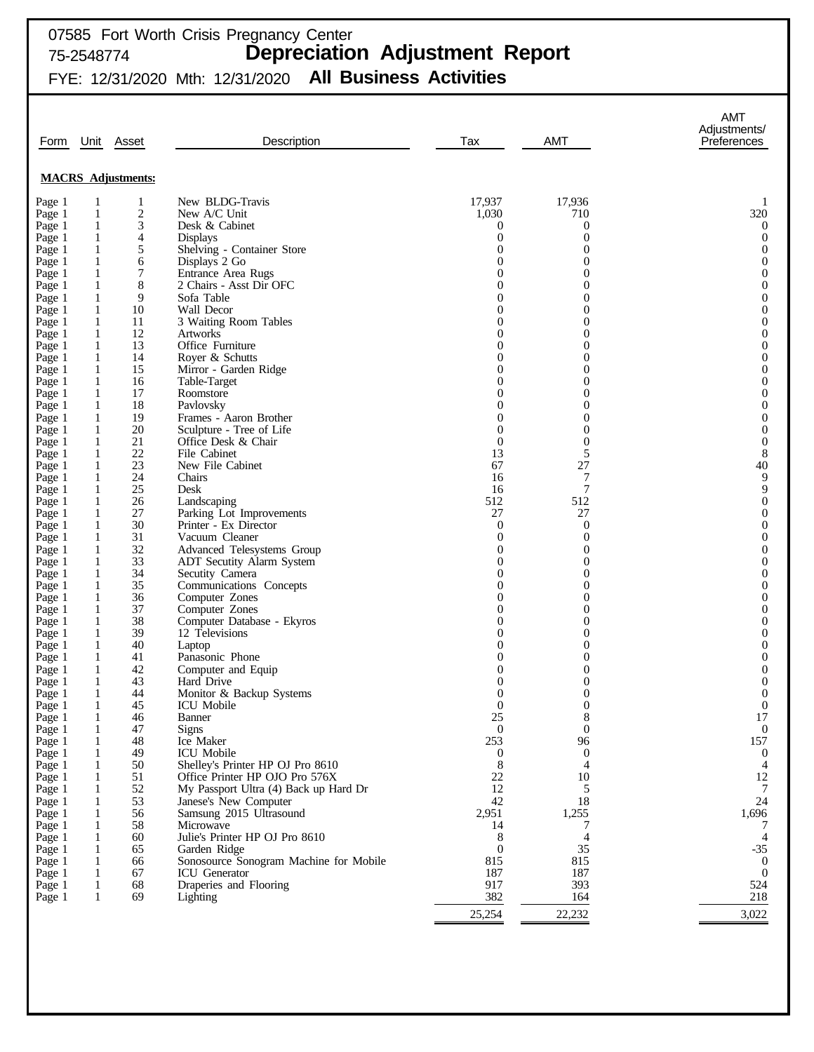# 07585 Fort Worth Crisis Pregnancy Center 75-2548774 **Depreciation Adjustment Report**

FYE: 12/31/2020 Mth: 12/31/2020 **All Business Activities**

|                  |                              |                           |                                                                    |                              |                                | <b>AMT</b><br>Adjustments/   |
|------------------|------------------------------|---------------------------|--------------------------------------------------------------------|------------------------------|--------------------------------|------------------------------|
| Form             | Unit                         | Asset                     | Description                                                        | Tax                          | <b>AMT</b>                     | Preferences                  |
|                  |                              |                           |                                                                    |                              |                                |                              |
|                  |                              | <b>MACRS</b> Adjustments: |                                                                    |                              |                                |                              |
| Page 1           | -1                           | 1                         | New BLDG-Travis                                                    | 17,937                       | 17,936                         | 1                            |
| Page 1           | $\mathbf{1}$                 | $\overline{c}$            | New A/C Unit                                                       | 1,030                        | 710                            | 320                          |
| Page 1           | $\mathbf{1}$                 | 3                         | Desk & Cabinet                                                     | 0                            | 0                              | $\boldsymbol{0}$             |
| Page 1           | $\mathbf{1}$                 | 4                         | <b>Displays</b>                                                    | $\boldsymbol{0}$             | $\mathbf{0}$                   | $\boldsymbol{0}$             |
| Page 1<br>Page 1 | $\mathbf{1}$<br>$\mathbf{1}$ | 5<br>6                    | Shelving - Container Store<br>Displays 2 Go                        | $\theta$<br>$\theta$         | 0<br>$\overline{0}$            | $\mathbf{0}$<br>$\mathbf{0}$ |
| Page 1           | $\mathbf{1}$                 | 7                         | Entrance Area Rugs                                                 | $\theta$                     | $\overline{0}$                 | $\mathbf{0}$                 |
| Page 1           | $\mathbf{1}$                 | 8                         | 2 Chairs - Asst Dir OFC                                            | $\theta$                     | $\overline{0}$                 | $\mathbf{0}$                 |
| Page 1           | $\mathbf{1}$                 | 9                         | Sofa Table                                                         | $\theta$                     | $\overline{0}$                 | $\mathbf{0}$                 |
| Page 1           | $\mathbf{1}$                 | 10                        | Wall Decor                                                         | $\theta$                     | 0                              | $\mathbf{0}$                 |
| Page 1           | $\mathbf{1}$                 | 11                        | 3 Waiting Room Tables                                              | $\theta$                     | 0                              | $\mathbf{0}$                 |
| Page 1           | 1                            | 12                        | <b>Artworks</b>                                                    | $\theta$                     | 0                              | $\mathbf{0}$                 |
| Page 1<br>Page 1 | $\mathbf{1}$<br>1            | 13<br>14                  | Office Furniture<br>Royer & Schutts                                | $\theta$<br>$\theta$         | 0<br>0                         | $\mathbf{0}$<br>$\mathbf{0}$ |
| Page 1           | $\mathbf{1}$                 | 15                        | Mirror - Garden Ridge                                              | $\theta$                     | 0                              | $\mathbf{0}$                 |
| Page 1           | $\mathbf{1}$                 | 16                        | Table-Target                                                       | $\theta$                     | 0                              | $\mathbf{0}$                 |
| Page 1           | $\mathbf{1}$                 | 17                        | Roomstore                                                          | $\theta$                     | 0                              | $\mathbf{0}$                 |
| Page 1           | 1                            | 18                        | Pavlovsky                                                          | $\theta$                     | 0                              | $\mathbf{0}$                 |
| Page 1           | $\mathbf{1}$                 | 19                        | Frames - Aaron Brother                                             | $\theta$                     | 0                              | $\mathbf{0}$                 |
| Page 1           | 1                            | 20                        | Sculpture - Tree of Life                                           | $\theta$                     | $\mathbf{0}$                   | $\mathbf{0}$                 |
| Page 1           | $\mathbf{1}$                 | 21                        | Office Desk & Chair                                                | $\boldsymbol{0}$             | $\boldsymbol{0}$               | $\mathbf{0}$                 |
| Page 1           | 1<br>$\mathbf{1}$            | 22<br>23                  | File Cabinet<br>New File Cabinet                                   | 13<br>67                     | 5<br>27                        | $\,8\,$<br>40                |
| Page 1<br>Page 1 | 1                            | 24                        | Chairs                                                             | 16                           | 7                              | 9                            |
| Page 1           | $\mathbf{1}$                 | 25                        | Desk                                                               | 16                           | 7                              | $\mathbf{9}$                 |
| Page 1           | 1                            | 26                        | Landscaping                                                        | 512                          | 512                            | $\mathbf{0}$                 |
| Page 1           | $\mathbf{1}$                 | 27                        | Parking Lot Improvements                                           | 27                           | 27                             | $\mathbf{0}$                 |
| Page 1           | 1                            | 30                        | Printer - Ex Director                                              | $\boldsymbol{0}$             | $\theta$                       | $\mathbf{0}$                 |
| Page 1           | $\mathbf{1}$                 | 31                        | Vacuum Cleaner                                                     | $\boldsymbol{0}$             | $\boldsymbol{0}$               | $\mathbf{0}$                 |
| Page 1           | 1                            | 32                        | Advanced Telesystems Group                                         | $\theta$                     | $\overline{0}$                 | $\mathbf{0}$                 |
| Page 1<br>Page 1 | $\mathbf{1}$<br>1            | 33<br>34                  | ADT Secutity Alarm System<br>Secutity Camera                       | $\boldsymbol{0}$<br>$\theta$ | 0<br>$\overline{0}$            | $\mathbf{0}$<br>$\mathbf{0}$ |
| Page 1           | 1                            | 35                        | Communications Concepts                                            | $\theta$                     | 0                              | $\mathbf{0}$                 |
| Page 1           | 1                            | 36                        | Computer Zones                                                     | $\theta$                     | $\overline{0}$                 | $\mathbf{0}$                 |
| Page 1           | $\mathbf{1}$                 | 37                        | Computer Zones                                                     | $\overline{0}$               | 0                              | $\mathbf{0}$                 |
| Page 1           | 1                            | 38                        | Computer Database - Ekyros                                         | $\theta$                     | $\overline{0}$                 | $\mathbf{0}$                 |
| Page 1           | 1                            | 39                        | 12 Televisions                                                     | 0                            | 0                              | $\mathbf{0}$                 |
| Page 1           | 1                            | 40                        | Laptop                                                             | 0                            | $\overline{0}$                 | $\mathbf{0}$                 |
| Page 1           | 1                            | 41                        | Panasonic Phone                                                    | 0<br>0                       | 0<br>$\overline{0}$            | $\mathbf{0}$<br>$\mathbf{0}$ |
| Page 1<br>Page 1 | 1<br>1                       | 42<br>43                  | Computer and Equip<br>Hard Drive                                   | 0                            | 0                              | $\mathbf{0}$                 |
| Page 1           | 1                            | 44                        | Monitor & Backup Systems                                           | $\theta$                     | $\overline{0}$                 | $\mathbf{0}$                 |
| Page 1           | 1                            | 45                        | ICU Mobile                                                         | $\boldsymbol{0}$             | $\boldsymbol{0}$               | $\boldsymbol{0}$             |
| Page 1           | 1                            | 46                        | Banner                                                             | 25                           | 8                              | 17                           |
| Page 1           | 1                            | 47                        | <b>Signs</b>                                                       | $\mathbf{0}$                 | $\boldsymbol{0}$               | $\boldsymbol{0}$             |
| Page 1           | 1                            | 48                        | Ice Maker                                                          | 253                          | 96                             | 157                          |
| Page 1           | 1                            | 49<br>50                  | ICU Mobile                                                         | $\boldsymbol{0}$             | $\mathbf{0}$<br>$\overline{4}$ | $\mathbf{0}$                 |
| Page 1<br>Page 1 | 1<br>1                       | 51                        | Shelley's Printer HP OJ Pro 8610<br>Office Printer HP OJO Pro 576X | 8<br>22                      | 10                             | 4<br>12                      |
| Page 1           | 1                            | 52                        | My Passport Ultra (4) Back up Hard Dr                              | 12                           | 5                              | 7                            |
| Page 1           | 1                            | 53                        | Janese's New Computer                                              | 42                           | 18                             | 24                           |
| Page 1           | 1                            | 56                        | Samsung 2015 Ultrasound                                            | 2,951                        | 1,255                          | 1,696                        |
| Page 1           | 1                            | 58                        | Microwave                                                          | 14                           | 7                              |                              |
| Page 1           | 1                            | 60                        | Julie's Printer HP OJ Pro 8610                                     | 8                            | 4                              | $\overline{4}$               |
| Page 1           | 1                            | 65                        | Garden Ridge                                                       | $\theta$                     | 35                             | $-35$                        |
| Page 1           | 1                            | 66                        | Sonosource Sonogram Machine for Mobile                             | 815                          | 815                            | $\overline{0}$               |
| Page 1<br>Page 1 | 1<br>1                       | 67<br>68                  | ICU Generator<br>Draperies and Flooring                            | 187<br>917                   | 187<br>393                     | $\mathbf{0}$<br>524          |
| Page 1           | 1                            | 69                        | Lighting                                                           | 382                          | 164                            | 218                          |
|                  |                              |                           |                                                                    |                              |                                |                              |
|                  |                              |                           |                                                                    | 25,254                       | 22,232                         | 3,022                        |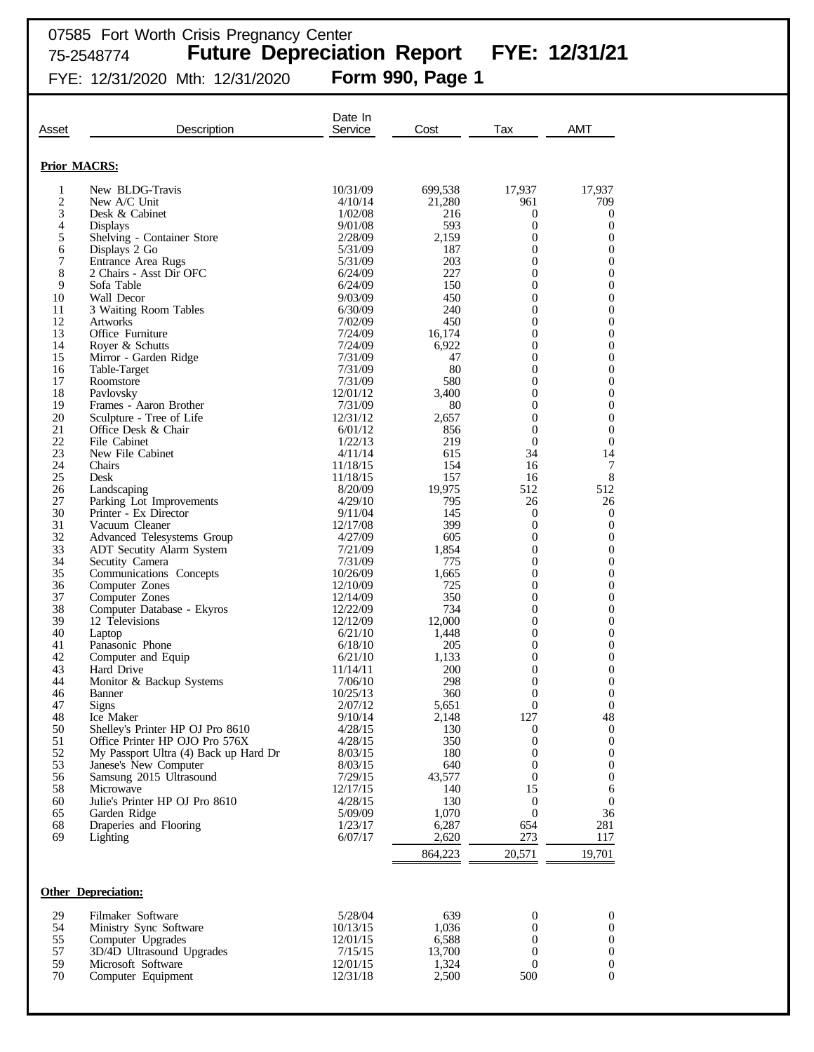|                     |                                                                | Date In             |                 |                                      |                                      |
|---------------------|----------------------------------------------------------------|---------------------|-----------------|--------------------------------------|--------------------------------------|
| Asset               | Description                                                    | Service             | Cost            | Tax                                  | <b>AMT</b>                           |
| <b>Prior MACRS:</b> |                                                                |                     |                 |                                      |                                      |
| 1                   | New BLDG-Travis                                                | 10/31/09            | 699,538         | 17,937                               | 17,937                               |
| $\overline{c}$      | New A/C Unit                                                   | 4/10/14             | 21,280          | 961                                  | 709                                  |
| 3<br>4              | Desk & Cabinet<br><b>Displays</b>                              | 1/02/08<br>9/01/08  | 216<br>593      | $\mathbf{0}$<br>$\overline{0}$       | 0<br>$\mathbf{0}$                    |
| 5                   | Shelving - Container Store                                     | 2/28/09             | 2,159           | $\overline{0}$                       | $\boldsymbol{0}$                     |
| 6                   | Displays 2 Go                                                  | 5/31/09             | 187             | $\overline{0}$                       | $\boldsymbol{0}$                     |
| 7                   | Entrance Area Rugs                                             | 5/31/09             | 203             | $\mathbf{0}$                         | $\boldsymbol{0}$                     |
| 8<br>9              | 2 Chairs - Asst Dir OFC<br>Sofa Table                          | 6/24/09<br>6/24/09  | 227<br>150      | $\overline{0}$<br>$\mathbf{0}$       | $\boldsymbol{0}$<br>$\boldsymbol{0}$ |
| 10                  | Wall Decor                                                     | 9/03/09             | 450             | $\overline{0}$                       | $\boldsymbol{0}$                     |
| 11                  | 3 Waiting Room Tables                                          | 6/30/09             | 240             | $\mathbf{0}$                         | $\boldsymbol{0}$                     |
| 12                  | <b>Artworks</b>                                                | 7/02/09             | 450             | $\overline{0}$                       | $\boldsymbol{0}$                     |
| 13                  | Office Furniture                                               | 7/24/09             | 16,174          | $\mathbf{0}$                         | $\boldsymbol{0}$                     |
| 14<br>15            | Royer & Schutts<br>Mirror - Garden Ridge                       | 7/24/09<br>7/31/09  | 6,922<br>47     | $\overline{0}$<br>$\overline{0}$     | $\boldsymbol{0}$<br>$\boldsymbol{0}$ |
| 16                  | Table-Target                                                   | 7/31/09             | 80              | $\overline{0}$                       | $\boldsymbol{0}$                     |
| 17                  | Roomstore                                                      | 7/31/09             | 580             | $\mathbf{0}$                         | $\boldsymbol{0}$                     |
| 18                  | Pavlovsky                                                      | 12/01/12            | 3,400           | $\overline{0}$                       | $\boldsymbol{0}$                     |
| 19                  | Frames - Aaron Brother                                         | 7/31/09             | 80              | $\overline{0}$                       | $\boldsymbol{0}$                     |
| 20<br>21            | Sculpture - Tree of Life<br>Office Desk & Chair                | 12/31/12<br>6/01/12 | 2,657<br>856    | $\overline{0}$<br>$\mathbf{0}$       | $\boldsymbol{0}$<br>$\boldsymbol{0}$ |
| 22                  | File Cabinet                                                   | 1/22/13             | 219             | $\overline{0}$                       | $\boldsymbol{0}$                     |
| 23                  | New File Cabinet                                               | 4/11/14             | 615             | 34                                   | 14                                   |
| 24                  | Chairs                                                         | 11/18/15            | 154             | 16                                   | 7                                    |
| 25<br>26            | Desk                                                           | 11/18/15            | 157             | 16<br>512                            | $\,8\,$<br>512                       |
| 27                  | Landscaping<br>Parking Lot Improvements                        | 8/20/09<br>4/29/10  | 19,975<br>795   | 26                                   | 26                                   |
| 30                  | Printer - Ex Director                                          | 9/11/04             | 145             | $\boldsymbol{0}$                     | $\boldsymbol{0}$                     |
| 31                  | Vacuum Cleaner                                                 | 12/17/08            | 399             | $\boldsymbol{0}$                     | $\boldsymbol{0}$                     |
| 32                  | Advanced Telesystems Group                                     | 4/27/09             | 605             | $\boldsymbol{0}$                     | $\boldsymbol{0}$                     |
| 33<br>34            | <b>ADT</b> Secutity Alarm System<br>Secutity Camera            | 7/21/09<br>7/31/09  | 1,854<br>775    | $\overline{0}$<br>$\boldsymbol{0}$   | $\boldsymbol{0}$<br>0                |
| 35                  | Communications Concepts                                        | 10/26/09            | 1,665           | $\overline{0}$                       | $\boldsymbol{0}$                     |
| 36                  | Computer Zones                                                 | 12/10/09            | 725             | $\boldsymbol{0}$                     | 0                                    |
| 37                  | Computer Zones                                                 | 12/14/09            | 350             | $\boldsymbol{0}$                     | $\boldsymbol{0}$                     |
| 38<br>39            | Computer Database - Ekyros<br>12 Televisions                   | 12/22/09            | 734             | $\boldsymbol{0}$                     | 0<br>$\boldsymbol{0}$                |
| 40                  | Laptop                                                         | 12/12/09<br>6/21/10 | 12,000<br>1,448 | $\boldsymbol{0}$<br>$\boldsymbol{0}$ | 0                                    |
| 41                  | Panasonic Phone                                                | 6/18/10             | 205             | $\overline{0}$                       | $\boldsymbol{0}$                     |
| 42                  | Computer and Equip                                             | 6/21/10             | 1,133           | $\overline{0}$                       | $\boldsymbol{0}$                     |
| 43                  | Hard Drive                                                     | 11/14/11            | 200             | $\overline{0}$                       | $\boldsymbol{0}$                     |
| 44<br>46            | Monitor & Backup Systems<br><b>Banner</b>                      | 7/06/10             | 298<br>360      | $\overline{0}$<br>$\overline{0}$     | 0<br>$\boldsymbol{0}$                |
| 47                  | Signs                                                          | 10/25/13<br>2/07/12 | 5,651           | $\boldsymbol{0}$                     | $\boldsymbol{0}$                     |
| 48                  | Ice Maker                                                      | 9/10/14             | 2,148           | 127                                  | 48                                   |
| 50                  | Shelley's Printer HP OJ Pro 8610                               | 4/28/15             | 130             | $\mathbf{0}$                         | $\mathbf{0}$                         |
| 51                  | Office Printer HP OJO Pro 576X                                 | 4/28/15             | 350             | $\mathbf{0}$                         | $\boldsymbol{0}$                     |
| 52<br>53            | My Passport Ultra (4) Back up Hard Dr<br>Janese's New Computer | 8/03/15<br>8/03/15  | 180<br>640      | $\mathbf{0}$<br>$\overline{0}$       | $\boldsymbol{0}$<br>$\boldsymbol{0}$ |
| 56                  | Samsung 2015 Ultrasound                                        | 7/29/15             | 43,577          | $\mathbf{0}$                         | $\boldsymbol{0}$                     |
| 58                  | Microwave                                                      | 12/17/15            | 140             | 15                                   | 6                                    |
| 60                  | Julie's Printer HP OJ Pro 8610                                 | 4/28/15             | 130             | $\boldsymbol{0}$                     | $\mathbf{0}$                         |
| 65<br>68            | Garden Ridge                                                   | 5/09/09<br>1/23/17  | 1,070           | $\mathbf{0}$                         | 36                                   |
| 69                  | Draperies and Flooring<br>Lighting                             | 6/07/17             | 6,287<br>2,620  | 654<br>273                           | 281<br>117                           |
|                     |                                                                |                     |                 |                                      |                                      |
|                     |                                                                |                     | 864,223         | 20,571                               | 19,701                               |
|                     | <b>Other Depreciation:</b>                                     |                     |                 |                                      |                                      |
| 29                  | Filmaker Software                                              | 5/28/04             | 639             | $\boldsymbol{0}$                     | 0                                    |
| 54                  | Ministry Sync Software                                         | 10/13/15            | 1,036           | 0                                    | 0                                    |
| 55                  | Computer Upgrades                                              | 12/01/15            | 6,588           | $\overline{0}$                       | $\boldsymbol{0}$                     |
| 57                  | 3D/4D Ultrasound Upgrades                                      | 7/15/15             | 13,700          | $\boldsymbol{0}$                     | $\boldsymbol{0}$                     |
| 59<br>70            | Microsoft Software                                             | 12/01/15            | 1,324           | $\mathbf{0}$                         | $\boldsymbol{0}$<br>$\boldsymbol{0}$ |
|                     | Computer Equipment                                             | 12/31/18            | 2,500           | 500                                  |                                      |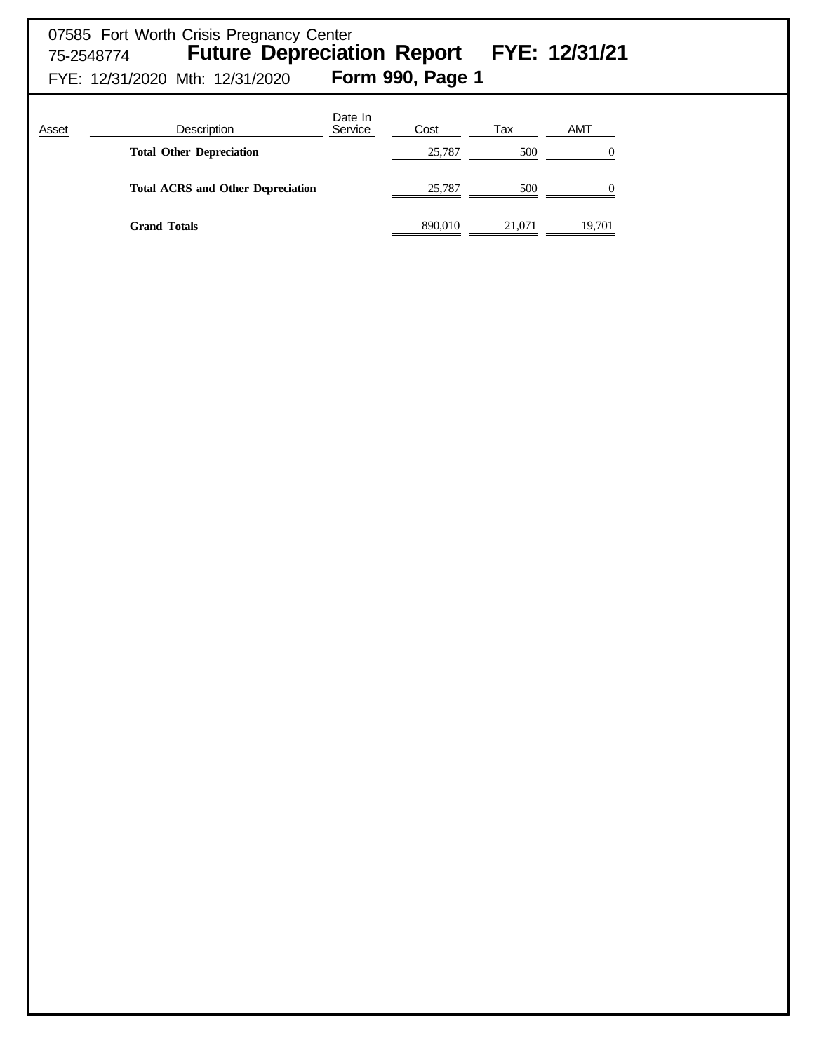# 07585 Fort Worth Crisis Pregnancy Center 75-2548774 **Future Depreciation Report FYE: 12/31/21** FYE: 12/31/2020 Mth: 12/31/2020 **Form 990, Page 1**

| Asset | Description                              | Date In<br>Service | Cost    | Tax    | AMT               |
|-------|------------------------------------------|--------------------|---------|--------|-------------------|
|       | <b>Total Other Depreciation</b>          |                    | 25,787  | 500    | $\mathbf{\Omega}$ |
|       | <b>Total ACRS and Other Depreciation</b> |                    | 25,787  | 500    | 0                 |
|       | <b>Grand Totals</b>                      |                    | 890,010 | 21,071 | 19,701            |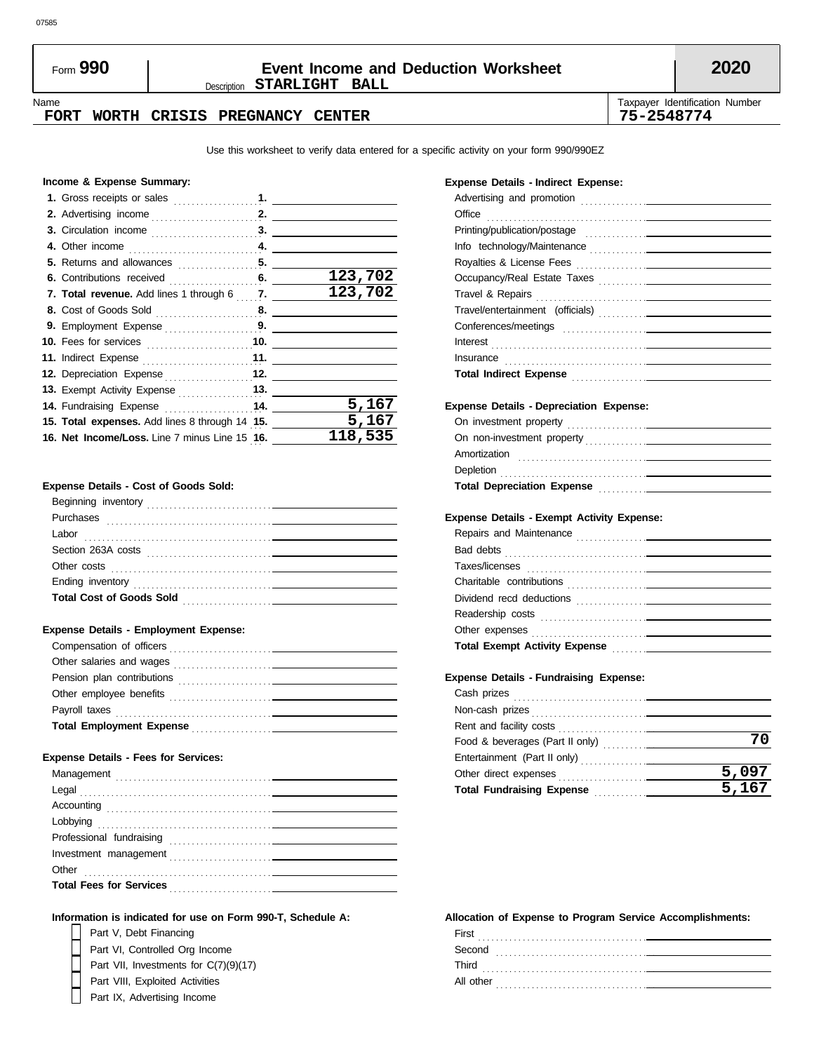## Description **STARLIGHT BALL** Form **990 Event Income and Deduction Worksheet 2020**

Name **Taxpayer Identification Number** Number 1999 and the United States of Taxpayer Identification Number

#### **FORT WORTH CRISIS PREGNANCY CENTER 75-2548774**

Use this worksheet to verify data entered for a specific activity on your form 990/990EZ

#### **Income & Expense Summary:**

|                                                | 123,702 |
|------------------------------------------------|---------|
| 7. Total revenue. Add lines 1 through 6 7.     | 123,702 |
|                                                |         |
|                                                |         |
|                                                |         |
|                                                |         |
| 12. Depreciation Expense 12.                   |         |
|                                                |         |
|                                                | 5,167   |
| 15. Total expenses. Add lines 8 through 14 15. | 5,167   |
| 16. Net Income/Loss. Line 7 minus Line 15 16.  | 118,535 |
|                                                |         |

#### **Expense Details - Cost of Goods Sold:**

| Beginning inventory             |
|---------------------------------|
| Purchases                       |
| Labor                           |
| Section 263A costs              |
| Other costs                     |
| Ending inventory                |
| <b>Total Cost of Goods Sold</b> |
|                                 |

#### **Expense Details - Employment Expense:**

| Compensation of officers                                                                                    |  |
|-------------------------------------------------------------------------------------------------------------|--|
| Other salaries and wages<br>the contract of the contract of the contract of the contract of the contract of |  |
| Pension plan contributions                                                                                  |  |
| Other employee benefits                                                                                     |  |
| Payroll taxes                                                                                               |  |
| <b>Total Employment Expense</b>                                                                             |  |
|                                                                                                             |  |

#### **Expense Details - Fees for Services:**

| Management                     |  |
|--------------------------------|--|
|                                |  |
| Accounting                     |  |
|                                |  |
|                                |  |
|                                |  |
| Other                          |  |
| <b>Total Fees for Services</b> |  |
|                                |  |

#### **Information is indicated for use on Form 990-T, Schedule A:**

- Part V, Debt Financing Part VI, Controlled Org Income Part VII, Investments for C(7)(9)(17)
- Part VIII, Exploited Activities
- 
- Part IX, Advertising Income

#### **Expense Details - Indirect Expense:**

| Office                                                                            |                     |
|-----------------------------------------------------------------------------------|---------------------|
| Printing/publication/postage                                                      |                     |
|                                                                                   |                     |
|                                                                                   |                     |
|                                                                                   |                     |
|                                                                                   |                     |
|                                                                                   |                     |
|                                                                                   |                     |
|                                                                                   |                     |
|                                                                                   |                     |
|                                                                                   |                     |
|                                                                                   |                     |
| <b>Expense Details - Depreciation Expense:</b>                                    |                     |
|                                                                                   |                     |
|                                                                                   |                     |
|                                                                                   |                     |
|                                                                                   |                     |
| Total Depreciation Expense <b>container the Contract Control Contract Control</b> |                     |
|                                                                                   |                     |
| <b>Expense Details - Exempt Activity Expense:</b>                                 |                     |
|                                                                                   |                     |
|                                                                                   |                     |
|                                                                                   |                     |
|                                                                                   |                     |
|                                                                                   |                     |
|                                                                                   |                     |
|                                                                                   |                     |
| Total Exempt Activity Expense <b>Material Activity</b>                            |                     |
|                                                                                   |                     |
| <b>Expense Details - Fundraising Expense:</b>                                     |                     |
|                                                                                   |                     |
|                                                                                   |                     |
|                                                                                   |                     |
|                                                                                   | 70                  |
|                                                                                   |                     |
|                                                                                   | 5,097               |
| Total Fundraising Expense <b>Material Properties</b>                              | $\overline{5}$ ,167 |

#### **Allocation of Expense to Program Service Accomplishments:**

| First<br>.     |
|----------------|
| Second<br>.    |
| Third<br>.     |
| All other<br>. |
|                |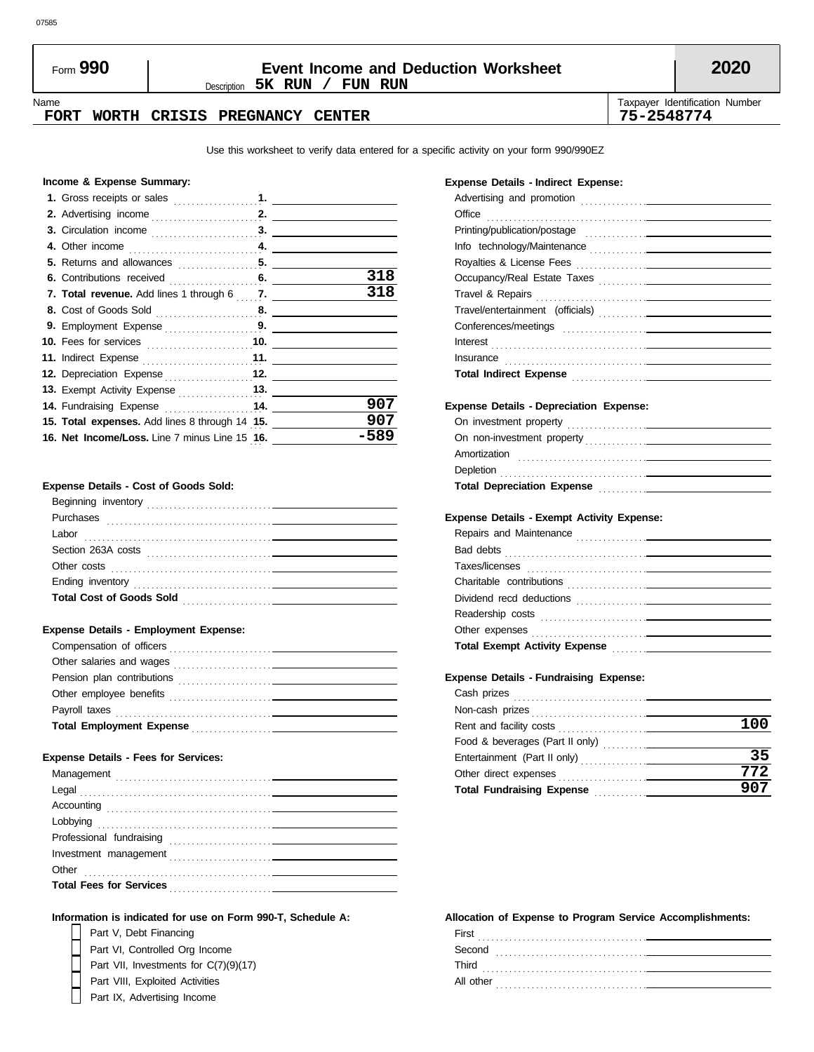## Description **5K RUN / FUN RUN** Form **990 Event Income and Deduction Worksheet 2020**

#### **FORT WORTH CRISIS PREGNANCY CENTER 75-2548774**

Name **Taxpayer Identification Number** Number 1999 and the United States of Taxpayer Identification Number

Use this worksheet to verify data entered for a specific activity on your form 990/990EZ

#### **Income & Expense Summary:**

|                                                            | 318  |
|------------------------------------------------------------|------|
| 7. Total revenue. Add lines 1 through 6  7. ______________ | 318  |
|                                                            |      |
| 9. Employment Expense 9.                                   |      |
|                                                            |      |
|                                                            |      |
| 12. Depreciation Expense 12.                               |      |
|                                                            |      |
| 14. Fundraising Expense  14.                               | 907  |
| 15. Total expenses. Add lines 8 through 14 15.             | 907  |
| 16. Net Income/Loss. Line 7 minus Line 15 16.              | -589 |
|                                                            |      |

#### **Expense Details - Cost of Goods Sold:**

| Beginning inventory<br>the contract of the contract of the contract of the contract of the contract of the contract of the contract of |
|----------------------------------------------------------------------------------------------------------------------------------------|
| Purchases                                                                                                                              |
| Labor                                                                                                                                  |
| Section 263A costs                                                                                                                     |
| Other costs                                                                                                                            |
| Ending inventory                                                                                                                       |
| <b>Total Cost of Goods Sold</b>                                                                                                        |
|                                                                                                                                        |

#### **Expense Details - Employment Expense:**

| Compensation of officers<br><u>and the state of the state of the state of the state of the state of the state of the state of the state of the state of the state of the state of the state of the state of the state of the state of the state of the state</u> |  |
|------------------------------------------------------------------------------------------------------------------------------------------------------------------------------------------------------------------------------------------------------------------|--|
| Other salaries and wages                                                                                                                                                                                                                                         |  |
| Pension plan contributions<br>the contract of the contract of the contract of the                                                                                                                                                                                |  |
| Other employee benefits<br>the contract of the contract of the contract of                                                                                                                                                                                       |  |
| Payroll taxes                                                                                                                                                                                                                                                    |  |
| <b>Total Employment Expense</b><br>the control of the control of the control of                                                                                                                                                                                  |  |
|                                                                                                                                                                                                                                                                  |  |

#### **Expense Details - Fees for Services:**

| Management                     |  |  |  |
|--------------------------------|--|--|--|
|                                |  |  |  |
|                                |  |  |  |
|                                |  |  |  |
| Professional fundraising       |  |  |  |
|                                |  |  |  |
| Other                          |  |  |  |
| <b>Total Fees for Services</b> |  |  |  |
|                                |  |  |  |

#### **Information is indicated for use on Form 990-T, Schedule A:**

- Part V, Debt Financing Part VI, Controlled Org Income Part VII, Investments for C(7)(9)(17)
- Part VIII, Exploited Activities
	- Part IX, Advertising Income

#### **Expense Details - Indirect Expense:**

| Office                                                                                                                                                                                                                              |                             |
|-------------------------------------------------------------------------------------------------------------------------------------------------------------------------------------------------------------------------------------|-----------------------------|
|                                                                                                                                                                                                                                     |                             |
|                                                                                                                                                                                                                                     |                             |
|                                                                                                                                                                                                                                     |                             |
| Occupancy/Real Estate Taxes                                                                                                                                                                                                         |                             |
|                                                                                                                                                                                                                                     |                             |
|                                                                                                                                                                                                                                     |                             |
|                                                                                                                                                                                                                                     |                             |
|                                                                                                                                                                                                                                     |                             |
| Insurance in the community of the community of the community of the community of the community of the community of the community of the community of the community of the community of the community of the community of the c      |                             |
| Total Indirect Expense <b>Construction</b> Construction of the Construction of the Construction of the Construction of the Construction of the Construction of the Construction of the Construction of the Construction of the Cons |                             |
|                                                                                                                                                                                                                                     |                             |
| <b>Expense Details - Depreciation Expense:</b>                                                                                                                                                                                      |                             |
|                                                                                                                                                                                                                                     |                             |
|                                                                                                                                                                                                                                     |                             |
|                                                                                                                                                                                                                                     |                             |
|                                                                                                                                                                                                                                     |                             |
| Total Depreciation Expense Manual According Depreciation Expense Manual According Department                                                                                                                                        |                             |
|                                                                                                                                                                                                                                     |                             |
| <b>Expense Details - Exempt Activity Expense:</b>                                                                                                                                                                                   |                             |
|                                                                                                                                                                                                                                     |                             |
|                                                                                                                                                                                                                                     |                             |
|                                                                                                                                                                                                                                     |                             |
|                                                                                                                                                                                                                                     |                             |
|                                                                                                                                                                                                                                     |                             |
|                                                                                                                                                                                                                                     |                             |
| Total Exempt Activity Expense <b>Construct Activity</b>                                                                                                                                                                             |                             |
|                                                                                                                                                                                                                                     |                             |
| <b>Expense Details - Fundraising Expense:</b>                                                                                                                                                                                       |                             |
| Cash prizes                                                                                                                                                                                                                         |                             |
|                                                                                                                                                                                                                                     |                             |
|                                                                                                                                                                                                                                     | $\sim$ $\sim$ $\sim$ $\sim$ |

|                                                                                                 | 100 |
|-------------------------------------------------------------------------------------------------|-----|
|                                                                                                 |     |
|                                                                                                 | 35  |
|                                                                                                 | 772 |
| <b>Total Fundraising Expense</b><br>the control of the control of the control of the control of | 907 |
|                                                                                                 |     |

#### **Allocation of Expense to Program Service Accomplishments:**

| First<br>$\cdot$ $\cdot$ |  |
|--------------------------|--|
| Second<br>.              |  |
| Third<br>.               |  |
| All other                |  |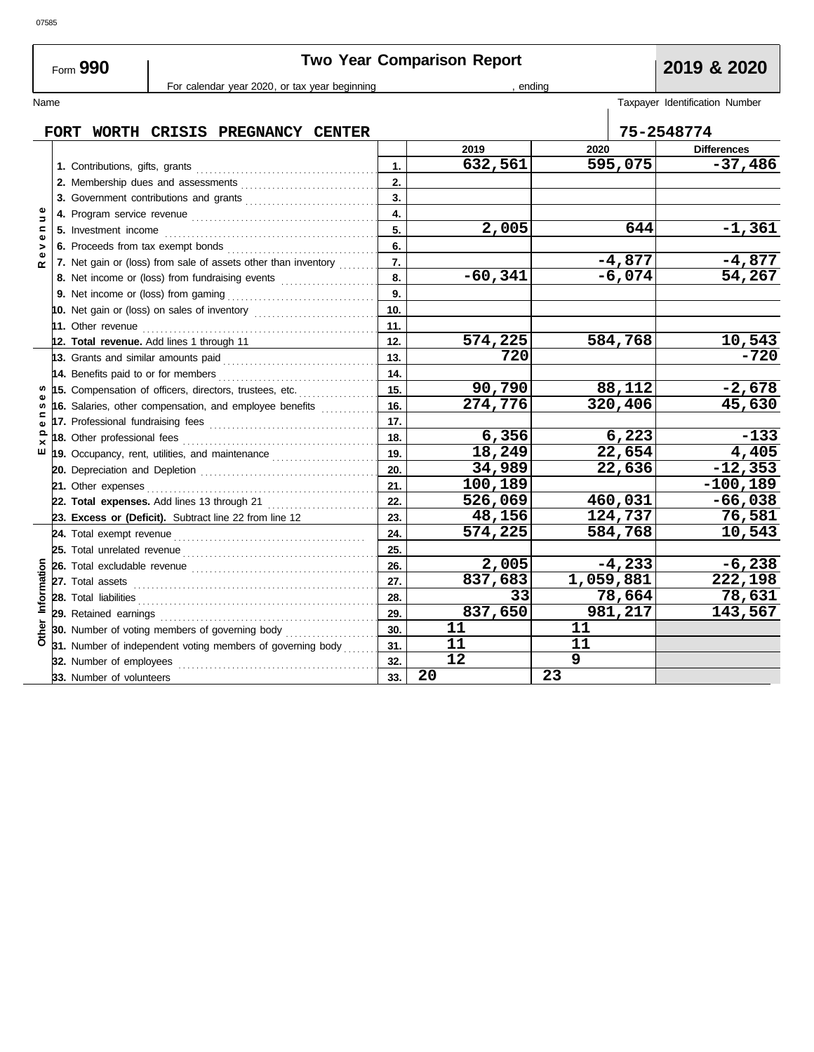# **Two Year Comparison Report 2019 & 2020**

For calendar year 2020, or tax year beginning , ending , ending

| Name                |             |                                                                                  |                  |           |           |          | Taxpayer Identification Number |
|---------------------|-------------|----------------------------------------------------------------------------------|------------------|-----------|-----------|----------|--------------------------------|
|                     | <b>FORT</b> | WORTH CRISIS PREGNANCY CENTER                                                    |                  |           |           |          | 75-2548774                     |
|                     |             |                                                                                  |                  | 2019      | 2020      |          | <b>Differences</b>             |
|                     |             |                                                                                  | 1.               | 632,561   |           | 595,075  | $-37,486$                      |
|                     |             | 2. Membership dues and assessments                                               | 2.               |           |           |          |                                |
|                     |             | 3. Government contributions and grants                                           | 3.               |           |           |          |                                |
| Φ<br>$\overline{a}$ |             |                                                                                  | 4.               |           |           |          |                                |
| c                   |             | 5. Investment income                                                             | 5.               | 2,005     |           | 644      | $-1,361$                       |
| Φ<br>>              |             | 6. Proceeds from tax exempt bonds                                                | 6.               |           |           |          |                                |
| $\propto$           |             | 7. Net gain or (loss) from sale of assets other than inventory                   | $\overline{7}$ . |           |           | $-4,877$ | $-4,877$                       |
|                     |             | 8. Net income or (loss) from fundraising events                                  | 8.               | $-60,341$ |           | $-6,074$ | 54, 267                        |
|                     |             |                                                                                  | 9.               |           |           |          |                                |
|                     |             | 10. Net gain or (loss) on sales of inventory [1111111111111111111111111111111111 | 10.              |           |           |          |                                |
|                     |             |                                                                                  | 11.              |           |           |          |                                |
|                     |             | 12. Total revenue. Add lines 1 through 11                                        | 12.              | 574,225   |           | 584,768  | $\frac{10,543}{-720}$          |
|                     |             |                                                                                  | 13.              | 720       |           |          |                                |
|                     |             |                                                                                  | 14.              |           |           |          |                                |
|                     |             | 15. Compensation of officers, directors, trustees, etc.                          | 15.              | 90,790    |           | 88,112   | $-2,678$                       |
| S,                  |             | 16. Salaries, other compensation, and employee benefits                          | 16.              | 274,776   |           | 320,406  | 45,630                         |
|                     |             |                                                                                  | 17.              |           |           |          |                                |
| $\mathbf{Q}$        |             |                                                                                  | 18.              | 6,356     |           | 6,223    | $-133$                         |
| ш                   |             | 19. Occupancy, rent, utilities, and maintenance [                                | 19.              | 18,249    |           | 22,654   | 4,405                          |
|                     |             |                                                                                  | 20.              | 34,989    |           | 22,636   | $-12,353$                      |
|                     |             |                                                                                  | 21.              | 100,189   |           |          | $-100,189$                     |
|                     |             | 22. Total expenses. Add lines 13 through 21                                      | 22.              | 526,069   |           | 460,031  | $-66,038$                      |
|                     |             | 23. Excess or (Deficit). Subtract line 22 from line 12                           | 23.              | 48,156    |           | 124,737  | 76,581                         |
|                     |             |                                                                                  | 24.              | 574,225   |           | 584,768  | 10,543                         |
|                     |             |                                                                                  | 25.              |           |           |          |                                |
|                     |             |                                                                                  | 26.              | 2,005     |           | $-4,233$ | $-6,238$                       |
| Information         |             |                                                                                  | 27.              | 837,683   | 1,059,881 |          | 222,198                        |
|                     |             |                                                                                  | 28.              | 33        |           | 78,664   | 78,631                         |
|                     |             | 29. Retained earnings                                                            | 29.              | 837,650   |           | 981,217  | 143,567                        |
| Other               |             | 30. Number of voting members of governing body                                   | 30.              | 11        | 11        |          |                                |
|                     |             | 31. Number of independent voting members of governing body                       | 31.              | 11        | 11        |          |                                |
|                     |             | 32. Number of employees                                                          | 32.              | 12        | 9         |          |                                |
|                     |             | 33. Number of volunteers                                                         | 33.              | 20        | 23        |          |                                |

Form **990**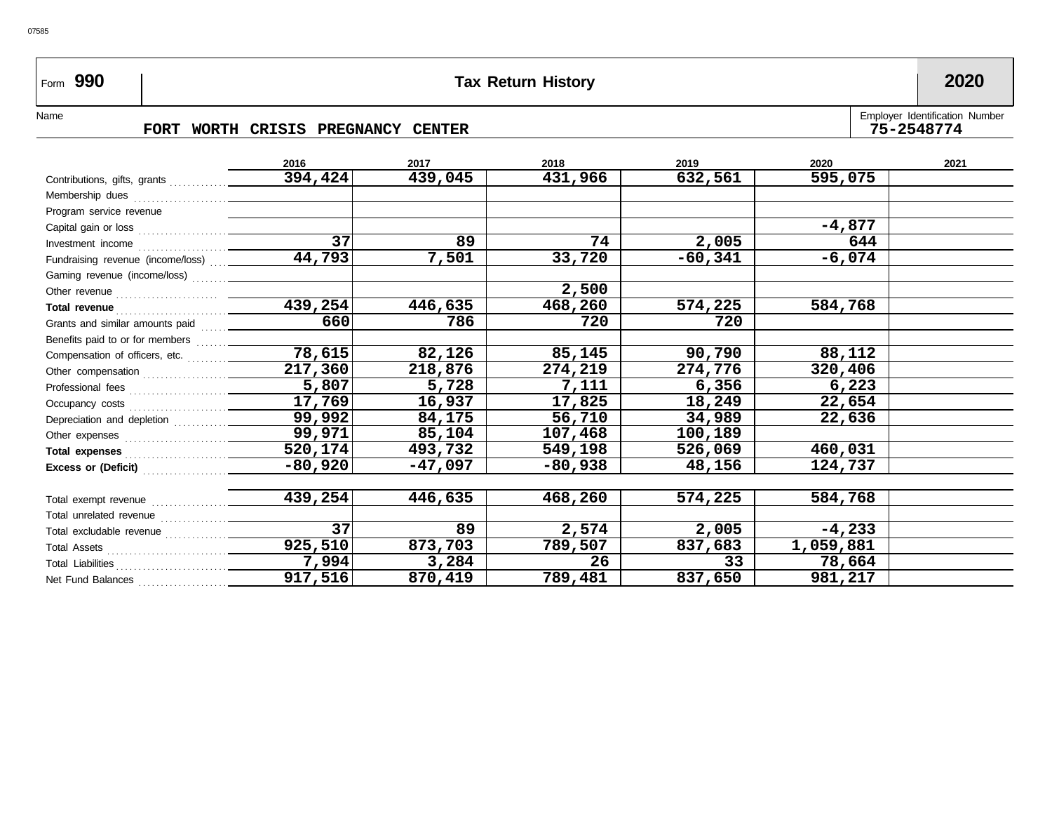# Form **990 Tax Return History 2020**

### Name FORT WORTH CRISIS PREGNANCY CENTER **Employer Identification Number** FORT WORTH CRISIS PREGNANCY CENTER

|                                                                                                                                                                                                                                     | 2016                 | 2017      | 2018      | 2019      | 2020      | 2021 |
|-------------------------------------------------------------------------------------------------------------------------------------------------------------------------------------------------------------------------------------|----------------------|-----------|-----------|-----------|-----------|------|
|                                                                                                                                                                                                                                     | 394,424              | 439,045   | 431,966   | 632,561   | 595,075   |      |
|                                                                                                                                                                                                                                     |                      |           |           |           |           |      |
| Program service revenue                                                                                                                                                                                                             |                      |           |           |           |           |      |
|                                                                                                                                                                                                                                     |                      |           |           |           | $-4,877$  |      |
|                                                                                                                                                                                                                                     | $\overline{37}$      | 89        | 74        | 2,005     | 644       |      |
| Fundraising revenue (income/loss)                                                                                                                                                                                                   | 44,793               | 7,501     | 33,720    | $-60,341$ | -6,074    |      |
|                                                                                                                                                                                                                                     |                      |           |           |           |           |      |
|                                                                                                                                                                                                                                     |                      |           | 2,500     |           |           |      |
| Total revenue <i>communication</i> and the communications are all the communications and the communications of the communications of the communications of the communications of the communications of the communications of the co | $\overline{439,254}$ | 446,635   | 468,260   | 574,225   | 584,768   |      |
|                                                                                                                                                                                                                                     | 660                  | 786       | 720       | 720       |           |      |
|                                                                                                                                                                                                                                     |                      |           |           |           |           |      |
| Compensation of officers, etc.                                                                                                                                                                                                      | 78,615               | 82,126    | 85,145    | 90,790    | 88,112    |      |
| Other compensation                                                                                                                                                                                                                  | 217,360              | 218,876   | 274,219   | 274,776   | 320,406   |      |
|                                                                                                                                                                                                                                     | 5,807                | 5,728     | 7,111     | 6,356     | 6,223     |      |
|                                                                                                                                                                                                                                     | 17,769               | 16,937    | 17,825    | 18,249    | 22,654    |      |
| Depreciation and depletion                                                                                                                                                                                                          | 99,992               | 84,175    | 56,710    | 34,989    | 22,636    |      |
|                                                                                                                                                                                                                                     | 99,971               | 85,104    | 107,468   | 100,189   |           |      |
| Total expenses                                                                                                                                                                                                                      | 520,174              | 493,732   | 549,198   | 526,069   | 460,031   |      |
|                                                                                                                                                                                                                                     | $-80,920$            | $-47,097$ | $-80,938$ | 48,156    | 124,737   |      |
|                                                                                                                                                                                                                                     |                      |           |           |           |           |      |
| Total exempt revenue                                                                                                                                                                                                                | 439,254              | 446,635   | 468,260   | 574,225   | 584,768   |      |
| Total unrelated revenue                                                                                                                                                                                                             |                      |           |           |           |           |      |
|                                                                                                                                                                                                                                     | $\overline{37}$      | 89        | 2,574     | 2,005     | $-4,233$  |      |
|                                                                                                                                                                                                                                     | 925,510              | 873,703   | 789,507   | 837,683   | 1,059,881 |      |
|                                                                                                                                                                                                                                     | 7,994                | 3,284     | 26        | 33        | 78,664    |      |
| Net Fund Balances                                                                                                                                                                                                                   | 917,516              | 870,419   | 789,481   | 837,650   | 981,217   |      |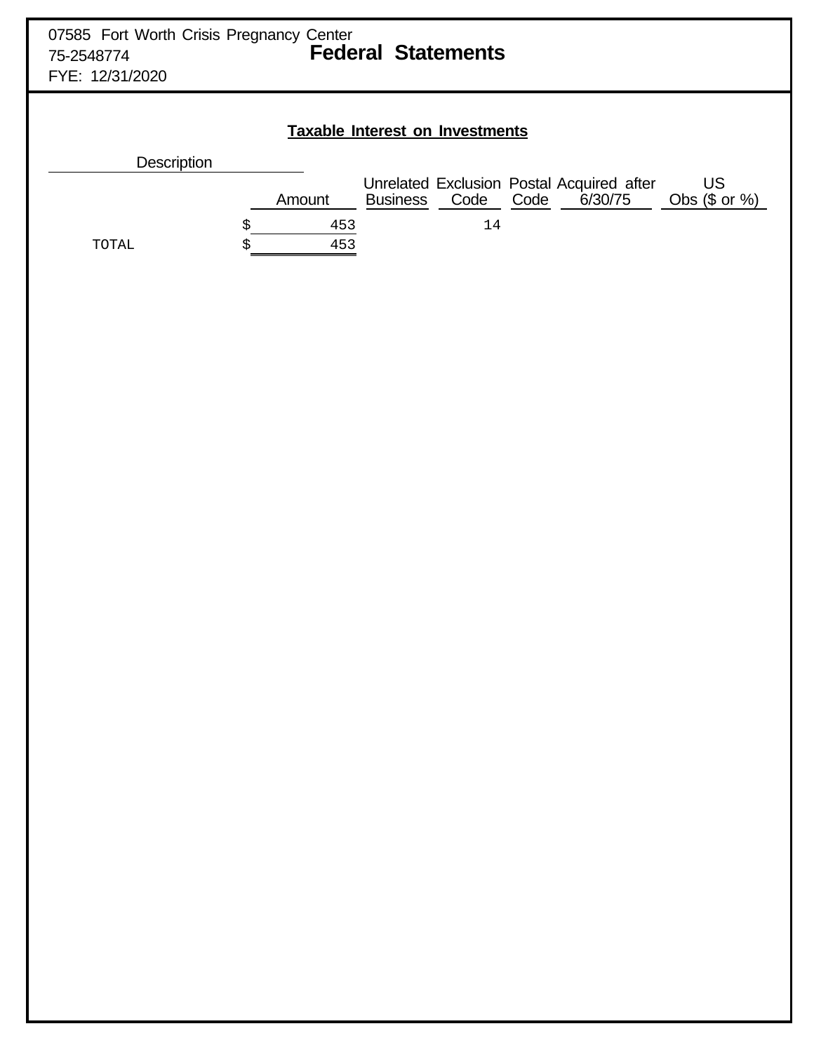| 07585 Fort Worth Crisis Pregnancy Center<br><b>Federal Statements</b><br>75-2548774<br>FYE: 12/31/2020 |                                        |  |        |  |                                                                         |                      |
|--------------------------------------------------------------------------------------------------------|----------------------------------------|--|--------|--|-------------------------------------------------------------------------|----------------------|
|                                                                                                        | <b>Taxable Interest on Investments</b> |  |        |  |                                                                         |                      |
| Description                                                                                            |                                        |  |        |  | Unrelated Exclusion Postal Acquired after<br>Business Code Code 6/30/75 | US<br>Obs $($ or %)$ |
| TOTAL                                                                                                  | Amount<br>453<br>\$<br>453<br>\$       |  | $14\,$ |  |                                                                         |                      |
|                                                                                                        |                                        |  |        |  |                                                                         |                      |
|                                                                                                        |                                        |  |        |  |                                                                         |                      |
|                                                                                                        |                                        |  |        |  |                                                                         |                      |
|                                                                                                        |                                        |  |        |  |                                                                         |                      |
|                                                                                                        |                                        |  |        |  |                                                                         |                      |
|                                                                                                        |                                        |  |        |  |                                                                         |                      |
|                                                                                                        |                                        |  |        |  |                                                                         |                      |
|                                                                                                        |                                        |  |        |  |                                                                         |                      |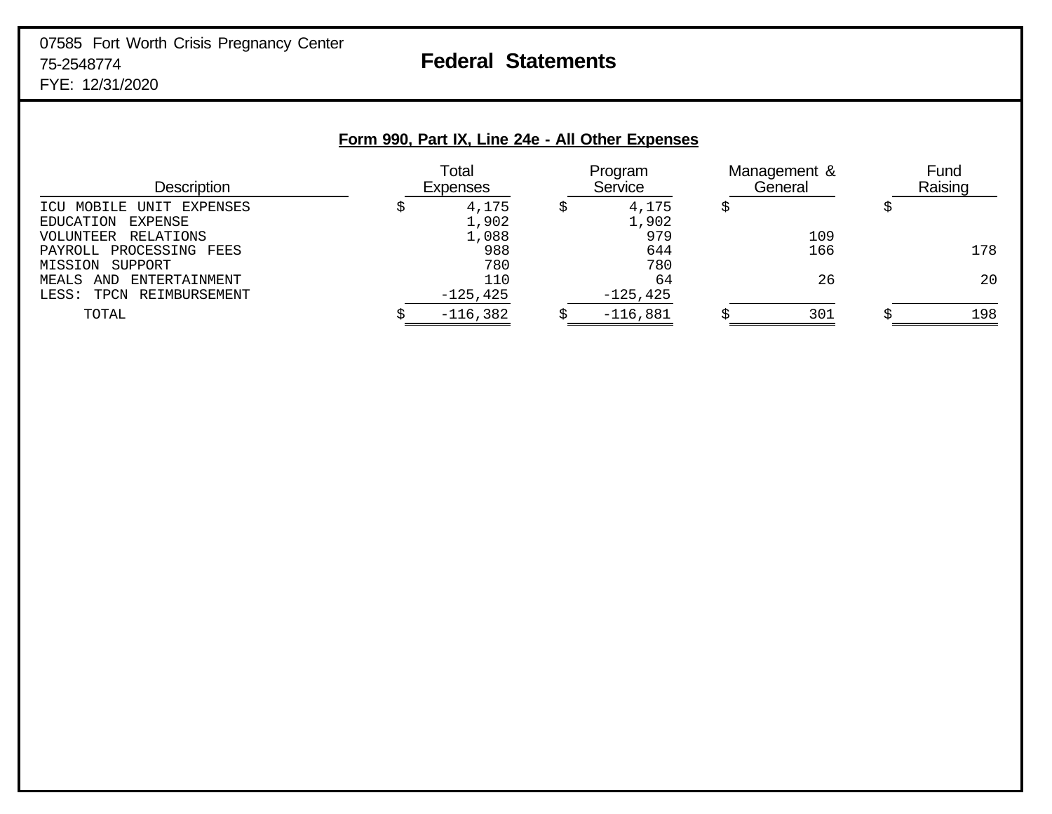# 07585 Fort Worth Crisis Pregnancy Center 75-2548774 **Federal Statements** FYE: 12/31/2020

| Form 990, Part IX, Line 24e - All Other Expenses |  |                          |  |                    |   |                         |                 |
|--------------------------------------------------|--|--------------------------|--|--------------------|---|-------------------------|-----------------|
| <b>Description</b>                               |  | Total<br><b>Expenses</b> |  | Program<br>Service |   | Management &<br>General | Fund<br>Raising |
| EXPENSES<br>MOBILE<br>UNTT.                      |  | 4,175                    |  | 4,175              | S |                         |                 |
| EXPENSE<br>EDUCATION                             |  | 1,902                    |  | 1,902              |   |                         |                 |
| RELATIONS<br>VOLUNTEER                           |  | 1,088                    |  | 979                |   | 109                     |                 |
| PROCESSING<br>FEES<br>PAYROLL                    |  | 988                      |  | 644                |   | 166                     | 178             |
| SUPPORT<br>MTSSTON                               |  | 780                      |  | 780                |   |                         |                 |
| ENTERTAINMENT<br>MEALS<br>AND                    |  | 110                      |  | 64                 |   | 26                      | 20              |
| REIMBURSEMENT<br>LESS:<br>TPCN                   |  | $-125, 425$              |  | $-125, 425$        |   |                         |                 |
| TOTAL                                            |  | $-116,382$               |  | $-116,881$         |   | 301                     | 198             |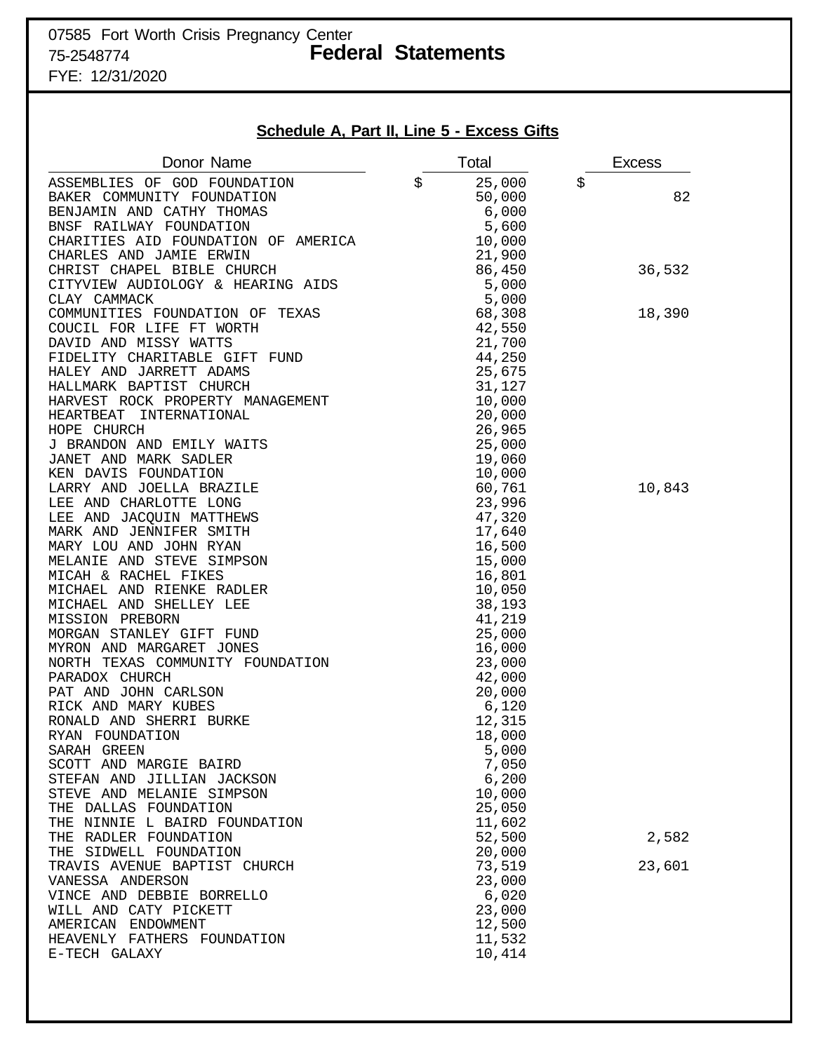# 07585 Fort Worth Crisis Pregnancy Center 75-2548774 **Federal Statements** FYE: 12/31/2020

**Schedule A, Part II, Line 5 - Excess Gifts**

| Donor Name                                           | Total            | <b>Excess</b> |
|------------------------------------------------------|------------------|---------------|
| ASSEMBLIES OF GOD FOUNDATION                         | \$<br>25,000     | \$            |
| BAKER COMMUNITY FOUNDATION                           | 50,000           | 82            |
| BENJAMIN AND CATHY THOMAS                            | 6,000            |               |
| BNSF RAILWAY FOUNDATION                              | 5,600            |               |
| CHARITIES AID FOUNDATION OF AMERICA                  | 10,000           |               |
| CHARLES AND JAMIE ERWIN                              | 21,900           |               |
| CHRIST CHAPEL BIBLE CHURCH                           | 86,450           | 36,532        |
| CITYVIEW AUDIOLOGY & HEARING AIDS                    | 5,000            |               |
| CLAY CAMMACK                                         | 5,000            |               |
| COMMUNITIES FOUNDATION OF TEXAS                      | 68,308           | 18,390        |
| COUCIL FOR LIFE FT WORTH                             | 42,550           |               |
| DAVID AND MISSY WATTS                                | 21,700           |               |
| FIDELITY CHARITABLE GIFT FUND                        | 44,250           |               |
| HALEY AND JARRETT ADAMS                              | 25,675           |               |
| HALLMARK BAPTIST CHURCH                              | 31,127           |               |
| HARVEST ROCK PROPERTY MANAGEMENT                     | 10,000           |               |
| INTERNATIONAL<br>HEARTBEAT                           | 20,000           |               |
| HOPE CHURCH                                          | 26,965           |               |
| J BRANDON AND EMILY WAITS                            | 25,000           |               |
| JANET AND MARK SADLER                                | 19,060           |               |
| KEN DAVIS FOUNDATION                                 | 10,000           |               |
| LARRY AND JOELLA BRAZILE                             | 60,761           | 10,843        |
| LEE AND CHARLOTTE LONG                               | 23,996           |               |
| LEE AND JACQUIN MATTHEWS                             | 47,320           |               |
| MARK AND JENNIFER SMITH                              | 17,640           |               |
| MARY LOU AND JOHN RYAN                               | 16,500           |               |
| MELANIE AND STEVE SIMPSON                            | 15,000           |               |
| MICAH & RACHEL FIKES                                 | 16,801           |               |
| MICHAEL AND RIENKE RADLER                            | 10,050           |               |
| MICHAEL AND SHELLEY LEE                              | 38,193           |               |
| MISSION PREBORN                                      | 41,219           |               |
| MORGAN STANLEY GIFT FUND<br>MYRON AND MARGARET JONES | 25,000           |               |
| NORTH TEXAS COMMUNITY FOUNDATION                     | 16,000<br>23,000 |               |
| PARADOX CHURCH                                       | 42,000           |               |
| PAT AND JOHN CARLSON                                 | 20,000           |               |
| RICK AND MARY KUBES                                  | 6,120            |               |
| RONALD AND SHERRI BURKE                              | 12,315           |               |
| RYAN FOUNDATION                                      | 18,000           |               |
| SARAH GREEN                                          | 5,000            |               |
| SCOTT AND MARGIE BAIRD                               | 7,050            |               |
| STEFAN AND JILLIAN JACKSON                           | 6,200            |               |
| STEVE AND MELANIE SIMPSON                            | 10,000           |               |
| THE DALLAS FOUNDATION                                | 25,050           |               |
| THE NINNIE L BAIRD FOUNDATION                        | 11,602           |               |
| THE RADLER FOUNDATION                                | 52,500           | 2,582         |
| THE SIDWELL FOUNDATION                               | 20,000           |               |
| TRAVIS AVENUE BAPTIST CHURCH                         | 73,519           | 23,601        |
| VANESSA ANDERSON                                     | 23,000           |               |
| VINCE AND DEBBIE BORRELLO                            | 6,020            |               |
| WILL AND CATY PICKETT                                | 23,000           |               |
| AMERICAN ENDOWMENT                                   | 12,500           |               |
| HEAVENLY FATHERS FOUNDATION                          | 11,532           |               |
| E-TECH GALAXY                                        | 10,414           |               |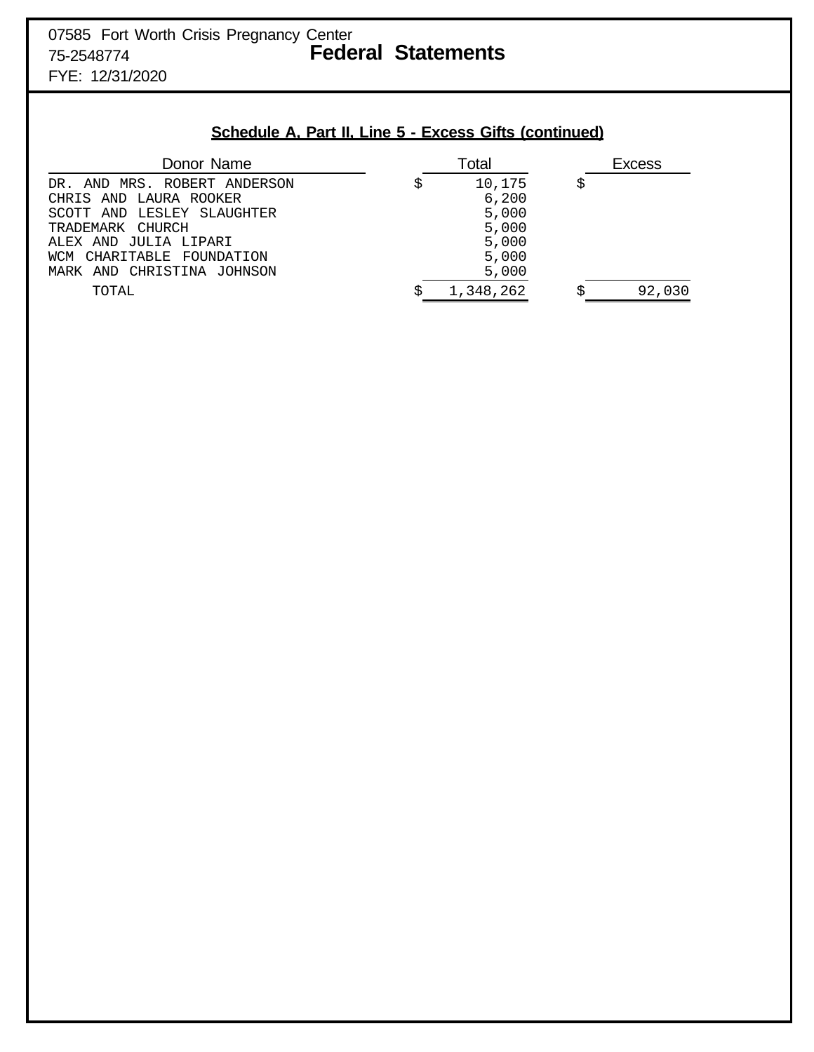# **Schedule A, Part II, Line 5 - Excess Gifts (continued)**

| Donor Name                                             | Total           | Excess |
|--------------------------------------------------------|-----------------|--------|
| DR. AND MRS. ROBERT ANDERSON<br>CHRIS AND LAURA ROOKER | 10,175<br>6,200 |        |
| SCOTT AND LESLEY SLAUGHTER                             | 5,000           |        |
| TRADEMARK CHURCH<br>ALEX AND JULIA LIPARI              | 5,000           |        |
| CHARITABLE FOUNDATION<br>WCM                           | 5,000<br>5,000  |        |
| MARK AND CHRISTINA JOHNSON                             | 5,000           |        |
| TOTAL                                                  | 1,348,262       | 92,030 |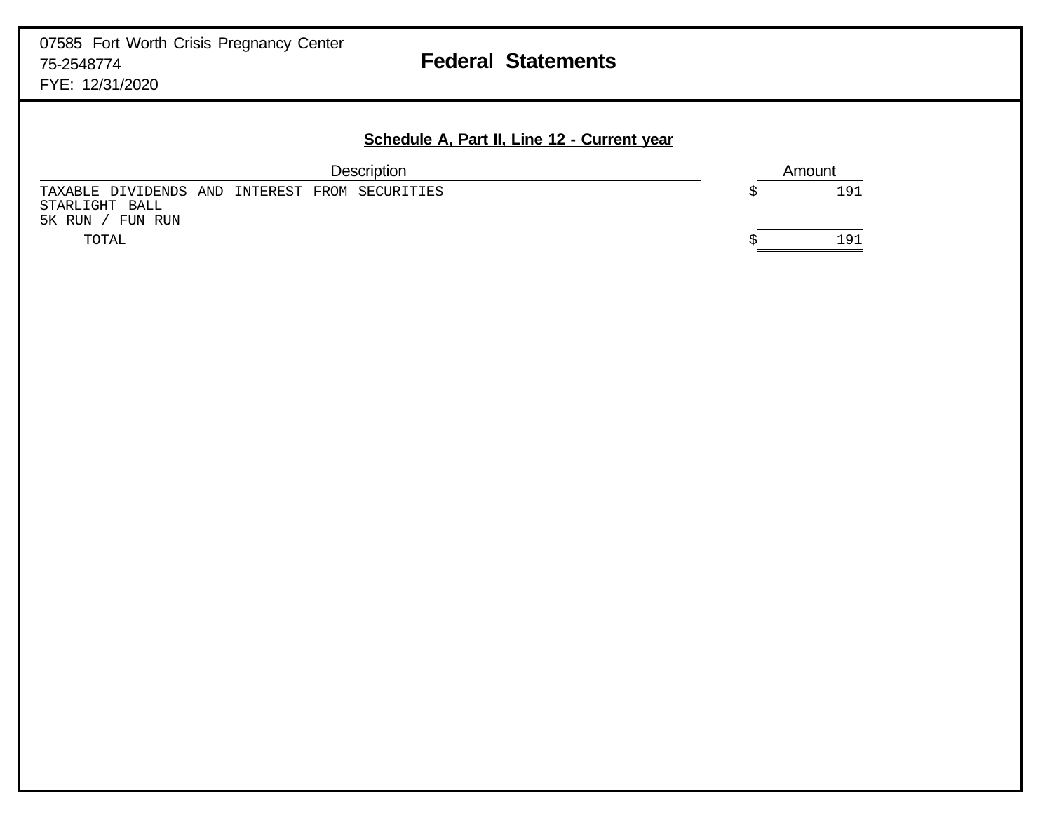# **Schedule A, Part II, Line 12 - Current year**

| <b>Description</b>                                                                   | Amount |
|--------------------------------------------------------------------------------------|--------|
| TAXABLE DIVIDENDS AND INTEREST FROM SECURITIES<br>STARLIGHT BALL<br>5K RUN / FUN RUN | 191    |
| TOTAL                                                                                | 191    |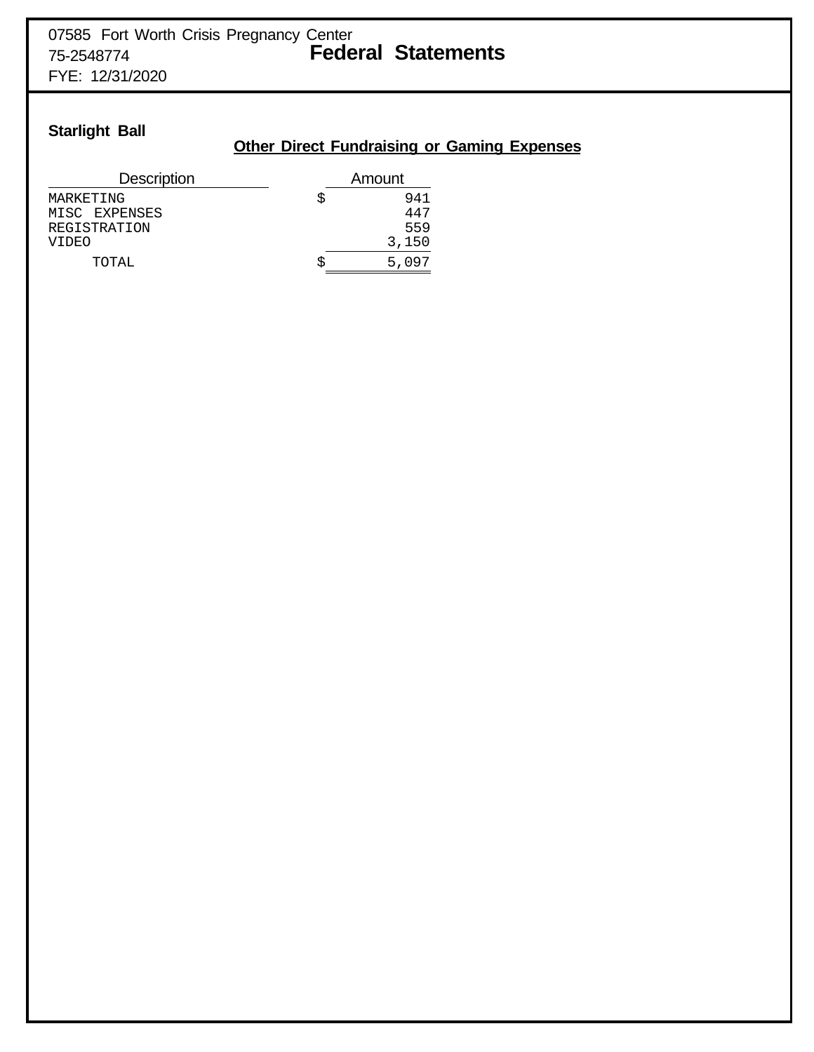# **Starlight Ball**

# **Other Direct Fundraising or Gaming Expenses**

| <b>Description</b> | Amount |
|--------------------|--------|
| MARKETING          | 941    |
| MISC EXPENSES      | 447    |
| REGISTRATION       | 559    |
| VIDEO              | 3,150  |
| TOTAL,             | 5.097  |